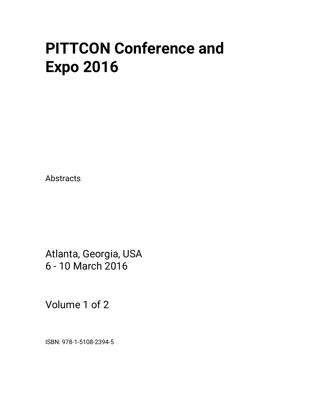# **PITTCON Conference and Expo 2016**

Abstracts

Atlanta, Georgia, USA 6 - 10 March 2016

Volume 1 of 2

ISBN: 978-1-5108-2394-5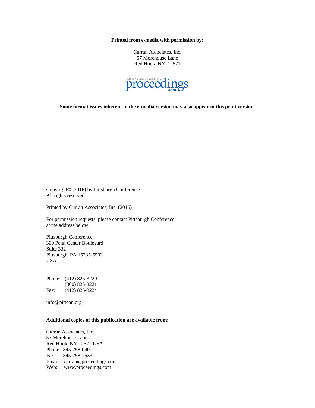**Printed from e-media with permission by:** 

Curran Associates, Inc. 57 Morehouse Lane Red Hook, NY 12571



**Some format issues inherent in the e-media version may also appear in this print version.** 

Copyright© (2016) by Pittsburgh Conference All rights reserved.

Printed by Curran Associates, Inc. (2016)

For permission requests, please contact Pittsburgh Conference at the address below.

Pittsburgh Conference 300 Penn Center Boulevard Suite 332 Pittsburgh, PA 15235-5503 USA

Phone: (412) 825-3220 (800) 825-3221 Fax: (412) 825-3224

info@pittcon.org

### **Additional copies of this publication are available from:**

Curran Associates, Inc. 57 Morehouse Lane Red Hook, NY 12571 USA Phone: 845-758-0400 Fax: 845-758-2633 Email: curran@proceedings.com Web: www.proceedings.com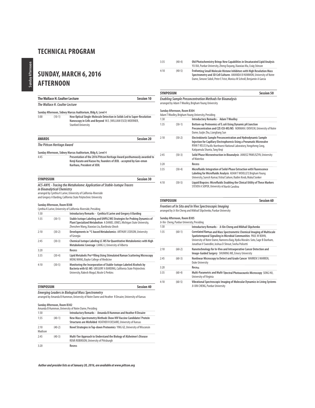## **SUNDAY, MARCH 6, 2016 AFTERNOON**

**The Wallace H. Coulter Lecture**

**The Wallace H. Coulter Lecture Session 10**

**Sunday Afternoon, Sidney Marcus Auditorium, Bldg A, Level 4** 5:00 (10-1) **How Optical Single-Molecule Detection in Solids Led to Super-Resolution Nanoscopy in Cells and Beyond** W.E. (WILLIAM ESCO) MOERNER, Stanford University

| <b>AWARDS</b>    |                                   | <b>Session 20</b>                                                                                                                                                                                              |  |
|------------------|-----------------------------------|----------------------------------------------------------------------------------------------------------------------------------------------------------------------------------------------------------------|--|
|                  | <b>The Pittcon Heritage Award</b> |                                                                                                                                                                                                                |  |
|                  |                                   | Sunday Afternoon, Sidney Marcus Auditorium, Bldg A, Level 4                                                                                                                                                    |  |
| 4:45             |                                   | Presentation of the 2016 Pittcon Heritage Award posthumously awarded to<br>Kenji Kazato and Kazuo Ito, founders of JEOL - accepted by Gon-emon<br>Kurihara, President of JEOL                                  |  |
| <b>SYMPOSIUM</b> |                                   | Session 30                                                                                                                                                                                                     |  |
|                  | in Bioanalytical Chemistry        | ACS-ANYL - Tracing the Metabolome: Application of Stable-Isotope Tracers<br>arranged by Cynthia K Larive, University of California-Riverside<br>and Gregory A Barding, California State Polytechnic University |  |
|                  | Sunday Afternoon, Room B308       | Cynthia K Larive, University of California-Riverside, Presiding                                                                                                                                                |  |
| 1:30             |                                   | Introductory Remarks - Cynthia K Larive and Gregory A Barding                                                                                                                                                  |  |
| 1:35             | $(30-1)$                          | Stable Isotope Labeling and UHPLC/MS Strategies for Probing Dynamics of<br>Plant Specialized Metabolism A DANIEL JONES, Michigan State University,<br>Zhenzhen Wang, Xiaoxiao Liu, Banibrata Ghosh             |  |
| 2:10             | $(30-2)$                          | Developments in <sup>13</sup> C-based Metabolomics ARTHUR S EDISON, University<br>of Georgia                                                                                                                   |  |
| 2:45             | $(30-3)$                          | Chemical Isotope Labeling LC-MS for Quantitative Metabolomics with High<br>Metabolomic Coverage LIANG LI, University of Alberta                                                                                |  |
| 3:20             |                                   | Recess                                                                                                                                                                                                         |  |
| 3:35             | $(30-4)$                          | Lipid Metabolic Pro <sup>oo</sup> filing Using Stimulated Raman Scattering Microscopy<br>MENG WANG, Baylor College of Medicine                                                                                 |  |
| 4:10             | $(30-5)$                          | Monitoring the Incorporation of Stable-Isotope Labeled Alcohols by<br>Bacteria with GC-MS GREGORY A BARDING, California State Polytechnic<br>University, Rakesh Mogul, Nicole G Perkins                        |  |

### **SYMPOSIUM Session 40**

**Emerging Leaders in Biological Mass Spectrometry** arranged by Amanda B Hummon, University of Notre Dame and Heather R Desaire, University of Kansas

#### **Sunday Afternoon, Room B302** Amanda B Hummon, University of Notre Dame, Presiding

|                 |          | <b>MINIMUM D HUMMON, ONIVERSITY OF NOTIC DUMC, FICSIONING</b>                                                                          |
|-----------------|----------|----------------------------------------------------------------------------------------------------------------------------------------|
| 1:30            |          | Introductory Remarks - Amanda B Hummon and Heather R Desaire                                                                           |
| 1:35            | $(40-1)$ | New Mass Spectrometry Methods Show HIV Vaccine Candidates' Protein<br>Structures are Misfolded HEATHER R DESAIRE, University of Kansas |
| 2:10<br>Madison | $(40-2)$ | Novel Strategies in Top-down Proteomics YING GE, University of Wisconsin                                                               |
| 7.45            | $(40-3)$ | Multi-Tier Approach to Understand the Biology of Alzheimer's Disease<br>RENÃ ROBINSON, University of Pittsburgh                        |
| 3:20            |          | Recess                                                                                                                                 |

3:35 (40-4) **Old Photochemistry Brings New Capabilities in Unsaturated Lipid Analysis** YU XIA, Purdue University, Zheng Ouyang, Xiaoxiao Ma, Craig Stinson 4:10 (40-5) **Evaluating Small Molecule Histone Inhibitors with High Resolution Mass Spectrometry and 3D Cell Cultures** AMANDA B HUMMON, University of Notre Dame, Simone Sidoli, Peter E Feist, Monica M Schroll, Benjamin A Garcia

### **SYMPOSIUM Session 50**

### **Enabling Sample Preconcentration Methods for Bioanalysis** arranged by Adam T Woolley, Brigham Young University

### **Sunday Afternoon, Room B304**

|      |          | Adam T Woolley, Brigham Young University, Presiding                                                                                                                                                                                            |
|------|----------|------------------------------------------------------------------------------------------------------------------------------------------------------------------------------------------------------------------------------------------------|
| 1:30 |          | <b>Introductory Remarks - Adam T Woolley</b>                                                                                                                                                                                                   |
| 1:35 | $(50-1)$ | Bottom-up Proteomics of E.coli Using Dynamic pH Junction<br>Preconcentration and CZE-ESI-MS/MS NORMAN J DOVICHI, University of Notre<br>Dame, Guijie Zhu, Liangliang Sun                                                                       |
| 2:10 | $(50-2)$ | Electrokinetic Sample Preconcentration and Hydrodynamic Sample<br>Injection for Capillary Electrophoresis Using a Pneumatic Microvalve<br>RYAN T KELLY, Pacific Northwest National Laboratory, Yongzheng Cong,<br>Katipamula Shanta, Tang Kegi |
| 2:45 | $(50-3)$ | Solid Phase Microextraction in Bioanalysis JANUSZ PAWLISZYN, University<br>of Waterloo                                                                                                                                                         |
| 3:20 |          | Recess                                                                                                                                                                                                                                         |
| 3:35 | $(50-4)$ | Microfluidic Integration of Solid-Phase Extraction with Fluorescence<br>Labeling for Microfluidic Analysis ADAM T WOOLLEY, Brigham Young<br>University, Suresh Kumar, Vishal Sahore, Radim Knob, Mukul Sonker                                  |
| 4:10 | $(50-5)$ | Liquid Biopsies: Microfluidic Enabling the Clinical Utility of These Markers<br>STEVEN A SOPER, University of North Carolina                                                                                                                   |

**SYMPOSIUM Session 60 Frontiers of In Situ and In Vivo Spectroscopic Imaging** arranged by Ji-Xin Cheng and Mikhail Slipchenko, Purdue University

### **Sunday Afternoon, Room B305**

|      |          | Ji-Xin Cheng, Purdue University, Presiding                                                                                                                                                                                                                                      |
|------|----------|---------------------------------------------------------------------------------------------------------------------------------------------------------------------------------------------------------------------------------------------------------------------------------|
| 1:30 |          | Introductory Remarks - Ji-Xin Cheng and Mikhail Slipchenko                                                                                                                                                                                                                      |
| 1:35 | $(60-1)$ | Correlated Raman and Mass Spectrometric Chemical Imaging of Multiscale<br>Spatiotemporal Signaling in Microbial Communities PAUL W BOHN,<br>University of Notre Dame, Nameera Baig, Nydia Morales-Soto, Sage B Dunham,<br>Jonathan V Sweedler, Joshua D Shrout, Sneha Polisetti |
| 2:10 | $(60-2)$ | Nanotechnology for In-Vivo and Intraoperative Cancer Detection and<br>Image-Guided Surgery SHUMING NIE, Emory University                                                                                                                                                        |
| 2:45 | $(60-3)$ | Nonlinear Microscopy to Detect and Grade Cancer WARREN S WARREN,<br><b>Duke University</b>                                                                                                                                                                                      |
| 3:20 |          | Recess                                                                                                                                                                                                                                                                          |
| 3:35 | $(60-4)$ | Multi-Parametric and Multi-Spectral Photoacoustic Microscopy SONG HU,<br>University of Virginia                                                                                                                                                                                 |
| 4:10 | $(60-5)$ | Vibrational Spectroscopic Imaging of Molecular Dynamics in Living Systems<br>JI-XIN CHENG, Purdue University                                                                                                                                                                    |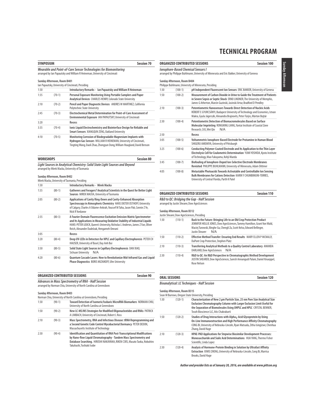| <b>SYMPOSIUM</b> |                             | <b>Session 70</b>                                                                                                                              |
|------------------|-----------------------------|------------------------------------------------------------------------------------------------------------------------------------------------|
|                  |                             | Wearable and Point-of-Care Sensor Technologies for Biomonitoring<br>arranged by lan Papautsky and William R Heineman, University of Cincinnati |
|                  | Sunday Afternoon, Room B401 |                                                                                                                                                |
| 1:30             |                             | Ian Papautsky, University of Cincinnati, Presiding<br>Introductory Remarks - Ian Papautsky and William R Heineman                              |
|                  |                             |                                                                                                                                                |
| 1:35             | $(70-1)$                    | Personal Exposure Monitoring Using Portable Samplers and Paper<br>Analytical Devices CHARLES HENRY, Colorado State University                  |
| 2:10             | $(70-2)$                    | Pencil and Paper Diagnostic Devices ANDRES W MARTINEZ, California<br>Polytechnic State University                                              |
| 2:45             | $(70-3)$                    | Electrochemical Metal Determination for Point-of-Care Assessment of<br>Environmental Exposure IAN PAPAUTSKY, University of Cincinnati          |
| 3:20             |                             | Recess                                                                                                                                         |
| 3:35             | $(70-4)$                    | Ionic Liquid Electrochemistry and Biointerface Design for Reliable and<br>Smart Sensors XIANGQUN ZENG, Oakland University                      |
| 4:10             | $(70-5)$                    | Monitoring Corrosion of Biodegradable Magnesium Implants with                                                                                  |
|                  |                             | Hydrogen Gas Sensors WILLIAM R HEINEMAN, University of Cincinnati,<br>Tingting Wang, Daoli Zhao, Zhongyun Dong, William Hoagland, David Benson |
|                  |                             |                                                                                                                                                |
| <b>WORKSHOPS</b> |                             | <b>Session 80</b>                                                                                                                              |
|                  |                             | Light Sources in Analytical Chemistry: Solid State Light Sources and Beyond<br>arranged by Mirek Macka, University of Tasmania                 |
|                  |                             |                                                                                                                                                |
|                  | Sunday Afternoon, Room B402 |                                                                                                                                                |
|                  |                             | Mirek Macka, University of Tasmania, Presiding                                                                                                 |
| 1:30             |                             | <b>Introductory Remarks - Mirek Macka</b>                                                                                                      |
| 1:35             | $(80-1)$                    | Gatherers and Foragers? Analytical Scientists in the Quest for Better Light                                                                    |

|      |          | Sources MIREK MACKA, University of Tasmania                                                                                                                                                                                                                                         |  |
|------|----------|-------------------------------------------------------------------------------------------------------------------------------------------------------------------------------------------------------------------------------------------------------------------------------------|--|
| 2:05 | $(80-2)$ | Applications of Cavity Ring-Down and Cavity-Enhanced Absorption<br>Spectroscopy in Atmospheric Chemistry HANS DIETER OSTHOFF, University<br>of Calgary, Charles A Odame-Ankrah, Youssef M Taha, Jason Pak, Connie Z Ye,<br>Nick R Yordanov                                          |  |
| 2:35 | $(80-3)$ | A Fourier-Domain Fluorescence Excitation Emission Matrix Spectrometer<br>and Its Applications in Measuring Oxidative Stability of Industrial Liquids<br>HANS-PETER LOOCK, Queen's University, Nicholas L Andrews, James Z Fan, Oliver<br>Reich, Alexander Dudelzak, Hengameh Omrani |  |
| 3:05 |          | Recess                                                                                                                                                                                                                                                                              |  |
| 3:20 | $(80-4)$ | Deep UV-LEDs in Detectors for HPLC and Capillary Electrophoresis PETER CH<br>HAUSER, University of Basel, Duy Anh Bui                                                                                                                                                               |  |
| 3:50 | $(80-5)$ | Solid State Light Sources in Capillary Electrophoresis DAN XIAO,<br>Sichuan University<br>N/A                                                                                                                                                                                       |  |
| 4:20 | $(80-6)$ | Quantum Cascade Lasers: How to Revolutionize Mid-Infrared Gas and Liquid<br><b>Phase Diagnostics BORIS MIZAIKOFF, Ulm University</b>                                                                                                                                                |  |

**ORGANIZED CONTRIBUTED SESSIONS Session 90**

**Advances in Mass Spectrometry of RNA - Half Session**

arranged by Norman Chiu, University of North Carolina at Greensboro

### **Sunday Afternoon, Room B403**

|      | CUPU IIIUQU AILEIIIUUII, DUUIII D<br>Norman Chiu, University of North Carolina at Greensboro, Presiding |                                                                                                                                                                                                                                                                |  |
|------|---------------------------------------------------------------------------------------------------------|----------------------------------------------------------------------------------------------------------------------------------------------------------------------------------------------------------------------------------------------------------------|--|
| 1:30 | $(90-1)$                                                                                                | Toward Detection of Isomeric/Isobaric MicroRNA Biomarkers NORMAN CHIU.<br>University of North Carolina at Greensboro                                                                                                                                           |  |
| 1:50 | $(90-2)$                                                                                                | New LC-MS/MS Strategies for Modified Oligonucleotides and RNAs PATRICK<br>A LIMBACH, University of Cincinnati, Robert L Ross                                                                                                                                   |  |
| 2:10 | $(90-3)$                                                                                                | Mass Spectrometry, RNA and Infectious Disease: tRNA Reprogramming and<br>a Second Genetic Code Control Mycobacterial Dormancy PETER DEDON,<br>Massachusetts Institute of Technology                                                                            |  |
| 2:30 | $(90-4)$                                                                                                | <b>Identification and Quantitation of RNA Post-Transcriptional Modifications</b><br>by Nano-flow Liquid Chromatography - Tandem Mass Spectrometry and<br>Database Searching. HIROSHI NAKAYAMA, RIKEN CSRS, Masato Taoka, Nobuhiro<br>Takahashi. Toshiaki Isobe |  |

|      | Session 100<br><b>ORGANIZED CONTRIBUTED SESSIONS</b><br><b>Ionophore-Based Chemical Sensors I</b><br>arranged by Philippe Buhlmann, University of Minnesota and Eric Bakker, University of Geneva |                                                                                                                                                                                                                                   |  |
|------|---------------------------------------------------------------------------------------------------------------------------------------------------------------------------------------------------|-----------------------------------------------------------------------------------------------------------------------------------------------------------------------------------------------------------------------------------|--|
|      |                                                                                                                                                                                                   |                                                                                                                                                                                                                                   |  |
|      | Sunday Afternoon, Room B404                                                                                                                                                                       | Philippe Buhlmann, University of Minnesota, Presiding                                                                                                                                                                             |  |
| 1:30 | $(100-1)$                                                                                                                                                                                         | pH Independent Fluorescent Ion Sensors ERIC BAKKER, University of Geneva                                                                                                                                                          |  |
| 1:50 | $(100-2)$                                                                                                                                                                                         | Measurement of Carbon Dioxide in Urine to Guide the Treatment of Patients<br>in Severe Sepsis or Septic Shock ERNO LINDNER, The University of Memphis,<br>James G Atherton, Marcin Guzinski, Jasinski Artur, Bradford D Pendley   |  |
| 2:10 | $(100-3)$                                                                                                                                                                                         | Potentiometric Nanosensors Towards Direct Detection of Nucleic Acids<br>RÓBERT E GYURCSÁNYI, Budapest University of Technology and Economics, Istvan<br>Makra, Gyula Jágerszki, Alexandra Brajnovits, Peter Fürjes, Márton Bojtár |  |
| 2:30 | $(100-4)$                                                                                                                                                                                         | Potentiometric Detection of Biomacromolecules Based on Surface<br>Molecular Imprinting RONGNING LIANG, Yantai Institute of Coastal Zone<br>N/A<br>Research, CAS, Wei Qin                                                          |  |
| 2:50 |                                                                                                                                                                                                   | Recess                                                                                                                                                                                                                            |  |
| 3:05 | $(100-5)$                                                                                                                                                                                         | Voltammetric lonophore-Based Electrode for Protamine in Human Blood<br>SHIGERU AMEMIYA, University of Pittsburgh                                                                                                                  |  |
| 3:25 | $(100-6)$                                                                                                                                                                                         | Conducting Polymer-Coated Electrode and Its Application to the Thin Layer<br>Electrolysis Cell for Coulometric Determination YUMI YOSHIDA, Kyoto Institute<br>of Technology, Mao Fukuyama, Kohji Maeda                            |  |
| 3:45 | $(100 - 7)$                                                                                                                                                                                       | Biofouling of lonophore-Doped Ion-Selective Electrode Membranes<br>Revisited PHILIPPE BUHLMANN, University of Minnesota, Adam Dittmer                                                                                             |  |
| 4:05 | $(100-8)$                                                                                                                                                                                         | Metastable Photoacids Towards Activatable and Controllable Ion Sensing<br><b>Bulk Membranes for Cations Detection KARINY CHUMBIMUNI-TORRES.</b><br>University of Central Florida, Parth K Patel                                   |  |

### **ORGANIZED CONTRIBUTED SESSIONS** Session 110

**R&D to QC: Bridging the Gap - Half Session** arranged by Justin Shearer, Dow AgroSciences

#### **Sunday Afternoon, Room B312**

Justin Shearer, Dow AgroSciences, Presiding

| $(110-1)$ | Back to the Future: Bringing Life to an Old Crop Protection Product<br>JENNIFER HOLLIE JONES, Dow AgroSciences, Tammy Hamilton, Grant Von Wald,<br>Maciej Turowski, Binghe Gu, Chengli Zu, Scott Kelso, Edward Bellinger,<br>Justin Shearer<br>N/A |
|-----------|----------------------------------------------------------------------------------------------------------------------------------------------------------------------------------------------------------------------------------------------------|
| $(110-2)$ | Effective Method Transfer: Ensuring End Results MARY ELLEN P MCNALLY,<br>DuPont Crop Protection, Stephen Platz                                                                                                                                     |
| $(110-3)$ | Transferring Analytical Methods to a Quality Control Laboratory AMANDA<br>DARLAND, Dow AgroSciences<br>N/A                                                                                                                                         |
| $(110-4)$ | R&D to QC: An R&D Perspective in Chromatographic Method Development<br>JUSTIN SHEARER, Dow AgroSciences, Suresh Annangudi Palani, Daniel Knueppel,<br>Rose Nelson                                                                                  |
|           |                                                                                                                                                                                                                                                    |

| <b>ORAL SESSIONS</b>                               | Session 120 |
|----------------------------------------------------|-------------|
| <b>Bioanalytical: LC Techniques - Half Session</b> |             |

### **Sunday Afternoon, Room B315**

|      |           | Sean M Burrows, Oregon State University, Presiding                                                                                                                                                                                                                     |
|------|-----------|------------------------------------------------------------------------------------------------------------------------------------------------------------------------------------------------------------------------------------------------------------------------|
| 1:30 | $(120-1)$ | Characterization of New 2 µm Particle Size, 25 nm Pore Size Analytical Size<br>Exclusion Chromatography Column with Larger Exclusion Limit Useful for<br>the Separation of Biomolecules Using UHPLC and HPLC CRYSTAL BENNER,<br>Tosoh Bioscience LLC. Atis Chakrabarti |
| 1:50 | $(120-2)$ | Studies of Drug Interactions with Alpha <sub>1</sub> -Acid Glycoprotein by Using<br>On-Line Immunoextraction and High Performance Affinity Chromatography<br>CONG BI, University of Nebraska-Lincoln, Ryan Matsuda, Zitha Isingizwe, Chenhua<br>Zhang, David Hage      |
| 2:10 | $(120-3)$ | HPAE-PAD Applications for Stepwise Biosimilar Development Processes:<br>Monosaccharide and Sialic Acid Determinations HUA YANG. Thermo Fisher<br>Scientific, Linda Lopez                                                                                               |
| 2:30 | $(120-4)$ | Analysis of Hormone-Protein Binding in Solution by Ultrafast Affinity<br>Extraction XIWEI ZHENG, University of Nebraska-Lincoln, Cong Bi, Marrisa<br>Brooks, David Hage                                                                                                |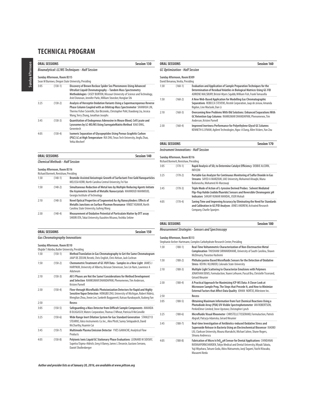|      | <b>ORAL SESSIONS</b>                                                | <b>Session 130</b>                                                                                                                                                                                                                                                            |
|------|---------------------------------------------------------------------|-------------------------------------------------------------------------------------------------------------------------------------------------------------------------------------------------------------------------------------------------------------------------------|
|      |                                                                     | <b>Bioanalytical: LC/MS Techniques - Half Session</b>                                                                                                                                                                                                                         |
|      | Sunday Afternoon, Room B315                                         | Sean M Burrows, Oregon State University, Presiding                                                                                                                                                                                                                            |
| 3:05 | $(130-1)$                                                           | Discovery of Brown Recluse Spider Sex Pheromones Using Advanced<br>Ultrafast Liquid Chromatography - Tandem Mass Spectrometry<br>Methodologies CASEY BURTON, Missouri University of Science and Technology,<br>Ariel Donovan, Jennifer Parks, William Stoecker, Honglan Shi   |
| 3:25 | $(130-2)$                                                           | Analysis of Herceptin Oxidation Variants Using a Supermacroporous Reverse<br>Phase Column Coupled with an Orbitrap Mass Spectrometer SHANHUA LIN,<br>Thermo Fisher Scientific, Ilze Birznieks, Christopher Pohl, Xiaodong Liu, Jessica<br>Wang, Terry Zhang, Jonathan Josephs |
| 3:45 | $(130-3)$                                                           | Quantitation of Endogenous Adenosine in Mouse Blood, Cell Lysate and<br>Lysosomes by LC-MS/MS Using SurrogateMatrix Method XIAO DING,<br>Genentech                                                                                                                            |
| 4:05 | $(130-4)$                                                           | Isomeric Separation of Glycopeptides Using Porous Graphitic Carbon<br>(PGC) LC at High Temperature RUI ZHU, Texas Tech University, Jingfu Zhao,<br>Yehia Mechref                                                                                                              |
|      | <b>ORAL SESSIONS</b>                                                | Session 140                                                                                                                                                                                                                                                                   |
|      | <b>Chemical Methods - Half Session</b>                              |                                                                                                                                                                                                                                                                               |
|      | Sunday Afternoon, Room B316<br>Richard Bormett, Renishaw, Presiding |                                                                                                                                                                                                                                                                               |

1:30 (140-1) **Bromide-Assisted Anisotropic Growth of Surfactant-Free Gold Nanoparticles** MELISSA KERR, North Carolina Central University, Fei Yan 1:50 (140-2) **Simultaneous Reduction of Metal Ions by Multiple Reducing Agents Initiate the Asymmetric Growth of Metallic Nanocrystals** MAHMOUD MAHMOUD,

2:10 (140-3) **Novel Optical Properties of Segmented Au-Ag Nanocylinders: Effects of Metallic Junctions on Surface Plasmon Resonance** VINEET KUMAR, North Carolina State University, Gufeng Wang 2:30 (140-4) **Measurement of Oxidative Potential of Particulate Matter by DTT assay**  SHIORI OTA, Tokai University, Kazuhiro Misawa, Yoshika Sekine

Georgia Institute of Technology

| Session 160<br><b>ORAL SESSIONS</b> |                                                                 |                                                                                                                                                                                                                                |  |
|-------------------------------------|-----------------------------------------------------------------|--------------------------------------------------------------------------------------------------------------------------------------------------------------------------------------------------------------------------------|--|
|                                     | <b>GC Optimization - Half Session</b>                           |                                                                                                                                                                                                                                |  |
|                                     | Sunday Afternoon, Room B309<br>David Benanou, Veolia, Presiding |                                                                                                                                                                                                                                |  |
| 1:30                                | $(160-1)$                                                       | <b>Evaluation and Application of Sample Preparation Techniques for the</b><br>Determination of Residual Volatiles in Biological Matrices Using GC-FID<br>ADRIENE MALSBURY, Bristol-Myers Squibb, William Fish, Frank Tomasella |  |
| 1:50                                | $(160-2)$                                                       | A New Web-Based Application for Modelling Gas Chromatographic<br>Separations REBECCA STEVENS, Restek Corporation, Jaap de zeeuw, Amanda<br>Rigdon, Linx Waclaski, Dan Li                                                       |  |
| 2:10                                | $(160-3)$                                                       | Overcoming New Problems With Old Solutions: Enhanced Separations With<br>GC Retention Gap Columns RAMKUMAR DHANDAPANI, Phenomenex, Tim<br>Anderson, Kristen Parnell                                                            |  |
| 2:30                                | $(160-4)$                                                       | Improved Inertness Performance for Polyethylene Glycol GC Columns<br>KENNETH G LYNAM, Agilent Technologies, Ngoc-A Dang, Allen Vickers, Yun Zou                                                                                |  |

| <b>ORAL SESSIONS</b> | <b>Session 170</b> |
|----------------------|--------------------|
|                      |                    |

### **Instrument Innovations - Half Session**

| Sunday Afternoon, Room B316          |  |
|--------------------------------------|--|
| Richard Bormett, Renishaw, Presiding |  |

|      | Kichard Bormett, Kenishaw, Presiding |                                                                                                                                                                                                  |
|------|--------------------------------------|--------------------------------------------------------------------------------------------------------------------------------------------------------------------------------------------------|
| 3:05 | $(170-1)$                            | Rapid Analysis of SO <sub>2</sub> to Determine Catalyst Efficiency DEBBIE ALCORN,<br>INFICON                                                                                                     |
| 3:25 | $(170-2)$                            | Portable Gas Analyzer for Continuous Monitoring of Sulfur Dioxide in Gas<br>Streams SAYED A MARZOUK, UAE University, Mohamed Alnagbi, Muna<br>Bufaroosha, Mohamed Al-Marzougi                    |
| 3:45 | $(170-3)$                            | Triple Mode of Action of L-tyrosine Derived Probes: Solvent Mediated<br>Flip-Flop Halide (iodide/fluoride) Sensors and Reversible Chromogenic pH<br>Indicators SANJAY KUMAR MANDAL, IISER Mohali |
| 4:05 | $(170-4)$                            | Saving Time and Improving Accuracy by Eliminating the Need for Standards<br>and Calibration in GC/FID Analyses JONES ANDREW, Activated Research<br>$-1$ $-1$ $-1$                                |

|     |           | Bufaroosha. Mohamed Al-Marzougi                                                                                                                                                               |
|-----|-----------|-----------------------------------------------------------------------------------------------------------------------------------------------------------------------------------------------|
| :45 | $(170-3)$ | Triple Mode of Action of L-tyrosine Derived Probes: Solvent Mediated<br>Flip-Flop Halide (iodide/fluoride) Sensors and Reversible Chromogenic<br>Indicators SANJAY KUMAR MANDAL, IISER Mohali |
| .05 | $(170-4)$ | Saving Time and Improving Accuracy by Eliminating the Need for Stand<br>and Calibration in GC/FID Analyses JONES ANDREW, Activated Research<br>Company, Charlie Spanjers                      |

| <b>Session 150</b><br><b>ORAL SESSIONS</b> |
|--------------------------------------------|
|--------------------------------------------|

**Gas Chromatography Innovations**

### **Sunday Afternoon, Room B310**

|      |             | Olujide T Akinbo, Butler University, Presiding                                                                                                                                                                                           |
|------|-------------|------------------------------------------------------------------------------------------------------------------------------------------------------------------------------------------------------------------------------------------|
| 1:30 | $(150-1)$   | Method Translation in Gas Chromatography to Get the Same Chromatogram<br>JAAP DE ZEEUW, Restek, Chris English, Chris Nelson, Jack Cochran                                                                                                |
| 1:50 | $(150-2)$   | Chemometric Treatment of GC-VUV Data - Samples in a New Light JAMES J<br>HARYNUK, University of Alberta, Keisean Stevenson, Seo Lin Nam, Lawrence A<br>Adutwum                                                                           |
| 2:10 | $(150-3)$   | All 5 Phases are Not the Same! Considerations for Method Development<br>and Selection RAMKUMAR DHANDAPANI, Phenomenex, Tim Anderson,<br><b>Kristen Parnell</b>                                                                           |
| 2:30 | $(150-4)$   | Flow-through Microfluidic Photoionization Detectors for Rapid and Highly<br>Sensitive Vapor Detection HONGBO ZHU, University of Michigan, Robert Nidetz,<br>Menglian Zhou, Jiwon Lee, Sanketh Buggaveeti, Katsuo Kurabayashi, Xudong Fan |
| 2:50 |             | Recess                                                                                                                                                                                                                                   |
| 3:05 | $(150-5)$   | Safeguarding a Mass Detector from Difficult Sample Components AMANDA<br>B DLUGASCH, Waters Corporation, Thomas E Wheat, Patricia R McConville                                                                                            |
| 3:25 | $(150-6)$   | Wide Range Inert Dilution System for Gas Standard Generation STANLEY D<br>STEARNS, Valco Instruments Co. Inc., Alex Plistil, Sunny Sinlapadech, David<br>McCharthy, Huamin Cai                                                           |
| 3:45 | $(150 - 7)$ | Multimode Plasma Emission Detector YVES GAMACHE, Analytical Flow<br>Products                                                                                                                                                             |
| 4:05 | $(150-8)$   | Polyionic Ionic Liquid GC Stationary Phase Evaluations LEONARD M SIDISKY,<br>Supelco/Sigma-Aldrich, Greg A Baney, James L Desorcie, Gustavo Serrano,<br>Daniel Shollenberger                                                             |

### **ORAL SESSIONS** Session 180 **Measurement Strategies - Sensors and Spectroscopy**

### **Sunday Afternoon, Room B313**

| Stephanie Archer-Hartmann, Complex Carbohydrate Research Center, Presiding |             |                                                                                                                                                                                                                                                                 |
|----------------------------------------------------------------------------|-------------|-----------------------------------------------------------------------------------------------------------------------------------------------------------------------------------------------------------------------------------------------------------------|
| 1:30                                                                       | $(180-1)$   | Real-Time Voltammetric Characterization of Non-Electroactive Metal<br>Complexation THUSHANI SIRIWARDHANE, University of South Carolina, Shawn<br>McElmurry, Parastoo Hashemi                                                                                    |
| 1:50                                                                       | $(180-2)$   | Phthalocyanine Based Microfluidic Sensors for the Detection of Oxidative<br>Stress KEVIN J KLUNDER, Colorado State University                                                                                                                                   |
| 2:10                                                                       | $(180-3)$   | Multiple Light Scattering to Characterize Emulsions with Polymers<br>JONATHAN DENIS, Formulaction, Yoann Lefeuvre, Pascal Bru, Christelle Tisserand,<br>Gérard Meunier                                                                                          |
| 2:30                                                                       | $(180-4)$   | A Practical Approach for Maximizing ICP-MS Data: A Closer Look at<br>Microwave Sample Prep, The Steps that Precede It, and How to Minimize<br>External Factors that Affect Data Quality JOHAN NORTJE, Milestone Inc.                                            |
| 2:50                                                                       |             | <b>Recess</b>                                                                                                                                                                                                                                                   |
| 3:05                                                                       | $(180-5)$   | Obtaining Maximum Information from Fast Chemical Reactions Using a<br>Photodiode Array (PDA) UV-Visible Spectrophotometer IAN ROBERTSON,<br>PerkinElmer Limited, Steve Upstone, Christopher Lynch                                                               |
| 3:25                                                                       | $(180-6)$   | Microfluidic Visual Rheometer CHRISTELLE TISSERAND, Formulaction, Patrick<br>Abgrall, Patrycja Adamska, Gérard Meunier                                                                                                                                          |
| 3:45                                                                       | $(180 - 7)$ | Real-time Investigation of Antibiotics-induced Oxidative Stress and<br>Superoxide Release in Bacteria Using an Electrochemical Biosensor XIAOBO<br>LIU, Clarkson University, Mouna Marrakchi, Michael Jahne, Shane Rogers,<br>Silvana Andreescu                 |
| 4:05                                                                       | $(180-8)$   | Fabrication of Micro Ir/IrO <sub>v</sub> pH Sensor for Dental Applications CHINDANAI<br>RATANAPORNCHAROEN, Tokyo Medical and Dental University, Miyuki Tabata,<br>Yuji Miyahara, Tatsuro Goda, Akira Matsumoto, Junji Tagami, Yuichi Kitasako,<br>Masaomi Ikeda |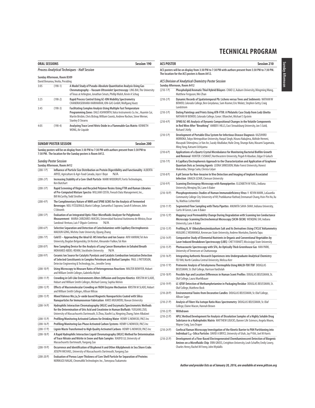| <b>ORAL SESSIONS</b> |                                                                 |                                                                                                                                                                                                                                                                       | <b>Session 190</b> |
|----------------------|-----------------------------------------------------------------|-----------------------------------------------------------------------------------------------------------------------------------------------------------------------------------------------------------------------------------------------------------------------|--------------------|
|                      |                                                                 | <b>Process Analytical Techniques - Half Session</b>                                                                                                                                                                                                                   |                    |
|                      | Sunday Afternoon, Room B309<br>David Benanou, Veolia, Presiding |                                                                                                                                                                                                                                                                       |                    |
| 3:05                 | $(190-1)$                                                       | A Model Study of Pseudo-Absolute Quantitative Analysis Using Gas<br>Chromatography - Vacuum Ultraviolet Spectroscopy LING BAI, The University<br>of Texas at Arlington, Jonathan Smuts, Phillip Walsh, Kevin A Schug                                                  |                    |
| 3:25                 | $(190-2)$                                                       | Rapid Process Control Using GC-ION Mobility Spectrometry<br>CHANDRASEKHARA HARIHARAN, ION-GAS GmbH, Wolfgang Vautz                                                                                                                                                    |                    |
| 3:45                 | $(190-3)$                                                       | Facilitating Complex Analysis Using Multiple Fast Temperature<br>Programming Zones DALE ASHWORTH, Valco Instruments Co. Inc., Huamin Cai,<br>Martin Brisbin, Chris Bishop, William Coontz, Andrew Rochon, Steve Werner,<br><b>Stanley D Stearns</b>                   |                    |
| 4:05                 | $(190-4)$                                                       | Analyzing Trace Level Nitric Oxide in a Flammable Gas Matrix KENNETH<br>WONG, Air Liquide                                                                                                                                                                             |                    |
|                      | <b>SUNDAY POSTER SESSION</b>                                    |                                                                                                                                                                                                                                                                       | <b>Session 200</b> |
|                      | <b>Sunday Poster Session</b><br>Sunday Afternoon, Room A412     | Sunday posters will be on display from 3:30 PM to 7:30 PM with authors present from 5:30 PM to<br>7:30 PM. The location for the Sunday posters is Room A412.                                                                                                          |                    |
| $(200-1)$            |                                                                 | Influence of Particle Size Distribution on Protein Digestibility and Functionality ALBERTA<br>ARYEE, Agriculture & Agri-Food Canada, Joyce I Boye<br>N/A                                                                                                              |                    |
| $(200-2)$ P)         | Ken Butchart                                                    | Increasing Stability of a Core-Shell Particle MARK WOODRUFF, Fortis Technologies,                                                                                                                                                                                     |                    |
| $(200-3)$ P)         |                                                                 | Rapid Screening of Virgin and Recycled Polymer Resins Using FTIR and Raman Libraries<br>of Pre-Computed Mixture Spectra WILLIAM COSTA, Fiveash Data Management, Inc.,<br><b>Bill McCarthy, Todd Strother</b>                                                          |                    |
| $(200-4P)$           | C Edwards                                                       | The Complimentary Nature of NMR and SPME GCMS for the Analysis of Fermented<br>Beverages NEIL FITZGERALD, Marist College, Samantha E Soprano, Sarah R Johnson, John                                                                                                   |                    |
| $(200-5P)$           |                                                                 | Evaluation of an Integrated Optic-Fiber-Microfluidic Analyzer for Polyphenols<br>Measurement MARIA CAÑIZARES-MACÍAS, Universidad Nacional Autónoma de México, Oscar<br>Sandoval-Ventura, Luis F Olguín-Contreras<br>N/A                                               |                    |
| $(200-6P)$           |                                                                 | Selective Separation and Detection of Catecholamines with Capillary Electrophoresis<br>MAOJUN GONG, Wichita State University, Qiyang Zhang                                                                                                                            |                    |
| $(200 - 7)$          |                                                                 | Cold EI - Approaching the Ideal GC-MS Interface and Ion Source AVIV AMIRAV, Tel Aviv<br>University, Bogdan Belgorodsky, Uri Keshet, Alexander Fialkov, Tal Alon                                                                                                       |                    |
| $(200-8)$            |                                                                 | New Sampling Device for the Analysis of Lung Cancer Biomarkers in Exhaled Breath<br>MOHAMED ABDEL-REHIM, Stockholm University<br>N/A                                                                                                                                  |                    |
| $(200-9P)$           |                                                                 | Ceramic Ion Source for Catalytic Pyrolysis and Catalytic Combustion Ionization Detection<br>of Selected Constituents in Complex Petroleum and Biofuel Samples PAUL L PATTERSON,<br>Detector Engineering & Technology, Inc., Jennifer Seroy                            |                    |
| $(200-10 P)$         |                                                                 | Using Microscopy to Measure Rates of Heterogeneous Reactions WALTER BOWYER, Hobart<br>and William Smith Colleges, Gabriella Mylod                                                                                                                                     |                    |
| $(200-11 P)$         |                                                                 | Crowding in Cell-Like Environments Alters Diffusion and Enzyme Kinetics KRISTIN M SLADE,<br>Hobart and William Smith Colleges, Michael Conroy, Sophia Melvin                                                                                                          |                    |
| $(200-12P)$          |                                                                 | Effects of Macromolecular Crowding on YADH Enzyme Mechanism KRISTIN M SLADE, Hobart<br>and William Smith Colleges, Allison Wilcox                                                                                                                                     |                    |
| $(200-13 P)$         |                                                                 | Mixed Valence Mn, La, Sr-oxide based Magnetic Nanoparticles Coated with Silica<br>Nanoparticles for Immunosensor Fabrication AMOS MUGWERU, Rowan University                                                                                                           |                    |
| $(200-14P)$          |                                                                 | Hydrophilic Interaction Chromatography (HILIC) and Enzymatic/Spectrometric Methods<br>for the Determination of Uric Acid and Creatinine in Human Biofluids YUEGANG ZUO,<br>University of Massachusetts Dartmouth, Si Zhou, Xiaofei Lu, Ningning Zhang, Faten Albalawi |                    |
| $(200-15 P)$         |                                                                 | Profiling/Monitoring Activated Carbons for Drinking Water HENRY G NOWICKI, PACS Inc                                                                                                                                                                                   |                    |
| $(200-16P)$          |                                                                 | Profiling/Monitoring Gas Phase Activated Carbon Systems HENRY G NOWICKI, PACS Inc                                                                                                                                                                                     |                    |
| $(200-17P)$          |                                                                 | Lignin Waste Transformed to High Quality Activated Carbons HENRY G NOWICKI, PACS Inc                                                                                                                                                                                  |                    |
| $(200-18P)$          |                                                                 | A Rapid Hydrophilic Interaction Liquid Chromatography (HILIC) Method for Determination<br>of Trace Nitrate and Nitrite in Snow and Rain Samples XIAOFEI LU, University of<br>Massachusetts Dartmouth, Yuegang Zuo                                                     |                    |
| $(200-19P)$          |                                                                 | Occurrence and Identification of Bisphenol A and Other Alkylphenols in Sea Shore Crabs<br>JOSEPH MICHAEL, University of Massachusetts Dartmouth, Yuegang Zuo                                                                                                          |                    |
| $(200-20P)$          |                                                                 | Evaluation of Porous Layer Thickness of Core Shell Particle for Separation of Proteins<br>NORIKAZU NAGAE, ChromaNik Technologies Inc., Tomoyasu Tsukamoto                                                                                                             |                    |

| <b>ACS POSTER</b> | <b>Session 210</b>                                                                                                                                                                                                                                                                                  |
|-------------------|-----------------------------------------------------------------------------------------------------------------------------------------------------------------------------------------------------------------------------------------------------------------------------------------------------|
|                   | ACS posters will be on display from 3:30 PM to 7:30 PM with authors present from 5:30 PM to 7:30 PM.<br>The location for the ACS posters is Room A412.                                                                                                                                              |
|                   | ACS Division of Analytical Chemistry Poster Session<br>Sunday Afternoon, Room A412                                                                                                                                                                                                                  |
| $(210-1)$         | Phospholipid/Aromatic Thiol Hybrid Bilayers CHAO LI, Auburn University, Mingming Wang,<br>Matthew Ferguson, Wei Zhan                                                                                                                                                                                |
| $(210-2P)$        | Dynamic Records of Spatiotemporal Pb: Lichens versus Trees and Sediments NATHAN W<br>BOWER, Colorado College, Ben Greydanus, Sam Kramer, Eric Wolatz, Stephen Getty, Craig<br>Lundstrom                                                                                                             |
| $(210-3)$ P)      | Dating Paintings and Prints Using ATR-FTIR: A Philatelic Case Study from Lodz Ghetto<br>NATHAN W BOWER, Colorado College, Conor J Blanchet, Michael S Epstein                                                                                                                                       |
| $(210 - 4P)$      | SPME/GC-MS Analysis of Dynamic Compositional Changes in the Volatile Components<br>in Red Wine After "Breathing" AMBER I HILLS, East Stroudsburg University, Jon S Gold,<br><b>Richard S Kelly</b>                                                                                                  |
| $(210-5P)$        | Development of Portable Elisa System for Infectious Disease Diagnosis KAZUHIRO<br>MORIOKA, Tokyo Metropolitan University, Harpal Singh, Hizuru Nakajima, Akihide Hemmi,<br>Masayuki Shimojima, Le Van An, Sazaly AbuBakar, Hulie Zeng, Shungo Kato, Masami Sugamata,<br>Ming Yang, Katsumi Uchiyama |
| $(210-6P)$        | Applications of a Quartz Crystal Microbalance for Monitoring Bacterial Biofilm Growth<br>and Removal HUNTER J SISMAET, Northeastern University, Pegah N Abadian, Edgar D Goluch                                                                                                                     |
| $(210 - 7)$       | A Capillary Electrophoresis Approach to the Characterization and Application of Graphene<br>Quantum Dots as Sensing Agents LEONA SIRKISOON, Wake Forest University, Honest<br>Makamba, Shingo Saito, Christa Colyer                                                                                 |
| $(210-8P)$        | A pH Sensor for Non-Invasive In Vivo Detection and Imaging of Implant Associated<br>Infection UNAIZA UZAIR, Clemson University                                                                                                                                                                      |
| $(210-9P)$        | Scanning Electrospray Microscopy with Nanopipettes ELIZABETH MYUILL, Indiana<br>University, Wenging Shi, Lane A Baker                                                                                                                                                                               |
| $(210-10 P)$      | Phosphoproteomics Studies of Human Immunodeficiency Virus-1 KEVIN MARK, LaGuardia<br>Community College City University of NY, Pratikkumar Rathod, Emmanuel Chang, Hsin-Pin Ho, Xu<br>Yu, Mathias Lichterfeld                                                                                        |
| $(210-11 P)$      | Segmented Flow Sampling with Theta Pipettes ANUMITA SAHA-SHAH, Indiana University,<br>Curtis M Green, Lane A Baker                                                                                                                                                                                  |
| $(210-12 P)$      | Mapping Local Permeability Change During Degradation with Scanning Ion Conductance<br>Microscopy-Scanning Electrochemical Microscopy (SICM-SECM) WENQING SHI, Indiana<br>University, Lane A Baker                                                                                                   |
| $(210-13 P)$      | Profiling N, N'-Dibutylbenzimidazolium Salt and Its Derivatives Using CYCLIC Voltammetry<br>HUGGINS Z MSIMANGA, Kennesaw State University, Andrew Montalvo, Daniela Tapu                                                                                                                            |
| $(210-14P)$       | Comparative Study of Elemental Nutrients in Organic and Conventional Vegetables by<br>Laser Induced Breakdown Spectroscopy (LIBS) CHET R BHATT, Mississippi State University                                                                                                                        |
| $(210-15P)$       | Photoacoustic Spectroscopy with SF6, An Optically Thick Greenhouse Gas HAN PARK,<br>University of Tennessee at Chattanooga                                                                                                                                                                          |
| $(210-16P)$       | Integrating Authentic Research Experiences into Undergraduate Analytical Chemistry<br>FEI YAN, North Carolina Central University, Melissa Kerr                                                                                                                                                      |
| $(210-17P)$       | Proteomic Analysis of Tetrahymena Thermophila Using MALDI-TOF/TOF DOUGLAS<br>BEUSSMAN, St. Olaf College, Harrison VanDolah                                                                                                                                                                          |
| $(210-18P)$       | Possible Age and Location Differences in Human Scent Profiles DOUGLAS BEUSSMAN, St.<br>Olaf College, Laura Muehlbauer                                                                                                                                                                               |
| $(210-19P)$       | LC-QTOF Detection of Methamphetamine in Packaging Residue DOUGLAS BEUSSMAN, St.<br>Olaf College, Matthew Bock                                                                                                                                                                                       |
| $(210-20P)$       | Environmental Toxins from Decorative Candles DOUGLAS BEUSSMAN, St. Olaf College,<br>Allison Sager                                                                                                                                                                                                   |
| $(210-21 P)$      | Analysis of Fibers Via Isotope Ratio Mass Spectrometry DOUGLAS BEUSSMAN, St. Olaf<br>College, Elaine Macon, Hannah Brown                                                                                                                                                                            |
| $(210-22P)$       | Withdrawn                                                                                                                                                                                                                                                                                           |
| $(210-23 P)$      | HPLC Method Development for Analysis of Dissolution Samples of a Highly Soluble Drug<br>Substance in a Hydrophobic Matrix MATTHEW LOUCKS, Banner Life Sciences, Angela Moore,<br>Wayne Craig, Sara Draper                                                                                           |
| $(210-24P)$       | Confocal Raman Microscopy Investigation of the Kinetic Barrier to PAH Partitioning into<br>Individual C <sub>18</sub> -Silica Particles DAVID A BRYCE, University of Utah, Jay P Kitt, Joel M Harris                                                                                                |
| $(210-25 P)$      | Development of a Flow-Based Electrogenerated Chemiluminescent Detection of Biogenic<br>Amines on a Microfluidic Chip ERIN GROSS, Creighton University, Leah Schaffer, Emily Lowry,<br>Charles Henry, Rachel M Feeny, John Wydallis                                                                  |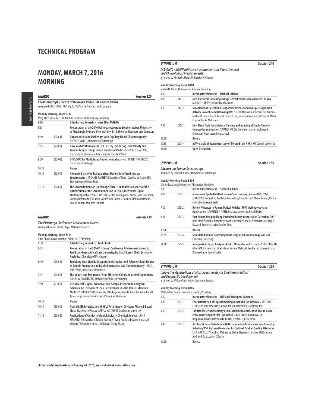## **MONDAY, MARCH 7, 2016 MORNING**

| <b>AWARDS</b>                                                                                                                                                                                                                    |           | <b>Session 220</b>                                                                                                                                                                                                                                                                                                                  |
|----------------------------------------------------------------------------------------------------------------------------------------------------------------------------------------------------------------------------------|-----------|-------------------------------------------------------------------------------------------------------------------------------------------------------------------------------------------------------------------------------------------------------------------------------------------------------------------------------------|
| Chromatography Forum of Delaware Valley Dal Nogare Award<br>arranged by Mary Ellen McNally, E.I. DuPont de Nemours and Company<br>Monday Morning, Room B312<br>Mary Ellen McNally, E.I. DuPont de Nemours and Company, Presiding |           |                                                                                                                                                                                                                                                                                                                                     |
|                                                                                                                                                                                                                                  |           | 8:30                                                                                                                                                                                                                                                                                                                                |
| 8:35                                                                                                                                                                                                                             |           | Presentation of the 2016 Dal Nogare Award to Stephen Weber, University<br>of Pittsburgh, by Mary Ellen McNally, E.I. DuPont de Nemours and Company                                                                                                                                                                                  |
| 8:40                                                                                                                                                                                                                             | $(220-1)$ | Opportunities and Challenges with Capillary Liquid Chromatography<br>STEPHEN WEBER, University of Pittsburgh                                                                                                                                                                                                                        |
| 9:15                                                                                                                                                                                                                             | $(220-2)$ | How Much Performance is Lost in LC by Optimizing Only Velocity and<br>Column Length Using Limited Number of Particle Size? PETER W CARR,<br>University of Minnesota, Adam Matula, Dwight R Stoll                                                                                                                                    |
| 9:50                                                                                                                                                                                                                             | $(220-3)$ | UHPLC-MS for Multiplexed Neurochemical Analysis ROBERT T KENNEDY,<br>University of Michigan                                                                                                                                                                                                                                         |
| 10:25                                                                                                                                                                                                                            |           | Recess                                                                                                                                                                                                                                                                                                                              |
| 10:40                                                                                                                                                                                                                            | $(220-4)$ | Integrated Microfluidic Separations Devices Interfaced to Mass<br>Spectrometry J MICHAEL RAMSEY, University of North Carolina at Chapel Hill,<br>Erin Redman, William Black                                                                                                                                                         |
| 11:15                                                                                                                                                                                                                            | $(220-5)$ | The Second Dimension is a Strange Place - Fundamental Aspects of the<br>Optimization of the Second Dimension in Two-Dimensional Liquid<br>Chromatography DWIGHT R STOLL, Gustavus Adolphus College, John Halvorson,<br>Carston Dammann, Eli Larson, Alex Wilson, David C Harmes, Monika Dittmann,<br>Sarah C Rutan, Abraham Lenhoff |

| <b>AWARDS</b> |                           | Session 230                                                                                                                                                                                                                                                                        |
|---------------|---------------------------|------------------------------------------------------------------------------------------------------------------------------------------------------------------------------------------------------------------------------------------------------------------------------------|
|               |                           | The Pittsburgh Conference Achievement Award<br>arranged by Amit Ghosh, Bayer Materials Science LLC                                                                                                                                                                                 |
|               | Monday Morning, Room B314 | Amit Ghosh, Bayer Materials Science LLC, Presiding                                                                                                                                                                                                                                 |
| 8:30          |                           | <b>Introductory Remarks - Amit Ghosh</b>                                                                                                                                                                                                                                           |
| 8:35          |                           | Presentation of the 2016 Pittsburgh Conference Achievement Award to<br>Jared L Anderson, Iowa State University, by Elias S Absey, Chair, Society for<br><b>Analytical Chemists of Pittsburgh</b>                                                                                   |
| 8:40          | $(230-1)$                 | Exploiting Ionic Liquids, Magnetic Ionic Liquids, and Polymeric Ionic Liquids<br>in Sample Preparation and Multidimensional Gas Chromatography JARED L<br><b>ANDERSON, Iowa State University</b>                                                                                   |
| 9:15          | $(230-2)$                 | The Impact and Evolution of High Efficiency Chiral and Achiral Separations<br>DANIEL W ARMSTRONG, University of Texas at Arlington                                                                                                                                                 |
| 9:50          | $(230-3)$                 | Use of Metal-Organic Frameworks in Sample Preparation Analytical<br>Schemes: An Overview of Their Performance in Solid-Phase Extraction<br>Modes VERÓNICA PINO, University of La Laguna, Priscilla Rocío-Bautista, Juan H<br>Ayala, Jorge Pasán, Catalina Ruiz-Pérez, Ana M Afonso |
| 10:25         |                           | Recess                                                                                                                                                                                                                                                                             |
| 10:40         | $(230-4)$                 | Achiral LSER Investigation of HPLC Retention on Cinchona Alkaloid-Based<br>Chiral Stationary Phases APRYLL M STALCUP, Dublin City University                                                                                                                                       |
| 11:15         | $(230-5)$                 | Applications of Conductive Ionic Liquids in Chemical Analysis JON R<br>KIRCHHOFF, University of Toledo, Joshua A Young, Amila M Devasurendra, LM                                                                                                                                   |

Viranga Tillekeratne, Jared L Anderson, Cheng Zhang

### **SYMPOSIUM Session 240 ACS-ANYL - BRAIN Initiative Advancements in Neurochemical**

**and Physiological Measurements**  arranged by Michael L Heien, University of Arizona

### **Monday Morning, Room B308**

|       |           | Michael L Heien, University of Arizona, Presiding                                                                                                                                                                                                                         |
|-------|-----------|---------------------------------------------------------------------------------------------------------------------------------------------------------------------------------------------------------------------------------------------------------------------------|
| 8:30  |           | Introductory Remarks - Michael L Heien                                                                                                                                                                                                                                    |
| 8:35  | $(240-1)$ | New Platforms for Multiplexing Electrochemical Measurements In Vivo<br>MICHAEL L HEIEN, University of Arizona                                                                                                                                                             |
| 9:10  | $(240-2)$ | Simultaneous Detection of Dopamine Release and Multiple Single-Unit<br>Activity in Awake and Behaving Rats STEPHEN COWEN, University of Arizona,<br>Michael L Heien, Kate L Parent, Daniel F Hill, Jean-Paul Wiegand, Michael A Miller,<br><b>Christopher W Atcherley</b> |
| 9:45  | $(240-3)$ | New Nano Tools for Molecular Sensing and Imaging of Single Neuron-<br>Neuron Communication X NANCY XU, Old Dominion University, Pavan K<br>Cherukuri, Preeyaporn Songkiatisak                                                                                             |
| 10:20 |           | Recess                                                                                                                                                                                                                                                                    |
| 10:35 | $(240-4)$ | In Vivo Multiphoton Microscopy of Mouse Brain CHRIS XU, Cornell University                                                                                                                                                                                                |
| 11:10 |           | <b>Open Discussion</b>                                                                                                                                                                                                                                                    |

### **SYMPOSIUM Session 250**

 $\overline{a}$ 

### **Advances in Raman Spectroscopy** arranged by Sanford A Asher, University of Pittsburgh

### **Monday Morning, Room B304** Sanford A Asher, University of Pittsburgh, Presiding

|       |           | Sailiord A Asher, University of Pittsburgh, Presiding                                                                                                                                        |  |  |
|-------|-----------|----------------------------------------------------------------------------------------------------------------------------------------------------------------------------------------------|--|--|
| 8:30  |           | <b>Introductory Remarks - Sanford A Asher</b>                                                                                                                                                |  |  |
| 8:35  | $(250-1)$ | Micro-Scale Spatially Offset Raman Spectroscopy (Micro-SORS) PAVEL<br>MATOUSEK, Rutherford Appleton Laboratory, Claudia Conti, Marco Realini, Chiara<br>Colombo, Giuseppe Zerbi              |  |  |
| 9:10  | $(250-2)$ | Recent Advances in Raman Optical Activity (ROA) Methodology and<br>Applications LAURENCE A NAFIE, Syracuse University, Rina K Dukor                                                          |  |  |
| 9:45  | $(250-3)$ | Fast Raman Imaging Using Optimized Binary Compressive Detection DOR<br>BEN-AMOTZ, Purdue University, Owen G Rehrauer, Bharat R Mankani, Gregery T<br>Buzzard, Bradley J Lucier, Stanley Chan |  |  |
| 10:20 |           | Recess                                                                                                                                                                                       |  |  |
| 10:35 | $(250-4)$ | Stimulated Raman Scattering Microscopy of Vibrational Tags WEI MIN,<br>Columbia University                                                                                                   |  |  |
| 11:10 | $(250-5)$ | Nanoparticle Based Analysis of Cells, Molecules and Tissue by SERS DUNCAN<br>GRAHAM, University of Strathclyde, Samuel Mabbott, Lee Barrett, Steven Asiala,<br>Kirsten Gracie. Karen Faulds  |  |  |

| <b>SYMPOSIUM</b>                                                                                       | <b>Session 260</b> |
|--------------------------------------------------------------------------------------------------------|--------------------|
| <b>Innovative Applications of Mass Spectrometry in Biopharmaceutical</b><br>and Diagnostic Development |                    |
| arranged by William Christopher Lamanna. Sandoz                                                        |                    |

### **Monday Morning, Room B305** William Christopher Lamanna, Sandoz, Presiding

|       |           | -william Christopher Lamanna, Sandoz, Presiding                                                                                                                                                                                                                        |  |
|-------|-----------|------------------------------------------------------------------------------------------------------------------------------------------------------------------------------------------------------------------------------------------------------------------------|--|
| 8:30  |           | Introductory Remarks - William Christopher Lamanna                                                                                                                                                                                                                     |  |
| 8:35  | $(260-1)$ | Characterization of Filgrastim Using Intact and Top-Down MS WILLIAM<br>CHRISTOPHER LAMANNA, Sandoz, Johann Holzmann, Hansjoerg Toll                                                                                                                                    |  |
| 9:10  | $(260-2)$ | Tandem Mass Spectrometry as an Excellent Quantification Tool to Guide<br>Process Development for Optimal Host Cell Protein Removal in<br>Biopharmaceutical Products DONALD WALKER, Genentech                                                                           |  |
| 9:45  | $(260-3)$ | Antibody Characterization with Ultrahigh-Resolution Mass Spectrometry:<br>Selecting Well Behaved Molecules for Optimal Product Quality Attributes<br>LISA MARZILLI, Pfizer, Inc., Mellissa Ly, Elaine Stephens, Heather S DeGruttola,<br>Andrew E Saati, Jason C Rouse |  |
| 10:20 |           | Recess                                                                                                                                                                                                                                                                 |  |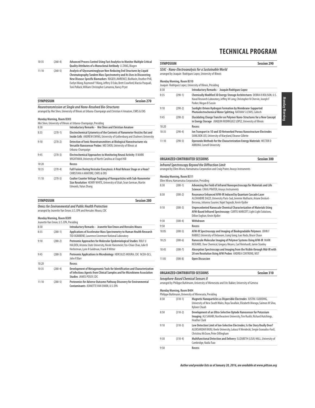#### 10:35 (260-4) **Advanced Process Control Using Fast Analytics to Monitor Multiple Critical Quality Attributes of a Monoclonal Antibody** LI ZANG, Biogen 11:10 (260-5) **Analysis of Glycosaminoglycan Non-Reducing End Structures by Liquid Chromatography Tandem Mass Spectrometry and Its Uses in Discovering New Disease-Specific Biomarkers** ROGER LAWRENCE, BioMarin, Heather Prill, Evelyn Wang, Raymond Y Wang, Jeffery D Esko, Brett Crawford, Marzia Pasquali, Toni Pollock, William Christopher Lamanna, Nancy Pryer

| <b>SYMPOSIUM</b>                                             | Session 270 |
|--------------------------------------------------------------|-------------|
| Neurotransmission at Single and Nano-Resolved Rio-Structures |             |

**Neurotransmission at Single and Nano-Resolved Bio-Structures** arranged by Mei Shen, University of Illinois at Urbana-Champaign and Christian A Amatore, CNRS & ENS

#### **Monday Morning, Room B303**

|       |           | Mei Shen, University of Illinois at Urbana-Champaign, Presiding                                                                                                      |  |
|-------|-----------|----------------------------------------------------------------------------------------------------------------------------------------------------------------------|--|
| 8:30  |           | Introductory Remarks - Mei Shen and Christian Amatore                                                                                                                |  |
| 8:35  | $(270-1)$ | Electrochemical Cytometry of the Contents of Nanometer Vesicles Out and<br>Inside Cells ANDREW EWING, University of Gothenburg and Chalmers University               |  |
| 9:10  | $(270-2)$ | Detection of Ionic Neurotransmitters at Biological Nanostructures via<br>Versatile Nanosensor Probes MEI SHEN, University of Illinois at<br>Urbana-Champaign         |  |
| 9:45  | $(270-3)$ | Electrochemical Approaches to Monitoring Neural Activity R MARK<br>WIGHTMAN, University of North Carolina at Chapel Hill                                             |  |
| 10:20 |           | Recess                                                                                                                                                               |  |
| 10:35 | $(270-4)$ | Full Fusion During Vesicular Exocytosis: A Real Release Stage or a Hoax?<br>CHRISTIAN A AMATORE, CNRS & ENS                                                          |  |
| 11:10 | $(270-5)$ | Coulter Counter Voltage Trapping of Nanoparticles with Sub-Nanometer<br>Size Resolution HENRY WHITE, University of Utah, Sean German, Martin<br>Edwards, Yulun Zhang |  |

| <b>SYMPOSIUM</b>                                            | Session 280 |
|-------------------------------------------------------------|-------------|
| <b>Omics for Environmental and Public Health Protection</b> |             |

arranged by Jeanette Van Emon, U.S. EPA and Hercules Moura, CDC

#### **Monday Morning, Room B309**

|       | Jeanette Van Emon, U.S. EPA, Presiding |                                                                                                                                                                                               |  |
|-------|----------------------------------------|-----------------------------------------------------------------------------------------------------------------------------------------------------------------------------------------------|--|
| 8:30  |                                        | Introductory Remarks - Jeanette Van Emon and Hercules Moura                                                                                                                                   |  |
| 8:35  | $(280-1)$                              | Applications of Accelerator Mass Spectrometry to Human Health Research<br>TED OGNIBENE, Lawrence Livermore National Laboratory                                                                |  |
| 9:10  | $(280-2)$                              | Proteomic Approaches for Molecular Epidemiological Studies ROLF U<br>HALDEN, Arizona State University, Nicole Hansmeier, Tzu-Chiao Chao, Julie B<br>Herbstman, Lynn R Goldman, Frank R Witter |  |
| 9:45  | $(280-3)$                              | Proteomic Applications in Microbiology HERCULES MOURA, CDC NCEH-DLS,<br>John R Barr                                                                                                           |  |
| 10:20 |                                        | Recess                                                                                                                                                                                        |  |
| 10:35 | $(280-4)$                              | Development of Metagenomic Tools for Identification and Characterization<br>of Infectious Agents from Clinical Samples and for Microbiome Association<br>Studies JAMES POSEY, CDC             |  |
| 11:10 | $(280-5)$                              | Proteomics for Adverse Outcome Pathway Discovery for Environmental<br>Contaminants JEANETTE VAN EMON, U.S. EPA                                                                                |  |

## **TECHNICAL PROGRAM**

|                                                        |                                                                                                | SEAC - Nano-Electroanalysis for a Sustainable World<br>arranged by Joaquin Rodriguez Lopez, University of Illinois                                                                |  |  |  |
|--------------------------------------------------------|------------------------------------------------------------------------------------------------|-----------------------------------------------------------------------------------------------------------------------------------------------------------------------------------|--|--|--|
|                                                        | <b>Monday Morning, Room B310</b><br>Joaquin Rodriquez Lopez, University of Illinois, Presiding |                                                                                                                                                                                   |  |  |  |
| 8:30<br>Introductory Remarks - Joaquin Rodriguez Lopez |                                                                                                |                                                                                                                                                                                   |  |  |  |
| 8:35                                                   | $(290-1)$                                                                                      | Chemically Modified 3D Energy-Storage Architectures DEBRA R ROLISON, U.S.<br>Naval Research Laboratory, Jeffrey W Long, Christopher N Chervin, Joseph F<br>Parker, Megan B Sassin |  |  |  |
| 9:10                                                   | $(290-2)$                                                                                      | Sunlight-Driven Hydrogen Formation by Membrane-Supported<br>Photoelectrochemical Water Splitting NATHAN S LEWIS, Caltech                                                          |  |  |  |
| 9:45                                                   | $(290-3)$                                                                                      | Elucidating Charge Transfer on Polymer Nano-Structures for a New Concept<br>in Energy Storage JOAQUIN RODRIGUEZ LOPEZ, University of Illinois                                     |  |  |  |
| 10:20                                                  |                                                                                                | Recess                                                                                                                                                                            |  |  |  |
| 10:35                                                  | $(290-4)$                                                                                      | Ion Transport in 1D and 3D Networked Porous Nanostructure Electrodes<br>SANG BOK LEE, University of Maryland, Eleanor Gillette                                                    |  |  |  |
| 11:10                                                  | $(290-5)$                                                                                      | Operando Methods for the Characterization Energy Materials HECTOR D<br><b>ABRUNA. Cornell University</b>                                                                          |  |  |  |

**SYMPOSIUM SESSION** 

### **ORGANIZED CONTRIBUTED SESSIONS Session 300 Infrared Spectroscopy Beyond the Diffraction Limit** arranged by Ellen Miseo, Hamamatsu Corporation and Craig Prater, Anasys Instruments **Monday Morning, Room B311** Ellen Miseo, Hamamatsu Corporation, Presiding<br>8:30 (300-1) Advancing the F 8:30 (300-1) **Advancing the Field of Infrared Nanospectroscopy for Materials and Life Sciences** CRAIG PRATER, Anasys Instruments 8:50 (300-2) **Resonance Enhanced AFM-IR Induced by Quantum Cascade Laser**  ALEXANDRE DAZZI, University Paris-Sud, Jeremie Mathurin, Ariane Deniset-Besseau, Johanna Saunier, Najet Yagoubi, Kevin Kjoller 9:10 (300-3) **Unprecedented Nanoscale Chemical Characterization of Materials Using AFM-Based Infrared Spectroscopy** CURTIS MARCOTT, Light Light Solutions, Dillon Eoghan, Kevin Kjoller 9:30 (300-4) **Withdrawn**  9:50 **Recess** 10:05 (300-5) **AFM-IR Spectroscopy and Imaging of Biodegradable Polymers** JOHN F RABOLT, University of Delaware, Liang Gong, Isao Noda, Bruce Chase 10:25 (300-6) **Nanoscale Molecular Imaging of Polymer Systems Using AFM-IR** MARK RICKARD, Dow Chemical, Gregory Meyers, Carl Reinhardt, Jamie Stanley 10:45 (300-7) **Absorption Spectroscopy and Imaging from the Visible through Mid-IR with 20 nm Resolution Using AFM Probes** ANDREA CENTRONE, NIST

11:05 (300-8) **Open Discussion**

**ORGANIZED CONTRIBUTED SESSIONS Session 310**

**Ionophore-Based Chemical Sensors II**

arranged by Philippe Buhlmann, University of Minnesota and Eric Bakker, University of Geneva

#### **Monday Morning, Room B404**

Philippe Buhlmann, University of Minnesota, Presiding

| 8:30 | $(310-1)$ | Magnetic Nanoparticles as Dispersible Electrodes JUSTIN J GOODING,<br>University of New South Wales, Roya Tavallaie, Elizabeth Morago, Saimon M Silva,<br>Kyloon Chuah                           |  |
|------|-----------|--------------------------------------------------------------------------------------------------------------------------------------------------------------------------------------------------|--|
| 8:50 | $(310-2)$ | Development of an Ultra-Selective Optode Nanosensor for Potassium<br>Imaging ALI SAHARI, Northeastern University, Tim Ruckh, Richard Hutchings,<br><b>Heather Clark</b>                          |  |
| 9:10 | $(310-3)$ | Low Detection Limit of Ion-Selective Electrodes; Is the Story Really Over?<br>ALEKSANDAR RADU, Keele University, Lukasz K Mendecki, Sergio Granados-Focil,<br>Christina McGraw, Peter Dillingham |  |
| 9:30 | $(310-4)$ | Multifunctional Detection and Delivery ELIZABETH (LISA) HALL, University of<br>Cambridge, Nadia Tsao                                                                                             |  |
| 9:50 |           | Recess                                                                                                                                                                                           |  |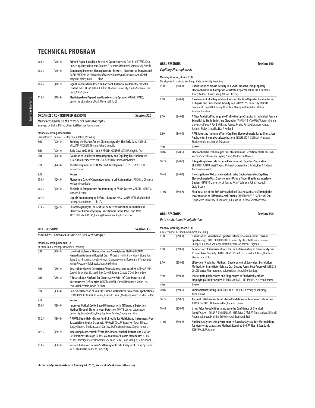|       |             | <b>ORGANIZED CONTRIBUTED SESSIONS</b>                                                                                                                                            | <b>Session 320</b> |
|-------|-------------|----------------------------------------------------------------------------------------------------------------------------------------------------------------------------------|--------------------|
| 11:05 | $(310-8)$   | Plasticizer-Free Paper-Based Ion-Selective Optodes XUEWEI WANG,<br>University of Michigan, Mark Meverhoff, Yu Oin                                                                |                    |
| 10:45 | $(310 - 7)$ | Signal Transduction Based on Constant-Potential Coulometry for Solid-<br>Contact ISEs JOHAN BOBACKA, Åbo Akademi University, Ulriika Vanamo, Elisa<br>Hupa, Ville Yrjänä         |                    |
| 10:25 | $(310-6)$   | Conducting Polymers Nanospheres for Sensors - Receptor or Transducers?<br>AGATA MICHALSKA, University of Warsaw, Katarzyna Klucinska, Anna Kisiel,<br>Krzysztof Maksymiuk<br>N/A |                    |
| 10:05 | $(310-5)$   | Printed Paper-Based Ion-Selective Optode Devices DANIEL CITTERIO, Keio<br>University, Hiroyuki Shibata, Terence G Henares, Nobutoshi Komuro, Koji Suzuki                         |                    |

**New Perspectives on the History of Chromatography** arranged by Richard Ulrych, Chemical Heritage Foundation

|       | <b><i>INDITION INDITION, NODITI DADI</i></b> | Sarah Reisert, Chemical Heritage Foundation, Presiding                                                                                                                                            |
|-------|----------------------------------------------|---------------------------------------------------------------------------------------------------------------------------------------------------------------------------------------------------|
| 8:30  | $(320-1)$                                    | Building the Market for Ion Chromatography: The Early Days ARTHUR<br>WILLIAM FITCHETT. Thermo Fisher Scientific                                                                                   |
| 8:50  | $(320-2)$                                    | Early Days in GC 1957-1962 HAROLD MONROE MCNAIR, Virginia Tech                                                                                                                                    |
| 9:10  | $(320-3)$                                    | Evolution of Capillary Chromatography and Capillary Electrophoresis:<br>A Personal Perspective MILOS V NOVOTNY, Indiana University                                                                |
| 9:30  | $(320-4)$                                    | The Development of HPLC Method Development LLOYD R SNYDER, LC<br>Resources Inc.                                                                                                                   |
| 9:50  |                                              | Recess                                                                                                                                                                                            |
| 10:05 | $(320-5)$                                    | Pioneering Days of Chromatography in Lab Automation JACK GILL, Chemical<br><b>Heritage Foundation</b>                                                                                             |
| 10:25 | $(320-6)$                                    | The Role of Temperature Programming in F&M's Success AARON J MARTIN,<br>Marlabs, Retired                                                                                                          |
| 10:45 |                                              | Liquid Chromatography Before It Became HPLC JAMES WATERS, Chemical<br><b>Heritage Foundation</b><br>N/A                                                                                           |
| 11:05 | $(320 - 7)$                                  | Chromatography In, or Next to Chemistry? Discipline Formation and<br>Identity of Chromatography Practitioners in the 1960s and 1970s<br>APOSTOLOS GERONTAS, Coburg University of Applied Sciences |

|       | Monday Morning, Room B302 | Christopher R Harrison, San Diego State University, Presiding                                                                                                                                                                                                                        |
|-------|---------------------------|--------------------------------------------------------------------------------------------------------------------------------------------------------------------------------------------------------------------------------------------------------------------------------------|
| 8:30  | $(340-1)$                 | Quantitation of Kinase Activity in a Social Amoeba Using Capillary<br>Electrophoresis and a Peptide Substrate Reporter MICHELLE L KOVARIK,<br>Trinity College, Kunwei Yang, Allison J Tierney                                                                                        |
| 8:50  | $(340-2)$                 | Development of a Degradation Resistant Peptide Reporter for Monitoring<br>E3 Ligase and Proteasome Activity GREGERY WOSS, University of North<br>Carolina at Chapel Hill, Nancy Allbritton, Marcey Waters, Adam Melvin,<br>Kajulani Houston                                          |
| 9:10  | $(340-3)$                 | A New Analytical Technique to Profile Multiple Steroids in Individual Female<br>Zebrafish to Study Endocrine Disruption VINCENT T NYAKUBAYA, West Virginia<br>University, Paige A Reed, William J Feeney, Regina Rockwell, Amber Kantes,<br>Jennifer Ripley-Stueckle, Lisa A Holland |
| 9:30  | $(340-4)$                 | A Miniaturized Immunoaffinity Capillary Electrophoresis Based-Biomarker<br>Analyzer for Bioanalytical Applications NORBERTO A GUZMAN, Princeton<br>Biochemicals, Inc., Daniel E Guzman                                                                                               |
| 9:50  |                           | <b>Recess</b>                                                                                                                                                                                                                                                                        |
| 10:05 | $(340-5)$                 | Electrophoretic Technologies for Catecholamine Detection MAOJUN GONG,<br>Wichita State University, Qiyang Zhang, Maddukuri Naveen                                                                                                                                                    |
| 10:25 | $(340-6)$                 | Integrating Microscale Enzyme Reactions Into Capillary Separation<br>SRIKANTH GATTU, West Virginia University, Cassandra Crihfield, Lisa A Holland,<br><b>Anthony Moncrief</b>                                                                                                       |
| 10:45 | $(340 - 7)$               | Investigation of Oxidative Metabolism by Electrochemistry/Capillary<br>Electrophoresis/Mass Spectrometry Using a Novel Sheathless Interface<br>Design NHAN TO, University of Kansas, Ryan T Johnson, John Stobaugh,<br>Craig E Lunte                                                 |
| 11:05 | $(340-8)$                 | Manipulation of the EQF in Phospholipid Coated Capillaries Through the                                                                                                                                                                                                               |

**ORAL SESSIONS Session 340**

11:05 (340-8) Manipulation of the EOF in Phospholipid Coated Capillaries Through the<br>Incorporation of Different Metal Cations CHRISTOPHER R HARRISON, San<br>Diego State University, Shane Wells, Eduardo De La Toba, Srilatha V

### **ORAL SESSIONS Session 350**

### **Data Analysis and Manipulation**

| <b>ORAL SESSIONS</b>                                      | Session 330 |  |
|-----------------------------------------------------------|-------------|--|
| <b>Biomedical: Advances in Point-of-Care Technologies</b> |             |  |
| <b>Monday Morning, Room B313</b>                          |             |  |
| Mustafa Culha, Yeditepe University, Presiding             |             |  |

|       |             | Mustald Cuilla, reultepe Ulliversity, Freslamy                                                                                                                                                                                                                             |
|-------|-------------|----------------------------------------------------------------------------------------------------------------------------------------------------------------------------------------------------------------------------------------------------------------------------|
| 8:30  | $(330-1)$   | Low-Cost Molecular Diagnostics on a Smartphone HYUNGSOON IM,<br>Massachusetts General Hospital, Cesar M Castro, Huilin Shao, Monty Liong, Jun<br>Song, Divay Pathania, Lioubov Fexon, Changwook Min, Rosemary H Tambouret,<br>Misha Pivovarov, Ralph Weissleder, Hakho Lee |
| 8:50  | $(330-2)$   | Smartphone Based Detection of Stress Biomarkers in Saliva AADHAR JAIN,<br>Cornell University, Elizabeth Rey, David Erickson, Dakota O'Dell, Seoho Lee                                                                                                                      |
| 9:10  | $(330-3)$   | A Smartphone Platform for Quantitative Point-of-Care Detection of<br>Micronutrient Deficiencies DAKOTA O'DELL, Cornell University, Seoho Lee,<br>Jessica Hohenstein, David Erickson                                                                                        |
| 9:30  | $(330-4)$   | Bed-Side Detection of Volatile Human Metabolites for Medical Applications<br>CHANDRASEKHARA HARIHARAN, ION-GAS GmbH, Wolfgang Vautz, Sascha Liedtke                                                                                                                        |
| 9:50  |             | Recess                                                                                                                                                                                                                                                                     |
| 10:05 | $(330-5)$   | Improved Optical Cavity Based Biosensor with Differential Detection<br>Method Through Simultaneous Detection TONY BUJANA, Letourneau<br>University, DongGee Rho, Cody Joy, Peter Cowles, Seunghyun Kim                                                                     |
| 10:25 | $(330-6)$   | A PDMS/Paper Hybrid Microfluidic Biochip for Multiplexed Instrument-Free<br>Bacterial Meningitis Diagnosis MAOWEI DOU, University of Texas El Paso,<br>Sanjay Sharma Timilsina, Juan Sanchez, Delfina Dominguez, Xiujun James Li                                           |
| 10:45 | $(330 - 7)$ | Measuring Biochemical Effects of Pulmonary Rehabilitation and OMT on<br>COPD Patients through LC-MS-MS Analysis of Plasma Metabolites CHEN<br>ZHANG, Michigan State University, Sherman Gorbis, John Wang, A Daniel Jones                                                  |
| 11:05 | $(330-8)$   | Surface-Enhanced Raman Scattering for In Situ Analysis of Living Systems<br>MUSTAFA CULHA, Yeditepe University                                                                                                                                                             |

# Monday Morning, Room B301<br>A Peter Snyder, Retired Government, Presiding<br>8:30 (350-1) Quantitative Evaluation of Spectral Interferences in Atomic Emission<br>Spectroscopy MATTHIEU BAUDELET, University of Central Florida, Jessi

| 8:50  | $(350-2)$   | Comparison of Various Methods for the Determination of Uncertainty due<br>to Long Term Stability DANIEL BIGGERSTAFF, 02si Smart Solutions, Huichen<br>Stavros, Mark Filla                                       |
|-------|-------------|-----------------------------------------------------------------------------------------------------------------------------------------------------------------------------------------------------------------|
| 9:10  | $(350-3)$   | Lifecycle of Analytical Methods: Development of Equivalent Dissolution<br>Methods for Immediate-Release Oral Dosage Forms Post-Approval IVELISSE<br>COLON, Vertex Pharmaceuticals, Taryn Ryan, Joseph Medendorp |
| 9:30  | $(350-4)$   | Investigating Robustness and Ruggedness of Analytical Methods<br>Employing aQBD Principles PETER ANDREAS LUND JACOBSEN, Fertin Pharma                                                                           |
| 9:50  |             | Recess                                                                                                                                                                                                          |
| 10:05 | $(350-5)$   | Chemometrics for Big Data ROBERT A LODDER, University of Kentucky,<br><b>Anne Brooks</b>                                                                                                                        |
| 10:25 | $(350-6)$   | Air Quality Networks-Results from Validation and Lessons on Calibration<br>JOHN R SAFFELL, Alphasense Ltd., Roderic L Jones                                                                                     |
| 10:45 | $(350 - 7)$ | Using Prior Probabilities to Increase the Confidence of Chemical<br>Identification TYLER A ZIMMERMAN, NIST, Tytus D Mak, W Gary Mallard, Nirina R<br>Andriamaharavo, Dmitrii V Tchekhovskoi, Stephen E Stein    |
| 11:05 | $(350-8)$   | Applied Analytics: Using Performance-Based Analytical Test Methodology<br>for Monitoring Laboratory Methods Required by EPA Tier III Standards<br>JOHN MAURER, Valero                                           |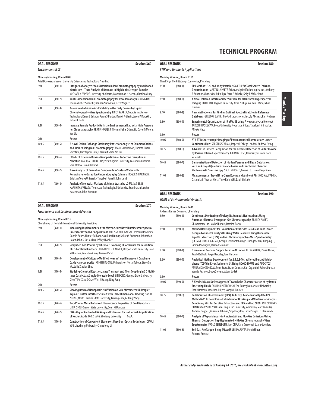|       | <b>ORAL SESSIONS</b>      | Session 360                                                                                                                                                                                                                                  |  |
|-------|---------------------------|----------------------------------------------------------------------------------------------------------------------------------------------------------------------------------------------------------------------------------------------|--|
|       | Fnvironmental IC          |                                                                                                                                                                                                                                              |  |
|       | Monday Morning, Room B408 |                                                                                                                                                                                                                                              |  |
|       |                           | Ariel Donovan, Missouri University Science and Technology, Presiding                                                                                                                                                                         |  |
| 8:30  | $(360-1)$                 | Intrigues of Analyte Peak Distortion in Ion Chromatography by Overloaded<br>Matrix Ions-Trace Analysis of Bromate in High Ionic Strength Samples<br>MICHAEL K PAPPOE, University of Alberta, Mohammad H Naeeni, Charles A Lucy               |  |
| 8:50  | $(360-2)$                 | Multi-Dimensional Ion Chromatography for Trace Ion Analysis RONG LIN,<br>Thermo Fisher Scientific. Kannan Srinivasan. Herb Wagner                                                                                                            |  |
| 9:10  | $(360-3)$                 | Assessment of Amino Acid Stability in the Early Oceans by Liquid<br>Chromatography-Mass Spectrometry ERIC T PARKER, Georgia Institute of<br>Technology, Karen L Britnon, Aaron S Burton, Daniel P Glavin, Jason P Dworkin,<br>Jeffrey L Bada |  |
| 9:30  | $(360-4)$                 | Increase Sample Productivity in the Environmental Lab with High Pressure<br>Ion Chromatography FRANK HOEFLER, Thermo Fisher Scientific, David G Moore,<br>Yan Liu                                                                            |  |
| 9:50  |                           | Recess                                                                                                                                                                                                                                       |  |
| 10:05 | $(360-5)$                 | A Novel Cation Exchange Stationary Phase for Analysis of Common Cations<br>and Amines Using Ion Chromatography MANI JAYARAMAN, Thermo Fisher<br>Scientific, Christopher Pohl, Charanjit Saini, Yan Liu                                       |  |
| 10:25 | $(360-6)$                 | <b>Effects of Titanium Dioxide Nanoparticles on Endocrine Disruption in</b><br>Zebrafish MARRIAH ELLINGTON, West Virginia University, Cassandra Crihfield,<br>Sara Melow, Lisa A Holland                                                     |  |
| 10:45 | $(360 - 7)$               | Trace Analysis of Guanidine Compounds in Surface Water with<br>Resorcinarene-Based Ion Chromatography Columns ROGER G HARRISON,<br>Brigham Young University, Tayyabeh Panahi, John Lamb                                                      |  |
| 11:05 | $(360-8)$                 | Analysis of Molecular Markers of Animal Waste by LC-MS/MS SREE<br>HARSHITHA VELAGA, Tennessee Technological University, Sreedharan Lakshmi<br>Narayanan, John Harwood                                                                        |  |

|       | Monday Morning, Room B316 | Chin I Shyr, The Pittsburgh Conference, Presiding                                                                                                                                                                           |
|-------|---------------------------|-----------------------------------------------------------------------------------------------------------------------------------------------------------------------------------------------------------------------------|
| 8:30  | $(380-1)$                 | EPA Methods 320 and 18 by Portable GC/FTIR for Total Source Emission<br>Determination MARTIN L SPARTZ, Prism Analytical Technologies, Inc., Anthony<br>S Bonanno, Charles Mark Phillips, Peter P Behnke, Kelly R McPartland |
| 8:50  | $(380-2)$                 | A Novel Infrared Interferometer Suitable for 3D Infrared Hyperspectral<br>Imaging RYUJI TAO, Kagawa University, Akira Nishiyama, Kenji Wada, Ichiro<br>Ishimaru                                                             |
| 9:10  | $(380-3)$                 | New Methodology for Finding Optimal Spectral Matches in Reference<br>Databases GREGORY BANIK, Bio-Rad Laboratories, Inc., Ty Abshear, Karl Nedwed                                                                           |
| 9:30  | $(380-4)$                 | Experimental Optimization of IR pMAIRS Using A New Analytical Concept<br>TAKESHI HASEGAWA, Kyoto University, Nobutaka Shioya, Takafumi Shimoaka,<br>Miyako Hada                                                             |
| 9:50  |                           | Recess                                                                                                                                                                                                                      |
| 10:05 | $(380-5)$                 | ATR-FTIR Spectroscopic Imaging of Pharmaceutical Formulations Under<br>Continuous Flow SERGEI KAZARIAN, Imperial College London, Andrew Ewing                                                                               |
| 10:25 | $(380-6)$                 | Advances in Pattern Recognition for the Remote Detection of Sulfur Dioxide<br>by Passive Infrared Spectrometry BRIAN W DESS, University of Iowa, Gary<br>W Small                                                            |
| 10:45 | $(380 - 7)$               | Demonstration of Detection of Hidden Persons and Illegal Substances<br>with an Array of Quantum Cascade Lasers and Cantilever Enhanced<br>Photoacoustic Spectroscopy SAULI SINISALO, Gasera Ltd., Ismo Kauppinen            |
| 11:05 | $(380-8)$                 | Measurement of Trace HF in Clean Rooms and Ambient Air ISMO KAUPPINEN.<br>Gasera Ltd., Tuomas Hieta, Timo Rajamäki, Sauli Sinisalo                                                                                          |

**ORAL SESSIONS Session 380**

### **ORAL SESSIONS Session 390**

### **GCMS of Environmental Analysis**

### **Monday Morning, Room B401**

|       | Archana Kumar, Genentech, Presiding |                                                                                                                                                                                                                                                                                                                                                                                     |
|-------|-------------------------------------|-------------------------------------------------------------------------------------------------------------------------------------------------------------------------------------------------------------------------------------------------------------------------------------------------------------------------------------------------------------------------------------|
| 8:30  | $(390-1)$                           | Continuous Monitoring of Polycyclic Aromatic Hydrocarbons Using<br>Automatic Thermal Desorption-Gas Chromatography FRANCK AMIET,<br>Chromatotec Inc., Michel Robert, Damien Bazin                                                                                                                                                                                                   |
| 8:50  | $(390-2)$                           | Method Development for Evaluation of Pesticides Residue in Lake Lanier-<br>Georgia Gwinnett County's Drinking Water Resource Using Disposable<br>Pipette Extraction (DPX) and Gas Chromatography-Mass Spectrometry<br>(GC-MS) HONGXIA GUAN, Georgia Gwinnett College, Huang Wenlin, Xiaoping Li,<br>Simon Mwongela, Rashad Simmons                                                  |
| 9:10  | $(390-3)$                           | Overcoming Cost and Supply: Let's Use Nitrogen LEE MAROTTA, PerkinElmer,<br>Jacob Rebholz, Roger Bardsley, Tom Hartlein                                                                                                                                                                                                                                                             |
| 9:30  | $(390-4)$                           | Analytical Method Development for 2,4,6,8-Tetrachlorodibenzothiohio-<br>phene (TCDT) in River Sediments Utilizing GCxGC-TOFMS and APGC-TQS<br>MAURA K MCGONIGAL, Penn State, Frank Dorman, Kari Organtini, Robert Parette,<br>Wendy Pearson, Doug Stevens, Adam Ladak                                                                                                               |
| 9:50  |                                     | Recess                                                                                                                                                                                                                                                                                                                                                                              |
| 10:05 | $(390-5)$                           | A Kendrick Mass Defect Approach Towards the Characterization of Hydraulic<br>Fracturing Fluids PAULINA PIOTROWSKI, The Pennsylvania State University,<br>Frank Dorman, Jonathan D Byer, Joseph E Binkley                                                                                                                                                                            |
| 10:25 | $(390-6)$                           | Collaboration of Government (EPA), Industry, Academia to Update EPA<br>Method 625 to Solid Phase Extraction for Drinking and Wastewater Analysis<br>Combining Stir-Bar Sorptive Extraction and EPA Method 6800 ANIL SRINIVAS<br>CHAITANYA VISHNUVAJJHALA, Duquesne University, Weier Hao, Matt Pamuku,<br>Andrew Boggess, Mizanur Rahman, Skip Kingston, David Singer, Ed Pfannkoch |
| 10:45 | $(390 - 7)$                         | Analysis of Vapor Mercury in Ambient Air and Flue Gas Emissions Using<br>Thermal Desorption Trap Hyphenated with Gas Chromatography/Mass<br>Spectrometry PAOLO BENEDETTI, IIA - CNR, Carlo Crescenzi, Ettore Guerriero                                                                                                                                                              |
| 11:05 | $(390-8)$                           | Soil Gas: Are Targets Being Missed? LEE MAROTTA, PerkinElmer,<br>Roberta Provost                                                                                                                                                                                                                                                                                                    |

### **Fluorescence and Luminescence Advances Monday Morning, Room B315** Chenzhong Li, Florida International University, Presiding 8:30 (370-1) **Measuring Displacement on the Micron Scale: Novel Luminescent Spectral Rulers for Orthopedic Applications** MELISSA M ROGALSKI, Clemson University, Donald Benza, Hunter Pelham, Nakul Ravikumar, Dakotah Anderson, Johnathan Heath, John D DesJardins, Jeffrey N Anker 8:50 (370-2) **Simplified Two-Photon Synchronous Scanning Fluorescence for Resolution of Co-Localized Emitters** CHRISTOPHER K ALMLIE, Oregon State University, Sean M Burrows, Kuan-Jen Chen, Karan A Patel 9:10 (370-3) **Development of Chitosan-Modified Near Infrared Fluorescent Graphene Oxide Nanocomposite** MINH H DUONG, University of North Dakota, Steve Xu Wu, Julia Xiaojun Zhao 9:30 (370-4) **Studying Chemical Reaction, Mass Transport and Their Coupling in 3D Multilayer Catalysts at Single-Molecule Level** BIN DONG, Georgia State University, Chen Y Pei, Xiao X Chao, Wen Y Huang, Ning Fang 9:50 **Recess** 10:05 (370-5) **Slowing Down of Nanoparticle Diffusion on Sub-Micrometer Oil Droplet-Aqueous Buffer Interface Studied with Three Dimensional Tracking** YANING ZHONG, North Carolina State University, Luyang Zhao, Gufeng Wang 10:25 (370-6) **Two-Photon Metal Enhanced Fluorescence Properties of Gold Nanostars** LIXIA ZHOU, Oregon State University, Sean M Burrows 10:45 (370-7) **DNA-Aligner Controlled Nicking and Extension for Isothermal Amplification of Nucleic Acids** TAO ZHANG, Zhejiang University N/A 11:05 (370-8) **Construction of Convenient Biosensors Based on Optical Techniques** QIAOLI YUE, Liaocheng University, Chenzhong Li

**ORAL SESSIONS** Session 370

#### 25 **Author and presider lists as of January 20, 2016, are available at www.pittcon.org**

**Monday Morning** Monday Morning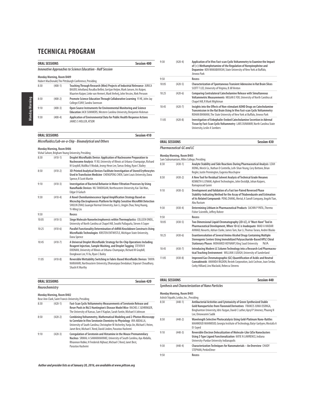|                                                                  | <b>ORAL SESSIONS</b>      | <b>Session 400</b>                                                                                                                                                                                                                     |
|------------------------------------------------------------------|---------------------------|----------------------------------------------------------------------------------------------------------------------------------------------------------------------------------------------------------------------------------------|
| <b>Innovative Approaches to Science Education - Half Session</b> |                           |                                                                                                                                                                                                                                        |
|                                                                  | Monday Morning, Room B409 |                                                                                                                                                                                                                                        |
|                                                                  |                           | Hubert MacDonald, The Pittsburgh Conference, Presiding                                                                                                                                                                                 |
| 8:30                                                             | $(400-1)$                 | Teaching Through Research (Mini) Projects of Industrial Relevance JURICA<br>BAUER, Inholland, Rosalba Bellini, Gertjan Heijne, Mark Jansen, Iris Kuiper,<br>Maarten Kuiper, Lieke van Hemert, Mark Verheij, John Vessies, Niek Persoon |
| 8:50                                                             | $(400-2)$                 | Promote Science Education Through Collaborative Learning YI HE, John Jay<br>College/CUNY, Sandra Swenson                                                                                                                               |
| 9:10                                                             | $(400-3)$                 | Open Source Instruments for Environmental Monitoring and Science<br>Education JACK SUMMERS, Western Carolina University, Benjamin Hickman                                                                                              |
| 9:30                                                             | $(400-4)$                 | Application of Environmental Data for Public Health Response Actions<br>JAMES S HOLLER, ATSDR                                                                                                                                          |

| 9:30  | $(420-4)$ | Application of In Vivo Fast-scan Cyclic Voltammetry to Examine the Impact<br>of (+)-Methamphetamine of the Regulation of Norepinephrine and<br>Dopamine KEN WAKABAYASHI, State University of New York at Buffalo,<br>Jinwoo Park |
|-------|-----------|----------------------------------------------------------------------------------------------------------------------------------------------------------------------------------------------------------------------------------|
| 9:50  |           | Recess                                                                                                                                                                                                                           |
| 10:05 | $(420-5)$ | Characterization of Spontaneous Transient Adenosine in Rat Brain Slices<br>SCOTT T LEE, University of Virginia, B Jill Venton                                                                                                    |
| 10:25 | $(420-6)$ | <b>Comparing Contralateral Catecholamine Release with Simultaneous</b><br>Voltammetric Measurements MEGAN E FOX, University of North Carolina at<br>Chapel Hill, R Mark Wightman                                                 |
| 10:45 | $(420-7)$ | Insights into the Effects of Non-stimulant ADHD Drugs on Catecholamine<br>Transmission in the Rat Brain Using In Vivo Fast-scan Cyclic Voltammetry<br>ROHAN BHIMANI, The State University of New York at Buffalo, Jinwoo Park    |
| 11:05 | $(420-8)$ | Investigation of Enkephalin-Evoked Catecholamine Secretion in Adrenal<br>Tissue by Fast-Scan Cyclic Voltammetry LARS DUNAWAY, North Carolina State<br>University, Leslie A Sombers                                               |

### **ORAL SESSIONS Session 410 Microfluidics/Lab-on-a-Chip - Bioanalytical and Others Monday Morning, Room B406** Vishal Sahore, Brigham Young University, Presiding 8:30 (410-1) **Droplet Microfluidic Device: Application of Nucleosome Preparation to Nucleosome Analysis** YI XU, University of Illinois at Urbana-Champaign, Richard M Graybill, Mallika V Modak, Jeong-Heon Lee, Tamas Ordog, Ryan C Bailey 8:50 (410-2) **3D-Printed Analytical Devices Facilitate Investigation of Stored Erythrocytes Used in Transfusion Medicine** CHENGPENG CHEN, Saint Louis University, Dana Spence, R Scott Martin **Nanofluidic Devices** NIL TANDOGAN, Northeastern University, Kai-Tak Wan, Edgar D Goluch 9:30 (410-4) **A Novel Chemiluminescence Signal Amplification Strategy Based on**  SHULIN ZHAO, Guangxi Normal University, Jian Li, Jingjin Zhao, Yong Huang,

|       |           | וווויומנו ועשטכית אומרכות                                                                                                                                                                                                                                      |
|-------|-----------|----------------------------------------------------------------------------------------------------------------------------------------------------------------------------------------------------------------------------------------------------------------|
| 9:10  | $(410-3)$ | Investigation of Bacterial Behavior in Water Filtration Processes by Using<br>Nanofluidic Devices NIL TANDOGAN, Northeastern University, Kai-Tak Wan,<br>Edgar D Goluch                                                                                        |
| 9:30  | $(410-4)$ | A Novel Chemiluminescence Signal Amplification Strategy Based on<br>Microchip Electrophoresis Platform for Highly Sensitive MicroRNA Detection<br>SHULIN ZHAO, Guangxi Normal University, Jian Li, Jingjin Zhao, Yong Huang,<br>Yi-Ming Liu                    |
| 9:50  |           | Recess                                                                                                                                                                                                                                                         |
| 10:05 | $(410-5)$ | Singe Molecule Nanoelectrophoresis within Thermoplastics COLLEEN ONEIL,<br>University of North Carolina at Chapel Hill, Swathi Pullagurla, Steven A Soper                                                                                                      |
| 10:25 | $(410-6)$ | Parallel Functionality Determination of shRNA Knockdown Constructs Using<br>Microfluidic Technologies KRISTEN ENTWISTLE, Michigan State University,<br>Dana Spence                                                                                             |
| 10:45 | $(410-7)$ | A Universal Droplet Microfluidic Strategy for On-Chip Operations Including<br>Reagent Injection, Sample Washing, and Droplet Tagging STEVEN R<br>DOONAN, University of Illinois at Urbana-Champaign, Richard M Graybill,<br>Dongkwan Lee, Yi Xu, Ryan C Bailey |
| 11:05 | $(410-8)$ | Reversible Wettability Switching in Fabric-Based Microfluidic Devices TANYA<br>NARAHARI, Northeastern University, Dhananjaya Dendukuri, Tripurari Choudhary,<br>Shashi K Murthy                                                                                |

| <b>ORAL SESSIONS</b> | <b>Session 420</b> |
|----------------------|--------------------|
| Neurochemistry       |                    |

| <b>Monday Morning, Room B402</b>                    |
|-----------------------------------------------------|
| Rose Ann Clark, Saint Francis University, Presiding |

| 8:30 | $(420-1)$ | Fast-Scan Cyclic Voltammetry Measurements of Serotonin Release and<br>Reser Pools in R6/2 Huntington's Disease Model Mice RACHEL C GEHRINGER,<br>The University of Kansas, Sam V Kaplan, Sarah Fantin, Michael A Johnson                                                                        |
|------|-----------|-------------------------------------------------------------------------------------------------------------------------------------------------------------------------------------------------------------------------------------------------------------------------------------------------|
| 8:50 | $(420-2)$ | Combining Voltammetry, Mathematical Modeling and 2-Photon Microscopy<br>to Correlate In Vivo Serotonin Chemistry to Physiology AYA ABDALLA,<br>University of South Carolina, Christopher W Atcherley, Yunju Jin, Michael L Heien,<br>Janet Best, Michael C Reed, David Linden, Parastoo Hashemi |
| 9:10 | $(420-3)$ | <b>Coregulation of Serotonin and Histamine in the Mouse Premammilary</b><br>Nucleus SRIMAL A SAMARANAYAKE, University of South Carolina, Aya Abdalla,<br>Rhiannon Robke, H Frederick Nijhout, Michael C Reed, Janet Best,<br>Parastoo Hashemi                                                   |

**Author and presider lists as of January 20, 2016, are available at www.pittcon.org** 

### **ORAL SESSIONS Session 430**

### **Pharmaceutical-GC and LC**

### **Monday Morning, Room B403**

|       | Sam Subramaniam, Miles College, Presiding |                                                                                                                                                                                                                                           |  |  |  |
|-------|-------------------------------------------|-------------------------------------------------------------------------------------------------------------------------------------------------------------------------------------------------------------------------------------------|--|--|--|
| 8:30  | $(430-1)$                                 | Analyte Stability and Side Reactions During Pharmaceutical Analysis LEAH<br>XIONG, Merck Co., Nathan D Contrella, Leih-Shan Yeung, Cory Bottone, Brian<br>Regler, Justin Pennington, Eugenia Muschajew                                    |  |  |  |
| 8:50  | $(430-2)$                                 | A New Tool for Residual Solvent Analysis of Technical Grade Hexanes<br>KENNETH G LYNAM, Agilent Technologies, John Oostdijk, Johan Kuipers,<br>Ramaprasad Ganni                                                                           |  |  |  |
| 9:10  | $(430-3)$                                 | Development and Validation of a Fast Ion-Paired Reversed Phase<br>Stability-Indicating Method for the Assay of Thiabendazole and Estimation<br>of its Related Compounds PENG ZHANG, Merial, A Sanofi Company, Jingzhi Tian,<br>Abu Rustum |  |  |  |
| 9:30  | $(430-4)$                                 | Determining Lithium in Pharmaceutical Products SACHIN P PATIL, Thermo<br>Fisher Scientific, Jeffrey Rohrer                                                                                                                                |  |  |  |
| 9:50  |                                           | Recess                                                                                                                                                                                                                                    |  |  |  |
| 10:05 | $(430-5)$                                 | Two Dimensional Liquid Chromatography (2D-LC), A "Must-Have" Tool in<br>Pharmaceutical Development, When 1D-LC is Inadequate IMAD A HAIDAR<br>AHMAD, Novartis, Adrian Clarke, James Tam, Xue Li, Thomas Tarara, Andrei Blasko             |  |  |  |
| 10:25 | $(430-6)$                                 | <b>Enantioresolution of Several Amino Alcohol Drugs Containing Multiple</b><br>Stereogenic Centers Using Immobilized Polysaccharide-Based HPLC Chiral<br>Stationary Phases MOHAMED HEFNAWY, King Saud University<br>N/A                   |  |  |  |
| 10:45 | $(430-7)$                                 | Introducing Modern LC Column Technology into a Research-Led Pharmaceu-<br>tical Teaching Environment WILLIAM J LOUGH, University of Sunderland                                                                                            |  |  |  |
| 11:05 | $(430-8)$                                 | Improved Gas Chromatographic (GC) Quantification of Acidic and Neutral<br>Cannabinoids AMANDA RIGDON, Restek Corporation, Jack Cochran, Joan Serdar,<br>Corby Hilliard, Linx Waclaski, Rebecca Stevens                                    |  |  |  |

| <b>Session 440</b><br><b>ORAL SESSIONS</b> |                                                                       |                                                                                                                                                                                                                                                      |  |  |  |
|--------------------------------------------|-----------------------------------------------------------------------|------------------------------------------------------------------------------------------------------------------------------------------------------------------------------------------------------------------------------------------------------|--|--|--|
|                                            | <b>Synthesis and Characterization of Nano Particles</b>               |                                                                                                                                                                                                                                                      |  |  |  |
|                                            | Monday Morning, Room B405<br>Ashish Tripathi, Leidos, Inc., Presiding |                                                                                                                                                                                                                                                      |  |  |  |
| 8:30                                       | $(440-1)$                                                             | Antibacterial Activities and Cytotoxicity of Green Synthesized Stable<br>Gold Nanoparticles from Flavonoid Derivatives FRANCIS JUMA OSONGA,<br>Binghamton University, Idris Yazgan, David C Luther, Apryl P Jimenez, Phuong N<br>Lee. Omowunmi Sadik |  |  |  |
| 8:50                                       | $(440-2)$                                                             | Wavelength Selective Photocatalysis Using Gold-Platinum Nano-Rattles<br>MAHMOUD MAHMOUD, Georgia Institute of Technology, Batyr Garlyyev, Mostafa A<br>El-Sayed                                                                                      |  |  |  |
| 9:10                                       | $(440-3)$                                                             | <b>Reversible Electron Delocalization of Molecule-Like CdSe Nanoclusters</b><br>Using Z-Type Ligand Functionalization KATIE N LAWRENCE, Indiana<br>University-Purdue University Indianapolis                                                         |  |  |  |
| 9:30                                       | $(440-4)$                                                             | Characterization Techniques for Nanomaterials - An Overview CHADY<br>STEPHAN, PerkinElmer                                                                                                                                                            |  |  |  |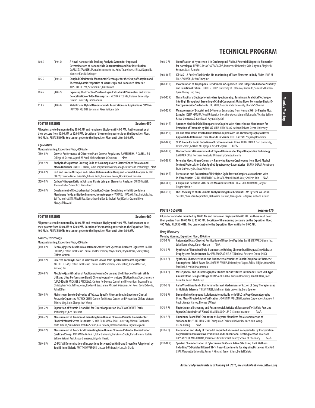| <b>TECHNICAL PROGRAM</b> |  |
|--------------------------|--|
|--------------------------|--|

| 10:05 | $(440-5)$ | A Novel Nanoparticle Tracking Analysis System for Improved<br>Determinations of Nanoparticle Concentration and Size Distribution<br>DARIUSZ STRAMSKI, Manta Instruments Inc, Kuba Tatarkiewicz, Rick A Reynolds,<br>Monette Karr, Rick Cooper |
|-------|-----------|-----------------------------------------------------------------------------------------------------------------------------------------------------------------------------------------------------------------------------------------------|
| 10:25 | $(440-6)$ | Coupled Calorimetric-Manometric Technique for the Study of Sorption and<br><b>Thermodynamic Properties of Macroscopic and Nanosized Materials</b><br>KRISTINA LILOVA, Setaram Inc., Link Brown                                                |
| 10:45 | $(440-7)$ | Exploring the Effects of Surface Ligand Structural Parameters on Exciton<br>Delocalization of CdSe Nanocrystals MEGHAN TEUNIS, Indiana University-<br>Purdue University Indianapolis                                                          |
| 11.05 | $(440-8)$ | Metallic and Hybrid Nanomaterials: Fabrication and Applications SIMONA<br>HUNYADI MURPH, Savannah River National Lab                                                                                                                          |

|      | <b>POSTER SESSION</b> |   |  |   | <b>Session 450</b> |
|------|-----------------------|---|--|---|--------------------|
| $ -$ |                       | . |  | . |                    |

**All posters are to be mounted by 10:00 AM and remain on display until 4:00 PM. Authors must be at their posters from 10:00 AM to 12:00 PM. Location of the morning posters is on the Exposition Floor, 400 Aisle. PLEASE NOTE: You cannot get onto the Exposition Floor until after 9:00 AM.**

#### **Agriculture**

|              | Monday Morning, Exposition Floor, 400 Aisle                                                                                                                                                                                                                                        |  |  |  |
|--------------|------------------------------------------------------------------------------------------------------------------------------------------------------------------------------------------------------------------------------------------------------------------------------------|--|--|--|
| $(450-1)$    | Growth Performance of Chicory to Plant Growth Regulators RAMESHBHAI P DABHI, J & J<br>College of Science, Alpesh M Patel, Maheshkumar B Chauhan<br>N/A                                                                                                                             |  |  |  |
| $(450-2)$ P) | Analysis of Sugarcane Growing Soils at Kakamega North District Kenya for Micro and<br>Macro Nutrients ONDITI O ANAM, Jomo Kenyatta University of Agriculture and Technology N/A                                                                                                    |  |  |  |
| $(450-3)$ P) | Fast and Precise Nitrogen and Carbon Determination Using an Elemental Analyzer GUIDO<br>GIAZZI, Thermo Fisher Scientific, Liliana Krotz, Francesco Leone, Dominique Chevalier                                                                                                      |  |  |  |
| $(450-4)$    | Carbon/Nitrogen Ratio in Soils and Plants Using an Elemental Analyzer GUIDO GIAZZI,<br>Thermo Fisher Scientific, Liliana Krotz                                                                                                                                                     |  |  |  |
| $(450-5P)$   | Development of Electrochemical Detection System Combining with Nitrocellulose<br>Membrane for Quantitative Immunochromatography WATARU IWASAKI, Natl. Inst. Adv. Ind.<br>Sci. Technol. (AIST), Mizuki Ryu, Ramachandra Rao Sathuluri, Ryoji Kurita, Osamu Niwa,<br>Masava Mivazaki |  |  |  |

| <b>POSTER SESSION</b> | <b>Session 460</b> |
|-----------------------|--------------------|

**All posters are to be mounted by 10:00 AM and remain on display until 4:00 PM. Authors must be at their posters from 10:00 AM to 12:00 PM. Location of the morning posters is on the Exposition Floor, 400 Aisle. PLEASE NOTE: You cannot get onto the Exposition Floor until after 9:00 AM.**

**Monday Morning, Exposition Floor, 400 Aisle**

### **Clinical/Toxicology**

|              | Monday Morning, Exposition Floor, 400 AISIE                                                                                                                                                                                                                                                                                                                                                       |
|--------------|---------------------------------------------------------------------------------------------------------------------------------------------------------------------------------------------------------------------------------------------------------------------------------------------------------------------------------------------------------------------------------------------------|
| $(460-1)$    | Benzo[a]pyrene Levels in Mainstream Smoke from Spectrum Research Cigarettes JARED<br>HUGHES, Centers for Disease Control and Prevention, Wayne Chen, Bryan Hearn, Shirley Ding,<br>Clifford Watson                                                                                                                                                                                                |
| $(460-2)$ P) | Selected Carbonyl Levels in Mainstream Smoke from Spectrum Research Cigarettes<br>MICHELE CHAN, Centers for Disease Control and Prevention, Shirley Ding, Clifford Watson,<br>Xizheng Yan                                                                                                                                                                                                         |
| $(460-3)$ P) | Absolute Quantification of Apolipoproteins in Serum and the Efficacy of Trypsin While<br>Utilizing Ultra Performance Liquid Chromatography - Isotope Dilution Mass Spectrometry<br>(UPLC-IDMS) MICHAEL L ANDREWS, Centers for Disease Control and Prevention, Bryan A Parks,<br>Christopher Toth, Jeffrey Jones, Kuklenyik Zsuzsanna, Michael S Gardner, Jon Rees, David Schieltz,<br>John R Barr |
| $(460 - 4P)$ | Mainstream Smoke Deliveries of Tobacco Specific Nitrosamines in Spectrum Clinical<br>Research Cigarettes PATRICK CHEN, Centers for Disease Control and Prevention, Clifford Watson,<br>Shirley Ding, Ligin Zhang, Josh Wong                                                                                                                                                                       |
| $(460-5P)$   | Separation of Vitamin D2 and D3 for Clinical Application MARK WOODRUFF, Fortis<br>Technologies, Ken Butchart                                                                                                                                                                                                                                                                                      |
| $(460 - 6P)$ | Measurement of Ammonia Emanating from Human Skin as a Possible Biomarker for<br>Physical/Mental Stress Responses SHOTA FURUKAWA, Tokai University, Minami Takahashi,<br>Keita Kimura, Shiro Ikeda, Yoshika Sekine, Asai Satomi, Umezawa Kazuo, Hayato Miyachi                                                                                                                                     |
| $(460 - 7)$  | Measurement of Acetic Acid Emanating from Human Skin as a Potential Biomarker for<br>Quality of Sleep MINAMI TAKAHASHI, Tokai University, Furukawa Shota, Keita Kimura, Yoshika<br>Sekine, Satomi Asai, Kazuo Umezawa, Miyachi Hayato                                                                                                                                                             |
| $(460 - 8P)$ | LC-MS/MS Determination of Interactions Between Sunitinib and Green Tea Polyphenol by<br>Equilibrium Dialysis MATTHEW VERGNE, Lipscomb University, Lincoln Shade                                                                                                                                                                                                                                   |

- (460-9 P) **Identification of Hypocretin-1 in Cerebrospinal Fluid: A Potential Diagnostic Biomarker for Narcolepsy** HEMASUDHA CHATRAGADDA, Duquesne University, Skip Kingston, Birgitte R Kornum, Matt Pamuku
- (460-10 P) **ICP-MS A Perfect Tool for the Bio-monitoring of Trace Elements in Body Fluids** EWA M PRUSZKOWSKI, PerkinElmer, Inc.
- (460-11 P) **Incorporation of Amphiphilic Dendrimers in Supported Lipid Bilayers to Enhance Stability and Functionalization** CHARLES J RUIZ, University of California, Riverside, Samuel S Hinman, Quan Cheng, Ling Peng
- (460-12 P) **Chiral Capillary Electrophoresis-Mass Spectrometry: Turning an Analytical Technique into High Throughput Screening of Chiral Compounds Using Novel Polymerized beta-D-Glucopyranoside Surfactants** LIU YIJIN, Georgia State University, Shahab S Shamsi
- (460-13 P) **Measurement of Diacetyl and 2-Nonenal Emanating from Human Skin by Passive Flux Sampler** KEITA KIMURA, Tokai University, Shota Furukawa, Minami Takahashi, Yoshika Sekine, Kazuo Umezawa, Satomi Asai, Hayato Miyachi
- (460-14 P) **Aptamer-Modified Gold Nanoparticles Coupled with Nitrocellulose Membranes for Detection of Thrombin by LDI-MS** CHIA-YIN CHANG, National Taiwan Ocean University
- (460-15 P) **On-line Membrane Assisted Distillation Coupled with Ion Chromatography: A Novel Approach to Determine Trace Fluoride in Serum** LOU CHAOYAN, Zhejiang University
- (460-16 P) **SERS Probe for Rapid Detection of Erythropoietin in Urine** UGUR TAMER, Gazi University, Yesim Selbes, Gokhan M Caglayan, Nejdet Saglam N/A
- (460-17 P) **Electrochemical Measurement of Thyroid Hormone for Rapid Diagnostics Technology**  BARBARA CATA, Northern Kentucky University, Celeste A Morris
- (460-18 P) **Forensics Meets Green Chemistry: Removing Known Carcinogens from Blood Alcohol Content Protocols for Safer Applied Spectroscopy Laboratories** SARAH E GRAY, Armstrong State University, Mathew Holmes
- (460-19 P) **Preparation and Evaluation of Nifedipine-Cyclodextrin Complex Microspheres with In-Vitro Studies** SUNILKUMAR H CHAUDHARI, Mantri Health Care, Shailesh Jain N/A
- (460-20 P) **A Rapid and Sensitive SERS Based Measles Detection** RAMESH KATTUMENU, Argent Diagnostics Inc
- (460-21 P) **The Efficiency of Multi-Sample Analysis Using Dual Gradient LCMS System** WATANABE SATORU, Shimadzu Corporation, Nakayama Daisuke, Yamaguchi Tadayuki, Inohana Yusuke

#### **POSTER SESSION Session 470**

#### **All posters are to be mounted by 10:00 AM and remain on display until 4:00 PM. Authors must be at their posters from 10:00 AM to 12:00 PM. Location of the morning posters is on the Exposition Floor, 400 Aisle. PLEASE NOTE: You cannot get onto the Exposition Floor until after 9:00 AM.**

### **Drug Discovery**

|              | Monday Morning, Exposition Floor, 400 Aisle                                                                                                                                                                                                            |
|--------------|--------------------------------------------------------------------------------------------------------------------------------------------------------------------------------------------------------------------------------------------------------|
| $(470-1)$    | Automated Mass-Directed Purification of Bioactive Peptides LAINE STEWART, Gilson, Inc.,<br>Luke Roenneburg, Karen Kleman<br>N/A                                                                                                                        |
| $(470-2P)$   | Synthesis of Nanosized Poly B-aminoester Holding Chlorambucil Drug as Slow Release<br>Drug System for Antitumer FAHIMA MOSAAD HELALY, National Research Centre (NRC)                                                                                   |
| $(470-3 P)$  | Synthesis, Characterization and Antibacterial Studies of Cobalt Complexes of Isomeric<br>Aminophenol Schiff Bases TOLULOPE M FASINA, University of Lagos, Felicia N Ejiah, Oluwole B<br>Familoni, Neerish Revaprasadu                                  |
| $(470 - 4P)$ | Mass Spectral and Chromatographic Studies on Substituted Cathinones: Bath Salt-type<br>Aminoketone Designer Drugs YOUNIS ABIEDALLA, Auburn University, Randall Clark, Jack<br>DeRuiter, Karim Abdel-Hay                                                |
| $(470-5P)$   | An In Vitro Microfluidic Platform to Unravel Mechanisms of Action of Drug Therapies used<br>in Multiple Sclerosis TIFFANY BELL, Michigan State University, Dana Spence                                                                                 |
| $(470 - 6P)$ | Streamlining Compound Isolation Automatically with UPLC to Prep Chromatography<br>Using Mass-Directed Auto Purification JO-ANN M JABLONSKI, Waters Corporation, Andrew J<br>Aubin, Wendy Harrop, Thomas E Wheat                                        |
| $(470 - 7)$  | Phytochemical Screening and Antimicrobial Activity of Boerhavia Verticillata Poir. and<br>Fagonia Schweinfurthii Hadidi YAMINI A JOSHI, M G Science Institute<br>N/A                                                                                   |
| $(470-8P)$   | Aluminum-Based MOF Composite as Polymer Monoliths for Microextraction of<br>Sulfonamides YUNG-HAN SHIH, Chung Yuan Christian University, Kuen-Yun Wang,<br>N/A<br>Hsi-Ya Huang                                                                         |
| $(470-9P)$   | Preparation and Study of Tramadol Imprinted Micro-and Nanoparticles by Precipitation<br>Polymerization: Microwave Irradiation and Conventional Heating Method MARYAM<br>HASSANPOUR MOGHADAM, Pharmaceutical Research Center, School of Pharmacy<br>N/A |
| (170, 100)   | Cunctual Chavacterination of Cutachyama DAEOcam Active City Heiner NMD Motherle                                                                                                                                                                        |

(470-10 P) **Spectral Characterization of Cytochrome P450cam Active Site Using NMR Methods Including 13C-Doubled Filtered 1 H-1 H Noesy Experiments for Mapping Distances** REMIGIO USAI, Marquette University, James R Kincaid, Daniel S Sem, Daniel Kaluka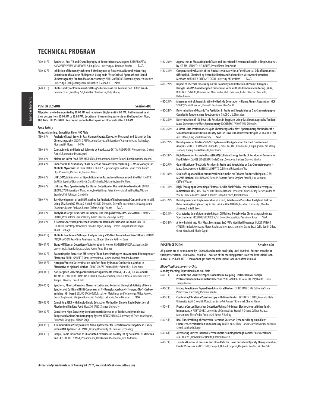(470-11 P) **Synthesis, Anti-TB and Crystallography of Benzothiazole Analogues** KATHARIGATTA NARAYANASWAMY VENUGOPALA, King Faisal University, Al-Dhubiab Bander N/A

- (470-12 P) **Inhibition of Human Cytochrome P450 Enzymes by Rottlerin, A Naturally Occurring Constituent of Mallotus Philippensis Using an In-Vitro Cocktail Approach and Liquid Chromatography-Tandem Mass Spectrometry** ATUL S RATHORE, Bharati Vidyapeeth Deemed University, L Sathiyanarayanan, Kakasaheb R Mahadik N/A
- (470-13 P) **Photostability of Pharmaceutical Drug Substance as Free Acid and Salt** JENNY WANG, Genentech Inc., Geoffrey Yeh, Lulu Dai, Christine Gu, Kelly Zhang

### **POSTER SESSION Session 480**

**All posters are to be mounted by 10:00 AM and remain on display until 4:00 PM. Authors must be at their posters from 10:00 AM to 12:00 PM. Location of the morning posters is on the Exposition Floor, 400 Aisle. PLEASE NOTE: You cannot get onto the Exposition Floor until after 9:00 AM.**

#### **Food Safety**

Monday Morning

Monday Morning

**Monday Morning, Exposition Floor, 400 Aisle**

|               | $m$ onau $j$ moninių, exposition rivor, tvo nisie                                                                                                                                                                                                                                                                                                                   |
|---------------|---------------------------------------------------------------------------------------------------------------------------------------------------------------------------------------------------------------------------------------------------------------------------------------------------------------------------------------------------------------------|
| $(480-1)$     | Analysis of Local Brews in Jua, Kiambu County, Kenya, for Methanol and Ethanol by Gas<br>Chromatography ONDITI O ANAM, Jomo Kenyatta University of Agriculture and Technology,<br>Momanyi M Moraa<br>N/A                                                                                                                                                            |
| $(480-2)$ P)  | Cannabinoids and Residual Solvents by Headspace GC TIM ANDERSON, Phenomenex, Kristen<br>Parnell, Ramkumar Dhandapani                                                                                                                                                                                                                                                |
| $(480-3)$ P)  | Melamine in Pet Food TIM ANDERSON, Phenomenex, Kristen Parnell, Ramkumar Dhandapani                                                                                                                                                                                                                                                                                 |
| $(480 - 4P)$  | Impact of HPLC Stationary Phase Selection on Matrix Effects During LC-MS/MS Analysis of<br>Multiple Mycotoxins in Corn EMILY R BARREY, Supelco/Sigma-Aldrich, Lynne Perez-Blanco,<br>Olga I Shimelis, Michael Ye, Jennifer Claus                                                                                                                                    |
| $(480-5P)$    | UHPLC/MS/MS Analysis of Lipophilic Marine Toxins from Homogenized Shellfish EMILY R<br>BARREY, Supelco/Sigma-Aldrich, Olga I Shimelis, Michael Ye, Jennifer Claus                                                                                                                                                                                                   |
| $(480-6P)$    | Utilizing Mass Spectrometry for Gluten Detection for Use in Gluten-Free Foods SOPHIE<br>BROMILOW, University of Manchester, Lee Gethings, Peter Shewry, Michael Buckley, Michael<br>Bromley, Phil Johnson, Clare Mills                                                                                                                                              |
| $(480 - 7)$   | Easy Development of an MRM Method for Analysis of Environmental Contaminants in Milk<br>Using SPME and GC-MS/MS NICOLE M LOCK, Shimadzu Scientific Instruments, Di Wang, Laura<br>Chambers, Brahm Prakash, Robert Clifford, Shilpi Chopra<br>N/A                                                                                                                    |
| $(480-8P)$    | Analysis of Target Pesticides in Essential Oils Using a Novel GC/MS/MS System THOMAS<br>DILLON, PerkinElmer, Samuel Tolley, Adam J Patkin, Sharanya Reddy                                                                                                                                                                                                           |
| $(480-9P)$    | A Raman Spectroscopic Method for Determination of Erucic Acid in Canola Oils ELIF<br>ERCIOGLU, Hacettepe University, Ismail H Boyaci, Tumay H Temiz, Serap Durakli Velioglu,<br>Murat H Velioglu                                                                                                                                                                    |
| $(480-10P)$   | Multiple Foodborne Pathogen Analysis Using a 96-Well Assay in Less than 5 Hours STUART<br>FARQUHARSON, Real-Time Analyzers, Inc, Chetan Shende, Kathryn Dana                                                                                                                                                                                                        |
| $(480-11P)$   | Stand-Off Raman Detection of Adulteration in Honey KENNETH GARCIA, Alabama A&M<br>University, Carlton Farley, Aschalew Kassu, Anup Sharma                                                                                                                                                                                                                           |
| $(480-12)$ P) | Evaluating the Extraction Efficiency of Food Borne Pathogens on Automated Homogenizer<br>Platforms SHARI GARRETT, Omni International, James Atwood, Brandon Easparro                                                                                                                                                                                                |
| $(480-13 P)$  | Nitrogen/Protein Determination in Infant Food by Dumas Combustion Method in<br>Alternative to Kjeldahl Method GUIDO GIAZZI, Thermo Fisher Scientific, Liliana Krotz                                                                                                                                                                                                 |
| $(480-14P)$   | Non-Targeted Screening of Nutritional Supplements with GC, GC×GC, TOFMS, and HR-<br>TOFMS ELIZABETH M HUMSTON-FULMER, Leco Corporation, David E Alonso, Jonathan D Byer,<br>Joseph E Binkley, Lorne E Fell                                                                                                                                                          |
| $(480-15 P)$  | Synthesis, Physico-Chemical Characterization and Potential Biological Activity of Newly<br>Synthetised Cu(II) and Ni(II) Complexes of N-(Benzyloxycarbonyl)-1H-pyrazOle-1-Carbox-<br>amidine (HL) ligand ZELJKO JACIMOVIC, Faculty of Metallurgy and Technology, Milica Kosovic,<br>Goran Bogdanovic, Sladjana Novakovic, Nedeljko Latinovic, Gerald Giester<br>N/A |
| $(480-16P)$   | Combining SERS with Liquid-Liquid Extraction Method for Simple, Rapid Detection of<br>Rhodamine B in Raw Food HUAIZHI KANG, Xiamen University                                                                                                                                                                                                                       |
| $(480-17P)$   | Concurrent High Sensitivity Conductometric Detection of Sulfide and Cyanide in a<br>Suppressed Anion Chromatography System HONGZHU LIAO, University of Texas at Arlington,<br>Purnendu Dasgupta, Akinde Kadjo                                                                                                                                                       |
| $(480-18)$    | A Computational Study Assisted Nano-Aptasensor for Detection of Tetracycline in Honey<br>with a DNA Aptamer SAI WANG, Beijing Univerisity of Chemical Technology                                                                                                                                                                                                    |
| $(480-19P)$   | Simple, Rapid Extraction of Chlorinated Pesticides in Poultry Fat by Solid Phase Extraction<br>and GC/ECD ALLEN MISA, Phenomenex, Ramkumar Dhandapani, Tim Anderson                                                                                                                                                                                                 |

- (480-20 P) **Approaches to Measuring both Trace and Nutritional Elements in Food in a Single Analysis by ICP-MS** KENNETH NEUBAUER, PerkinElmer, Stan Smith
- (480-21 P) **Comparative Evaluation of the Antibacterial Activities of the Essential Oils of Rosmarinus Officinalis L. Obtained by Hydrodistillation and Solvent Free Microwave Extraction <br>Methods OMOBOLA OLURANTI OKOH University of Fort Hare NI/A Methods OMOBOLA OLURANTI OKOH, University of Fort Hare**
- (480-22 P) **Impact of Thermal Processing on the Solubility and Detection of Peanut Allergens Using LC-MS/MS based Targeted Proteomics with Multiple-Reaction Monitoring (MRM)** REBEKAH L SAYERS, University of Manchester, Phil E Johnson, Justin T Marsh, Clare Mills, Helen Brown
- (480-23 P) **Measurement of Arsenic in Wine by Hydride Generation Flame Atomic Absorption** NICK SPIVEY PerkinElmer Inc., Kenneth Neubauer, Stan Smith
- (480-24 P) **Determination of Organic Tin Pesticides in Fruits and Vegetables by Gas Chromatography Coupled to Tandem Mass Spectrometry** XIAOBO LIU, Shimadzu
- (480-25 P) **Determination of 198 Pesticide Residues in Eggplant Using Gas Chromatography Tandem Mass Spectrometry/Mass Spectrometry (GCMS/MS)** WANG YAN, Shimadzu
- (480-26 P) **A Direct Ultra-Performance Liquid Chromatography-Mass Spectrometry Method for the Simultaneous Quantitation of Fatty Acids in Olive Oils of Different Origins** ZEID ABDULLAH ALOTHMAN, King Saud University N/A
- (480-27 P) **Development of On-Line SFE-SFC System and Its Application for Food Contaminant Analysis** SHIN-ICHI KAWANO, Shimadzu (China) Co., Ltd., Xiaohua Liu, Lingling Shen, Yan Wang, Taohong Huang, Naoki Hamada, Yuki Hashi
- (480-28 P) **High Resolution Accurate Mass (HRAM) Collision Energy Profile of Residues of Concern for Food Safety** DANIEL BIGGERSTAFF, o2si Smart Solutions, Huichen Stavros, Min Cai
- (480-29 P) **Quantification of Pesticide Residues in Fruits and Vegetables by Gas Chromatography - Mass Spectrometry** KAELYB SUCHEVITS, California University of PA
- (480-30 P) **Study of Sugar and Humectant Profiles in Smokeless Tobacco Products Using an LC-ESI-MS/MS Method** LIQUN WANG, Battelle, Roberto Bravo, Stephen Stanfill, Liza Valentin, Clifford Waston
- (480-31 P) **High-Throughput Screening of Domoic Acid in Shellfish by Laser Ablation Electrospray Ionization (LAESI)-MS** PEARSE MCCARRON, National Research Council, Kelley Reeves, Callee M Walsh, Pamela Cantrell, Wade A Rourke, Sinead O'Brien, Daniel Beach
- (480-32 P) **Development and Implementation of a Fast, Reliable and Sensitive Analytical Test for Determining Methylmercury in Fish** ANA MARIA MUÑOZ, Lasallian University , Claudio Jiménez, Daniel E León
- (480-33 P) **Characterization of Adulterated Argan Oil Using a Portable Gas Chromatography Mass** Spectrometer PRESHIOUS REARDEN, 1st Detect Corporation, Parminder Kaur
- (480-34 P) **A New Insight Into Fish Meat Freshness: ZnO /PPy Modified Biosensor** BUKET SAHYAR (YALCIN), Indesit Company, Merve Kaplan, Ahmet Yavas, Mehmet Ozsoz, Erdal Celik, Semih Otles, Ömer Mindivanli, Metin Ozgul

#### **POSTER SESSION Session 490**

**All posters are to be mounted by 10:00 AM and remain on display until 4:00 PM. Authors must be at their posters from 10:00 AM to 12:00 PM. Location of the morning posters is on the Exposition Floor, 400 Aisle. PLEASE NOTE: You cannot get onto the Exposition Floor until after 9:00 AM.**

**Microfluidics/Lab-on-a-Chip**

**Monday Morning, Exposition Floor, 400 Aisle**

- (490-1 P) **A Simple and Sensitive Paper-Based Device Coupling Electrochemical Sample Pretreatment and Colorimetric Detection** WILLIAM REIS DE ARAUJO, USP, Thalita G Silva, Thiago Paixao (490-2 P) **Mixing Reaction on Paper-Based Analytical Devices** CHING MAN CHOY, California State Polytechnic University, Pomona, Yan Liu (490-3 P) **Combining Vibrational Spectroscopy with Microfluidics** KATHLEEN E BERG, Colorado State University, Scott D Noblitt, Monpichar Srisa-Art, Amber T Krummel, Charles Henry (490-4 P) **Prostate Cancer Biomarker Detection Using a 16-Sensor Electrochemical Microfluidic Immunoarray** ABBY JONES, University of Connecticut, Brunah A Otieno, Colleen Krause, Mohammed Sherafeldin, Amit Joshi, James F Rusling (490-5 P) **Real-Time Profiling of Pancreatic Hormone Secretion Dynamics Using an in Flow Fluorescence Polarization Immunoassay** NIKITA MUKHITOV, Florida State University, Adrian M Schrell, Michael G Roper (490-6 P) **Alternating Current Driven Electroosmotic Pumping through Conical Pore Membrane**  XIAOJIAN WU, University of Florida, Charles R Martin
- (490-7 P) **Two-Fold Control of Pressure and Flow-Rate for Flow Control and Quality Management in Fluidic Processes** ANNE LE NEL, Fluigent, Thibaut Thupnot, Benjamin Rouffet, Nicolas Petit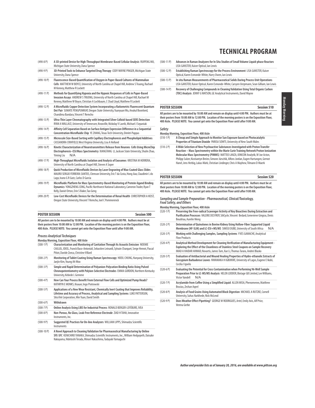| $(490-8P)$   | A 3D-printed Device for High-Throughput Membrane-Based Cellular Analysis RUIPENG MU,<br>Michigan State University, Dana Spence                                                                                                                                |
|--------------|---------------------------------------------------------------------------------------------------------------------------------------------------------------------------------------------------------------------------------------------------------------|
| $(490-9P)$   | 3D-Printed Tools to Enhance Targeted Drug Therapy CODY WAYNE PINGER, Michigan State<br>University, Dana Spence                                                                                                                                                |
| $(490-10P)$  | Fluorescence-Based Quantification of Oxygen in Paper-Based Cultures of Mammalian<br>Cells MATTHEW W BOYCE, University of North Carolina at Chapel Hill, Andrew S Truong, Rachael<br>M Kenney, Matthew R Lockett                                               |
| $(490-11P)$  | Methods for Quantifying Hypoxia and the Hypoxic Responses of Cells in Paper-Based<br>Invasion Assays ANDREW STRUONG, University of North Carolina at Chapel Hill, Rachael M<br>Kenney, Matthew W Boyce, Christian A Lochbaum, C Chad Lloyd, Matthew R Lockett |
| $(490-12P)$  | A Microfluidic Copper Detection System Incorporating a Ratiometric Fluorescent Quantum<br>Dot Pair SUMATE PENGPUMKIAT, Oregon State University, Yuanyuan Wu, Anukul Boonloed,<br>Chandima Bandara, Vincent T Remcho                                           |
| $(490-13 P)$ | Ultra-Thin Layer Chromatography with Integrated Silver Colloid-based SERS Detection<br>RYAN A WALLACE, University of Tennessee, Knoxville, Nickolay V Lavrik, Michael J Sepaniak                                                                              |
| $(490-14P)$  | Affinity Cell Separation Based on Surface Antigen Expression Difference in a Sequential<br>Concentration Microfluidic Chip YE ZHANG, Texas Tech University, Dimitri Pappas                                                                                    |
| $(490-15P)$  | Microscale Size-Based Sorting with Capillary Electrophoresis and Phospholipid Additives<br>CASSANDRA CRIHFIELD, West Virginia University, Lisa A Holland                                                                                                      |
| $(490-16P)$  | Kinetic Characterization of Neurotransmitters Release from Neurons Cells Using MicroChip<br>Electrophoresis-ESI/Mass Spectrometry XIANGTANG LI, Jackson State University, Shulin Zhao,<br>N/A<br><b>Yiming Liu</b>                                            |
| $(490-17P)$  | High-Throughput Microfluidic Isolation and Analysis of Exosomes KRISTINA M HERRERA,<br>University of North Carolina at Chapel Hill, Steven A Soper                                                                                                            |
| $(490-18P)$  | Quick Production of Microfluidic Devices by Laser Engraving of Wax-Coated Glass Slides<br>MAURO SERGIO FERREIRA SANTOS, Clemson University, Eric T da Costa, Hong Jiao, Claudimir L do<br>Lago, Ivano G R Gutz, Carlos D Garcia                               |
| $(490-19P)$  | Microfluidic Platform for Mass Spectrometry-Based Monitoring of Protein-ligand Binding<br>Dynamics YONGZHENG CONG, Pacific Northwest National Laboratory, Cameron Trader, Ryan T<br>Kelly, Daniel Orton, Erin S Baker, Tao Geng                               |
|              |                                                                                                                                                                                                                                                               |

(490-20 P) **Low-Cost Microfluidic Devices for the Determination of Renal Health** CHRISTOPHER A HEIST, Oregon State University, Vincent T Remcho, Joel C Pommerenck

| <b>POSTER SESSION</b> | <b>Session 500</b> |
|-----------------------|--------------------|

**All posters are to be mounted by 10:00 AM and remain on display until 4:00 PM. Authors must be at their posters from 10:00 AM to 12:00 PM. Location of the morning posters is on the Exposition Floor, 400 Aisle. PLEASE NOTE: You cannot get onto the Exposition Floor until after 9:00 AM.**

#### **Process Analytical Techniques**

**Monday Morning, Exposition Floor, 400 Aisle**

- (500-1 P) **Characterization and Monitoring of Cavitation Through Its Acoustic Emission** NOEMIE CAILLOL, IDEEL, Franck Baco-Antoniali, Sebastien Leinardi, Sylvain Charquet, Serge Henrot, Pascal Pitiot, Davide Zonca, Christine Villard (500-2 P) **Monitoring of Tablet Coating Using Raman Spectroscopy** HOEIL CHUNG, Hanyang University,
- Jaejin Kim, Young Ah Woo (500-3 P) **Simple and Rapid Determination of Polyanion-Polycation Binding Ratio Using Pulsed Chronopotentiometry with Polyion-Selective Electrodes** EMMA GORDON, Northern Kentucky University, Kebede L Gemene (500-4 P) **How Can Your Process Benefit From External Flow Cells and Optimized Pump Heads?** KATHRYN E MONKS, Knauer, Ingo Piotrowski (500-5 P) **Applications of a New Wear Resistant, Chemically Inert Coating that Improves Reliability, Lifetime and Accuracy of Process, Analytical and Sampling Systems** LUKE PATTERSON, SilcoTek Corporation, Min Yuan, David Smith (500-6 P) **Withdrawn**  (500-7 P) **Online Analysis Using LIBS for Industrial Process** RONALD BERGER-LEFÉBURE, IVEA (500-8 P) **Non-Porous, No Glass, Leak-Free Reference Electrode** ZIAD H TAHA, Innovative Instruments, Inc. (500-9 P) **Suggested QC Practices for On-line Analyzers** WILLIAM LIPPS, Shimadzu Scientific Instruments
- (500-10 P) **A Novel Approach to Cleaning Validation for Pharmaceutical Manufacturing by Online SFE-SFC** KENICHIRO TANAKA, Shimadzu Scientific Instruments, Inc., William Hedgepeth, Daisuke Nakayama, Hidetoshi Terada, Minori Nakashima, Tadayuki Yamaguchi
- (500-11 P) **Advances in Raman Analyzers for In Situ Studies of Small Volume Liquid-phase Reactors** LISA GANSTER, Kaiser Optical, Ian Lewis
- (500-12 P) **Establishing Raman Spectroscopy for the Process Environment** LISA GANSTER, Kaiser Optical, Karen Esmonde-White, Harry Owen, Ian Lewis
- (500-13 P) **In situ Raman Measurements of Pharmaceutical Solids During Process Unit Operations** LISA GANSTER, Kaiser Optical, Karen Esmonde-White, Carsyen Uerpmann, Sean Gilliam, Ian Lewis
- (500-14 P) **Recovery of Challenging Compounds in Cleaning Validation Using Total Organic Carbon (TOC) Analysis** JENNY G WATSON, GE Analytical Instruments, David Wayne

#### **POSTER SESSION Session 510**

**All posters are to be mounted by 10:00 AM and remain on display until 4:00 PM. Authors must be at their posters from 10:00 AM to 12:00 PM. Location of the morning posters is on the Exposition Floor, 400 Aisle. PLEASE NOTE: You cannot get onto the Exposition Floor until after 9:00 AM.**

#### **Safety**

- **Monday Morning, Exposition Floor, 400 Aisle** (510-1 P) **A Cheap and Simple Approach to Monitor Sun Exposure based on Photocatalytic Properties of Titanium Dioxide** PARISA SOWTI, University of New South Wales
- (510-2 P) **A Wide Selection of New Psychoactive Substances Investigated with Proton Transfer Reaction – Mass Spectrometry within the Marie Curie Training Network Proton Ionization Molecular Mass Spectrometry (PIMMS)** MATTEO LANZA, IONICON Analytik, W Joe Acton, Philipp Sulzer, Kostiantyn Breiev, Simone Jürschik, Alfons Jordan, Eugen Hartungen, Gernot Hanel, Jens Herbig, Lukas Märk, Christian Lindinger, Chris A Mayhew, Tilmann D Maerk

#### **POSTER SESSION Session 520**

**All posters are to be mounted by 10:00 AM and remain on display until 4:00 PM. Authors must be at their posters from 10:00 AM to 12:00 PM. Location of the morning posters is on the Exposition Floor, 400 Aisle. PLEASE NOTE: You cannot get onto the Exposition Floor until after 9:00 AM.**

#### **Sampling and Sample Preparation - Pharmaceutical, Clinical/Toxicology, Food Safety, and Others**

- **Monday Morning, Exposition Floor, 400 Aisle** Preserving the Free-radical Scavenger Activity of Key Bioactives During Extraction and **Purification Processes** VALERIE DESYROY, SiliCycle, Vincent Bedard, Genevieve Gingras, Denis Boudriau, Aurelie Meng (520-2 P) **Determination of Quinolones in Bovine Kidney Using Hollow-Fiber Supported Liquid Membrane (HF-SLM) and LC-ESI+MS/MS** SIMISO DUBE, University of South Africa N/A
- (520-3 P) **Working with Challenging Samples, Sampling Systems** YVES GAMACHE, Analytical Flow Products
- (520-4 P) **Analytical Method Development for Cleaning Verification of Manufacturing Equipment - Exploring the Effect of the Cleanliness of Stainless Steel Coupons on Sample Recovery** IMAD A HAIDAR AHMAD, Novartis, James Tam, Xue Li, Thomas Tarara, Andrei Blasko
- (520-5 P) **Evaluation of Antibacterial and Wound Healing Properties of Hydro-ethanolic Extracts of Gossypium Barbadense Leaves** NWAMAKA H IGBOKWE, University of Lagos, Eugene E Ikobi, Cecilia I Igwilo
- (520-6 P) **Evaluating the Potential for Cross Contamination when Performing 96-Well Sample Preparation Prior to LC-MS/MS Analysis** HELEN LODDER, Biotage GB Limited, Lee Williams, Victor Vandell N/A
- (520-7 P) **Acrylamide from Coffee Using a Simplified Liquid** ALLEN MISA, Phenomenex, Matthew Brusius, Zeshan Aqeel
- (520-8 P) **Analysis of Food Grains Using Automated Block Digestion** MICHAEL A RUTZKE, Cornell University, Suhas Narkhede, Nick McLeod
- (520-9 P) **Does Weather Effect Pipetting?** GEORGE W RODRIGUES, Artel, Emily Avis, Alf Price, Verena Gerbe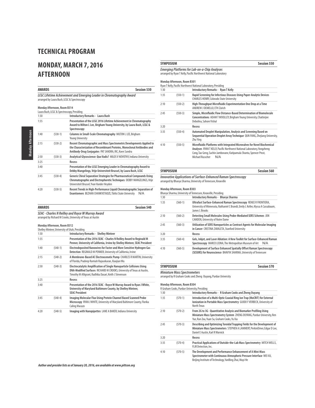## **MONDAY, MARCH 7, 2016 AFTERNOON**

| <b>AWARDS</b> |                                            | <b>Session 530</b>                                                                                                                                                                                        |
|---------------|--------------------------------------------|-----------------------------------------------------------------------------------------------------------------------------------------------------------------------------------------------------------|
|               |                                            | LCGC Lifetime Achievement and Emerging Leader in Chromatography Award<br>arranged by Laura Bush, LCGC & Spectroscopy                                                                                      |
|               | Monday Afternoon, Room B314                |                                                                                                                                                                                                           |
|               | Laura Bush, LCGC & Spectroscopy, Presiding |                                                                                                                                                                                                           |
| 1:30          |                                            | <b>Introductory Remarks - Laura Bush</b>                                                                                                                                                                  |
| 1:35          |                                            | Presentation of the LCGC 2016 Lifetime Achievement in Chromatography<br>Award to Milton L Lee, Brigham Young University, by Laura Bush, LCGC &<br>Spectroscopy                                            |
| 1:40          | $(530-1)$                                  | Columns in Small-Scale Chromatography MILTON L LEE, Brigham<br><b>Young University</b>                                                                                                                    |
| 2:15          | $(530-2)$                                  | Recent Chromatographic and Mass Spectrometric Developments Applied to<br>the Characterization of Recombinant Proteins, Monoclonal Antibodies and<br>Antibody-Drug Conjugates PAT SANDRA, RIC, Koen Sandra |
| 2:50          | $(530-3)$                                  | Analytical Glycoscience: Quo Vadis? MILOS V NOVOTNY, Indiana University                                                                                                                                   |
| 3:25          |                                            | Recess                                                                                                                                                                                                    |
| 3:40          |                                            | Presentation of the LCGC Emerging Leader in Chromatography Award to<br>Debby Mangelings, Vrije Universiteit Brussel, by Laura Bush, LCGC                                                                  |
| 3:45          | $(530-4)$                                  | Generic Chiral Separation Strategies for Pharmaceutical Compounds Using<br>Chromatographic and Electrophoretic Techniques DEBBY MANGELINGS, Vrije<br>Universiteit Brussel, Yvan Vander Heyden             |
| 4:20          | $(530-5)$                                  | Recent Trends in High-Performance Liquid Chromatographic Separation of<br>Enantiomers BEZHAN CHANKVETADZE, Tbilisi State University<br>N/A                                                                |

| AWARDS<br>Session 540                                                                                                   |  |
|-------------------------------------------------------------------------------------------------------------------------|--|
| <b>SEAC - Charles N Reilley and Royce W Murray Award</b><br>arranged by Richard M Crooks, University of Texas at Austin |  |

| 1:30 |           | <b>Introductory Remarks - Shelley Minteer</b>                                                                                                                                                              |
|------|-----------|------------------------------------------------------------------------------------------------------------------------------------------------------------------------------------------------------------|
| 1:35 |           | Presentation of the 2016 SEAC - Charles N Reilley Award to Reginald M<br>Penner, University of California, Irvine by Shelley Minteer, SEAC President                                                       |
| 1:40 | $(540-1)$ | Electrodeposited Nanowires for Faster and More Sensitive Hydrogen Gas<br>Detection REGINALD M PENNER, University of California, Irvine                                                                     |
| 2:15 | $(540-2)$ | A Membrane-Based AC Electroosmotic Pump CHARLES R MARTIN, University<br>of Florida, Pradeep Ramiah Rajasekaran, Xiaojian Wu                                                                                |
| 2:50 | $(540-3)$ | Electrocatalytic Amplification of Single Nanoparticle Collisions Using<br>DNA-Modified Surfaces RICHARD M CROOKS, University of Texas at Austin,<br>Timothy M Alligrant, Radhika Dasari, Keith J Stevenson |
| 3:25 |           | Recess                                                                                                                                                                                                     |
| 3:40 |           | Presentation of the 2016 SEAC - Royce W Murray Award to Ryan J White,<br>University of Maryland Baltimore County, by Shelley Minteer,<br><b>SEAC President</b>                                             |
| 3:45 | $(540-4)$ | Imaging Molecular Flux Using Protein Channel Based Scanned Probe<br>Microscopy RYAN J WHITE, University of Maryland Baltimore County, Florika<br>Caling Macazo                                             |
| 4:20 | $(540-5)$ | Imaging with Nanopipettes LANE A BAKER, Indiana University                                                                                                                                                 |

|                  | Monday Afternoon, Room B301 |                                                                                                                                                                                                                                                       |
|------------------|-----------------------------|-------------------------------------------------------------------------------------------------------------------------------------------------------------------------------------------------------------------------------------------------------|
|                  |                             | Ryan T Kelly, Pacific Northwest National Laboratory, Presiding                                                                                                                                                                                        |
| 1:30             |                             | <b>Introductory Remarks - Ryan T Kelly</b>                                                                                                                                                                                                            |
| 1:35             | $(550-1)$                   | Rapid Screening for Infectious Diseases Using Paper-Analytic Devices<br><b>CHARLES HENRY, Colorado State University</b>                                                                                                                               |
| 2:10             | $(550-2)$                   | High-Throughput Microfluidic Experimentation One Drop at a Time<br>ANDREW J DEMELLO, ETH Zürich                                                                                                                                                       |
| 2:45             | $(550-3)$                   | Simple, Microfluidic Flow Distance-Based Determination of Biomolecule<br>Concentrations ADAM T WOOLLEY, Brigham Young University, Chatterjee<br>Debolina, Sahore Vishal                                                                               |
| 3:20             |                             | Recess                                                                                                                                                                                                                                                |
| 3:35             | $(550-4)$                   | Automated Droplet Manipulation, Analysis and Screening Based on<br>Sequential Operation Droplet Array Technique QUN FANG, Zhejiang University,<br>Zhu Ying                                                                                            |
| 4:10             | $(550-5)$                   | Microfluidic Platforms with Integrated Microvalves for Novel Biochemical<br>Analyses RYAN T KELLY, Pacific Northwest National Laboratory, Yongzheng<br>Cong, Tao Geng, Sachin Jambovane, Katipamula Shanta, Spencer Prost,<br>N/A<br>Michael Russcher |
| <b>SYMPOSIUM</b> |                             | <b>Session 560</b>                                                                                                                                                                                                                                    |

#### **Monday Afternoon, Room B303**

|      |           | Bhavya Sharma, University of Tennessee, Knoxville, Presiding                                                                                                           |
|------|-----------|------------------------------------------------------------------------------------------------------------------------------------------------------------------------|
| 1:30 |           | Introductory Remarks - Bhavya Sharma                                                                                                                                   |
| 1:35 | $(560-1)$ | Ultrafast Surface-Enhanced Raman Spectroscopy RENEE R FRONTIERA,<br>University of Minnesota, Nathaniel C Brandt, Emily L Keller, Alyssa A Cassabaum,<br>James L Brooks |
| 2:10 | $(560-2)$ | Detecting Small Molecules Using Probe-Mediated SERS Schemes JON<br>CAMDEN, University of Notre Dame                                                                    |
| 2:45 | $(560-3)$ | Utilization of SERS Nanoparticles as Contrast Agents for Molecular Imaging<br>in Cancer CRISTINA ZAVALETA, Stanford University                                         |
| 3:20 |           | Recess                                                                                                                                                                 |
| 3:35 | $(560-4)$ | Gels, Inkjet, and Laser Ablation: A New Toolkit for Surface-Enhanced Raman<br>Spectroscopy MARCO LEONA, The Metropolitan Museum of Art<br>N/A                          |
| 4:10 | $(560-5)$ | Development of Surface Enhanced Spatially Offset Raman Spectroscopy<br>(SESORS) for Neuroscience BHAVYA SHARMA, University of Tennessee                                |

| <b>Session 570</b><br><b>SYMPOSIUM</b>                         |  |
|----------------------------------------------------------------|--|
| <b>Miniature Mass Spectrometers</b>                            |  |
| arranged by R Graham Cooks and Zheng Ouyang, Purdue University |  |

### **Monday Afternoon, Room B304** R Graham Cooks, Purdue University, Presiding

| 1:30 |           | Introductory Remarks - R Graham Cooks and Zheng Ouyang                                                                                                                                        |
|------|-----------|-----------------------------------------------------------------------------------------------------------------------------------------------------------------------------------------------|
| 1:35 | $(570-1)$ | Introduction of a Multi-Optic Coaxial Ring Ion Trap (MoCRIT) for External<br>Ionization in Portable Mass Spectrometry GUIDO F VERBECK, University of<br>North Texas                           |
| 2:10 | $(570-2)$ | From 2G to 3G - Quantitative Analysis and Biomarker Profiling Using<br>Miniature Mass Spectrometry System ZHENG OUYANG, Purdue University, Ren<br>Yue, Ran Zou, Yuan Su, Graham Cooks, Yu Xia |
| 2:45 | $(570-3)$ | Describing and Optimizing Toroidal Trapping Fields for the Development of<br>Miniature Mass Spectrometers STEPHEN A LAMMERT, PerkinElmer, Edgar D Lee,<br>Daniel E Austin, Karl R Warnick     |
| 3:20 |           | Recess                                                                                                                                                                                        |
| 3:35 | $(570-4)$ | Practical Applications of Outside-the-Lab Mass Spectrometry MITCH WELLS,<br>FLIR Detection. Inc.                                                                                              |
| 4:10 | $(570-5)$ | The Development and Performance Enhancement of A Mini-Mass<br>Spectrometer with Continuous Atmospheric Pressure Interface WEI XU,<br>Beijing Institute of Technology, YanBing Zhai, Muyi He   |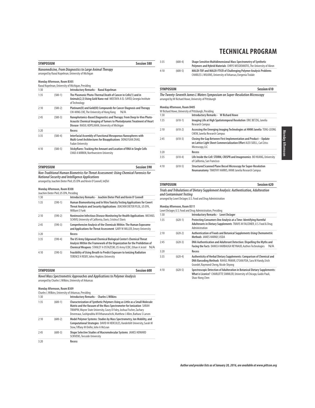Monday Afternoor Monday Afternoon

| <b>Session 580</b><br><b>SYMPOSIUM</b>                                                                       |                             |                                                                                                                                                                                                   |  |
|--------------------------------------------------------------------------------------------------------------|-----------------------------|---------------------------------------------------------------------------------------------------------------------------------------------------------------------------------------------------|--|
| Nanomedicine, From Diagnostics to Large Animal Therapy<br>arranged by Raoul Kopelman, University of Michigan |                             |                                                                                                                                                                                                   |  |
|                                                                                                              | Monday Afternoon, Room B305 | Raoul Kopelman, University of Michigan, Presiding                                                                                                                                                 |  |
| 1:30                                                                                                         |                             | <b>Introductory Remarks - Raoul Kopelman</b>                                                                                                                                                      |  |
| 1:35                                                                                                         | $(580-1)$                   | The Plasmonic Photo-Thermal Death of Cancer in Cells(1) and in<br>Animals(2,3) Using Gold Nano-rod MOSTAFA A EL-SAYED, Georgia Institute<br>of Technology                                         |  |
| 2:10                                                                                                         | $(580-2)$                   | Platinum(II) and Gold(III) Compounds for Cancer Diagnosis and Therapy<br>CHI-MING CHE. The University of Hong Kong<br>N/A                                                                         |  |
| 2:45                                                                                                         | $(580-3)$                   | Nanophotonics-Based Diagnostics and Therapy: From Deep In-Vivo Photo-<br>Acoustic Chemical Imaging of Tumors to Photodynamic Treatment of Heart<br>Disease RAOUL KOPELMAN, University of Michigan |  |
| 3:20                                                                                                         |                             | Recess                                                                                                                                                                                            |  |
| 3:35                                                                                                         | $(580-4)$                   | Interfacial Assembly of Functional Mesoporous Nanospheres with<br>Multi-Level Architectures for Bioapplications DONGYUAN ZHAO,<br><b>Fudan University</b>                                         |  |
| 4:10                                                                                                         | $(580-5)$                   | Stickyflares: Tracking the Amount and Location of RNA in Single Cells<br><b>CHAD A MIRKIN. Northwestern University</b>                                                                            |  |
| <b>SYMPOSIUM</b>                                                                                             |                             | <b>Session 590</b>                                                                                                                                                                                |  |

**Non-Traditional Human Biometrics for Threat Assessment: Using Chemical Forensics for National Security and Intelligence Applications** arranged by Joachim Dieter Pleil, US EPA and Kevin O'Connell, InQTel

**Monday Afternoon, Room B308**

|      | Joachim Dieter Pleil, US EPA, Presiding |                                                                                                                                                                                                                         |  |  |  |
|------|-----------------------------------------|-------------------------------------------------------------------------------------------------------------------------------------------------------------------------------------------------------------------------|--|--|--|
| 1:30 |                                         | Introductory Remarks - Joachim Dieter Pleil and Kevin O' Connell                                                                                                                                                        |  |  |  |
| 1:35 | $(590-1)$                               | Human Biomonitoring and In Vitro Toxicity Testing Applications for Covert<br>Threat Analysis and Security Applications JOACHIM DIETER PLEIL, US EPA,<br>William E Funk                                                  |  |  |  |
| 2:10 | $(590-2)$                               | Noninvasive Infectious Disease Monitoring for Health Applications MICHAEL<br>SCHIVO, University of California, Davis, Cristina E Davis                                                                                  |  |  |  |
| 2:45 | $(590-3)$                               | Comprehensive Analysis of the Chemicals Within: The Human Exposome<br>and Applications for Threat Assessment GARY W MILLER, Emory University                                                                            |  |  |  |
| 3:20 |                                         | Recess                                                                                                                                                                                                                  |  |  |  |
| 3:35 | $(590-4)$                               | The US Army Edgewood Chemical Biological Center's Chemical Threat<br>Analysis Within the Framework of the Organization for the Prohibition of<br>Chemical Weapons STANLEY A OSTAZESKI, US Army ECBC, Ethan A Jestel N/A |  |  |  |
| 4:10 | $(590-5)$                               | Feasibility of Using Breath to Predict Exposure to Ionizing Radiation<br>TERENCE H RISBY, Johns Hopkins University                                                                                                      |  |  |  |

**SYMPOSIUM Session 600 Novel Mass Spectrometric Approaches and Applications to Polymer Analysis** arranged by Charles L Wilkins, University of Arkansas

### **Monday Afternoon, Room B309**

|      | Charles L Wilkins, University of Arkansas, Presiding |                                                                                                                                                                                                                                                                                                            |  |
|------|------------------------------------------------------|------------------------------------------------------------------------------------------------------------------------------------------------------------------------------------------------------------------------------------------------------------------------------------------------------------|--|
| 1:30 |                                                      | <b>Introductory Remarks - Charles L Wilkins</b>                                                                                                                                                                                                                                                            |  |
| 1:35 | $(600-1)$                                            | Characterization of Synthetic Polymers Using as Little as a Small Molecule<br>Matrix and the Vacuum of the Mass Spectrometer for Ionization SARAH<br>TRIMPIN, Wayne State University, Casey D Foley, Joshua Fischer, Zachary<br>Devereaux, Sashiprabha M Vithanarachchi, Matthew J Allen, Barbara S Larsen |  |
| 2:10 | $(600-2)$                                            | Model Polymer Systems: Studies by Mass Spectrometry, Ion Mobility, and<br>Computational Strategies DAVID M HERCULES, Vanderbilt University, Sarah M<br>Stow, Tiffany M Onifer, John A McLean                                                                                                               |  |
| 2:45 | $(600-3)$                                            | Shape Selective Studies of Macromolecular Systems JAMES HOWARD<br><b>SCRIVENS. Teesside University</b>                                                                                                                                                                                                     |  |
| 3:20 |                                                      | Recess                                                                                                                                                                                                                                                                                                     |  |

| 3:35 | $(600-4)$ | Shape Sensitive Multidimensional Mass Spectrometry of Synthetic<br>Polymers and Hybrid Materials CHRYS WESDEMIOTIS, The University of Akron |
|------|-----------|---------------------------------------------------------------------------------------------------------------------------------------------|
| 4:10 | $(600-5)$ | MALDI-TOF and MALDI-FTICR of Challenging Polymer Analysis Problems<br><b>CHARLES L WILKINS, University of Arkansas, Evegenia Tisdale</b>    |

### **SYMPOSIUM Session 610**

**The Twenty-Seventh James L Waters Symposium on Super-Resolution Microscopy** arranged by W Richard Howe, University of Pittsburgh

|      | Monday Afternoon, Room B405 | W Richard Howe, University of Pittsburgh, Presiding                                                                                                            |
|------|-----------------------------|----------------------------------------------------------------------------------------------------------------------------------------------------------------|
| 1:30 |                             | <b>Introductory Remarks - W Richard Howe</b>                                                                                                                   |
| 1:35 | $(610-1)$                   | Imaging Life at High Spatiotemporal Resolution ERIC BETZIG, Janelia<br><b>Research Campus</b>                                                                  |
| 2:10 | $(610-2)$                   | Accessing the Emerging Imaging Technologies at HHMI Janelia TENG-LEONG<br><b>CHEW. Janelia Research Campus</b>                                                 |
| 2:45 | $(610-3)$                   | Closing the Gap Between First Implementation and Product - Update<br>on Lattice Light Sheet Commercialization Effort ALEX SOELL, Carl Zeiss<br>Microscopy, LLC |
| 3:20 |                             | Recess                                                                                                                                                         |
| 3:35 | $(610-4)$                   | Life Inside the Cell: STORM, CRISPR and Imagenomics BO HUANG, University<br>of California. San Francisco                                                       |
| 4:10 | $(610-5)$                   | Structured Scanned Plane Bessel Microscopy for Super-Resolution<br>Neuroanatomy TIMOTHY HARRIS, HHMI Janelia Research Campus                                   |

**SYMPOSIUM Session 620** 

 $\overline{\phantom{a}}$ 

### **Trials and Tribulations of Dietary Supplement Analysis: Authentication, Adulteration and Contaminant Testing**

arranged by Lowri DeJager, U.S. Food and Drug Administration

### **Monday Afternoon, Room B311**

|      | MONGAY ATTEMPOON, KOOM B3 I I<br>Lowri DeJager, U.S. Food and Drug Administration, Presiding |                                                                                                                                                                                      |  |
|------|----------------------------------------------------------------------------------------------|--------------------------------------------------------------------------------------------------------------------------------------------------------------------------------------|--|
| 1:30 |                                                                                              | Introductory Remarks - Lowri DeJager                                                                                                                                                 |  |
| 1:35 | $(620-1)$                                                                                    | Protecting Consumers One Analysis at a Time: Identifying Harmful<br>Adulterants in Dietary Supplements TRAVIS M FALCONER, U.S. Food & Drug<br>Administration                         |  |
| 2:10 | $(620-2)$                                                                                    | Authentication of Foods and Botanical Supplements Using Chemometric<br>Methods JAMES HARNLY, USDA                                                                                    |  |
| 2:45 | $(620-3)$                                                                                    | DNA Authentication and Adulterant Detection: Dispelling the Myths and<br>Facing the Facts DANICA HARBAUGH REYNAUD, Authen Technologies<br>N/A                                        |  |
| 3:20 |                                                                                              | Recess                                                                                                                                                                               |  |
| 3:35 | $(620-4)$                                                                                    | Authenticity of Herbal Dietary Supplements: Comparison of Chemical and<br>DNA Barcoding Methods RAHUL PAWAR, CFSAN/FDA, Sara M Handy, Erich<br>Grundel, Raymond Cheng, Nicole Shyong |  |
| 4:10 | $(620-5)$                                                                                    | Spectroscopic Detection of Adulteration in Botanical Dietary Supplements:<br>What is Licorice? CHARLOTTE SIMMLER, University of Chicago, Guido Pauli,<br>Shao-Nong Chen              |  |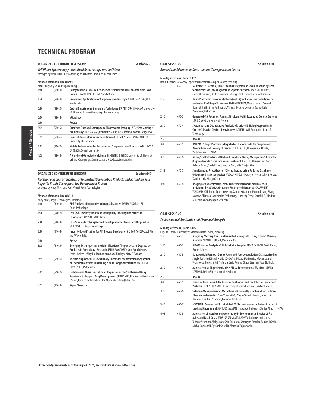| <b>ORGANIZED CONTRIBUTED SESSIONS</b>                                                                                                       |                                       |                                                                                                                                                       | Session 630 |
|---------------------------------------------------------------------------------------------------------------------------------------------|---------------------------------------|-------------------------------------------------------------------------------------------------------------------------------------------------------|-------------|
| Cell Phone Spectroscopy - Handheld Spectroscopy for the Citizen<br>arranged by Mark Druy, Druy Consulting and Richard Crocombe, PerkinElmer |                                       |                                                                                                                                                       |             |
|                                                                                                                                             | Monday Afternoon, Room B402           |                                                                                                                                                       |             |
|                                                                                                                                             | Mark Druy, Druy Consulting, Presiding |                                                                                                                                                       |             |
| 1:30                                                                                                                                        | $(630-1)$                             | Ready When You Are: Cell Phone Spectrometry When Cellcams Yield RAW<br>Data ALEXANDER SCHEELINE, SpectroClick                                         |             |
| 1:50                                                                                                                                        | $(630-2)$                             | Biomedical Applications of Cellphone Spectroscopy ANSHUMAN DAS, MIT<br>Media Lab                                                                      |             |
| 2:10                                                                                                                                        | $(630-3)$                             | Optical Smartphone Biosensing Techniques BRIAN T CUNNINGHAM, University<br>of Illinois at Urbana-Champaign, Kenneth Long                              |             |
| 2:30                                                                                                                                        | $(630-4)$                             | Withdrawn                                                                                                                                             |             |
| 2:50                                                                                                                                        |                                       | Recess                                                                                                                                                |             |
| 3:05                                                                                                                                        | $(630-5)$                             | Quantum Dots and Smartphone Fluorescence Imaging: A Perfect Marriage<br>for Bioassays RUSS ALGAR, University of British Columbia, Eleonora Petryayeva |             |
| 3:25                                                                                                                                        | $(630-6)$                             | Point-of-Care Colorimetric Detection with a Cell Phone JAN PAPAUTSKY.<br>University of Cincinnati                                                     |             |
| 3:45                                                                                                                                        | $(630-7)$                             | Mobile Technologies for Personalized Diagnostics and Global Health DAVID<br><b>ERICKSON, Cornell University</b>                                       |             |
| 4:05                                                                                                                                        | $(630-8)$                             | A Handheld Optoelectronic Nose KENNETH S SUSLICK, University of Illinois at<br>Urbana-Champaign, Zheng Li, Maria K LaGasse, Jon R Askim               |             |

**ORGANIZED CONTRIBUTED SESSIONS Session 640 Isolation and Characterization of Impurities/Degradation Product: Understanding Your Impurity Profile Throughout the Development Process** arranged by Andy Miles and Paul Wrezel, Regis Technologies

### **Monday Afternoon, Room B313**

|      | Andy Miles, Regis Technologies, Presiding |                                                                                                                                                                                                                               |
|------|-------------------------------------------|-------------------------------------------------------------------------------------------------------------------------------------------------------------------------------------------------------------------------------|
| 1:30 | $(640-1)$                                 | Risk Analysis of Impurities in Drug Substances DAN WEISSMUELLER,<br>Regis Technologies                                                                                                                                        |
| 1:50 | $(640-2)$                                 | Low level Impurity Isolations for Impurity Profiling and Structure<br>Elucidation TONY (QI) YAN, Pfizer                                                                                                                       |
| 2:10 | $(640-3)$                                 | Case Studies Involving Method Development for Trace-Level Impurities<br>PAUL WREZEL, Regis Technologies                                                                                                                       |
| 2:30 | $(640-4)$                                 | Impurity Identification for API Process Development ZHAO YANQUN, AbbVie,<br>Inc., Wayne Pritts                                                                                                                                |
| 2:50 |                                           | Recess                                                                                                                                                                                                                        |
| 3:05 | $(640-5)$                                 | Emerging Techniques for the Identification of Impurities and Degradation<br>Products in Agricultural Research JEFFRIE A GODBEY, Dow AgroSciences,<br>Jesse L Balcer, Jeffrey R Gilbert, Yelena A Adelfinskaya, Mary D Evenson |
| 3:25 | $(640-6)$                                 | The Development of SFC Stationary Phases for the Optimized Separation<br>of Chemical Mixtures Containing a Wide Range of Polarities MATTHEW<br>PRZYBYCIEL, ES Industries                                                      |
| 3:45 | $(640 - 7)$                               | Isolation and Characterization of Impurities in the Synthesis of Drug<br>Substance to Support Drug Development QIFENG XUE, Theravance Biopharma<br>US, Inc., Kanaka Hettiarachchi, Ken Ngim, Zhengtian (Titan) Gu             |
| 4:05 | $(640-8)$                                 | <b>Open Discussion</b>                                                                                                                                                                                                        |

### **ORAL SESSIONS Session 650 Biomedical: Advances in Detection and Therapeutics of Cancer**

**Monday Afternoon, Room B302**

|      |             | Rabih E Jabbour, US Army Edgewood Chemical Biological Center, Presiding                                                                                                                                                                                                                                                               |
|------|-------------|---------------------------------------------------------------------------------------------------------------------------------------------------------------------------------------------------------------------------------------------------------------------------------------------------------------------------------------|
| 1:30 | $(650-1)$   | KS-Detect: A Portable, Solar-Thermal, Polymerase Chain Reaction System<br>for the Point-of-Care Diagnosis of Kaposi's Sarcoma RYAN SNODGRASS,<br>Cornell University, Andrea Gardner, Li Jiang, Ethel Cesarman, David Erickson                                                                                                         |
| 1:50 | $(650-2)$   | Nano-Plasmonic Exosome Platform (nPLEX) for Label-Free Detection and<br>Molecular Profiling of Exosomes HYUNGSOON IM, Massachusetts General<br>Hospital, Huilin Shao, Park Yongil, Vanessa Peterson, Cesar M Castro, Ralph<br>Weissleder, Hakho Lee                                                                                   |
| 2:10 | $(650-3)$   | Generate DNA Aptamers Against Glypican 3 with Expanded Genetic Systems<br>LIOIN ZHANG. University of Florida                                                                                                                                                                                                                          |
| 2:30 | $(650-4)$   | Systematic and Quantitative Analysis of Surface N-Sialoglycoproteins in<br>Cancer Cells with Distinct Invasiveness RONGHU WU, Georgia Institute of<br>Technology                                                                                                                                                                      |
| 2:50 |             | Recess                                                                                                                                                                                                                                                                                                                                |
| 3:05 | $(650-5)$   | DNA "AND" Logic Platform Integrated on Nanoparticle for Programmed<br>Recognition and Therapy of Cancer ZHENBAO LIU, University of Florida,<br>N/A<br>Weihong Tan                                                                                                                                                                     |
| 3:25 | $(650-6)$   | A Core/Shell Structure of Reduced Graphene Oxide/ Mesoporous Silica with<br>Oligonucleotide Gates for Cancer Treatment XIAO LIU, University of North<br>Dakota, Xu Wu, Xuefei Zhang, Yugian Xing, Julia Xiaojun Zhao                                                                                                                  |
| 3:45 | $(650 - 7)$ | Simultaneous Photothermo-/Chemotherapy Using Reduced Graphene<br>Oxide Based Nanocomposites YUQIAN XING, University of North Dakota, Xu Wu,<br>Xiao Liu, Julia Xiaojun Zhao                                                                                                                                                           |
| 4:05 | $(650-8)$   | Imaging of Cancer Protein-Protein Interactions and Small Molecule<br>Inhibitions by a Surface Plasmon Resonance Microarray CHARUKSHA<br>WALGAMA, Oklahoma State University, Zainab Hussain Al Mubarak, Bing Zhang,<br>Mayowa Akinwale, Anuruddha Pathiranage, Junpeng Deng, Darrell K Berlin, Doris<br>M Benbrook, Sadagopan Krishnan |

### **ORAL SESSIONS Session 660**

### **Environmental Applications of Elemental Analysis**

**Monday Afternoon, Room B315**

|      |             | Eugene F Barry, University of Massachusetts Lowell, Presiding                                                                                                                                                                                                                           |     |
|------|-------------|-----------------------------------------------------------------------------------------------------------------------------------------------------------------------------------------------------------------------------------------------------------------------------------------|-----|
| 1:30 | $(660-1)$   | Analyzing Mercury from Contaminated Mining Sites Using a Direct Mercury<br>Analyzer SUMEDH PHATAK, Milestone Inc.                                                                                                                                                                       |     |
| 1:50 | $(660-2)$   | ICP-MS for the Analysis of High Salinity Samples ERICA CAHOON, PerkinElmer,<br>Daniel H Jones                                                                                                                                                                                           |     |
| 2:10 | $(660-3)$   | Nanoparticle Removal During Alum and Ferric Coagulation Characterized by<br>Single Particle ICP-MS ARIEL DONOVAN, Missouri University of Science and<br>Technology, Honglan Shi, Yinfa Ma, Craig Adams, Chady Stephan, Todd Eichholz                                                    |     |
| 2:30 | $(660-4)$   | Applications of Single Particle ICP-MS to Environmental Matrices CHADY<br>STEPHAN, PerkinElmer, Kenneth Neubauer                                                                                                                                                                        |     |
| 2:50 |             | Recess                                                                                                                                                                                                                                                                                  |     |
| 3:05 | $(660-5)$   | Issues in Deep Ocean LIBS: Internal Calibration and the Effect of Suspended<br>Particles JOSEPH BONVALLET, University of South Carolina, S Michael Angel                                                                                                                                |     |
| 3:25 | $(660-6)$   | Selective Measurement of Metal Ions at Covalently Functionalized Carbon-<br>Fiber Microelectrodes YUANYUAN YANG, Wayne State University, Ahmad A<br>Ibrahim, Jennifer L Stockdill, Parastoo Hashemi                                                                                     |     |
| 3:45 | $(660 - 7)$ | MWCNT/Bi Composite Film Modified PGE for Voltammetric Determination of<br>Lead and Cadmium YESIM TUGCE YAMAN, Hacettepe University, Serdar Abaci                                                                                                                                        | N/A |
| 4:05 | $(660-8)$   | Application of Mössbauer spectrometry in Environmental Studies of Fly<br>Ashes and Road Dusts TADEUSZ SZUMIATA, RADWAG Balances and Scales,<br>Tadeusz Szumiata, Malgorzata Gzik-Szumiata, Katarzyna Brzozka, Bogumil Gorka,<br>Michal Gawronski, Ryszard Swietlik, Marzena Trojanowska |     |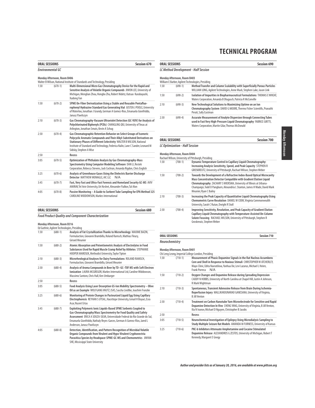| Session 670<br><b>ORAL SESSIONS</b> |                             |                                                                                                                                                                                                                                                                                                                                      |  |  |
|-------------------------------------|-----------------------------|--------------------------------------------------------------------------------------------------------------------------------------------------------------------------------------------------------------------------------------------------------------------------------------------------------------------------------------|--|--|
|                                     | <b>Fnvironmental GC</b>     |                                                                                                                                                                                                                                                                                                                                      |  |  |
|                                     | Monday Afternoon, Room B406 | Walter B Wilson, National Institute of Standards and Technology, Presiding                                                                                                                                                                                                                                                           |  |  |
| 1:30                                | $(670-1)$                   | Multi-Dimensional Micro Gas Chromatography Device for the Rapid and<br>Sensitive Analysis of Volatile Organic Compounds JIWON LEE, University of<br>Michigan, Menglian Zhou, Hongbo Zhu, Robert Nidetz, Katsuo Kurabayashi,<br>Xudong Fan                                                                                            |  |  |
| 1:50                                | $(670-2)$                   | SPME On-Fiber Derivatization Using a Stable and Reusable Pentafluo-<br>rophenyl Hydrazine Standard Gas Generating Vial JUSTEN J POOLE, University<br>of Waterloo, Jonathan J Grandy, German A Gomez-Rios, Emanuela Gionfriddo,<br>Janusz Pawliszyn                                                                                   |  |  |
| 2:10                                | $(670-3)$                   | Gas Chromatography-Vacuum Ultraviolet Detection (GC-VUV) for Analysis of<br>Polychlorinated Biphenyls (PCBs) CHANGLING QIU, University of Texas at<br>Arlington, Jonathan Smuts, Kevin A Schug                                                                                                                                       |  |  |
| 2:30                                | $(670-4)$                   | Gas Chromatographic Retention Behavior on Select Groups of Isomeric<br>Polycyclic Aromatic Compounds and Their Alkyl-Substituted Derivatives on<br>Stationary Phases of Different Selectivity WALTER B WILSON, National<br>Institute of Standard and Technology, Federica Nalin, Lane C Sander, Leonard M<br>Sidisky, Stephen A Wise |  |  |
| 2:50                                |                             | Recess                                                                                                                                                                                                                                                                                                                               |  |  |
| 3:05                                | $(670-5)$                   | Optimization of Phthalate Analysis by Gas Chromatography-Mass<br>Spectrometry Using Computer Modeling Software DAN LI, Restek<br>Corporation, Rebecca Stevens, Jack Cochran, Amanda Rigdon, Chris English                                                                                                                            |  |  |
| 3:25                                | $(670-6)$                   | Analysis of Greenhouse Gases Using the Dielectric Barrier Discharge<br>Detector MATTHEW MONAGLE, AIC LLC<br>N/A                                                                                                                                                                                                                      |  |  |
| 3:45                                | $(670 - 7)$                 | Fast, Very Fast and Ultra-Fast Forensic and Homeland Security GC-MS AVIV<br>AMIRAV, Tel Aviv University, Uri Keshet, Alexander Fialkov, Tal Alon                                                                                                                                                                                     |  |  |
| 4:05                                | $(670-8)$                   | Passive Monitoring - A Guide to Sorbent Tube Sampling for EPA Method 325<br><b>CAROLINE WIDDOWSON. Markes International</b>                                                                                                                                                                                                          |  |  |

### **ORAL SESSIONS** Session 680

### **Food Product Quality and Component Characterization**

### **Monday Afternoon, Room B316**

|      | Ed Guthrie, Agilent Technologies, Presiding |                                                                                                                                                                                                                                                                                                                              |
|------|---------------------------------------------|------------------------------------------------------------------------------------------------------------------------------------------------------------------------------------------------------------------------------------------------------------------------------------------------------------------------------|
| 1:30 | $(680-1)$                                   | Analysis of Fat Crystallization Thanks to Microrheology MAXIME BAZIN,<br>Formulaction, Giovanni Brambilla, Roland Ramsch, Mathias Fleury,<br>Gérard Meunier                                                                                                                                                                  |
| 1:50 | $(680-2)$                                   | Atomic Absorption and Potentiometric Analysis of Electrolytes in Food<br>Substances Used for Rapid Muscle Cramp Relief by Athletes STEPHANIE<br>HOOPER MAROSEK, Methodist University, Taylor Tipton                                                                                                                          |
| 2:10 | $(680-3)$                                   | Microrheological Analyses for Dairy Formulations ROLAND RAMSCH,<br>Formulaction, Giovanni Brambilla, Gérard Meunier                                                                                                                                                                                                          |
| 2:30 | $(680-4)$                                   | Analysis of Aroma Compounds in Beer by TD-GC-TOF MS with Soft Electron<br>Ionization LAURA MCGREGOR, Markes International Ltd, Caroline Widdowson,<br>Massimo Santoro, Chris Hall, Ken Umbarger                                                                                                                              |
| 2:50 |                                             | Recess                                                                                                                                                                                                                                                                                                                       |
| 3:05 | $(680-5)$                                   | Food Analysis Using Laser Desorption GS-Ion Mobility Spectrometry - Olive<br>Oil as an Example WOLFGANG VAUTZ, ISAS, Sascha Liedtke, Joachim Franzke                                                                                                                                                                         |
| 3:25 | $(680-6)$                                   | Monitoring of Protein Changes in Pasteurized Liquid Egg Using Capillary<br>Electrophoresis REYHAN S UYSAL, Hacettepe University, Ismail H Boyaci, Esra<br>Acar. Nusret Ertas                                                                                                                                                 |
| 3:45 | $(680 - 7)$                                 | Exploiting Polymeric Ionic Liquids-Based SPME Sorbents Coupled to<br>Gas-Chromatography/Mass Spectrometry for Food Quality and Safety<br>Assessment ERICA A SOUZA-SILVA, Universidade Federal do Rio Grande do Sul,<br>Emanuela Gionfriddo, Nathaly Reyes-Garces, German A Gomez-Rios, Jared L<br>Anderson, Janusz Pawliszyn |
| 4:05 | $(680-8)$                                   | Detection, Identification, and Pattern Recognition of Microbial Volatile<br>Organic Compounds from Virulent and Hypo-Virulent Cryphonectria<br>Parasitica Species by Headspace-SPME-GC-MS and Chemometrics JINYAN<br>SHE, Mississippi State University                                                                       |

|      | Monday Afternoon, Room B403 | William E Barber, Agilent Technologies, Presiding                                                                                                                                                 |
|------|-----------------------------|---------------------------------------------------------------------------------------------------------------------------------------------------------------------------------------------------|
| 1:30 | $(690-1)$                   | Method Transfer and Column Scalability with Superficially Porous Particles<br>WILLIAM LONG, Agilent Technologies, Anne Mack, Stephen Luke, Jason Link                                             |
| 1:50 | $(690-2)$                   | Isolation of Impurities in Biopharmaceutical Formulations THOMAS E WHEAT,<br>Waters Corporation, Amanda B Dlugasch, Patricia R McConville                                                         |
| 2:10 | $(690-3)$                   | New Technological Solutions to Maximizing Uptime on an Ion<br>Chromatography System DAVID G MOORE, Thermo Fisher Scientific, Pranathi<br>Perati, Sally Eastman                                    |
| 2:30 | $(690-4)$                   | Accurate Measurement of Analyte Dispersion through Connecting Tubes<br>used in Fast Very High-Pressure Liquid Chromatography FABRICE GRITTI,<br>Waters Corporation, Martin Gilar, Thomas McDonald |

**ORAL SESSIONS Session 690**

## **ORAL SESSIONS** Session 700

### **LC Optimization - Half Session**

|  | Monday Afternoon, Koom B404 |  |  |
|--|-----------------------------|--|--|
|--|-----------------------------|--|--|

| Monday Afternoon, Room B404<br>Rachael Wilson, University of Pittsburgh, Presiding |           |                                                                                                                                                                                                                                                                                                                               |
|------------------------------------------------------------------------------------|-----------|-------------------------------------------------------------------------------------------------------------------------------------------------------------------------------------------------------------------------------------------------------------------------------------------------------------------------------|
| 1:30                                                                               | $(700-1)$ | Dynamic Temperature Control in Capillary Liquid Chromatography:<br>Increasing Analysis Sensitivity, Speed, and Peak Capacity STEPHEN R<br>GROSKREUTZ, University of Pittsburgh, Rachael Wilson, Stephen Weber                                                                                                                 |
| 1:50                                                                               | $(700-2)$ | Towards the Development of a Refractive Index-Based Optical Microcavity<br>Mass Concentration Detector Compatible with Gradient Elution Liquid<br>Chromatography ZACHARY S WIERSMA, University of Illinois at Urbana-<br>Champaign, Todd O Pangburn, Alexandria L Stanton, James H Wade, David Mark<br>Meunier, Ryan C Bailey |
| 2:10                                                                               | $(700-3)$ | Increasing the Peak Capacity of Quantitative Liquid Chromatography Using<br>Chemometric Curve Resolution DANIEL W COOK, Virginia Commonwealth<br>University, Sarah C Rutan, Dwight R Stoll                                                                                                                                    |
| 2:30                                                                               | $(700-4)$ | Improving Sensitivity, Resolution, and Peak Capacity of Gradient Elution<br>Capillary Liquid Chromatography with Temperature-Assisted On-Column<br>Solute Focusing RACHAEL WILSON, University of Pittsburgh, Stephen R<br>Groskreutz, Stephen Weber                                                                           |

### **ORAL SESSIONS** Session 710

### **Neurochemistry Monday Afternoon, Room B401** Chi Leng Leong, Imperial College London, Presiding

| 1:30 | $(710-1)$ | Measurement of Phasic Dopamine Signals in the Rat Nucleus Accumbens<br>Core and Shell in Response to Noxious Stimuli CHRISTOPHER W ATCHERLEY,<br>Mayo Clinic, Edita Navratilova, Yanhua Xie, Levi Lazarus, Michael L Heien,<br>Frank Porreca<br>N/A |
|------|-----------|-----------------------------------------------------------------------------------------------------------------------------------------------------------------------------------------------------------------------------------------------------|
| 1:50 | $(710-2)$ | Oxygen Changes and Dopamine Release during Spreading Depression<br>CADDY N HOBBS, University of North Carolina at Chapel Hill, Justin A Johnson,<br>R Mark Wightman                                                                                 |
| 2:10 | $(710-3)$ | Spontaneous, Transient Adenosine Release from Brain During Ischemia-<br>Reperfusion Injury MALLIKARJUNARAO GANESANA, University of Virginia,<br><b>B</b> Jill Venton                                                                                |
| 2:30 | $(710-4)$ | Treatment on Carbon Nanotube Yarn Microelectrode for Sensitive and Rapid<br>Dopamine Detection In Vivo CHENG YANG, University of Virginia, B Jill Venton,<br>Ilia N Ivanov, Michael D Nguyen, Christopher B Jacobs                                  |
| 2:50 |           | Recess                                                                                                                                                                                                                                              |
| 3:05 | $(710-5)$ | Neurochemical Investigation of Epilepsy Using Microdialysis Sampling to<br>Study Multiple Seizure Rat Models AMANDA M FURNESS, University of Kansas                                                                                                 |
| 3:25 | $(710-6)$ | PKC-b Inhibitors Attenuate Amphetamine and Cocaine Stimulated<br>Dopamine Release ALEXANDROS G ZESTOS, University of Michigan, Robert T<br>Kennedy, Margaret E Gnegy                                                                                |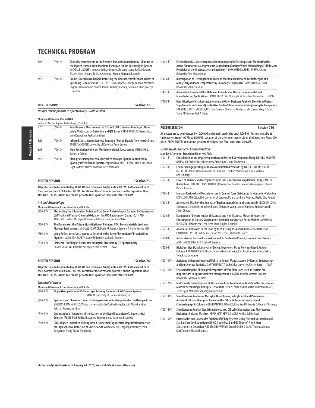| $(710-7)$<br>3:45 |           | Clinical Measurements at the Bedside: Dynamic Neurochemical Changes in<br>the Injured Human Brain Monitored Using an Online Microdialysis System<br>MICHELLE L ROGERS. Imperial College London. Chi Leng Leong. Sally A Gowers.<br>Sharon Jewell, Shumaila Khan, Anthony J Strong, Martyn G Boutelle |
|-------------------|-----------|------------------------------------------------------------------------------------------------------------------------------------------------------------------------------------------------------------------------------------------------------------------------------------------------------|
| 4:05              | $(710-8)$ | Online Clinical Microdialysis: Detecting the Neurochemical Consequences of<br>Spreading Depolarization CHI LENG LEONG, Imperial College London, Michelle L.<br>Rogers, Sally A Gowers, Sharon Jewell, Anthony J Strong, Shumaila Khan, Martyn<br>G Boutelle                                          |

|   |        | <b>ORAL SESSIONS</b> |  | <b>Session 720</b> |
|---|--------|----------------------|--|--------------------|
| . | $\sim$ |                      |  |                    |

**Unique Developments in Spectroscopy - Half Session**

### **Monday Afternoon, Room B403**

|      | William E Barber, Agilent Technologies, Presiding |                                                                                                                                                                                                |  |  |  |
|------|---------------------------------------------------|------------------------------------------------------------------------------------------------------------------------------------------------------------------------------------------------|--|--|--|
| 3:05 | $(720-1)$                                         | Simultaneous Measurement of N <sub>2</sub> O and CH4 Emissions from Agriculture<br>Using Photoacoustic Detection and QCL Laser ARTO BRANDERS, Gasera Ltd.,<br>Ismo Kauppinen, Jaakko Lehtinen  |  |  |  |
| 3:25 | $(720-2)$                                         | Infrared Spectroscopic Remote Sensing of Pulsed Signals from Nearby Stars<br>ROBERT A LODDER, University of Kentucky, Anne Brooks                                                              |  |  |  |
| 3:45 | $(720-3)$                                         | High Resolution Coherent Multidimensional Spectroscopy PETER CHEN,<br>Spelman College                                                                                                          |  |  |  |
| 4:05 | $(720-4)$                                         | Biologics Starting Materials Identified through Opaque Containers by<br>Spatially Offset Raman Spectroscopy (SORS) MATTHEW BLOOMFIELD, Cobalt<br>Light Systems, Darren Andrews, Pavel Matousek |  |  |  |

| <b>POSTER SESSION</b>                                                                                | Session 730 |
|------------------------------------------------------------------------------------------------------|-------------|
| All posters are to be mounted by 10:00 AM and remain on display until 4:00 PM. Authors must be at    |             |
| their posters from 1:00 PM to 3:00 PM. Location of the afternoon posters is on the Exposition Floor, |             |
| 400 Aisle, PLEASE NOTE: You cannot get onto the Exposition Floor until after 9:00 AM.                |             |

#### **Art and Archaeology**

**Monday Afternoon, Exposition Floor, 400 Aisle**

| $(730-1)$  | Maximizing the Information Obtained from Small Archaeological Samples by Sequencing<br>DART-MS and Plasma-Chemical Oxidation for AMS Radiocarbon Dating RUTH ANN<br>ARMITAGE, Eastern Michigan University, Kathryn Jakes, Suzanne Baker |
|------------|-----------------------------------------------------------------------------------------------------------------------------------------------------------------------------------------------------------------------------------------|
| $(730-2P)$ | The Dose Makes the Poison: Quantitation of Pollutant VOCs From Materials Used in A<br>Museum Environment MICHAEL J SAMIDE, Butler University, Gregory D Smith, Jericha Mill                                                             |
| $(730-3P)$ | Using Reflectance Spectroscopy to Determine the Rate of Formation of Prussian Blue<br>Piament JACOB APPLEGARTH, Butler University, Michael J Samide                                                                                     |

(730-4 P) **Elemental Profiling of Archaeometallurgical Artefacts by ICP Spectrometry**  SANDA RONCEVIC. University of Zagreb, Ivan Nemet N/A

#### **POSTER SESSION Session 740**

**All posters are to be mounted by 10:00 AM and remain on display until 4:00 PM. Authors must be at their posters from 1:00 PM to 3:00 PM. Location of the afternoon posters is on the Exposition Floor, 400 Aisle. PLEASE NOTE: You cannot get onto the Exposition Floor until after 9:00 AM.**

#### **Chemical Methods**

|              | Monday Afternoon, Exposition Floor, 400 Aisle                                                                                                                                                                  |  |  |
|--------------|----------------------------------------------------------------------------------------------------------------------------------------------------------------------------------------------------------------|--|--|
| $(740-1)$ P) | Single Nanoparticle to 3D Supercage: Framing for an Artificial Enzyme System<br>REN CAI, University of Florida, Weihong Tan                                                                                    |  |  |
| $(740-2)$ P) | Synthesis and Characterization of Superparamagnetic Manganese Ferrite Nanoparticles<br>SIMONAS RAMANAVICIUS, Vilnius University, Marija Kurtinaitiene, Kestutis Mazeika, Vidas<br>Pakstas, Arunas Jagminas     |  |  |
| $(740-3)$ P) | Optimization of Ibuprofen Micronization by the Rapid Expansion of a Supercritical<br>Solution (RESS) ROLF SCHLAKE, Applied Separations, Al Kaziunas, Brian Day                                                 |  |  |
| $(740-4)$    | DNA-Aligner-Controlled Nicking-Based Isothermal Exponential Amplification Reaction<br>for High Sensitive Detection of Nucleic Acids WU WANGHUA, Zhejiang University, Zhou<br>Jianguang, Zhang Tao, Yu Dongdong |  |  |

| $(740-5)$ P) | Electrochemical, Spectroscopic and Chromatographic Techniques for Monitoring the        |
|--------------|-----------------------------------------------------------------------------------------|
|              | Active Pharmaceutical Ingredients Degradation Kinetics: Which Methodology Fulfills More |
|              | Principles of the Green Analytical Chemistry? MOHAMED K ABD EL-RAHMAN. Cairo            |
|              | University, Amr M Mahmoud                                                               |

- (740-6 P) **Investigation of Heterogeneous Reaction Mechanism Between Formaldehyde and MnO2/CeO2 at Room Temperature by Gas Analysis Approach** HAYASHI HIROKI, Tokai University, Sekine Yoshika
- (740-7 P) **Automated, Low-Level Distillation of Phenolics for Use in Environmental and Manufacturing Applications** BRANT HOEKSTRA, OI Analytical, Jonathan Howerton N/A
- (740-8 P) **Identification of 6-chlorotestosterone and Other Designer Anabolic Steroids in Dietary Supplements with Semi-Quantitative Content Determination Using Surrogate Compounds** SARAH ELIZABETH VOELKER, U.S. FDA, Forensic Chemistry Center, Lisa M Lorenz, Mary B Jones, Travis M Falconer, Rick A Flurer

### **POSTER SESSION Session 750**

**All posters are to be mounted by 10:00 AM and remain on display until 4:00 PM. Authors must be at their posters from 1:00 PM to 3:00 PM. Location of the afternoon posters is on the Exposition Floor, 400 Aisle. PLEASE NOTE: You cannot get onto the Exposition Floor until after 9:00 AM.**

#### **Commercial Products Characterization**

**Monday Afternoon, Exposition Floor, 400 Aisle**

- (750-1 P) **Considerations in Sample Preparation and Method Development Using ICP-OES** KENNETH NEUBAUER, PerkinElmer, Nick Spivey, Stan Smith, Laura Thompson
- (750-2 P) **Chemical Fingerprinting of Tobacco and Related Products by TD–GC–TOF MS** LAURA MCGREGOR, Markes International Ltd, Chris Hall, Caroline Widdowson, Nicola Watson, Ken Umbarger (750-3 P) **Levels of Mercury and Methylmercury in Fish (Prochilodus Magdalenae) Ayapel Marsh (Colombia)** EDINELDO LANS CEBALLOS, University of Cordoba, Mauricio Lora Agamez, Amira Padilla Jimenez (750-4 P) **Mercury Residual and Methylmercury in Canned Tuna Distributed in Monteria –Colombia** EDINELDO LANS CEBALLOS, University of Cordoba, Mauro Lombana Agamez, Basilio Diaz Pogutá
- (750-5 P) **Automated SPME for the Analysis of Environmental Contaminants in Milk** NICOLE M LOCK, Shimadzu Scientific Instruments, Robert Clifford, Di Wang, Laura Chambers, Brahm Prakash, Shilpi Chopra
- (750-6 P) **Estimation of Dietary Intake of Essential and Non-Essential Metals through the Consumption of Dietary Supplements Available on Nigerian Retail Market** IMAOBONG UDOUSORO, University of Uyo, Ikem Abua, Olujide T Akinbo
- (750-7 P) **Analysis of Aflatoxins in Pet Food by UHPLC Using PDA and Fluorescence Detection** CATHARINE LAYTON, PerkinElmer, Jason Weisenseel, Wilhad M Reuter
- (750-8 P) **Antioxidant Activity of Flavored Tea and Its Content of Phenol, Flavonoid and Tannins**  ABD EL-MONEIM M AFIFY, Cairo University
- (750-9 P) **High Sensitive LC/MS Analysis of Stevia Sweeteners Using Polymer-Based Amino Column** RONALD BENSON, Shodex/Showa Denko America, Inc., Junji Sasuga, Satoko Sakai, Tomokazu Umezawa
- (750-10 P) **Assigning Unknown Fingernail Polish to Known Manufacturers by Raman Spectroscopy** and Multivariate Statistics GARY H NAISBITT, Utah Valley University, Kelsey Hartt N/A
- (750-11 P) **Characterizing the Rheological Properties of Wax Emulsions used as Carriers for Biopesticides in Agricultural Pest Management** KRISTEN JORDAN, Western Carolina University, Cynthia Atterholt
- (750-12 P) **Multivariate Quantification of API Release from Combination Tablets in the Presence of Matrix Effects Using Fiber Optic Dissolution** JOSEPH MEDENDORP, Vertex Pharmaceuticals, Taryn Ryan, Mahidhar Shapally, Ivelisse Colon
- (750-13 P) **Simultaneous Analysis of Methylisothiazolinone, Salicylic Acid and Parabens in Antidandruff Hair Shampoos by Monolithic Silica High-performance Liquid Chromatographic Column** ABDULRAHMAN ALMAJED, King Saud Univesriy, College of Pharmacy
- (750-14 P) **Simultaneous Analysis Red Wine Absorbance, CIE Lab Color Indices and Fluorescence Excitation-Emission Matrices** ADAM MATTHEW GILMORE, Horiba, Sakiko Akaji
- (750-15 P) **Extractables and Leachables Analysis of IV Bag Systems Using Thermal Desorption and Stir Bar Sorptive Extraction with GC Single Quad and GC Time-of-Flight Mass Spectrometric Detection** ANDREAS HOFFMANN, Gerstel GmbH & Co.KG, Thomas Albinus, Kurt Thaxton, Elizabeth Almasi

Monday Afternoon Monday Afternoon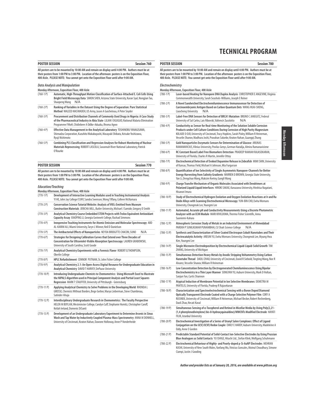| <b>POSTER SESSION</b> |                                                                                                                                                                                                                                                                                                    | Session 760 |
|-----------------------|----------------------------------------------------------------------------------------------------------------------------------------------------------------------------------------------------------------------------------------------------------------------------------------------------|-------------|
|                       | All posters are to be mounted by 10:00 AM and remain on display until 4:00 PM. Authors must be at<br>their posters from 1:00 PM to 3:00 PM. Location of the afternoon posters is on the Exposition Floor,<br>400 Aisle. PLEASE NOTE: You cannot get onto the Exposition Floor until after 9:00 AM. |             |
|                       | <b>Data Analysis and Manipulation</b>                                                                                                                                                                                                                                                              |             |
|                       | Monday Afternoon, Exposition Floor, 400 Aisle                                                                                                                                                                                                                                                      |             |
| $(760-1)$             | Automatic, High-Throughput Motion Classification of Surface-Attached E. Coli Cells Using<br>Bright Field Microscopy Data SIMON SHEN, Arizona State University, Karan Syal, Nongjian Tao,<br>Shaopeng Wang<br>N/A                                                                                   |             |
| $(760-2)$ P)          | Ranking of Variables in the Dataset Using the Degree of Separation: Pure Statistical<br>Method WALEED MASWADEH, US Army, Jason A Guicheteau, A Peter Snyder                                                                                                                                        |             |
| $(760-3)$ P)          | Procurement and Distribution Channels of Commonly Used Drugs in Nigeria: A Case Study<br>of the Pharmaceutical Industry in Abia State LILIAN I OGUGUO, National Malaria Elimination<br>Programme FMoH, Chidiebere A Odike-Aduaka, Ifeoma Agwo                                                      |             |
| $(760-4P)$            | Effective Data Management in the Analytical Laboratory TOSHINOBU YANAGISAWA,<br>Shimadzu Corporation, Kazuhito Wakabayashi, Masayuki Shibata, Keisuke Yoshizawa,<br>Ryuji Nishimoto                                                                                                                |             |
| $(760-5P)$            | Combining PLS Classification and Regression Analyses for Robust Monitoring of Nuclear<br>Materials Reprocessing ROBERT LASCOLA, Savannah River National Laboratory, Patrick<br>O'Rourke                                                                                                            |             |

| <b>POSTER SESSION</b>                                                                                                                                                                 | Session 770 |
|---------------------------------------------------------------------------------------------------------------------------------------------------------------------------------------|-------------|
| All posters are to be mounted by 10:00 AM and remain on display until 4:00 PM. Authors must be at<br>,我们也不会有什么?""我们,我们也不会有什么?""我们,我们也不会有什么?""我们,我们也不会有什么?""我们,我们也不会有什么?""我们,我们也不会有什么? |             |

**All posters are to be mounted by 10:00 AM and remain on display until 4:00 PM. Authors must be at their posters from 1:00 PM to 3:00 PM. Location of the afternoon posters is on the Exposition Floor, 400 Aisle. PLEASE NOTE: You cannot get onto the Exposition Floor until after 9:00 AM.**

### **Education/Teaching**

| Monday Afternoon, Exposition Floor, 400 Aisle |  |  |
|-----------------------------------------------|--|--|

| $(770-1)$    | Development of Interactive Learning Modules used in Teaching Instrumental Analysis<br>YI HE, John Jay College/CUNY, Sandra Swenson, Wong Tiffany, Colleen McNamara                                                                                       |  |  |  |
|--------------|----------------------------------------------------------------------------------------------------------------------------------------------------------------------------------------------------------------------------------------------------------|--|--|--|
| $(770-2)$ P) | <b>Conservation Science Tutorial Website: Analysis of VOCs Emitted from Museum</b><br>Construction Materials JERICHA MILL, Butler University, Michael J Samide, Gregory D Smith                                                                          |  |  |  |
| $(770-3)$ P) | Analytical Chemistry Course Embedded STEM Projects with Trolox Equivalent Antioxidant<br>Capacity Assay XIAOPING LI, Georgia Gwinnett College, Rashad Simmons                                                                                            |  |  |  |
| $(770-4)$    | Inexpensive Teaching Instruments for Atomic Emission and Molecular Spectroscopy ABD<br>AL-KARIM ALI, Miami University, Taryn L Winner, Neil D Danielson                                                                                                  |  |  |  |
| $(770-5P)$   | The Antibacterial Effects of Nanoparticles NEYDA BRIDGITTE CHACON, SUNO<br>N/A                                                                                                                                                                           |  |  |  |
| $(770-6)$ P) | Strategies for Designing Calibration Curves that Extend over Three Decades of<br>Concentration for Ultraviolet-Visible Absorption Spectroscopy LAUREN GRABOWSKI,<br>University of South Carolina, Scott Goode                                            |  |  |  |
| $(770 - 7P)$ | Analytical Chemistry Experiments with a Forensic Flavor ROBERT Q THOMPSON,<br><b>Oberlin College</b>                                                                                                                                                     |  |  |  |
| $(770-8)$ P) | HPLC Refurbishment CONNOR PUTNAM, St. John Fisher College                                                                                                                                                                                                |  |  |  |
| $(770-9)$ P) | Analytical Chemistry 2.1: An Open-Access Digital Resource for Undergraduate Education in<br>Analytical Chemistry DAVID T HARVEY, DePauw University                                                                                                       |  |  |  |
| $(770-10P)$  | Introducing Undergraduate Chemists to Chemometrics: Using Microsoft Excel to Illustrate<br>the NIPALS Algorithm used in Principal Component Analysis and Partial Least Squares<br>Regression MARK T STAUFFER, University of Pittsburgh - Greensburg      |  |  |  |
| $(770-11P)$  | Applying Analytical Chemistry to Solve Problems in the Developing World RHONDA L<br>GROSSE, Chemists Without Borders, Bego Gerber, Marya Lieberman, Steve Chambreau,<br>Satinder Ahuia                                                                   |  |  |  |
| $(770-12P)$  | Interdisciplinary Undergraduate Research in Chemometrics: The Faculty Perspective<br>HELEN M BOYLAN, Westminster College, Carolyn Cuff, Stephanie Homitz, Christopher Caroff,<br>Keilah Ireland, Domenic DiSanti                                         |  |  |  |
| $(770-13 P)$ | Development of an Undergraduate Laboratory Experiment to Determine Arsenic in Sinus<br>Wash and Tap Water by Inductively Coupled Plasma-Mass Spectrometry ANNA M DONNELL,<br>University of Cincinnati, Keaton Nahan, Dawone Holloway, Anne P Vonderheide |  |  |  |

### **POSTER SESSION Session 780**

**All posters are to be mounted by 10:00 AM and remain on display until 4:00 PM. Authors must be at their posters from 1:00 PM to 3:00 PM. Location of the afternoon posters is on the Exposition Floor, 400 Aisle. PLEASE NOTE: You cannot get onto the Exposition Floor until after 9:00 AM.**

### **Electrochemistry**

| LICLUVLIICIIIIJU Y |                                                                                                                                                                                                                                                                                                                                                    |
|--------------------|----------------------------------------------------------------------------------------------------------------------------------------------------------------------------------------------------------------------------------------------------------------------------------------------------------------------------------------------------|
| $(780-1)$          | Monday Afternoon, Exposition Floor, 400 Aisle<br>Laser-based Heating for Nanopore DNA Duplex Analysis CHRISTOPHER E ANGEVINE, Virginia<br>Commonwealth University, Sarah Seashols-Williams, Joseph E Reiner                                                                                                                                        |
| $(780-2)$ P)       | A Novel Sandwiched Electrochemiluminescence Immunosensor for Detection of<br>Carcinoembryonic Antigen Based on Carbon Quantum Dots WANG HUAI-SHENG,<br>Liaocheng University<br>N/A                                                                                                                                                                 |
| $(780-3)$ P)       | Label-Free DNA Sensors for Detection of BRCA1 Mutation BRUNO C JANEGITZ, Federal<br>University of Sal Carlos, Lais Ribovski, Valtencir Zucolotto<br>N/A                                                                                                                                                                                            |
| $(780 - 4P)$       | Conductivity as Sensor for Real-time Monitoring of the Solution Soluble Corrosion<br>Products under Cell Culture Conditions During Corrosion of High Purity Magnesium<br>KOLADE O OJO, University of Cincinnati, Tracy Hopkins, Sarah Pixley, William R Heineman,<br>Vesselin Shanov, Madhura Joshi, Pravahan Salunke, Keaton Nahan, Guangqi Zhang |
| $(780-5P)$         | Gold Nanoparticles Enzymatic Sensors for Determination of Glucose ARUNAS<br>RAMANAVICIUS, Vilnius University, Povilas Genys, German Natalija, Almira Ramanaviciene                                                                                                                                                                                 |
| $(780-6)$          | RC Constant Based Label Free Biomarkers Detection PRADEEP RAMIAH RAJASEKARAN,<br>University of Florida, Charles R Martin, Jennifer Ottoy                                                                                                                                                                                                           |
| $(780 - 7)$        | Electrochemical Detection of Evoked Dopamine Release in Zebrafish MIMI SHIN, University<br>of Kansas, Thomas Field, Michael A Johnson, Mia Furgurson                                                                                                                                                                                               |
| $(780 - 8P)$       | Quantification of Ion Selectivity of Single Asymmetric Nanopore-Channels for Better<br>Energy Harvesting from Salinity Gradients WARREN D BROWN, Georgia State University,<br>Yan Li, Dengchao Wang, Maksim Kvetny, Gangli Wang                                                                                                                    |
| $(780-9P)$         | Charge Transfer Mechanism of Organic Molecules Associated with Dendrimers at<br>Polarized Liquid/Liquid Interfaces HIROKI SAKAE, Kanazawa University, Hirohisa Nagatani,<br>Hisanori Imura                                                                                                                                                         |
| $(780-10P)$        | Study of Electrochemical Hydrogen Evolution and Oxygen Evolution Reactions at Ir and Ru<br>Oxide Alloys with Scanning Electrochemical Microscopy YUN-BIN CHO, Ewha Womans<br>University, Chongmok Lee, Youngmi Lee                                                                                                                                 |
| $(780-11P)$        | Automated, Accurate pH and Conductivity Measurements Using a Discrete Photometric<br>Analyzer with an ECM Module MARI KIVILUOMA, Thermo Fisher Scientific, Annu<br>Suoniemi-Kahara                                                                                                                                                                 |
| $(780-12P)$        | Atmospheric Corrosion Study of Metals in an Industrial Environment of Ahmedabad<br>PAREKH P SUNILKUMAR PUNAMBHAI, CU Shah Science College<br>N/A                                                                                                                                                                                                   |
| $(780-13 P)$       | Synthesis and Characterization of Silver Coated Electrospun Cobalt Nanotubes and Their<br>Electrocatalytic Activity AREUM YU, Ewha Womans University, Chongmok Lee, Myung Hwa<br>Kim, Youngmi Lee                                                                                                                                                  |
| $(780-14P)$        | Single Microwire Electrodeposition by Electrochemical Liquid-Liquid-Solid Growth TIM<br>ZHANG, University of Michigan                                                                                                                                                                                                                              |
| $(780-15P)$        | Simultaneous Detection Heavy Metals by Anodic Stripping Voltammetry Using Carbon<br>Nanotube Thread DAOLI ZHAO, University of Cincinnati, David R Siebold, Tingting Wang, Noe R<br>Alvarez, Vesselin Shanov, William R Heineman                                                                                                                    |
| $(780-16P)$        | Low Concentration Detection by Electrogenerated Chemiluminescence Using Bipolar<br>Electrochemistry in a Thin Layer Manner SONGYAN YU, Auburn University, Mark D Holtan,<br>Sanjun Fan, Curtis Shannon                                                                                                                                             |
| $(780-17P)$        | Atypical Induction of Membrane Potential in Ion Selective Membranes DEMETRA M<br>PANTELIS, University of Florida, Pradeep R Rajasekaran                                                                                                                                                                                                            |
| $(780-18P)$        | Characterization and Spectroelectrochemical Sensing with a Boron Doped Diamond<br>Optically Transparent Electrode Coated with a Charge Selective Polymer Film CORY A<br>RUSINEK, University of Cincinnati, William R Heineman, Michael Becker, Robert Rechenberg,<br>Daoli Zhao, Necati Kaval                                                      |
| $(780-19P)$        | Simultaneous Sensing of a-Tocopherol and Retinol in Micellar Media by Using Poly(2,21-<br>(1,4 phenylenedivinylene) bis-8-hydroxyquinaldine)/MWCNTs Modified Electrode HAYATI<br>FILIK, Istanbul University                                                                                                                                        |
| $(780-20P)$        | Electrochemical Investigation of a Series of Uranyl Salen Complexes: Effect of Ligand<br>Conjugation on the U(V)/U(VI) Redox Couple EMILY E HARDY, Auburn University, Madeleine A<br>Eddy, Anne E Gorden                                                                                                                                           |
| $(780-21)$ P)      | Predictable Standard Potential of Solid-Contact Ion-Selective Electrodes by Using Prussian<br>Blue Analogues as Solid Contacts YU ISHIGE, Hitachi Ltd., Stefan Klink, Wolfgang Schuhmann                                                                                                                                                           |
| $(780 - 22P)$      | Electrochemical Behaviour of Highly- and Poorly-doped p-Si-AuNP Electrodes MEHRAN                                                                                                                                                                                                                                                                  |

(780-22 P) **Electrochemical Behaviour of Highly- and Poorly-doped p-Si-AuNP Electrodes** MEHRAN KASHI, University of New South Wales, Yanfang Wu, Vinicius Goncales, Moinul Choudhury, Simone Ciampi, Justin J Gooding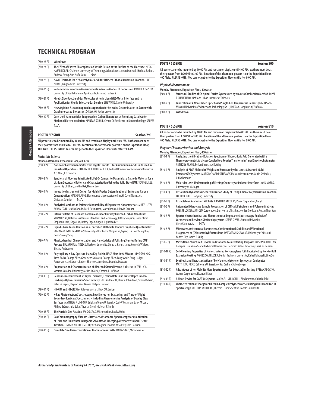(780-23 P) **Withdrawn** 

| $(780 - 23)$ P)          | Withdrawn                                                                                                                                                                                                                                                                                                                                           |
|--------------------------|-----------------------------------------------------------------------------------------------------------------------------------------------------------------------------------------------------------------------------------------------------------------------------------------------------------------------------------------------------|
| $(780-24P)$              | The Effect of Excited Fluorophore on Vesicle Fusion at the Surface of the Electrode NEDA<br>NAJAFINOBAR, Chalmers University of Technology, Jelena Lovric, Johan Dunevall, Hoda M Fathali,<br>Andrew Ewing, Ann-Sofie Cans<br>N/A                                                                                                                   |
| $(780-25P)$              | Novel Electrode PtCr/PAA (Polyamic Acid) for Efficient Ethanol Oxidation Reaction JING<br><b>ZHANG, Binghamton University</b>                                                                                                                                                                                                                       |
| $(780 - 26)$             | Voltammetric Serotonin Measurements in Mouse Models of Depression RACHEL A SAYLOR,<br>University of South Carolina, Aya Abdalla, Parastoo Hashemi                                                                                                                                                                                                   |
| $(780-27P)$              | Kinetic Size-Spectra of Gas Molecules at Ionic Liquid (IL)-Metal Interface and Its<br>Application for Highly Selective Gas Sensing ZHE WANG, Xavier University                                                                                                                                                                                      |
| $(780 - 28P)$            | New Arginine-Acetaminophen Incorporation for Selective Determination in Serum with<br>Graphene-based Biosensor ZHE WANG, Xavier University                                                                                                                                                                                                          |
| $(780-29P)$              | Core-shell Nanoparticles Supported on Carbon Nanotubes as Promising Catalyst for<br>Methanol Electro-oxidation MANZAR SOHAIL, Center Of Excellence In Nanotechnology, KFUPM<br>N/A                                                                                                                                                                  |
| <b>POSTER SESSION</b>    | <b>Session 790</b>                                                                                                                                                                                                                                                                                                                                  |
| <b>Materials Science</b> | All posters are to be mounted by 10:00 AM and remain on display until 4:00 PM. Authors must be at<br>their posters from 1:00 PM to 3:00 PM. Location of the afternoon posters is on the Exposition Floor,<br>400 Aisle. PLEASE NOTE: You cannot get onto the Exposition Floor until after 9:00 AM.<br>Monday Afternoon, Exposition Floor, 400 Aisle |
| $(790-1)$                | Non-Toxic Corrosion Inhibitor from Tagetes Patula L. for Aluminum in Acid Fluids used in<br>Industrial Operations OLUSEGUN KEHINDE ABIOLA, Federal University of Petroleum Resources,<br>A O Aliyu, E E Elemike                                                                                                                                     |
| $(790 - 2P)$             | Synthesis of Fluorine Substituted LiFeBO <sub>3</sub> Composite Material as a Cathode Material for a<br>Lithium Secondary Battery and Characterization Using the Solid State NMR YOUNGIL LEE,<br>University of Ulsan, JaeMin Bak, Hansol Lee                                                                                                        |
| $(790-3)$ P)             | Innovative Instrument Design for Highly Precise Determination of Sulfur and Carbon                                                                                                                                                                                                                                                                  |

|              | Monday Afternoon, Exposition Floor, 400 Aisle                                                                                                                                                                                                                                                                               |
|--------------|-----------------------------------------------------------------------------------------------------------------------------------------------------------------------------------------------------------------------------------------------------------------------------------------------------------------------------|
| $(790-1)$    | Non-Toxic Corrosion Inhibitor from Tagetes Patula L. for Aluminum in Acid Fluids used in<br>Industrial Operations OLUSEGUN KEHINDE ABIOLA, Federal University of Petroleum Resources,<br>A O Aliyu, E E Elemike                                                                                                             |
| $(790 - 2P)$ | Synthesis of Fluorine Substituted LiFeBO <sub>3</sub> Composite Material as a Cathode Material for a<br>Lithium Secondary Battery and Characterization Using the Solid State NMR YOUNGIL LEE,<br>University of Ulsan, JaeMin Bak, Hansol Lee                                                                                |
| $(790-3)$ P) | Innovative Instrument Design for Highly Precise Determination of Sulfur and Carbon<br>Concentration MARKUS JUNG, Elementar Analysensysteme GmbH, David Nennstiel,<br>Christian Schmidt<br>N/A                                                                                                                               |
| $(790 - 4P)$ | Analytical Methods to Estimate Biodurability of Engineered Nanomaterials MARY-LUYZA<br>AVRAMESCU, Health Canada, Pat E Rasmussen, Marc Chénier, H David Gardner                                                                                                                                                             |
| $(790-5P)$   | Intensity Ratio of Resonant Raman Modes for Chirality Enriched Carbon Nanotubes<br>YANMEI PIAO, National Institute of Standards and Technology, Jeffrey Simpson, Jason Streit,<br>Stephanie Lam, Geyou Ao, Jeffrey Fagan, Angela Hight Walker                                                                               |
| $(790-6)$    | Liquid-Phase Laser Ablation as a Controlled Method to Produce Graphene Quantum Dots<br>ROSEMARY LYNN EASTERDAY, University of Kentucky, Wenjin Cao, Yiyang Liu, Doo Young Kim,<br>Dong-Sheng Yang                                                                                                                           |
| $(790 - 7)$  | Physicochemical Characterization and Nanotoxicity of Polishing Slurries During CMP<br>Process EDUARD DUMITRESCU, Clarkson University, Dinusha Karunaratne, Kenneth Wallace,<br>Silvana Andreescu                                                                                                                            |
| $(790-8)$ P) | Polycapillary X-Ray Optics to Play a Key Role in NASA Mars 2020 Mission NING GAO, XOS,<br>Jared Sachs, George Allen, Genevieve DeMarco, George Allen, Larry Wade, Peng Lu, Igor<br>Ponomarev, Jay Burdett, Robert Sharrow, Jaime Luna, Douglas Dawson                                                                       |
| $(790-9P)$   | Preparation and Characterization of Bleached Ground Peanut Hulls HOLLY TRULUCK,<br>Western Carolina University, Melisa J Glatte, Carmen L Huffman                                                                                                                                                                           |
| $(790-10P)$  | Real Time Measurement of Layer Thickness, Erosion Rates and Crater Depth in Glow<br>Discharge Optical Emission Spectrometry SOFIA GAIASCHI, Horiba Jobin Yvon, Simon Richard,<br>Patrick Chapon, Kayvon Savadkouei, Philippe Hunault                                                                                        |
| $(790-11P)$  | HH-XRF and HH-LIBS for Alloy Analysis JIYAN GU, Bruker                                                                                                                                                                                                                                                                      |
| $(790-12 P)$ | X-Ray Photoelectron Spectroscopy, Low Energy Ion Scattering, and Time-of-Flight<br>Secondary Ion Mass Spectrometry, including Chemometrics Analysis, of Display Glass<br>Surfaces MATTHEW R LINFORD, Brigham Young University, Cody V Cushman, Barry M Lunt,<br>Philipp Brüner, Julia Zakel, Thomas Grehl, Nicholas J Smith |
| $(790-13 P)$ | The Particle Size Paradox JACK G SAAD, Micromeritics, Paul A Webb                                                                                                                                                                                                                                                           |
| $(790-14P)$  | Gas Chromatography-Vacuum Ultraviolet Absorbance Spectroscopy for Quantitation<br>of Trace and Bulk Water in Organic Solvents: An Emerging Alternative to Karl Fischer<br>Titration LINDSEY NICHOLE SHEAR, VUV Analytics, Leonard M Sidisky, Dale Harrison                                                                  |
| $(790-15)$   | Complete Size Characterization of Diatomaceous Earth JACK G SAAD, Micromeritics                                                                                                                                                                                                                                             |

#### **POSTER SESSION Session 800**

**All posters are to be mounted by 10:00 AM and remain on display until 4:00 PM. Authors must be at their posters from 1:00 PM to 3:00 PM. Location of the afternoon posters is on the Exposition Floor, 400 Aisle. PLEASE NOTE: You cannot get onto the Exposition Floor until after 9:00 AM.**

#### **Physical Measurements**

- **Monday Afternoon, Exposition Floor, 400 Aisle Structural Studies of Co-Spinel Ferrite Synthesized by an Auto Combustion Method DIPAL** P CHAUDHARY, Mehsana Urban Institute of Sciences
- (800-2 P) **Fabrication of A Novel Fiber-Optic based Single-Cell Temperature Sensor** QINGBO YANG, Missouri University of Science and Technology, Ke Li, Hai Xiao, Honglan Shi, Yinfa Ma (800-3 P) **Withdrawn**
- 

### **POSTER SESSION Session 810**

**All posters are to be mounted by 10:00 AM and remain on display until 4:00 PM. Authors must be at their posters from 1:00 PM to 3:00 PM. Location of the afternoon posters is on the Exposition Floor, 400 Aisle. PLEASE NOTE: You cannot get onto the Exposition Floor until after 9:00 AM.**

**Polymer Characterization and Analysis**

- **Monday Afternoon, Exposition Floor, 400 Aisle** (810-1 P) **Analyzing the Vibration-Rotation Spectrum of Hydrochloric Acid Generated with a Thermogravimetric Analyzer Coupled to a Fourier Transform Infrared Spectrophotometer**  ANTHONY J LANG, PerkinElmer, Jack Botting (810-2 P) **Analysis of PLGA Molecular Weight and Structure by the Latest Advanced Multi-Detector GPC Systems** MARK RICHARD POTHECARY, Malvern Instruments, Carrie Schindler, Ulf Nobbmann (810-3 P) **Molecular Level Understanding of Etching Chemistry at Polymer Interfaces** JOHN MYERS, University of Michigan (810-4 P) **Dissolution Dynamic Nuclear Polarization Study of Living Anionic Polymerization Reaction**  YOUNGBOK LEE, Hanyang University (810-5 P) **Extractables Analysis of SPE Frits** KIRSTEN KINNEBERG, Porex Corporation, Gary Li (810-6 P) **Automated Microwave Sample Preparation of Difficult Petroleum and Polymer Matrices** ROBERT LOCKERMAN, CEM Corporation, Dan Iversen, Tina Restivo, Ian Goldstein, Austin Thornton (810-7 P) **Spectroelectrochemical and Electrochemical Impedance Spectroscopy Analysis of Coronene and Perylene Dimide Copolymers** SAMIR C PAUL, Auburn University, Vince Cammarata (810-8 P) **Microwave, r0 Structural Parameters, Conformational Stability and Vibrational Assignment of (Chloromethyl)fluorosilane** DATTATRAY K SAWANT, University of Missouri Kansas City, James R Durig (810-9 P) **Micro/Nano-Structured Flexible Foils for Anti-Counterfeiting Purposes** NASTASIA OKULOVA, Danapak Flexibles A/S and Technical University of Denmak, Rafael Taboryski, Lars Christensen (810-10 P) **Self-Cleaning Properties of Nanostructured Polypropylene Foils Fabricated by Roll-to-Roll Extrusion Coating** AGNIESZKA TELECKA, Danish Technical University, Rafael Taboryski, Ling Sun (810-11 P) **Synthesis and Characterization of Poly(p-methylstyrene) Spiropyran Conjugates** MATTHEW J PRICE, California University of PA, Zachary Sullenberger (810-12 P) **Advantages of Ion Mobility Mass Spectrometry for Extractables Testing** BAIBA CABOVSKA, Waters Corporation, Eleanor Riches (810-13 P) **A Novel Device for DART-MS System** MICHAEL J CHURCHILL, BioChromato, Chikako Takei
- (810-14 P) **Characterization of Inorganic Fillers in Complex Polymer Matrices Using Mid-IR and Far-IR Spectroscopy** WILLIAM WIHLBORG, Thermo Fisher Scientific, Ronald Rubinovitz

Monday Afternoon Monday Afternoon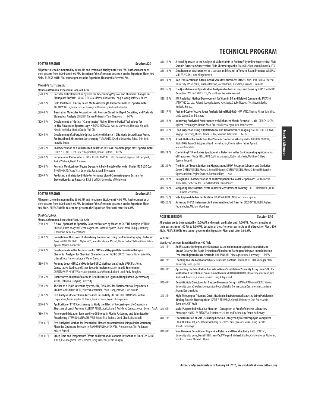| <b>POSTER SESSION</b> |  |  |  | <b>Session 820</b> |
|-----------------------|--|--|--|--------------------|
|                       |  |  |  |                    |

**All posters are to be mounted by 10:00 AM and remain on display until 4:00 PM. Authors must be at their posters from 1:00 PM to 3:00 PM. Location of the afternoon posters is on the Exposition Floor, 400 Aisle. PLEASE NOTE: You cannot get onto the Exposition Floor until after 9:00 AM.**

#### **Portable Instruments**

|              | Monday Afternoon, Exposition Floor, 400 Aisle                                                                                                                                                                    |
|--------------|------------------------------------------------------------------------------------------------------------------------------------------------------------------------------------------------------------------|
| $(820-1)$    | Portable Optical Detection System for Determining Physical and Chemical Changes on<br>Bioimplant Surfaces DONALD BENZA, Clemson University, Fenglin Wang, Jeffrey N Anker                                        |
| $(820 - 2P)$ | Field-Portable LED Array Based Multi-Wavelength Photothermal Lens Spectrometer<br>MICAH W ELLER, Tennessee Technological University, Andrew Callender                                                            |
| $(820-3P)$   | Translating Molecular Recognition into Pressure Signal for Rapid, Sensitive, and Portable<br>Biomedical Analysis ZHI ZHU, Xiamen University, Yang Chaoyong<br>N/A                                                |
| $(820 - 4P)$ | Development of Optical "Clamp-meter" Using Silicone Optical Technology for<br>In-Situ Absorption Spectroscopy HIROAKI NOMADA, Kyushu University, Hirokazu Hiquchi,<br>Hiroaki Yoshioka, Morita Kinichi, Yuji Oki |
| $(820 - 5P)$ | Development of a Portable Optical Cavity to Enhance 1-GHz Mode-Locked Laser Pulses<br>for Broadband Absorption Spectroscopy YUTARO ITO, Kyushu University, Zaitsu Shin-ichi,<br>Imasaka Totaro                   |
| $(820-6P)$   | Characterization of a Miniaturized Benchtop Fast Gas Chromatograph Mass Spectrometer<br>COREY STEDWELL, 1st Detect Corporation, Daniel DeBord<br>N/A                                                             |
| $(820 - 7)$  | Enzymes and Photometers ELLEN RUTH CAMPBELL, NECi Superior Enzymes, Bill Campbell,<br>Justin Walbeck, David A Squires                                                                                            |
| $(820 - 8P)$ | Personal Monitoring of Ozone Exposure: A Fully Portable Device for Under \$150 USD Cost<br>TINGTING CAO, Texas Tech University, Jonathan E Thompson                                                              |
| (920.00)     | <b>Droducing a Miniaturized High Devformance Liquid Chromatography System for</b>                                                                                                                                |

(820-9 P) **Producing a Miniaturized High-Performance Liquid Chromatography System for Exploration-Based Research** KYLE B LYNCH, University of Oklahoma

### **POSTER SESSION Session 830**

**All posters are to be mounted by 10:00 AM and remain on display until 4:00 PM. Authors must be at their posters from 1:00 PM to 3:00 PM. Location of the afternoon posters is on the Exposition Floor, 400 Aisle. PLEASE NOTE: You cannot get onto the Exposition Floor until after 9:00 AM.**

#### **Quality/QA/QC**

|              | Monday Afternoon, Exposition Floor, 400 Aisle                                                                                                                                                                                          |
|--------------|----------------------------------------------------------------------------------------------------------------------------------------------------------------------------------------------------------------------------------------|
| $(830-1)$    | A Novel Approach to Specialty Gas Certifications by Means of GC/FTIR Analysis PETER P<br>BEHNKE, Prism Analytical Technologies, Inc., Martin L Spartz, Charles Mark Phillips, Anthony<br>S Bonanno, Kelly R McPartland                 |
| $(830-2)$    | Evaluation of the Flavor of Strawberry Preparation Using Gas Chromatography Electronic<br>Nose ANDREW COWELL, Alpha MOS, Jean-Christophe Mifsud, Herve Lechat, Valérie Vabre, Fatma<br>Ayouni, Marion Bonnefille                       |
| $(830-3)$ P) | Developments in the Automatism for CHNS and Oxygen Determination Using an<br>Elemental Analyzer for Chemical Characterization GUIDO GIAZZI, Thermo Fisher Scientific,<br>Liliana Krotz, Francesco Leone, Walter Galotta                |
| $(830 - 4P)$ | Running Legacy HPLC and Optimized UPLC Methods on a Single UPLC Platform,<br>Comparative Studies and Steps Towards Implementation in a QC Environment<br>CHRISTOPHER HENRY, Waters Corporation, Mark Wrona, Richard Ladd, Andy Boughey |
| $(830 - 5P)$ | Quantitative Analysis of Calcite in Desulfurization Gypsum Using Raman Spectroscopy<br>YOUNG TAEK MA, Hanyang University                                                                                                               |
| $(830-6P)$   | The Use of a Triple Detection System, (UV, ELSD, MS) for Pharmaceutical Degradation<br>Studies AARON D PHOEBE, Waters Corporation, Paula Hong, Patricia R McConville                                                                   |
| $(830 - 7)$  | Fast Analysis of Short Chain Fatty Acids in Feeds By SFC/MS JINCHUAN YANG, Waters<br>Corporation, Carrie Snyder, BJ Bench, Jessica Lance, Jayant Shringarpure                                                                          |
| $(830-8)$    | Application of FTIR Spectroscopy to Study the Effect of Processing on the Secondary<br>Structure of Lentil Proteins ALBERTA ARYEE, Agriculture & Agri-Food Canada, Joyce I Boye<br>N/A                                                 |
| $(830-9P)$   | Accelerated Oxidation Tests on Olive Oil Stored in Plastic Packaging and Submitted to<br>Autoclaving STEFANO CASIRAGHI, VELP Scientifica, Stefania Corti, Claudia Mancinelli                                                           |
| $(830-10P)$  | Fast Analytical Method for Essential Oil Flavor Characterization Using a Polar Stationary<br>Phase for Optimized Selectivity RAMKUMAR DHANDAPANI, Phenomenex, Tim Anderson,<br>Kristen Parnell                                         |
|              |                                                                                                                                                                                                                                        |

(830-11 P) **Steep Time and Temperature Effects on Flavor and Flavonoid Extraction of Black Tea** ANNE JUREK, EST Analytical, Lindsey Pyron, Kelly Cravenor, Justin Murphy

|             | Sample Extraction/Supercritical Fluid Chromatography QIANG LI, Shimadzu (China) Co., LTD                                                                                                   |
|-------------|--------------------------------------------------------------------------------------------------------------------------------------------------------------------------------------------|
| $(830-13P)$ | Simultaneous Measurement of L-Lactate and Ethanol in Tomato-Based Products WILLIAM<br>MILLER, YSI, Inc, June Klingensmith                                                                  |
| $(830-14P)$ | Iron Translocation in Adzuki Beans Sprouts: Enrichment Effects ALINE POLIVEIRA, Federal<br>University of São Paulo, Juliana Naozuka, Alexandrina C Carvalho, Cassiana S Nomura             |
| $(830-15P)$ | The Qualitative and Quantitative Analysis of a-Acids in Hops and Beers by UHPLC with UV<br>Detection WILHAD M REUTER, PerkinElmer, Jason Weisenseel                                        |
| $(830-16P)$ | SFC Analytical Method Development for Vitamin D3 and Related Compounds TAKASHI<br>SATO, YMC Co., Ltd., Roland Spaegele, Junko Kawabata, Saoko Nozawa, Toshikazu Adachi,<br>Noritaka Kuroda |
| $(830-17P)$ | Fast and Cost-effective Sugar Analysis Using HPAE-PAD HUA YANG, Thermo Fisher Scientific,<br>Linda Lopez, David G Moore                                                                    |
| $(830-18P)$ | Improving Analytical Performance with Enhanced Matrix Removal - Lipid DERICK LUCAS,<br>Agilent Technologies, Limian Zhao, Bruce Richter, Megan Juck, Joan Stevens                          |
| $(830-19P)$ | Food Inspection Using NIR Reflectance and Transmittance Imaging SATORU TSUCHIKAWA,                                                                                                         |

(830-12 P) **A Novel Approach to the Analysis of Multivitamin in Foodstuff by Online Supercritical Fluid**

- Nagoya University, Hikaru Kobori, Te Ma, Norihisa Katayama N/A (830-20 P) **A Fast Method for Predicting the Phenolic Content of Whisky Malts** ANDREW COWELL,
- Alpha MOS, Jean-Christophe Mifsud, Herve Lechat, Valérie Vabre, Fatma Ayouni, Marion Bonnefille
- (830-21 P) **Combining FTIR and Mass Spectrometric Detection in the Gas Chromatographic Analysis of Fragrances** TRACY PHILLPOTT, DANI Instruments, Roberta Lariccia, Matthew S Klee, Daniele Recenti
- (830-22 P) **The Effect of Food Additives on Hippocampus NMDA Receptor Subunits and Oxidative Stress** ZAFER YONDEN, Mustafa Kemal University ZAFER YONDEN, Mustafa Kemal University, Oguzhan Ozcan, Yeşim Göçmen, Namık Delibaş N/A
- (830-23 P) **Holographic Characterization of Multicomponent Colloidal Suspensions** JAROSLAW M BLUSEWICZ, Spheryx, Inc., David B Ruffner, Laura Philips
- (830-24 P) **Mitigating Electrostatic Effects Improves Measurement Accuracy** GREG GUMKOWSKI, NRD LLC, Arnold Steinman
- (830-25 P) **Safe Approach to Gas Purification** BRIAN WARRICK, ARM, Inc, Daniel Spohn
- (830-26 P) **Advanced UHPLC Instrument to Instrument Method Transfer** GREGORY HUNLEN, Agilent Technologies, Michael Woodman

#### **POSTER SESSION Session 840**

**All posters are to be mounted by 10:00 AM and remain on display until 4:00 PM. Authors must be at their posters from 1:00 PM to 3:00 PM. Location of the afternoon posters is on the Exposition Floor, 400 Aisle. PLEASE NOTE: You cannot get onto the Exposition Floor until after 9:00 AM.**

#### **Sensors**

| Monday Afternoon, Exposition Floor, 400 Aisle |                                                                                      |     |  |  |  |  |
|-----------------------------------------------|--------------------------------------------------------------------------------------|-----|--|--|--|--|
| $(840-1)$                                     | An Ultrasensitive Impedance Biosensor based on Immunomagnetic Separation and         |     |  |  |  |  |
|                                               | Urease Catalysis for Rapid Detection of Foodborne Pathogens Using an Immobilization- |     |  |  |  |  |
|                                               | Free Interdigitated Microelectrode LIN JIANHAN, China Agricultural University        | N/A |  |  |  |  |

- (840-2 P) **Enabling Tools to Combat Antibiotic Resistant Bacteria** ANDREW HELLER, Michigan State University, Dana Spence
- (840-3 P) **Optimizing the Scintillation Cascade in Nano-Scintillation Proximity Assay (nanoSPA) for Multiplexed Detection of Small Biomolecules** ZEINAB MOKHTARI, University of Arizona, Isen Andrew C Calderon, Colleen Janczak, Craig A Aspinwall
- (840-4 P) **Dendritic Gold Structures for Glucose Biosensor Design** ALMIRA RAMANAVICIENE, Vilnius University, Laura Sakalauskiene, Anton Popov, Natalija German, Asta Kausaite-Minkstimiene, Arunas Ramanavicius
- (840-5 P) **High-Throughput Thiamine Quantification in Environmental Matrices Using Periplasmic-Binding Protein Biorecognition** KATIE A EDWARDS, Cornell University, Seth Feder, Antje J Baeumner, Cliff Kraft
- (840-6 P) **Multi-Purpose Individual Air Monitor Conception to Proof of Concept Laboratory Prototype** NICHOLAS FITZGERALD, Defence Science and Technology Group, Karl Pavey
	- (840-7 P) **Characterization of Self-Oscillating Reaction Catalyzed by Metal Porphyrin Complexes** TAKASHI ARIMURA, AIST Interdisciplinary Research Center, Masaru Mukai, Jung Hee Do, Kenichi Tominaga
	- (840-8 P) **Simultaneous Detection of Dopamine Release and Neural Activity** KATE L PARENT, University of Arizona, Daniel F Hill, Jean-Paul Wiegand, Michael A Miller, Christopher W Atcherley, Stephen Cowen, Michael L Heien

**Author and presider lists as of January 20, 2016, are available at www.pittcon.org** 

### **TECHNICAL PROGRAM**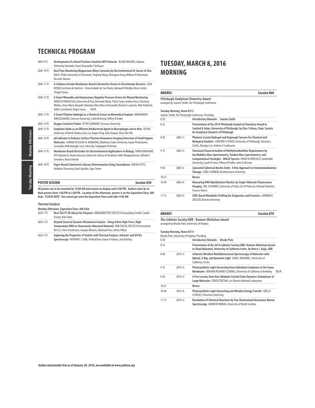| $(840-9P)$            | Development of a Novel Position-Sensitive MCP Detector BLAKE WIGGINS, Indiana<br>University, Davinder Siwal, Romualdo T deSouza                                                                                                                                                                                               |
|-----------------------|-------------------------------------------------------------------------------------------------------------------------------------------------------------------------------------------------------------------------------------------------------------------------------------------------------------------------------|
| $(840-10P)$           | Real Time Monitoring Magnesium Alloys Corrosion by Electrochemical H2 Sensor In Vivo<br>DAOLI ZHAO, University of Cincinnati, Tingting Wang, Zhongyun Dong, William R Heineman,<br><b>Vesselin Shanov</b>                                                                                                                     |
| $(840-11P)$           | A Cellulose Acetate Membrane-Based Colorimetric Device to Discriminate Bacteria LIGIA<br>BUENO, Instituto de Química - Universidade de Sao Paulo, Subrayal M Reddy, Alison Cottel,<br>Thiago Paixao                                                                                                                           |
| $(840-12P)$           | A Smart Wearable and Autonomous Negative Pressure Device for Wound Monitoring<br>FABIO DI FRANCESCO, Università di Pisa, Bernardo Melai, Pietro Salvo, Andrea Pucci, Vincenzo<br>Mollica, Anna Maria Raspolli, Valentina Dini, Marco Romanelli, Beatrice Lazzerini, Aldo Paolicchi,<br>Valter Castelvetro, Roger Fuoco<br>N/A |
| $(840-13 P)$          | A Smart Polymer Hydrogel as a Chemical Sensor on Biomedical Implant MOHAMMED<br>ARIFUZZAMAN, Clemson University, Caleb Behrend, Jeffrey N Anker                                                                                                                                                                               |
| $(840-14P)$           | Oxygen Sensitive Probes PETER GENNARO, Clemson University                                                                                                                                                                                                                                                                     |
| $(840-15)$            | Graphene Oxide as an Efficient Antibacterial Agent in Macrophages and in Mice XUWU,<br>University of North Dakota, Xiao Liu, Yugian Xing, Julia Xiaojun Zhao, Min Wu                                                                                                                                                          |
| $(840-16P)$           | pH Indicator to Enhance Surface Plasmon Resonance Imaging Detection of Small Organic<br>Molecules ZAINAB HUSSAIN AL MUBARAK, Oklahoma State University, Gayan Premaratne,<br>Cassandra Rodenbaugh, Lucy Lehoczky, Sadagopan Krishnan                                                                                          |
| $(840-17P)$           | Membrane Based Electrodes for Electrochemical Applications in Biology TANYA BAKMAND,<br>DTU Nanotech, Dorota Kwasny, Fatima Al-Zahraa Al Atraktchi, Helle Waagepetersen, Winnie E<br>Svendsen, Maria Dimaki                                                                                                                   |
| $(840-18P)$           | Paper-Based Colorimetric Glucose Determination Using Smartphone HAKAN CIFTCI,<br>Kirikkale University, Nazlı Ayyıldız, Ugur Tamer                                                                                                                                                                                             |
| <b>POSTER SESSION</b> | <b>Session 850</b>                                                                                                                                                                                                                                                                                                            |
|                       | All posters are to be mounted by 10:00 AM and remain on display until 4:00 PM. Authors must be at<br>the benefictive from 1.00 BM to 3.00 BM. In cost of the officers of contents on the Free of the Floor 400                                                                                                                |

All posters are to be mounted by 10:00 AM and remain on display until 4:00 PM. Authors must be at<br>their posters from 1:00 PM to 3:00 PM. Location of the afternoon posters is on the Exposition Floor, 400<br>Aisle. PLEASE N

### **Thermal Analysis**

|           | Monday Afternoon, Exposition Floor, 400 Aisle                                                                                                                                                                                             |
|-----------|-------------------------------------------------------------------------------------------------------------------------------------------------------------------------------------------------------------------------------------------|
| $(850-1)$ | New TGA-FT-IR Library for Polymers EKKEHARD POST, NETZSCH Geraetebau GmbH, Carolin<br>Fischer, Bob Fidler                                                                                                                                 |
| $(850-2)$ | Bevond Classical Dynamic Mechanical Analysis - Using A New High-Force, High-<br>Temperature DMA to Characterize Advanced Materials BOB FIDLER, NETZSCH Instruments<br>NA LLC. Horst Deckmann, Juergen Blumm, Ekkehard Post, Tobias Pflock |

(850-3 P) **Exploring the Properties of Textiles with Thermal Analysis, Infrared and UV/Vis Spectroscopy** ANTHONY J LANG, PerkinElmer, Aaron H Adams, Jack Botting

### **TUESDAY, MARCH 8, 2016 MORNING**

### **AWARDS Session 860 Pittsburgh Analytical Chemistry Award** arranged by Joanne Smith, The Pittsburgh Conference **Tuesday Morning, Room B312** Joanne Smith, The Pittsburgh Conference, Presiding 8:30 **Introductory Remarks - Joanne Smith**  8:35 **Presentation of the 2016 Pittsburgh Analytical Chemistry Award to Sanford A Asher, University of Pittsburgh, by Elias S Absey, Chair, Society for Analytical Chemists of Pittsburgh**  8:40 (860-1) **Photonic Crystal Hydrogel and Organogel Sensors for Chemical and Biological Analytes** SANFORD A ASHER, University of Pittsburgh, Natasha L Smith, Zhongyu Cai, Andrew E Coukouma 9:15 (860-2) **Structural Characterization of Methylenedianiline Regioisomers by Ion Mobility-Mass Spectrometry, Tandem Mass Spectrometry, and Computational Strategies - MALDI Spectra** DAVID M HERCULES, Vanderbilt University, Sarah M Stow, Tiffany M Onifer, John A McLean

|       |           | <u>UTIVEISILY. SATATE IN SLUW. THIAITY IN UTHER JUIN A MICLEAN</u>                                                                                                            |
|-------|-----------|-------------------------------------------------------------------------------------------------------------------------------------------------------------------------------|
| 9:50  | $(860-3)$ | Liposomal Spherical Nucleic Acids: A New Approach to Immunomodulatory<br>Therapy CHAD A MIRKIN, Northwestern University                                                       |
| 10:25 |           | Recess                                                                                                                                                                        |
| 10:40 | $(860-4)$ | Measuring DNA Hybridization Kinetics by Single-Molecule Fluorescence<br>Imaging JOEL M HARRIS, University of Utah, Eric M Peterson, Michael Manhart,<br><b>Frances Morris</b> |
| 11:15 | $(860-5)$ | SERS-Based Metabolic Profiling for Diagnostics and Forensics LAWRENCE<br>ZIEGLER, Boston University                                                                           |

**AWARDS Session 870**

|    | <b>WARDS</b> |  |   |        |   |  |  |
|----|--------------|--|---|--------|---|--|--|
| -- | - - -        |  | . | $\sim$ | . |  |  |

**The Coblentz Society/ABB - Bomem-Michelson Award** arranged by Brooks Pate, University of Virginia

#### **Tuesday Morning, Room B314**

|       |           | Brooks Pate, University of Virginia, Presiding                                                                                                                    |     |
|-------|-----------|-------------------------------------------------------------------------------------------------------------------------------------------------------------------|-----|
| 8:30  |           | <b>Introductory Remarks - Brooks Pate</b>                                                                                                                         |     |
| 8:35  |           | Presentation of the 2016 Coblentz Society/ABB- Bomem-Michelson Award<br>to Shaul Mukamel, University of California Irvine, by Henry L. Buijs, ABB                 |     |
| 8:40  | $(870-1)$ | <b>Coherent Ultrafast Multidimensional Spectroscopy of Molecules with</b><br>Optical, X-Ray, and Quantum Light SHAUL MUKAMEL, University of<br>California, Irvine |     |
| 9:15  | $(870-2)$ | Photosynthetic Light Harvesting from Individual Complexes to the Grana<br>Membrane GRAHAM RICHARD FLEMING, University of California at Berkeley                   | N/A |
| 9:50  | $(870-3)$ | A Few Lessons from Non-Adiabatic Excited State Dynamics Simulations of<br>Large Molecules SERGEI TRETIAK, Los Alamos National Laboratory                          |     |
| 10:25 |           | Recess                                                                                                                                                            |     |
| 10:40 | $(870-4)$ | Photosynthetic Light Harvesting and Ultrafast Energy Transfer GREG D<br><b>SCHOLES. Princeton University</b>                                                      |     |
| 11:15 | $(870-5)$ | Elucidation of Chemical Reactions by Two-Dimensional Resonance Raman<br>Spectroscopy ANDREW MORAN, University of North Carolina                                   |     |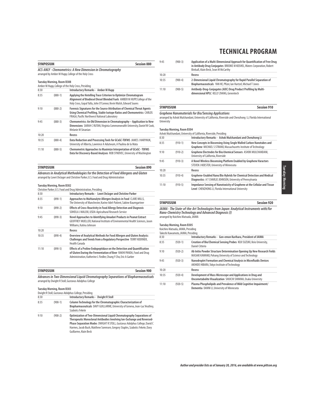|                                                                                                                   | <b>SYMPOSIUM</b><br><b>Session 880</b> |                                                                                                                                                                                                                   |  |
|-------------------------------------------------------------------------------------------------------------------|----------------------------------------|-------------------------------------------------------------------------------------------------------------------------------------------------------------------------------------------------------------------|--|
| ACS-ANLY - Chemometrics: A New Dimension in Chromatography<br>arranged by Amber M Hupp, College of the Holy Cross |                                        |                                                                                                                                                                                                                   |  |
|                                                                                                                   | <b>Tuesday Morning, Room B308</b>      | Amber M Hupp, College of the Holy Cross, Presiding                                                                                                                                                                |  |
| 8:30                                                                                                              |                                        | <b>Introductory Remarks - Amber M Hupp</b>                                                                                                                                                                        |  |
| 8:35                                                                                                              | $(880-1)$                              | Applying the Hotelling Trace Criterion to Optimize Chromatogram<br>Alignment of Biodiesel Diesel Blended Fuels AMBER M HUPP, College of the<br>Holy Cross, Gopal Yalla, John O'Connor, Kevin Walsh, Edward Soares |  |
| 9:10                                                                                                              | $(880-2)$                              | Forensic Signatures for the Source Attribution of Chemical Threat Agents<br>Using Chemical Profiling, Stable Isotope Ratios and Chemometrics CARLOS<br>FRAGA, Pacific Northwest National Laboratory               |  |
| 9:45                                                                                                              | $(880-3)$                              | Chemometrics: An Old Dimension in Chromatography - Application to New<br>Dimensions SARAH C RUTAN, Virginia Commonwealth University, Daniel W Cook,<br>Melanie M Sinanian                                         |  |
| 10:20                                                                                                             |                                        | Recess                                                                                                                                                                                                            |  |
| 10:35                                                                                                             | $(880-4)$                              | Data Reduction and Processing Tools for GCxGC-TOFMS JAMES J HARYNUK,<br>University of Alberta, Lawrence A Adutwum, A Paulina de la Mata                                                                           |  |
| 11:10                                                                                                             | $(880-5)$                              | Chemometric Approaches to Maximize Interpretation of GCxGC - TOFMS<br>Data for Discovery-Based Analyses ROB SYNOVEC, University of Washington                                                                     |  |

| <b>SYMPOSIUM</b>                                                                    | Session 890 |
|-------------------------------------------------------------------------------------|-------------|
| Advances in Analytical Methodologies for the Detection of Food Allergens and Gluten |             |
| arranged by Lowri DeJager and Christine Parker, U.S. Food and Drug Administration   |             |

#### **Tuesday Morning, Room B302**

|       |           | Christine Parker, U.S. Food and Drug Administration, Presiding                                                                                                                                                    |
|-------|-----------|-------------------------------------------------------------------------------------------------------------------------------------------------------------------------------------------------------------------|
| 8:30  |           | Introductory Remarks - Lowri DeJager and Christine Parker                                                                                                                                                         |
| 8:35  | $(890-1)$ | Approaches to Multianalyte Allergen Analysis in Food CLARE MILLS,<br>The University of Manchester, Karine Adel-Patient, Sabine Baumgartner                                                                        |
| 9:10  | $(890-2)$ | Effects of Cross-Reactivity in Food Allergy Detection and Diagnosis<br>SOHEILA J MALEKI, USDA-Agricultural Research Service                                                                                       |
| 9:45  | $(890-3)$ | Novel Approaches to Identifying Amadori Products in Peanut Extract<br>GEOFFREY MUELLER, National Institute of Environmental Health Sciences, Jason<br>Williams, Katina Johnson                                    |
| 10:20 |           | Recess                                                                                                                                                                                                            |
| 10:35 | $(890-4)$ | Overview of Analytical Methods for Food Allergen and Gluten Analysis:<br>Challenges and Trends from a Regulatory Perspective TERRY KOERNER,<br>Health Canada                                                      |
| 11:10 | $(890-5)$ | Effects of a Proline Endopeptidase on the Detection and Quantification<br>of Gluten During the Fermentation of Beer RAKHI PANDA, Food and Drug<br>Administration, Katherine L Fiedler, Chung Y Cho, Eric A Garber |

| <b>SYMPOSIUM</b> | <b>Session 900</b>                 |
|------------------|------------------------------------|
| .<br>n'          | $\sim$ $\sim$ $\sim$ $\sim$ $\sim$ |

**Advances in Two-Dimensional Liquid Chromatography Separations of Biopharmaceuticals** arranged by Dwight R Stoll, Gustavus Adolphus College

### **Tuesday Morning, Room B303**

|      |           | Dwight R Stoll, Gustavus Adolphus College, Presiding                                                                                                                                                                                                                                                                                 |  |
|------|-----------|--------------------------------------------------------------------------------------------------------------------------------------------------------------------------------------------------------------------------------------------------------------------------------------------------------------------------------------|--|
| 8:30 |           | <b>Introductory Remarks - Dwight R Stoll</b>                                                                                                                                                                                                                                                                                         |  |
| 8:35 | $(900-1)$ | Column Technology for the Chromatographic Characterization of<br>Biopharmaceuticals DAVY GUILLARME, University of Geneva, Jean-Luc Veuthey,<br>Szabolcs Fekete                                                                                                                                                                       |  |
| 9:10 | $(900-2)$ | Optimization of Two-Dimensional Liquid Chromatography Separations of<br>Therapeutic Monoclonal Antibodies Involving Ion-Exchange and Reversed-<br>Phase Separation Modes DWIGHT R STOLL, Gustavus Adolphus College, David C<br>Harmes, Jacob Bush, Matthew Sorensen, Gregory Staples, Szabolcs Fekete, Davy<br>Guillarme, Alain Beck |  |

| 9:45  | $(900-3)$ | Application of a Multi-Dimensional Approach for Quantification of Free Drug<br>in Antibody Drug Conjugates BROOKE M KOSHEL, Waters Corporation, Robert<br>Birdsall, Alain Beck, Sean M McCarthy |
|-------|-----------|-------------------------------------------------------------------------------------------------------------------------------------------------------------------------------------------------|
| 10:20 |           | Recess                                                                                                                                                                                          |
| 10:35 | $(900-4)$ | 2-Dimensional Liquid Chromatography for Rapid Parallel Separation of<br>Biopharmaceuticals YAN HE, Pfizer, Ian Hartzel, Michael T Jones                                                         |
| 11:10 | $(900-5)$ | Antibody-Drug-Coniugates (ADC) Drug Product Profiling by Multi-<br>dimensional HPLC KELLY ZHANG, Genentech                                                                                      |

### **SYMPOSIUM Session 910**

**Graphene Nanomaterials for Bio/Sensing Applications**<br>arranged by Ashok Mulchandani, University of California, Riverside and Chenzhong Li, Florida International<br>University

#### **Tuesday Morning, Room B304**

| Ashok Mulchandani, University of California, Riverside, Presiding |           |                                                                                                                                         |  |
|-------------------------------------------------------------------|-----------|-----------------------------------------------------------------------------------------------------------------------------------------|--|
| 8:30                                                              |           | Introductory Remarks - Ashok Mulchandani and Chenzhong Li                                                                               |  |
| 8:35                                                              | $(910-1)$ | New Concepts in Biosensing Using Single Walled Carbon Nanotubes and<br>Graphene MICHAEL S STRANO, Massachusetts Institute of Technology |  |
| 9:10                                                              | $(910-2)$ | Graphene Electrodes for Bio/chemical Sensors ASHOK MULCHANDANI,<br>University of California, Riverside                                  |  |
| 9:45                                                              | $(910-3)$ | A Novel Wireless Biosensing Platform Enabled by Graphene Varactors<br>STEVEN J KOESTER, University of Minnesota                         |  |
| 10:20                                                             |           | Recess                                                                                                                                  |  |
| 10:35                                                             | $(910-4)$ | Graphene-Enabled Nano/Bio Hybrids for Chemical Detection and Medical<br>Diagnostics AT CHARLIE JOHNSON, University of Pennsylvania      |  |
| 11:10                                                             | $(910-5)$ | Impedance Sensing of Nanotoxicity of Graphene at the Cellular and Tissue<br>Level CHENZHONG LI, Florida International University        |  |

**SYMPOSIUM Session 920**

**JAIMA - The State-of-the-Art Technologies from Japan: Analytical Instruments with/for Nano-Chemistry Technology and Advanced Diagnosis (I)** arranged by Koichiro Matsuda, JAIMA

### **Tuesday Morning, Room B305**

|       | Koichiro Matsuda, JAIMA, Presiding<br>Takeshi Kawamoto, JAIMA, Presiding |                                                                                                                                       |
|-------|--------------------------------------------------------------------------|---------------------------------------------------------------------------------------------------------------------------------------|
| 8:30  |                                                                          | Introductory Remarks - Gon-emon Kurihara, President of JAIMA                                                                          |
| 8:35  | $(920-1)$                                                                | Creation of Bio/Chemical Sensing Probes KOJI SUZUKI, Keio University,<br>Daniel Citterio                                              |
| 9:10  | $(920-2)$                                                                | Ab Initio Powder Structure Determination Opening Up New Research Fields<br>MASAKI KAWANO, Pohang University of Science and Technology |
| 9:45  | $(920-3)$                                                                | Nanodroplet Formation and Chemical Analysis in Microfluidic Devices<br>AKIHIDE HIBARA, Tokyo Institute of Technology                  |
| 10:20 |                                                                          | Recess                                                                                                                                |
| 10:35 | $(920-4)$                                                                | Development of Mass Microscope and Applications in Drug and<br>Oncometabolite Visualization SHUICHI SHIMMA, Osaka University          |
| 11:10 | $(920-5)$                                                                | Plasma Phospholipids and Prevalence of Mild Cognitive Impairment/<br>Dementia DANNI LI, University of Minnesota                       |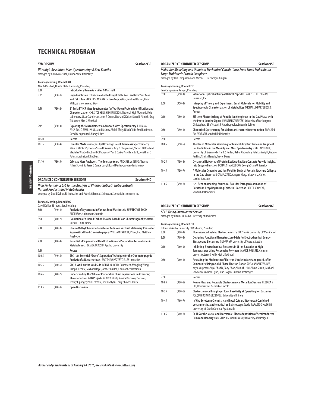| <b>SYMPOSIUM</b> |                                                     | Session 930                                                                                                                                                                                                                                                               |
|------------------|-----------------------------------------------------|---------------------------------------------------------------------------------------------------------------------------------------------------------------------------------------------------------------------------------------------------------------------------|
|                  |                                                     | <b>Ultrahigh-Resolution Mass Spectrometry: A New Frontier</b><br>arranged by Alan G Marshall, Florida State University                                                                                                                                                    |
|                  | <b>Tuesday Morning, Room B301</b>                   |                                                                                                                                                                                                                                                                           |
| 8:30             |                                                     | Alan G Marshall, Florida State University, Presiding<br><b>Introductory Remarks - Alan G Marshall</b>                                                                                                                                                                     |
| 8:35             | $(930-1)$                                           | High-Resolution TOFMS via a Folded Flight Path: You Can Have Your Cake<br>and Eat It Too VIATCHESLAV ARTAEV, Leco Corporation, Michael Mason, Peter<br>Willis, Anatoly Verenchikov                                                                                        |
| 9:10             | $(930-2)$                                           | 21 Tesla FT-ICR Mass Spectrometer for Top-Down Protein Identification and<br>Characterization CHRISTOPHER L HENDRICKSON, National High Magnetic Field<br>Laboratory, Lissa C Anderson, John P Quinn, Nathan K Kaiser, Donald F Smith, Greg<br>T Blakney, Alan G Marshall  |
| 9:45             | $(930-3)$                                           | Exploring the Microbiome via Advanced Mass Spectrometry LJILJANA<br>PASA-TOLIC, EMSL, PNNL, Jared B Shaw, Malak Tfaily, Nikola Tolic, Errol Robinson,<br>David W Koppenaal, Nancy J Hess                                                                                  |
| 10:20            |                                                     | Recess                                                                                                                                                                                                                                                                    |
| 10:35            | $(930-4)$                                           | Complex Mixture Analysis by Ultra-High Resolution Mass Spectrometry<br>RYAN P RODGERS, Florida State University, Amy C Clingenpeel, Steven M Rowland,<br>Vladislav V Lobodin, David C Podgorski, Yuri E Corilo, Priscila M Lalli, Jonathan C<br>Putman, Winston K Robbins |
| 11:10            | $(930-5)$                                           | Orbitrap Mass Analyzers: The Teenage Years MICHAEL W SENKO, Thermo<br>Fisher Scientific, Jesse D Canterbury, Eduard Denisov, Alexander Makarov                                                                                                                            |
|                  |                                                     | <b>Session 940</b><br><b>ORGANIZED CONTRIBUTED SESSIONS</b>                                                                                                                                                                                                               |
|                  |                                                     |                                                                                                                                                                                                                                                                           |
|                  |                                                     | High Performance SFC for the Analysis of Pharmaceuticals, Nutraceuticals,<br><b>Natural Products and Metabolomics</b><br>arranged by David Kohler, ES Industries and Patrick G Fromal, Shimadzu Scientific Instruments Inc                                                |
|                  | <b>Tuesday Morning, Room B309</b>                   |                                                                                                                                                                                                                                                                           |
| 8:30             | David Kohler, ES Industries, Presiding<br>$(940-1)$ | Analysis of Mycotoxins in Various Food Matrices via SFE/SFC/MS TODD<br>ANDERSON, Shimadzu Scientific                                                                                                                                                                      |
| 8:50             | $(940-2)$                                           | Evaluation of a Liquid Carbon Dioxide Based Flash Chromatography System<br>RAY MCCLAIN, Merck                                                                                                                                                                             |
| 9:10             | $(940-3)$                                           | Fluoro-Methylphenylcarbamates of Cellulose as Chiral Stationary Phases for<br>Supercritical Fluid Chromatography WILLIAM FARRELL, Pfizer, Inc., Matthew<br>Przybyciel                                                                                                     |
| 9:30             | $(940-4)$                                           | Potential of Supercritical Fluid Extraction and Separation Technologies in<br>Metabolomics BAMBA TAKESHI, Kyushu University                                                                                                                                               |
| 9:50             |                                                     | Recess                                                                                                                                                                                                                                                                    |
| 10:05            | $(940-5)$                                           | SFC - An Essential "Green" Separation Technique for the Chromatographic<br>Analysis of a Nutraceuticals MATTHEW PRZYBYCIEL, ES Industries                                                                                                                                 |
| 10:25            | $(940-6)$                                           | SFC, A Walk on the Wild Side BRENT MURPHY, Genentech, Mengling Wong,<br>Joseph H Pease, Michael Hayes, Amber Guillen, Christopher Hamman                                                                                                                                  |
| 10:45            | $(940-7)$                                           | Understanding the Value of Preparative Chiral Separations in Advancing<br>Pharmaceutical R&D Projects MICKEY REGO, Averica Discovery Services,<br>Jeffrey Kiplinger, Paul Lefebvre, Keith Galyan, Emily Showell-Rouse                                                     |

| Molecular Modelling and Quantum Mechanical Calculations: From Small Molecules to<br>Large Multimeric Protein Complexes<br>arranged by Iain Campuzano and Michael D Bartberger, Amgen<br>Tuesday Morning, Room B310 |                                  |                                                                                                                                                                                                                  |
|--------------------------------------------------------------------------------------------------------------------------------------------------------------------------------------------------------------------|----------------------------------|------------------------------------------------------------------------------------------------------------------------------------------------------------------------------------------------------------------|
|                                                                                                                                                                                                                    | lain Campuzano, Amgen, Presiding |                                                                                                                                                                                                                  |
| 8:30                                                                                                                                                                                                               | $(950-1)$                        | Vibrational Optical Activity of Helical Peptides JAMES R CHEESEMAN,<br>Gaussian. Inc.                                                                                                                            |
| 8:50                                                                                                                                                                                                               | $(950-2)$                        | Interplay of Theory and Experiment: Small Molecule Ion Mobility and<br>Spectroscopic Characterization of Metabolites MICHAEL D BARTBERGER,<br>Amgen                                                              |
| 9:10                                                                                                                                                                                                               | $(950-3)$                        | Efficient Photostitching of Peptide Ion Complexes in the Gas Phase with<br>the Photo-Leucine Zipper FRANTISEK TURECEK, University of Washington,<br>Christopher J Shaffer, Akis P Andrikopoulos, Lubomir Rulisek |
| 9:30                                                                                                                                                                                                               | $(950-4)$                        | Chiroptical Spectroscopy for Molecular Structure Determination PRASAD L<br>DOI: AVA DA DI I. Marcella de Hartenantes                                                                                             |

**ORGANIZED CONTRIBUTED SESSIONS Session 950**

|       |             | POLAVARAPU, Vanderbilt University                                                                                                                                                                                                                                           |
|-------|-------------|-----------------------------------------------------------------------------------------------------------------------------------------------------------------------------------------------------------------------------------------------------------------------------|
| 9:50  |             | Recess                                                                                                                                                                                                                                                                      |
| 10:05 | $(950-5)$   | The Use of Molecular Modelling for Ion Mobility Drift Time and Fragment<br>Ion Prediction in Ion Mobility and Mass Spectrometry CRIS LAPTHORN,<br>University of Greenwich, Frank S Pullen, Babur Chowdhry, Patricia Wright, George<br>Perkins, Yanira Heredia, Trevor Dines |
| 10:25 | $(950-6)$   | Dynamical Networks of Protein Residue-Residue Contacts Provide Insights<br>into Enzyme Function DONALD HAMELBERG, Georgia State University                                                                                                                                  |
| 10:45 | $(950 - 7)$ | A Molecular Dynamics and Ion Mobility Study of Protein Structure Collapse<br>in the Gas-phase IAIN CAMPUZANO, Amgen, Morgan Lawrenz, Carlos<br>Larriba-Andaluz                                                                                                              |
| 11:05 | $(950-8)$   | Hell Bent on Opening: Structural Basis for Estrogen Modulation of<br>Potassium Recycling During Epithelial Secretion BRETT KRONCKE,<br>Vanderbilt University                                                                                                                |

| <b>ORGANIZED CONTRIBUTED SESSIONS</b>                                                         | <b>Session 960</b> |
|-----------------------------------------------------------------------------------------------|--------------------|
| <b>SEAC Young Investigator Session</b><br>arranged by Hitomi Mukaibo, University of Rochester |                    |

**Tuesday Morning, Room B311**

|       | <b>INCOURT INDITIONAL INDUIT DUTT</b> | Hitomi Mukaibo, University of Rochester, Presiding                                                                                                                                                                                                                                      |
|-------|---------------------------------------|-----------------------------------------------------------------------------------------------------------------------------------------------------------------------------------------------------------------------------------------------------------------------------------------|
| 8:30  | $(960-1)$                             | Fluorescence-Enabled Electrochemistry BO ZHANG, University of Washington                                                                                                                                                                                                                |
| 8:50  | $(960-2)$                             | Designing Functional Nanostructured Gels for Electrochemical Energy<br>Storage and Biosensors GUIHUA YU, University of Texas at Austin                                                                                                                                                  |
| 9:10  | $(960-3)$                             | Inhibiting Electrochemical Processes in Li-ion Batteries at High<br>Temperatures Using Responsive Polymers MARK E ROBERTS, Clemson<br>University, Jesse C Kelly, Nick L DeGrood                                                                                                         |
| 9:30  | $(960-4)$                             | Revealing the Mechanism of Electron Uptake in Methanogenic Biofilm<br>Community Using a Solid-Phase Electron Donor SOFIA BABANOVA, JCVI,<br>Kayla Carpenter, Sujal Phadke, Tony Phan, Shunichi Ishii, Shino Suzuki, Michael<br>Salvacion, Michael Flynn, John Hogan, Orianna Bretschger |
| 9:50  |                                       | Recess                                                                                                                                                                                                                                                                                  |
| 10:05 | $(960-5)$                             | Reagentless and Reusable Electrochemical Metal Ion Sensors REBECCA Y<br>LAI, University of Nebraska-Lincoln                                                                                                                                                                             |
| 10:25 | $(960-6)$                             | Electrochemical Imaging of Ionic Reactivity at Operating Ion Batteries<br>JOAQUIN RODRIGUEZ LOPEZ, University of Illinois                                                                                                                                                               |
| 10:45 | $(960 - 7)$                           | In Vivo Serotonin Chemistry and Local Cytoarchitecture: A Combined<br>Voltammetric, Mathematical and Microscopy Study PARASTOO HASHEMI,<br>University of South Carolina, Aya Abdalla                                                                                                    |
| 11:05 | $(960-8)$                             | Ec-LLS at the Micro- and Macroscale: Electrodeposition of Semiconductor<br>Films and Nanocrystals STEPHEN MALDONADO, University of Michigan                                                                                                                                             |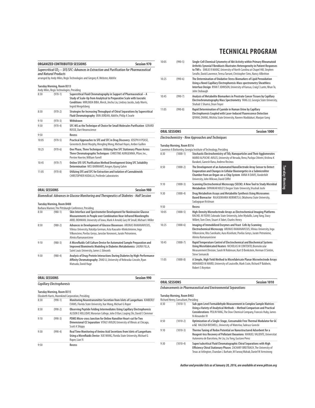|                                                                                                                                                                                                |                                                                                | ORGANIZED CONTRIBUTED SESSIONS                                                                                                                                                                                                                  | <b>Session 970</b> |  |
|------------------------------------------------------------------------------------------------------------------------------------------------------------------------------------------------|--------------------------------------------------------------------------------|-------------------------------------------------------------------------------------------------------------------------------------------------------------------------------------------------------------------------------------------------|--------------------|--|
| Supercritical $CO2 - SE/SEC$ : Advances in Extraction and Purification for Pharmaceutical<br>and Natural Products<br>arranged by Andy Miles, Regis Technologies and Gregory K. Webster, AbbVie |                                                                                |                                                                                                                                                                                                                                                 |                    |  |
|                                                                                                                                                                                                | <b>Tuesday Morning, Room B313</b><br>Andy Miles, Regis Technologies, Presiding |                                                                                                                                                                                                                                                 |                    |  |
| 8:30                                                                                                                                                                                           | $(970-1)$                                                                      | Supercritical Fluid Chromatography in Support of Pharmaceutical - A<br>Study of Scale-Up from Analytical to Preparative Scale with Isocratic<br>Conditions MIRLINDA BIBA, Merck, Jinchu Liu, Lindsey Jacobs, Judy Morris,<br>Ingrid Mergelsberg |                    |  |
| 8:50                                                                                                                                                                                           | $(970-2)$                                                                      | Strategies for Increasing Throughput of Chiral Separations by Supercritical<br>Fluid Chromatography ERIN JORDAN, AbbVie, Philip A Searle                                                                                                        |                    |  |
| 9:10                                                                                                                                                                                           | $(970-3)$                                                                      | Withdrawn                                                                                                                                                                                                                                       |                    |  |
| 9:30                                                                                                                                                                                           | $(970-4)$                                                                      | SFC-MS as the Technique of Choice for Small Molecules Purification GERARD<br>ROSSE, Dart Neuroscience                                                                                                                                           |                    |  |
| 9:50                                                                                                                                                                                           |                                                                                | Recess                                                                                                                                                                                                                                          |                    |  |
| 10:05                                                                                                                                                                                          | $(970-5)$                                                                      | Practical Approaches to SFE and SFC in Drug Discovery JOSEPH H PEASE,<br>Genentech, Brent Murphy, Mengling Wong, Michael Hayes, Amber Guillen                                                                                                   |                    |  |
| 10:25                                                                                                                                                                                          | $(970-6)$                                                                      | One Phase, Three Techniques: Utilizing One SFC Stationary Phase Across<br>Three Chromatographic Techniques CHRISTINE AURIGEMMA, Pfizer, Inc.,<br>Perrine Hoerter, William Farrell                                                               |                    |  |
| 10:45                                                                                                                                                                                          | $(970 - 7)$                                                                    | <b>Online SFE-SFC Purification Method Development Using SFC Solubility</b><br>Determination WES BARNHART, Amgen, Kyung Gahm                                                                                                                     |                    |  |
| 11:05                                                                                                                                                                                          | $(970-8)$                                                                      | Utilizing SFE and SFC for Extraction and Isolation of Cannabinoids<br><b>CHRISTOPHER HUDALLA, ProVerde Laboratories</b>                                                                                                                         |                    |  |

| <b>ORAL SESSIONS</b>                                                                   | <b>Session 980</b> |
|----------------------------------------------------------------------------------------|--------------------|
| Biomedical: Advances in Glucose Monitoring and Therapeutics of Diabetes - Half Session |                    |

#### **Tuesday Morning, Room B408**

|      |           | Barbara Manner, The Pittsburgh Conference, Presiding                                                                                                                                                                                      |
|------|-----------|-------------------------------------------------------------------------------------------------------------------------------------------------------------------------------------------------------------------------------------------|
| 8:30 | $(980-1)$ | Skin Interface and Spectrometer Development for Noninvasive Glucose<br>Measurements in People over Combination Near-Infrared Wavelengths<br>ARIEL BOHMAN, University of Iowa, Mark A Arnold, Gary W Small, Michael J Miller               |
| 8:50 | $(980-2)$ | Advances in Development of Glucose Biosensors ARUNAS RAMANAVICIUS.<br>Vilnius University, Natalija German, Asta Kausaite-Minkstimiene, Inga<br>Vilkonciene, Povilas Genys, Jaroslav Voronovic, Jurate Petroniene,<br>Almira Ramanaviciene |
| 9:10 | $(980-3)$ | A Microfluidic Cell Culture Device for Automated Sample Preparation and<br>Improved Biomimetic Modeling in Diabetes Metabolomics LAURA FILLA,<br>Saint Louis University, James L Edwards                                                  |
| 9:30 | $(980-4)$ | Analysis of Drug-Protein Interactions During Diabetes by High-Performance<br>Affinity Chromatography ZHAO LI, University of Nebraska-Lincoln, Ryan<br>Matsuda, David Hage                                                                 |

### **ORAL SESSIONS Session 990 Capillary Electrophoresis Tuesday Morning, Room B315** Elizabeth Harris, Mannkind Corporation, Presiding<br>8:30 (990-1) Monitoring Neurot 8:30 (990-1) **Monitoring Neurotransmitter Secretion from Islets of Langerhans** KIMBERLY EVANS, Florida State University, Xue Wang, Michael G Roper 8:50 (990-2) **Observing Peptide Folding Intermediates Using Capillary Electrophoresis** ALISON E HOLLIDAY, Moravian College, John D Barr, Liuqing Shi, David E Clemmer 9:10 (990-3) **PDMS Micro-cross Junction for Online Nanoliter Heart-cut for Two Dimensional CE Separation** VITALY AVILOV, University of Illinois at Chicago, Scott A Shippy 9:30 (990-4) **Real Time Monitoring of Amino Acid Secretions from Islets of Langerhans Using a Microfluidic Device** XUE WANG, Florida State University, Michael G Roper, Lian Yi

| 9:50 |  |  |  |
|------|--|--|--|
|      |  |  |  |

9:50 **Recess**

| 10:05 | $(990-5)$   | Single-Cell Chemical Cytometry of Akt Activity within Primary Rheumatoid<br>Arthritis Synovial Fibroblasts Illustrates Heterogeneity in Patient Responses<br>to $TNF\alpha$ EMILIE R MAINZ, University of North Carolina at Chapel Hill, Stephen<br>Serafin, David Lawrence, Teresa Tarrant, Christopher Sims, Nancy Allbritton |
|-------|-------------|---------------------------------------------------------------------------------------------------------------------------------------------------------------------------------------------------------------------------------------------------------------------------------------------------------------------------------|
| 10:25 | $(990-6)$   | The Determination of Oxidative Stress Biomarkers of Lipid Peroxidation<br>Using a Novel Capillary Electrophoresis-Mass spectrometry Sheathless<br>Interface Design RYANT JOHNSON, University of Kansas, Craig E Lunte, Nhan To,<br>John Stobaugh                                                                                |
| 10:45 | $(990 - 7)$ | Analysis of Metabolite Biomarkers in Prostrate Cancer Tissues by Capillary<br>Electrochromatography Mass Spectrometry YANG LU, Georgia State University,<br>Shahab S Shamsi, Dean Troyer                                                                                                                                        |
| 11:05 | $(990-8)$   | Rapid Determination of Cyanide in Human Urine by Capillary<br>Electrophoresis Coupled with Laser-Induced Fluorescence Detection<br>QIYANG ZHANG, Wichita State University, Naveen Maddukuri, Maojun Gong                                                                                                                        |

| <b>ORAL SESSIONS</b> | <b>Session 1000</b> |
|----------------------|---------------------|
|                      |                     |

**Electrochemistry - New Approaches and Techniques**

### **Tuesday Morning, Room B316**

|       |              | Lawrence A Bottomley, Georgia Institute of Technology, Presiding                                                                                                                                                                                                 |
|-------|--------------|------------------------------------------------------------------------------------------------------------------------------------------------------------------------------------------------------------------------------------------------------------------|
| 8:30  | $(1000-1)$   | Stochastic Electrochemistry of TiO <sub>2</sub> Nanoparticles and Their Agglomerates<br>MARIO ALPUCHE-AVILES, University of Nevada, Reno, Pushpa Chhetri, Krishna K<br>Barakoti, Ganesh Rana, Andrew Recinos                                                     |
| 8:50  | $(1000-2)$   | The Development of an Automated NanoElectrode Array Sensor to Detect<br><b>Evaporation and Changes in Cellular Bioenergetics in a Submicroliter</b><br>Chamber from an Organ-on-a-Chip System ANNA N DAVIS, Vanderbilt<br>University, John Wikswo, David Cliffel |
| 9:10  | $(1000-3)$   | Scanning Electrochemical Microscopy (SECM): A New Tool to Study Microbial<br>Metabolism DIPANKAR KOLEY, Oregon State University, Vrushali Joshi                                                                                                                  |
| 9:30  | $(1000-4)$   | Drug Metabolism Assays and Metabolite Synthesis Using Microsomes<br>Based Bioreactor RAJASEKHARA NERIMETLA, Oklahoma State University,<br>Sadagopan Krishnan                                                                                                     |
| 9:50  |              | Recess                                                                                                                                                                                                                                                           |
| 10:05 | $(1000-5)$   | High-Density Microelectrode Arrays as Electrochemical Imaging Platforms<br>RACHEL M FEENY, Colorado State University, John Wydallis, Lang Yang, Stacy<br>Willett, Tom Chen, Stuart A Tobet, Charles Henry                                                        |
| 10:25 | $(1000-6)$   | Imaging of Immobilized Enzymes and Yeast Cells by Scanning<br>Electrochemical Microscopy ARUNAS RAMANAVICIUS, Vilnius University, Inga<br>Vilkonciene, Rita Sareikaite, Aura Kisieliute, Povilas Genys, Jurate Petroniene,<br>Almira Ramanaviciene               |
| 10:45 | $(1000 - 7)$ | Rapid Temperature Control of Electrochemical and Biochemical Systems<br>Using Microfabricated Heaters NICHOLAS M CONTENTO, Biomolecular<br>Measurement Division, Sarah M Robinson, Kurt D Benkstein, Herman O Sintim,<br><b>Steve Semancik</b>                   |
| 11:05 | $(1000-8)$   | A Simple, High Yield Method to Microfabricate Planar Microelectrode Arrays<br>MOHAMED M MAREI, University of Louisville, Mark Crain, Richard P Baldwin,<br>Robert S Kevnton                                                                                      |

| <b>ORAL SESSIONS</b>                                                | <b>Session 1010</b> |
|---------------------------------------------------------------------|---------------------|
| <b>Enhancements in Pharmaceutical and Environmental Separations</b> |                     |
| Tuesday Messing Deam D403                                           |                     |

### **Tuesday Morning, Room B402** Richard Henry, Consultant, Presiding

|      | Kichard Henry, Consultant, Presiding |                                                                                                                                                                                                                                              |
|------|--------------------------------------|----------------------------------------------------------------------------------------------------------------------------------------------------------------------------------------------------------------------------------------------|
| 8:30 | $(1010-1)$                           | Sub-ppm Level Formaldehyde Measurement in Complex Sample Matrices<br>Using a Variety of Analytical Methods - Method Comparison and Practical<br>Considerations PEILIN YANG, The Dow Chemical Company, Francois Huby, James<br>N Alexander IV |
| 8:50 | $(1010-2)$                           | Optimization of a Single-Stage, Consumable Free Thermal Modulator for GC<br>x GC HALEIGH BOSWELL, University of Waterloo, Tadeusz Gorecki                                                                                                    |
| 9.10 | $(1010-3)$                           | Thermo Tuning of Redox Potential on Nanostructured Adsorbent for a<br>Reagent-less Recovery of Pollutant Oxoanions MANUEL VALIENTE, Universitat<br>Autonoma de Barcelona, He Liu, Liu Tong, Gustavo Perez                                    |
| 9:30 | $(1010-4)$                           | Super/subcritical Fluid Chromatographic Chiral Separations with High<br>Efficiency Chiral Stationary Phases ZACHARY BREITBACH, The University of<br>Texas at Arlington, Chandan L Barhate, M Faroog Wahab, Daniel W Armstrong                |

41 **Author and presider lists as of January 20, 2016, are available at www.pittcon.org** 

÷,  $\overline{a}$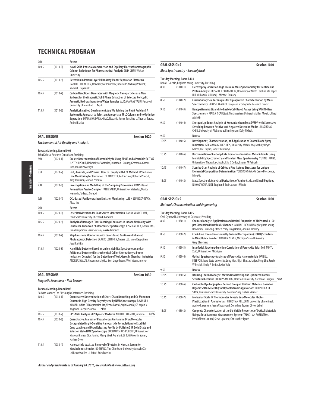| 9:50  |            | Recess                                                                                                                                                                                                                                              |
|-------|------------|-----------------------------------------------------------------------------------------------------------------------------------------------------------------------------------------------------------------------------------------------------|
| 10:05 | $(1010-5)$ | Novel Solid-Phase Microextraction and Capillary Electrochromatographic<br>Column Techniques for Pharmaceutical Analysis ZILIN CHEN, Wuhan<br>University                                                                                             |
| 10:25 | $(1010-6)$ | Retention in Porous Layer Pillar Array Planar Separation Platforms<br>DANIELLE R LINCOLN, University of Tennessee, Knoxville, Nickolay V Lavrik,<br>Michael J Sepaniak                                                                              |
| 10:45 | $(1010-7)$ | Carbon Nanofibers Decorated with Magnetic Nanoparticles as a New<br>Sorbent for the Magnetic Solid Phase Extraction of Selected Polycyclic<br>Aromatic Hydrocarbons from Water Samples ALI SARAFRAZ YAZDI, Ferdowsi<br>University of Mashhad<br>N/A |
| 11:05 | $(1010-8)$ | Analytical Method Development: Are We Solving the Right Problem? A<br>Systematic Approach to Select an Appropriate RPLC Column and to Optimize<br>Separation IMAD A HAIDAR AHMAD, Novartis, James Tam, Xue Li, Thomas Tarara,<br>Andrei Blasko      |

### **ORAL SESSIONS Session 1020**

#### **Environmental Air Quality and Analysis**

### **Tuesday Morning, Room B403**

|       | John Kokosa, Research Consultant, Presiding |                                                                                                                                                                                                                                                                                              |
|-------|---------------------------------------------|----------------------------------------------------------------------------------------------------------------------------------------------------------------------------------------------------------------------------------------------------------------------------------------------|
| 8:30  | $(1020-1)$                                  | On-site Determination of Formaldehyde Using SPME and a Portable GC-TMS<br>JUSTEN J POOLE, University of Waterloo, Jonathan J Grandy, German A Gomez-<br>Rios, Janusz Pawliszyn                                                                                                               |
| 8:50  | $(1020-2)$                                  | Fast, Accurate, and Precise: How to Comply with EPA Method 325b (Fence<br>Line Monitoring for Benzene) LEE MAROTTA, PerkinElmer, Roberta Provost,<br>Amy Jacobson, Mariah Peronto                                                                                                            |
| 9:10  | $(1020-3)$                                  | Investigation and Modelling of the Sampling Process in a PDMS-Based<br>Permeation Passive Sampler FATEN SALIM, University of Waterloo, Marios<br>Ioannidis, Tadeusz Gorecki                                                                                                                  |
| 9:30  | $(1020-4)$                                  | QCL-Based Perfluorocarbon Emission Monitoring LUIS H ESPINOZA-NAVA,<br>Alcoa Inc.                                                                                                                                                                                                            |
| 9:50  |                                             | Recess                                                                                                                                                                                                                                                                                       |
| 10:05 | $(1020-5)$                                  | Laser Derivitization for Soot Source Identification RANDY VANDER WAL.<br>Penn State University, Chethan K Gaddam                                                                                                                                                                             |
| 10:25 | $(1020-6)$                                  | Analysis of Damaged Floor Coverings Emissions in Indoor Air Quality with<br>Cantilever-Enhanced Photoacoustic Spectroscopy JUSSI RAITTILA, Gasera Ltd.,<br>Ismo Kauppinen, Sauli Sinisalo, Jaakko Lehtinen                                                                                   |
| 10:45 | $(1020 - 7)$                                | Ship Emissions Monitoring with Laser-Based Cantilever-Enhanced<br>Photoacoustic Detection JAAKKO LEHTINEN, Gasera Ltd., Ismo Kauppinen,<br>Jussi Raittila                                                                                                                                    |
| 11:05 | $(1020-8)$                                  | Hand Held Detector Based on an Ion Mobility Spectrometer and an<br>Additional Detector (Electrochemical Cell or Alternatively a Photo<br>Ionization Detector) for the Detection of Toxic Gases in Chemical Industries<br>ANDREAS WALTE, Airsense Analytics, Bert Ungethuem, Wolf Muenchmeyer |

### **ORAL SESSIONS Session 1030 Magnetic Resonance - Half Session Tuesday Morning, Room B408** Barbara Manner, The Pittsburgh Conference, Presiding 10:05 (1030-1) **Quantitative Determination of Short-Chain Branching and Co-Monomer Content in High Density Polyethylene by NMR Spectroscopy** RAVINDRA KUMAR, Indian Oil Corporation Ltd, Veena Bansal, Sujit Mondal, GS Kapur, V Kagdiyal, Deepak Saxena N/A 10:25 (1030-2) **GPC-NMR Analysis of Polymeric Mixtures** NIKKI H LAFEMINA, Arkema N/A 10:45 (1030-3) **Quantitative Analysis of Phosphorous Containing Drug Molecules Encapsulated in pH-Sensitive Nanoparticle Formulations to Establish Drug Loading and Drug Releasing Profile by Utilizing 31P Solid State and Solution State NMR Spectroscopy** SUDHAUNSHU S PUROHIT, University of Missouri Kansas City, Jianing Meng, Vivek Agrahari, Bi Botti Celestin Youan, Nathan Oyler 11:05 (1030-4) **Nanoparticle-Assisted Removal of Proteins in Human Serum for Metabolomics Studies** BO ZHANG, The Ohio State University, Mouzhe Xie,

Lei Bruschweiler-Li, Rafael Brüschweiler

**Author and presider lists as of January 20, 2016, are available at www.pittcon.org** 

|       | <b>ORAL SESSIONS</b>                     | <b>Session 1040</b>                                                                                                                                                                                                 |
|-------|------------------------------------------|---------------------------------------------------------------------------------------------------------------------------------------------------------------------------------------------------------------------|
|       | <b>Mass Spectrometry - Bioanalytical</b> |                                                                                                                                                                                                                     |
|       | <b>Tuesday Morning, Room B404</b>        | Daniel E Austin, Brigham Young University, Presiding                                                                                                                                                                |
| 8:30  | $(1040-1)$                               | Electrospray Ionization-High Pressure Mass Spectrometry for Peptide and<br>Protein Analysis RUSSELL E BORNSCHEIN, University of North Carolina at Chapel<br>Hill, William M Gilliland, J Michael Ramsey             |
| 8:50  | $(1040-2)$                               | Current Analytical Techniques for Glycoprotein Characterization by Mass<br>Spectrometry PARASTOO AZADI, Complex Carbohydrate Research Center                                                                        |
| 9:10  | $(1040-3)$                               | Nanopatterning Ligands to Enable Cell-Based Assays Using SAMDI-Mass<br>Spectrometry MARIA D CABEZAS, Northwestern University, Milan Mrksich, Chad<br>A Mirkin                                                       |
| 9:30  | $(1040-4)$                               | Shotgun Lipidomic Analysis of Human Meibum by MS/MS <sup>all</sup> with Successive<br>Switching between Positive and Negative Detection Modes JIANZHONG<br>CHEN, University of Alabama at Birmingham, Kelly Nichols |
| 9:50  |                                          | Recess                                                                                                                                                                                                              |
| 10:05 | $(1040-5)$                               | Development, Characterization, and Application of Coated Blade Spray<br>Ionization GERMAN A GOMEZ-RIOS, University of Waterloo, Nathaly Reyes-<br>Garces, Ezel Boyaci, Janusz Pawliszyn                             |
| 10:25 | $(1040-6)$                               | Discrimination of Carbohydrate Isomers as Transition Metal Adducts Using<br>Ion Mobility Spectrometry and Tandem Mass Spectrometry YUTING HUANG,<br>University of Nebraska-Lincoln, Eric D Dodds, Lauren M Petrosh  |
| 10:45 | $(1040 - 7)$                             | Scan-by-Scan Analysis of Orbitrap Fine Isotope Structures for Unique<br>Elemental Composition Determination YONGDONG WANG, Cerno Bioscience,<br>Ming Gu                                                             |
| 11:05 | $(1040-8)$                               | Mass Spectra of Analytical Derivatives of Amino Acids and Small Peptides<br>NINO G TODUA, NIST, Stephen E Stein, Anzor I Mikaia                                                                                     |

### **ORAL SESSIONS** Session 1050

### **Materials Characterization and Engineering**

**Tuesday Morning, Room B405**

|       |              | Cecil Dybowski, University of Delaware, Presiding                                                                                                                                                                  |     |
|-------|--------------|--------------------------------------------------------------------------------------------------------------------------------------------------------------------------------------------------------------------|-----|
| 8:30  | $(1050-1)$   | Chemical Analysis Applications and Optical Properties of 3D Printed <100<br>um Dimension Microfluidic Channels MICHAEL BEAUCHAMP, Brigham Young<br>University, Hua Gong, Steven Perry, Greg Nordin, Adam T Woolley |     |
| 8:50  | $(1050-2)$   | Crack-Free Three-Dimensionally Ordered Macroporous (3DOM) Structure<br>in Microfluidic Reactor XIAORAN ZHANG, Michigan State University,<br>Gary Blanchard                                                         |     |
| 9:10  | $(1050-3)$   | Interfacial Structure-Function Correlation of Perovskite Solar Cell MINYU<br>XIAO, University of Michigan                                                                                                          |     |
| 9:30  | $(1050-4)$   | <b>Optical Spectroscopy Analyses of Perovskite Nanomaterials DANIEL J</b><br>FREPPON, Iowa State University, Long Men, Ujjal Bhattacharjee, Feng Zhu, Jacob<br>W Petrich, Emily A Smith, Javier Vela               |     |
| 9:50  |              | Recess                                                                                                                                                                                                             |     |
| 10:05 | $(1050-5)$   | Utilizing Thermal Analysis Methods to Develop and Optimized Porous<br>Structural Ceramics JOHN P SANDERS, Clemson University, Nathaniel Huygen                                                                     | N/A |
| 10:25 | $(1050-6)$   | Carbazole-Dye Conjugate - Derived Group of Uniform Materials Based on<br>Organic Salts (GUMBOS) for Optoelectronic Applications DEEPTHIKA DE<br>SILVA, Louisiana State University, Noureen Siraj, Isiah M Warner   |     |
| 10:45 | $(1050 - 7)$ | Molecular-Scale IR Thermometer Reveals Sub-Molecular Photo-<br>Plasticization in Azomaterials CHRISTIAN PELLERIN, University of Montreal,<br>Audrey Laventure, Jaana Vapaavuori, Geraldine Bazuin, Olivier Lebel   |     |
| 11:05 | $(1050-8)$   | Complete Characterization of the UV-Visible Properties of Optical Materials<br>Using a Total Absolute Measurement System (TAMS) IAN ROBERTSON,<br>PerkinElmer Limited, Steve Upstone, Christopher Lynch            |     |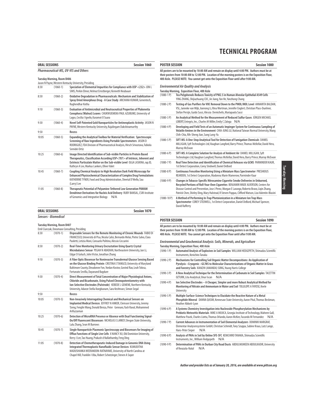|       | Session 1060<br><b>ORAL SESSIONS</b> |                                                                                                                                                                                                                                                                                     |
|-------|--------------------------------------|-------------------------------------------------------------------------------------------------------------------------------------------------------------------------------------------------------------------------------------------------------------------------------------|
|       |                                      | Pharmaceutical-MS, UV-VIS and Others                                                                                                                                                                                                                                                |
|       | <b>Tuesday Morning, Room B406</b>    | Jason N Payne, Western Kentucky University, Presiding                                                                                                                                                                                                                               |
| 8:30  | $(1060-1)$                           | Speciation of Elemental Impurities for Compliance with USP <232> JON L<br>SIMS, Perkin Elmer, Helmut Ernstberger, Kenneth Neubauer                                                                                                                                                  |
| 8:50  | $(1060 - 2)$                         | Oxidative Degradation in Pharmaceuticals: Mechanism and Stabilization of<br>Spray Dried Amorphous Drug - A Case Study ARCHANA KUMAR, Genentech,<br>Raghendhar Kotha                                                                                                                 |
| 9:10  | $(1060-3)$                           | <b>Evaluation of Antimicrobial and Neutraceutical Properties of Plukenetia</b><br>Conophora (Walnut) Leaves CHUKWUEMEKA PAUL AZUBUIKE, University of<br>Lagos, Cecilia I Igwilo, Karamot O Suara                                                                                    |
| 9:30  | $(1060-4)$                           | Novel Self-Patented Gold Nanoparticles for Antineoplastic Activity JASON N<br>PAYNE, Western Kentucky University, Rajalingam Dakshinamurthy                                                                                                                                         |
| 9:50  |                                      | Recess                                                                                                                                                                                                                                                                              |
| 10:05 | $(1060 - 5)$                         | <b>Expanding the Analytical Toolbox for Material Verification: Spectroscopic</b><br>Screening of Raw Ingredients Using Portable Spectrometers JASON D<br>RODRIGUEZ, FDA Division of Pharmaceutical Analysis, Hirsch Srivastava, Fabiola<br>Semidei Ortiz                            |
| 10:25 | $(1060-6)$                           | Image Directed Identification of Sub-visible Particles in Protein Based<br>Therapeutics, Classification According USP<787> of Intrinsic, Inherent and<br>Extrinsic Particulate Matter on the Sub-visible Level OLGA LASKINA, rap.ID,<br>Kathryn A Lee, Markus Lankers, Oliver Valet |
| 10:45 | $(1060 - 7)$                         | Coupling Chemical Analysis to High Resolution Dark Field Microscopy for<br><b>Enhanced Physicochemical Characterization of Complex Drug Formulations</b><br>KATHERINE TYNER, Food and Drug Administration, Sheetal D'Mello, Sau<br>(Larry) Lee                                      |
| 11:05 | $(1060 - 8)$                         | Therapeutic Potential of Polyamine-Tethered Low Generation PAMAM<br>Dendrimer Derivatives for Nucleic Acid Delivery RUBY BANSAL, CSIR-Institute<br>of Genomics and Integrative Biology<br>N/A                                                                                       |

### **ORAL SESSIONS Session 1070 Sensors - Biomedical**

#### **Tuesday Morning, Room B407**

|       | Emil Ciurczak, Doramaxx Consulting, Presiding |                                                                                                                                                                                                                                                                                             |  |
|-------|-----------------------------------------------|---------------------------------------------------------------------------------------------------------------------------------------------------------------------------------------------------------------------------------------------------------------------------------------------|--|
| 8:30  | $(1070-1)$                                    | Disposable Sensors for the Remote Monitoring of Chronic Wounds FABIO DI<br>FRANCESCO, Università di Pisa, Nicola Calisi, Bernardo Melai, Pietro Salvo, Clara<br>Paoletti, Letizia Moni, Consuelo Politino, Alessio Ceccarini                                                                |  |
| 8:50  | $(1070-2)$                                    | Real-Time Monitoring Urinary Encrustation Using Quartz Crystal<br>Microbalance Sensor PEGAH N ABADIAN, Northeastern University, Jun Li,<br>Edgar D Goluch, John Victor, Jonathan Zhang                                                                                                      |  |
| 9:10  | $(1070-3)$                                    | A Fiber Optic Biosensor for Noninvasive Transdermal Glucose Sensing Based<br>on the Glucose Binding Protein CRISTINA E TIANGCO, University of Maryland<br>Baltimore County, Dieudonne Fon, Yordan Kostov, Govind Rao, Leah Tolosa,<br>Fortunato Sevilla, Dayanand Bagdure                   |  |
| 9:30  | $(1070-4)$                                    | Direct Measurement of Total Concentration of Major Physiological Anions,<br>Chloride and Bicarbonate, Using Pulsed Chronopotentiometry with<br>Ion-Selective Electrodes (Pulstrode) KEBEDE L GEMENE, Northern Kentucky<br>University, Adaeze Stella Iloegbunam, Sara Keshtvarz, Simon Segal |  |
| 9:50  |                                               | Recess                                                                                                                                                                                                                                                                                      |  |
| 10:05 | $(1070-5)$                                    | Non-Invasively Interrogating Chemical and Mechanical Sensors on<br>Implanted Medical Devices JEFFREY N ANKER, Clemson University, Jeremy<br>Tzeng, Fenglin Wang, Donald Benza, Peter Gennaro, Yash Raval, Mohammed<br>Arifuzzaman                                                           |  |
| 10:25 | $(1070-6)$                                    | Detection of MicroRNA Presence or Absence with Dual Functioning Signal-<br>On/Off Fluorescent Biosensors NICHOLAS E LARKEY, Oregon State University,<br>Lulu Zhang, Sean M Burrows                                                                                                          |  |
| 10:45 | $(1070 - 7)$                                  | Single Nanoparticle Plasmonic Spectroscopy and Biosensors for Imaging of<br>Efflux Functions of Single Live Cells X NANCY XU, Old Dominion University,<br>Kerry J Lee, Tao Huang, Prakash d Nallathamby, Feng Ding                                                                          |  |
| 11:05 | $(1070-8)$                                    | Detection of Chemotherapeutic-Induced Damage in Genomic DNA Using<br>Integrated Thermoplastic Nanofluidic Sensor Devices KUMUDITHA<br>MADUSHANKA WEERAKOON-RATNAYAKE, University of North Carolina at<br>Chapel Hill, Franklin I Uba, Robert Schotzinger, Steven A Soper                    |  |

| <b>POSTER SESSION</b> | <b>Session 1080</b>                                                                                                                                                                                                                                                                                                                                                       |
|-----------------------|---------------------------------------------------------------------------------------------------------------------------------------------------------------------------------------------------------------------------------------------------------------------------------------------------------------------------------------------------------------------------|
|                       | All posters are to be mounted by 10:00 AM and remain on display until 4:00 PM. Authors must be at<br>their posters from 10:00 AM to 12:00 PM. Location of the morning posters is on the Exposition Floor,<br>400 Aisle. PLEASE NOTE: You cannot get onto the Exposition Floor until after 9:00 AM.                                                                        |
|                       | <b>Environmental Air Quality and Analysis</b><br>Tuesday Morning, Exposition Floor, 400 Aisle                                                                                                                                                                                                                                                                             |
| $(1080-1)$            | Tea Polyphenols Reduces Toxicity of PM2.5 in Human Alveolar Epithelial A549 Cells<br>YING ZHANG, Shijiazhuang CDC, Jie Jiang, Yan He, Yanzhong Chang                                                                                                                                                                                                                      |
| $(1080 - 2P)$         | Testing of Gas Purifiers for VOC Removal Down to the PMOL/MOL Level ANNARITA BALDAN,<br>VSL, Janneke van Wijk, Jianrong Li, Rina Wortman, Jennifer Englert, Christian Plass-Duelmer,<br>Stefan Persijn, Guido Sassi, Alessia Demichelis, Mariapaola Sassi                                                                                                                 |
| $(1080-3)$ P)         | An Analytical Method for the Measurement of Reduced Sulfur Gases JÜRGEN MICHAEL<br>LOBERT, Entegris, Inc., Charles M Miller, Emily C Zaloga<br>N/A                                                                                                                                                                                                                        |
| $(1080 - 4P)$         | Developing and Field Tests of an Automatic Impinger System for Continuous Sampling of<br>Volatile Amines in the Environment CHIA-JUNG LU, National Taiwan Normal University, Wang<br>Chih-Chia, Rih-Sheng Jian, Sung Lung-Yu                                                                                                                                              |
| $(1080 - 5P)$         | SIFT-MS: A One-Stop Analytical Tool for Detection of Fumigation Chemicals DANIEL<br>MILLIGAN, Syft Technologies Ltd, Vaughan Langford, Barry Prince, Thomas McKellar, David Hera,<br>Murray McEwan                                                                                                                                                                        |
| $(1080 - 6P)$         | SIFT-MS: A Complete Solution for Analysis of Ambient Air DANIEL MILLIGAN, Syft<br>Technologies Ltd, Vaughan Langford, Thomas McKellar, David Hera, Barry Prince, Murray McEwan                                                                                                                                                                                            |
| $(1080 - 7P)$         | Real Time Detection and Identification of Chemical Releases via GCMS PARMINDER KAUR.<br>1st Detect Corporation, Corey Stedwell, Daniel DeBord                                                                                                                                                                                                                             |
| $(1080 - 8P)$         | Continuous Fenceline Monitoring Using a Miniature Mass Spectrometer PRESHIOUS<br>REARDEN, 1st Detect Corporation, Madonna Marie Mamerow, Parminder Kaur                                                                                                                                                                                                                   |
| $(1080 - 9P)$         | Changes in Tobacco-Specific Nitrosamine Cigarette Smoke Deliveries in Unburned,<br>Recycled Portions of Roll-Your-Own Cigarettes BENJAMIN WADE ALVERSON, Centers for<br>Disease Control and Prevention, Jose J Perez, Morgan E Larango, Roberto Bravo, Ligin Zhang,<br>Patrick Chen, Shirley Ding, Mary Halstead, R Steven Pappas, Clifford Watson, Liza Valentin-Blasini |
| $(1080-10P)$          | A Method of Performing In-Trap Photoionization in a Miniature Ion Trap Mass<br>Spectrometer COREY STEDWELL, 1st Detect Corporation, Daniel DeBord, Michael Spencer,<br><b>David Rafferty</b>                                                                                                                                                                              |

| <b>POSTER SESSION</b> | Session 1090 |
|-----------------------|--------------|
|-----------------------|--------------|

**All posters are to be mounted by 10:00 AM and remain on display until 4:00 PM. Authors must be at their posters from 10:00 AM to 12:00 PM. Location of the morning posters is on the Exposition Floor, 400 Aisle. PLEASE NOTE: You cannot get onto the Exposition Floor until after 9:00 AM.**

**Environmental and Geochemical Analysis: Soils, Minerals, and Agriculture Tuesday Morning, Exposition Floor, 400 Aisle**

- (1090-1 P) **Automated Analysis of Explosives in Soil Samples** WILLIAM HEDGEPETH, Shimadzu Scientific Instruments, Kenichiro Tanaka
- (1090-2 P) **Mechanisms for Controlling Soil Organic Matter Decompositions: An Application of Pyrolysis –Cryogenic –GC/MS to Molecular Characterizations of Organic Matter in Grass and Forestry Soils** XIANZHI (AMANDA) SONG, Young Harris College
- (1090-3 P) **A New Analytical Technique for the Determination of Carbonate in Soil Samples** TACETTIN OZTURK, Lita Analytical, Onur Iscan N/A
- (1090-4 P) **Ion Selective Electrodes A Cheaper, Simpler and more Robust Analytical Method for Monitoring of Nitrate and Ammonium in Water and Soil** TOLULOPE A FAYOSE, Keele University
- (1090-5 P) **Multiple Surface-Science Techniques to Elucidate the Reactive Nature of a Metal Phosphide Mineral** DANNA QASIM, Kennesaw State University, Aaron Pital, Thomas Beckman, Heather Abbott-Lyon
- (1090-6 P) **A Systems Chemistry Investigation into Nucleoside Phosphorylation Mechanisms by Prebiotic Meteoritic Materials** MIKE A MOJICA, Georgia Institute of Technology, Maheen Gull, Matthew Pasek, Charles Liotta, Thomas Orlando, Aaron McKee, Facundo M Fernandez N/A
- (1090-7 P) **Current Advances in Instrumentation of Soil Elemental Analyzers** DOMINIK MARGRAF, Elementar Analysensysteme GmbH, Christian Schmidt, Tony Szuppa, Sabine Kraus, Lutz Lange, Hans-Peter Sieper N/A
- (1090-8 P) **Analysis of PAHs in Soil by Online SFE-SFC** KENICHIRO TANAKA, Shimadzu Scientific Instruments, Inc., William Hedgepeth N/A
- (1090-9 P) **Determination of PAHs in Durban City Road Dusts** ABDULMUMEEN ABDULKADIR, University of Kwazulu-Natal N/A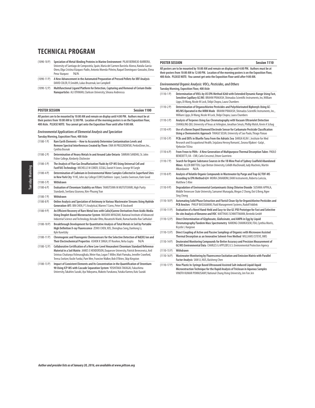- , 1090-10 P) **Speciation of Metal-Binding Proteins in Marine Environment** PILAR BERMEJO-BARRERA)<br>- University of Santiago de Compostela, Spain, Maria del Carmen Barciela-Alonso, Natalia García<br>Otero, Olga Cristina Vá Pena-Vazquez N/A
- (1090-11 P) **A New Advancement in the Automated Preparation of Pressed Pellets for XRF Analysis** DAVID COLER, FLSmidth, Lukas Bruzenak, Ian Campbell
- (1090-12 P) **Multifunctional Ligand Platform for Detection, Capturing and Removal of Cerium Oxide Nanoparticles** ALI OTHMAN, Clarkson University, Silvana Andreescu

| <b>POSTER SESSION</b> | <b>Session 1100</b>                                                                                                                                                                                                                                                                                |
|-----------------------|----------------------------------------------------------------------------------------------------------------------------------------------------------------------------------------------------------------------------------------------------------------------------------------------------|
|                       | All posters are to be mounted by 10:00 AM and remain on display until 4:00 PM. Authors must be at<br>their posters from 10:00 AM to 12:00 PM. Location of the morning posters is on the Exposition Floor,<br>400 Aisle. PLEASE NOTE: You cannot get onto the Exposition Floor until after 9:00 AM. |
|                       | <b>Environmental Applications of Elemental Analysis and Speciation</b><br><b>Tuesday Morning, Exposition Floor, 400 Aisle</b>                                                                                                                                                                      |
| $(1100-1)$            | Rare Earth Elements - How to Accurately Determine Contamination Levels and<br>Remove Spectral Interferences Created by Them EWA M PRUSZKOWSKI, PerkinElmer, Inc.,<br>Cynthia Bosnak                                                                                                                |
| $(1100 - 2P)$         | Determination of Heavy Metals In and Around Lake Ontario SIMRAN SANDHU, St. John<br>Fisher College, Kimberly Chichester                                                                                                                                                                            |
| $(1100-3 P)$          | The Analysis of Flue Gas Desulfurization Fluids by ICP-MS Using Universal Cell and<br>FastFIAS Technology MICHELLE M COKER, SCE&G, Daniel H Jones, George W Eargle                                                                                                                                 |
| $(1100 - 4P)$         | Determination of Cadmium in Environmental Water Samples Collected in Superfund Sites<br>in New York City YI HE, John Jay College/CUNY, Kathleen Lopez, Sandra Swenson, Kate Good                                                                                                                   |
| $(1100-5P)$           | Withdrawn                                                                                                                                                                                                                                                                                          |
| $(1100-6P)$           | Evaluation of Chromium Stability on Filters TAMUTSIWA M MUTUTUVARI, High Purity<br>Standards, Svetlana Uzunova, Kim-Phuong Tran                                                                                                                                                                    |
| $(1100 - 7P)$         | Withdrawn                                                                                                                                                                                                                                                                                          |
| $(1100-8P)$           | Online Analysis and Speciation of Antimony in Various Wastewater Streams Using Hydride<br>Generation-AFS BIN CHEN, P S Analytical, Warren T Corns, Peter B Stockwell                                                                                                                               |
| $(1100-9P)$           | An Efficient Recovery of Rare Metal Ions with Calix[4]arene Derivatives from Acidic Media<br>Using Droplet-Based Microreactor System MASAYA MIYAZAKI, National Institute of Advanced<br>Industrial Science and Technology, Keisuke Ohto, Masatoshi Maeki, Ramachandra Rao Sathuluri                |
| $(1100-10P)$          | Breakthrough Development for Quantitative Analysis of Total Metals in Soil by Portable<br>High Definition X-ray Fluorescence ZEWU CHEN, XOS, Shenghua Song, Danhong Li,<br>Kyle Kuwitzky                                                                                                           |
| $(1100-11P)$          | Chromogenic and Fluorogenic Chemosensors for the Selective Detection of Nd(III) Ion and<br>Their Electrochemical Properties ASHOK K SINGH, IIT Roorkee, Neha Gupta<br>N/A                                                                                                                          |
| $(1100 - 12P)$        | Collaborative Certification of a New Low-Level Hexavalent Chromium Standard Reference                                                                                                                                                                                                              |

**Material in a Soil Matrix** JAMES E HENDERSON, Duquesne University, Patrick Benecewicz, Anil Srinivas Chaitanya Vishnuvajjhala, Weier Hao, Logan T Miller, Matt Pamuku, Jennifer Crawford, Teresa Switzer, Vasile Furdui, Pam Wee, Francine Walker, Bob O'Brien, Skip Kingston

(1100-13 P) **Impact of Coexistent Elements and Its Concentration in the Quantification of Strontium-90 Using ICP-MS with Cascade Separation System** YOSHITAKA TAKAGAI, Fukushima University, Takahiro Suzuki, Aya Yokoyama, Makoto Furukawa, Yutaka Kameo, Katz Suzuki

### **POSTER SESSION Session 1110**

**All posters are to be mounted by 10:00 AM and remain on display until 4:00 PM. Authors must be at their posters from 10:00 AM to 12:00 PM. Location of the morning posters is on the Exposition Floor, 400 Aisle. PLEASE NOTE: You cannot get onto the Exposition Floor until after 9:00 AM.**

**Environmental Organic Analysis: VOCs, Pesticides, and Others**

|               | Tuesday Morning, Exposition Floor, 400 Aisle                                                                                                                                                                                                       |
|---------------|----------------------------------------------------------------------------------------------------------------------------------------------------------------------------------------------------------------------------------------------------|
| $(1110-1)$    | Determination of VOCs by US EPA Method 8260 with Extended Dynamic Range Using Fast,<br>Sensitive Capillary GC/MS BRAHM PRAKASH, Shimadzu Scientific Instruments, Inc, William<br>Lipps, Di Wang, Nicole M Lock, Shilpi Chopra, Laura Chambers      |
| $(1110-2P)$   | Determination of Organochlorine Pesticides and Polychlorinated Biphenyls Using GC-<br>MS/MS Operated in the MRM Mode BRAHM PRAKASH, Shimadzu Scientific Instruments, Inc.,<br>William Lipps, Di Wang, Nicole M Lock, Shilpi Chopra, Laura Chambers |
| $(1110-3P)$   | Analysis of Terpenes Using Gas Chromatography with Vacuum Ultraviolet Detection<br>CHANGLING QIU, University of Texas at Arlington, Jonathan Smuts, Phillip Walsh, Kevin A Schug                                                                   |
| $(1110-4P)$   | Use of a Boron Doped Diamond Electrode Sensor for Carbamate Pesticide Classification<br>Using a Chemometric Approach THIAGO SELVA, University of Sao Paulo, Thiago Paixao                                                                          |
| $(1110-5P)$   | PCBs and DDTs in Bluefin Tuna From the Adriatic Sea DARIJA KLIN I . Institute for Med<br>Research and Occupational Health, Snjažana Herceg Romanić, Zorana Kljakovi -Gašpi,<br>Vjekoslav Tičina                                                    |
| $(1110-6P)$   | From Freon to PAHs - A New Generation of Multipurpose Thermal Desorption Tubes PAOLO<br>BENEDETTI, IIA - CNR, Carlo Crescenzi, Ettore Guerriero                                                                                                    |
| $(1110 - 7P)$ | Search for Organic Substance Sources in the 1B Mine Pool of Sydney Coalfield Abandoned<br>Mines ALLEN BRITTEN, Cape Breton University, Ceilidh MacDonald, Judy MacInnis, Martin<br>N/A<br>Mkandawire                                               |
| $(1110-8P)$   | Analysis of Volatile Organic Compounds in Wastewater by Purge and Trap GC/TOF-MS<br>According to EPA Method 624 MOIRA ZANABONI, DANI Instruments, Roberta Lariccia,<br>Matthew S Klee                                                              |
| $(1110-9P)$   | Degradation of Environmental Contaminants Using Chlorine Dioxide SUSHMA APPALA,<br>Middle Tennessee State University, Samanwi Munagala, Megan Z Chong, Ooi G Beng, Ngee<br>Sing Chong                                                              |
| $(1110-10P)$  | Automating Solid Phase Extraction and Florisil Clean-Up for Organichlorine Pesticides and<br>PCB Aroclors PHILIP BASSIGNANI, Fluid Management Systems, Rudolf Addink                                                                               |
| $(1110-11P)$  | Evaluation of a Novel Hand-Held and Easy-to-Use GC-PID Prototype for Fast and Selective<br>On-site Analysis of Benzene and VOC MATTHIAS SCHMITTMANN, Bentekk GmbH                                                                                  |
| $(1110-12P)$  | Direct Determination of Glyphosate, Glufosinate, and AMPA in Egg by Liquid<br>Chromatography/Tandem Mass Spectrometry NARONG CHAMKASEM, FDA, Cynthia Morris,<br>Krystle L Hargrove                                                                 |
| $(1110-13P)$  | Direct Coupling of Active and Passive Samplings of Organics with Microwave Assisted<br>Thermal Desorption as an Innovative Solvent-Free Method WILLIAMS ESTEVE, INRS                                                                               |
| $(1110-14P)$  | Deuterated Monitoring Compounds for Better Accuracy and Precision Measurement of<br>GC/MS Environmental Data CHARLES G APPLEBY, U.S. Environmental Protection Agency                                                                               |
| $(1110-15P)$  | Withdrawn                                                                                                                                                                                                                                          |
| $(1110-16P)$  | Wastewater Monitoring by Fluorescence Excitation and Emission Matrix with Parallel<br>Factor Analysis SAM LI, NUS, Baisheng Chen                                                                                                                   |

(1110-17 P) **New Plastic In-Syringe Based Ultrasound Assisted Salt-induced Liquid-liquid Microextraction Technique for the Rapid Analysis of Triclosan in Aqueous Samples**  VINOTH KUMAR PONNUSAMY, National Chung Hsing University, Jen Fon Jen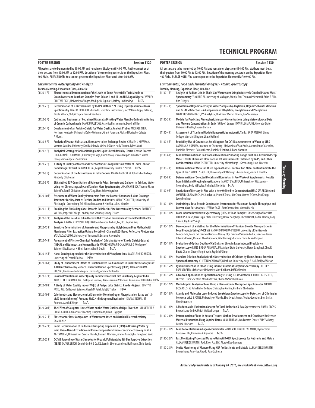#### **POSTER SESSION Session 1120**

**All posters are to be mounted by 10:00 AM and remain on display until 4:00 PM. Authors must be at their posters from 10:00 AM to 12:00 PM. Location of the morning posters is on the Exposition Floor, 400 Aisle. PLEASE NOTE: You cannot get onto the Exposition Floor until after 9:00 AM.**

#### **Environmental Water Quality and Analysis**

**Tuesday Morning, Exposition Floor, 400 Aisle**

| (1120-1 P)    | Electrochemical Determination of the Levels of Some Potentially Toxic Metals in<br>Groundwater and Leachate Samples from Solous II and III Landfill, Lagos Nigeria WESLEY<br>OHIFEME OKIEI, University of Lagos, Modupe M Ogunlesi, Jeffery Undiandeye<br>N/A          |  |  |
|---------------|------------------------------------------------------------------------------------------------------------------------------------------------------------------------------------------------------------------------------------------------------------------------|--|--|
| (1120-2 P)    | Determination of N-Nitrosamines by USEPA Method 521 Using Triple Quadrupole Mass<br>Spectrometry BRAHM PRAKASH, Shimadzu Scientific Instruments, Inc, William Lipps, Di Wang,<br>Nicole M Lock, Shilpi Chopra, Laura Chambers                                          |  |  |
| (1120-3 P)    | Optimizing Treatment of Reclaimed Water at a Drinking Water Plant by Online Monitoring<br>of Organic Carbon Levels MARK MULLET, GE Analytical Instruments, Dondra Biller                                                                                               |  |  |
| $(1120 - 4P)$ | Development of an Arduino Shield for Water Quality Analysis Probes MICHAEL CHIA,<br>Northern Kentucky University, Kelley Weigman, Grant Foreman, Richard Durtsche, Celeste<br>A Morris                                                                                 |  |  |
| (1120-5 P)    | Analysis of Peanut Hulls as an Alternative to Ion Exchange Resins CARMEN L HUFFMAN,<br>Western Carolina University, Kanika O Davis, Melisa J Glatte, Holly Truluck, Tyler S Cook                                                                                       |  |  |
| $(1120-6P)$   | Analytical Strategies for Monitoring Ionic Liquids Breakdown by Electro-Fenton Process<br>ELISA GONZÁLEZ-ROMERO, University of Vigo, Elvira Bocos, Jessica Meijide, Aida Díez, Marta<br>Pazos, María Angeles Sanromán                                                  |  |  |
| (1120-7 P)    | A Study of Quality of Water and Effect of Various Coagulants on Water of Lodra Lake of<br>Gandhinagar District JAIMIN K DESAI, Gujarat University, Parekh P Paresh<br>N/A                                                                                              |  |  |
| $(1120 - 8P)$ | Determination of the Toxins Found in Lake Ontario MARTA LABECKI, St. John Fisher College,<br>Kimberly Chichester                                                                                                                                                       |  |  |
| (1120-9 P)    | EPA Method 557 Quantitation of Haloacetic Acids, Bromate and Dalapon in Drinking Water<br>Using Ion Chromatography and Tandem Mass Spectrometry JONATHAN BECK, Thermo Fisher<br>Scientific, Terri T Christison, Charles Yang, Hans Schweingruber                       |  |  |
| $(1120-10P)$  | Assessment of Water Quality Parameters from the Lowber Abandoned Mine Drainage<br>Treatment Facility, Part 2: Further Studies and Results MARK T STAUFFER, University of<br>Pittsburgh - Greensburg, Tell M Lovelace, Aaron K Hirshka, Luke J Metzler                  |  |  |
| $(1120-11P)$  | Breaking the Biofouling Code: Towards Reliable In-Pipe Water Quality Sensors ROBERT E<br>WILSON, Imperial College London, Ivan Stoianov, Danny O'Hare                                                                                                                  |  |  |
| $(1120-12P)$  | Analysis of the Residual Oil in Water with Excitation Emission Matrix and Parallel Factor<br>Analysis KAWAGUCHI YOSHIHIKO, HORIBA Advanced Techno, Co., Ltd., Kojima Reiji                                                                                             |  |  |
| (1120-13 P)   | Sensitive Determination of Arsenate and Phosphate by Molybdenum Blue Method with<br>Membrane Filter Extraction Using a Portable 8-Channel LED-Based Reflective Photometer<br>YASUTADA SUZUKI, University of Yamanashi, Susumu Kawakubo                                 |  |  |
| (1120-14 P)   | Assessment of Physico-Chemical Analysis of Drinking Water of Kheda District Gujarat<br>(INDIA) and its Impact on Human Health MAHESHKUMAR B CHAUHAN, J & J College of<br>Science, Dipakkumar K Bhoi, Rameshbhai P Dabhi<br>N/A                                         |  |  |
| (1120-15 P)   | Nano-Sensing Approach for the Determination of Phosphate Ions MADELEINE JOHNSON,<br>University of Central Florida<br>N/A                                                                                                                                               |  |  |
| (1120-16 P)   | Study of Enhancement Effects of Functionalized Gold Nanorods in Quantitative Analysis of<br>1-H Benzotriazole by Surface Enhanced Raman Spectroscopy (SERS) UTTAM SHARMA<br>PHUYAL, Tennessee Technological University, Andrew Callender                               |  |  |
| (1120-17 P)   | Seasonal Variations in Water Quality Parameters at Thol Bird Sanctuary, Gujarat India<br>AMRUTLAL B PARMAR, J & J College of Science, Rameshkumar V Parmar, Arunkumar H Dholakia N/A                                                                                   |  |  |
| (1120-18 P)   | A Study of Water Quality Index (W.Q.I) of Pariyej Lake District: Kheda - Gujarat BUNTY R<br>PATEL, J & J College of Science, Alpesh M Patel, Fulaji J Thakor<br>N/A                                                                                                    |  |  |
| $(1120-19P)$  | Colorimetric and Electrochemical Sensor for Monohydrogen Phosphate Ion Based on 1,3-<br>bis(2-formylphenoxy) Propane Bis(2,4-dinitrophenyl hydrazine) DIVYA SINGHAL, IIT<br>Roorkee, Ashok K Singh<br>N/A                                                              |  |  |
| (1120-20 P)   | The Effect of Slaughter House Waste on the Water Quality of Okpu River Aba CHIDIEBERE A<br>ODIKE-ADUAKA, Abia State Teaching Hospital Aba, Lilian I Oguguo                                                                                                             |  |  |
| (1120-21 P)   | Biosensor for Toxic Compounds in Wastewater Based on Microbial Electrochemistry<br>SAM LI, NUS                                                                                                                                                                         |  |  |
| (1120-22 P)   | Rapid Determination of Endocrine Disrupting Bisphenol A (BPA) in Drinking Water by<br>Solid Phase Nano-Extraction and Room-Temperature Fluorescence Spectroscopy MAHA<br>AL-TAMEEMI, University of Central Florida, Bassam Alfarhani, Andres Campiglia, Jung Jong Seok |  |  |
| $(1120-23P)$  | GC/MS Screening of Water Samples for Organic Pollutants by Stir Bar Sorptive Extraction<br>(SBSE) OLIVER LERCH, Gerstel GmbH & Co. KG, Jasmin Zboron, Andreas Hoffmann, Chris Sandy                                                                                    |  |  |

#### **POSTER SESSION Session 1130**

**All posters are to be mounted by 10:00 AM and remain on display until 4:00 PM. Authors must be at their posters from 10:00 AM to 12:00 PM. Location of the morning posters is on the Exposition Floor, 400 Aisle. PLEASE NOTE: You cannot get onto the Exposition Floor until after 9:00 AM.**

**Environmental, Food and Elemental Analyses - Atomic Spectroscopy Tuesday Morning, Exposition Floor, 400 Aisle**

- (1130-1 P) **Analysis of Radium-226 in Shale-Gas Wastewater Using Inductively Coupled Plasma Mass Spectrometry** YUQIANG BI, University of Michigan, Wenjia Fan, Thomas P Yavaraski, Brian R Ellis, Kim F Hayes (1130-2 P) **Speciation of Organic Mercury in Water Samples by Alkylation, Organic Solvent Extraction**
- **and GC-AFS Detection A Comparison of Ethylation, Propylation and Phenylation**  CORNELIUS BROMBACH, P S Analytical, Bin Chen, Warren T Corns, Jun Yoshinaga
- (1130-3 P) **Models for Predicting Atmospheric Mercury Concentrations Using Meteorological Data and Mercury Concentrations in Salix(Willow) Leaves** DAVID LEHMPUHL, Colorado State University Pueblo, Lauren Bartolo
- (1130-4 P) **Assessment of Titanium Dioxide Nanoparticles in Aquatic Tanks** SARA MELOW, Elmira College, Marriah Ellington, Lisa A Holland
- (1130-5 P) **Feasibility Use of Ceramics as Solid Support for Cr(III) Measurement in Water by LIBS**  CASSIANA S NOMURA, Institute of Chemistry - University of Sao Paulo, Alexandrina C Carvalho, Daniel M Silvestre, Flávio O Leme, Danielle P Intima, Juliana Naozuka
- (1130-6 P) **Lead Determination in Soil from a Recreational Shooting Range Built on a Reclaimed Strip Mine: Effects of Oxidant Flow Rate on PB Measurements Obtained by FAAS, and Other Considerations** MARK T STAUFFER, University of Pittsburgh - Greensburg, Luke J Metzler
- (1130-7 P) **Determination of Metals in Three Types of Loose-Leaf Tea: Can Metal Content Indicate the Type of Tea?** MARK T STAUFFER, University of Pittsburgh - Greensburg, Aaron K Hirshka
- (1130-8 P) **Determination of Selected Metals and Nonmetals in Pre-Workout Supplements: Results from Initial and Ongoing Investigations** MARK T STAUFFER, University of Pittsburgh - Greensburg, Kelly M Boyles, Nicholas E Glotfelty N/A
- (1130-9 P) **Speciation of Mercury in Rice with a New Online Pre-Concentration HPLC-CV-AFS Method**  CORNELIUS BROMBACH, P S Analytical, Piumi K Dona, Bin Chen, Warren T Corns, Eva Krupp, Joerg Feldman
- (1130-10 P) **Optimizing a Total Protein Combustion Instrument for Maximum Sample Throughput and Lowest Cost-Per-Analysis** JEFFERY GAST, LECO Corporation, Mason Marsh
- (1130-11 P) **Laser Induced Breakdown Spectroscopy (LIBS) of Food Samples: Case Study of Tortillas**  CHARLES GHANY, Mississippi State University, Herve Sanghapi, Chet R Bhatt, Bader Alfarraj, Fang Y Yueh, Jagdish P Singh
- (1130-12 P) **Development of a Method For the Determination of Titanium Dioxide Nanoparticles in Food Products Using SP-ICPMS** ANTONIO MOREDA-PINEIRO, University of Santiago de Compostela, Maria del Carmen Barciela-Alonso, Olga Cristina Vázquez-Padín, Francisco Javier Vilariño-Páxaro, Manuel Aboal-Somoza, Pilar Bermejo-Barrera, Elena Pena-Vazquez
- (1130-13 P) **Evaluation of Optical Depths of Ca Emission Lines in Laser Induced Breakdown Spectroscopy (LIBS)** BADER ALFARRAJ, Mississippi State University, Herve Sanghapi, Chet R Bhatt, Charles Ghany, Fang Y Yueh, Jagdish P Singh
- (1130-14 P) **Standard Dilution Analysis for the Determination of Calcium by Flame Atomic Emission Spectrophotometry** CLIFTON P CALLOWAY, Winthrop University, Katja A Hall, Emily A Watson
- (1130-15 P) **Cyanide Detection in Blood Using Indirect Atomic Absorption Spectroscopy** JEFFREY ROSENTRETER, Idaho State University, Matt Kirkham, Jeff Kuhlmeier
- (1130-16 P) **Advanced Application of Speciation Analysis Using ICP-MS detection** DANIEL KUTSCHER, Thermo Fisher Scientific, Monika Verma, Shona McSheehy Ducos
- (1130-17 P) **Multi-trophic Analysis of Lead Using a Flame Atomic Absorption Spectrometer** MICHAEL DECAROLIS, St. John Fisher College, Christopher Collins, Kimberly Chiche
- (1130-18 P) **Atomic and Molecular Laser Induced Breakdown Spectroscopy for Detection of Chlorine in Concrete** WILL B JONES, University of Florida, Ebo Ewusi-Annan, Tobias Guenther, Ben Smith, Nico Omenetto
- (1130-19 P) **A Modern Multi-Excitation Concept for Total Reflection X-Ray Spectrometry** ARMIN GROSS, Bruker Nano GmbH, Ulrich Waldschlaeger N/A
- (1130-20 P) **Determination of Lead in Keratin Tissues: Method Development and Candidate Reference Material Production Using Caprine Horns** MINA TEHRANI, Wadsworth Center/ SUNY Albany, Patrick J Parsons N/A
- (1130-21 P) **Lead Concentrations in Lagos Groundwater** AMALACHUKWU OLIVE ANADI, Hydrochrom Resources Ltd, Chimezie A Anyakora N/A
- (1130-22 P) **Fast Monitoring Processed Manure Using WD-XRF Spectroscopy for Nutrients and Metals**  ALEXANDER SEYFARTH, Rock River Axs LLC, Aicado Roa-Espinosa
- (1130-23 P) **Onsite Monitoring of Manure Using XRF for Nutrients and Metals** ALEXANDER SEYFARTH, Bruker Nano Analytics, Aicado Roa-Espinosa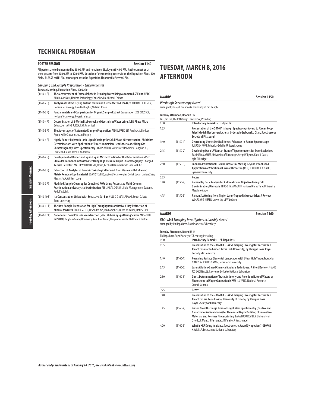### **POSTER SESSION Session 1140**

All posters are to be mounted by 10:00 AM and remain on display until 4:00 PM. Authors must be at<br>their posters from 10:00 AM to 12:00 PM. Location of the morning posters is on the Exposition Floor, 400<br>Aisle. PLEASE NO

| $(1140-1)$    | Tuesday Morning, Exposition Floor, 400 Aisle<br>The Measurement of Formaldehyde in Drinking Water Using Automated SPE and HPLC                                                                                                                                                                       |
|---------------|------------------------------------------------------------------------------------------------------------------------------------------------------------------------------------------------------------------------------------------------------------------------------------------------------|
|               | ALICIA CANNON, Horizon Technology, Chris Shevlin, Michael Ebitson                                                                                                                                                                                                                                    |
| $(1140-2P)$   | Analysis of Extract Drying Criteria for Oil and Grease Method 1664A/B MICHAEL EBITSON,<br>Horizon Technology, David Gallagher, William Jones                                                                                                                                                         |
| $(1140-3)$ P) | Fundamentals and Comparisons for Organic Sample Extract Evaporation ZOE GROSSER,<br>Horizon Technology, Robert Johnson                                                                                                                                                                               |
| $(1140-4P)$   | Determination of 2-Methylisoborneol and Geosmin in Water Using Solid Phase Micro<br>Extraction ANNE JUREK, EST Analytical                                                                                                                                                                            |
| $(1140-5P)$   | The Advantages of Automated Sample Preparation ANNE JUREK, EST Analytical, Lindsey<br>Pyron, Kelly Cravenor, Justin Murphy                                                                                                                                                                           |
| $(1140-6P)$   | Highly Robust Polymeric Ionic Liquid Coatings for Solid Phase Microextraction: Multiclass<br>Determinations with Application of Direct-Immersion-Headspace Mode Using Gas<br>Chromatography-Mass Spectrometry JOSIAS MERIB, lowa State University, Honglian Yu,<br>Carasek Eduardo, Jared L Anderson |
| $(1140 - 7P)$ | Development of Dispersive Liquid-Liquid Microextraction for the Determination of Six<br>Steroidal Hormones in Wastewater Using High Pressure Liquid Chromatography-Charged<br>Aerosol Detector MATHEW MUZI NINDI, Unisa, Cecilia O Osunmakinde, Simiso Dube                                          |
| $(1140-8P)$   | Extraction of Analytes of Forensic Toxicological Interest from Plasma with Enhanced<br>Matrix Removal-Lipid Material JOAN STEVENS, Agilent Technologies, Derick Lucas, Limian Zhao,<br>Megan Juck, William Long                                                                                      |
| $(1140-9P)$   | Modified Sample Clean-up for Combined POPs Using Automated Multi-Column<br>Fractionation and Analytical Optimization PHILIP BASSIGNANI, Fluid Management Systems,<br><b>Rudolf Addink</b>                                                                                                            |
| $(1140-10P)$  | Ice Concentration Linked with Extractive Stir Bar NUJUD O MASLAMANI, South Dakota<br><b>State University</b>                                                                                                                                                                                         |
| $(1140-11P)$  | The Best Sample Preparation for High Throughput Quantitative X-Ray Diffraction of<br>Mineral Mixtures ROGER MEIER, FLSmidth A/S, Ian Campbell, Lukas Bruzenak, Detlev Götz                                                                                                                           |
| $(1140-12P)$  | Nanoporous Solid Phase Microextraction (SPME) Fibers by Sputtering Silicon MASSOUD<br>KAYKHAII, Brigham Young University, Anubhav Diwan, Bhupinder Singh, Matthew R Linford                                                                                                                          |

## **TUESDAY, MARCH 8, 2016 AFTERNOON**

| <b>AWARDS</b> |                               | Session 1150                                                                                                                                                                    |
|---------------|-------------------------------|---------------------------------------------------------------------------------------------------------------------------------------------------------------------------------|
|               | Pittsburgh Spectroscopy Award | arranged by Joseph Grabowski, University of Pittsburgh                                                                                                                          |
|               | Tuesday Afternoon, Room B312  | Fu-Tyan Lin, The Pittsburgh Conference, Presiding                                                                                                                               |
| 1:30          |                               | Introductory Remarks - Fu-Tyan Lin                                                                                                                                              |
| 1:35          |                               | Presentation of the 2016 Pittsburgh Spectroscopy Award to Jürgen Popp,<br>Friedrich-Schiller University Jena, by Joseph Grabowski, Chair, Spectroscopy<br>Society of Pittsburgh |
| 1:40          | $(1150-1)$                    | Overcoming Unmet Medical Needs: Advances in Raman Spectroscopy<br>JÜERGEN POPP, Friedrich-Schiller University Jena                                                              |
| 2:15          | $(1150-2)$                    | Developing Deep UV Raman Standoff Spectrometers for Trace Explosives<br>SANFORD A ASHER, University of Pittsburgh, Sergei V Bykov, Katie L Gares,<br>Kyle T Hufziger            |
| 2:50          | $(1150-3)$                    | Enhanced Vibrational Circular Dichroism: Moving Beyond Established<br>Applications of Vibrational Circular Dichorism (VCD) LAURENCE A NAFIE,<br>Syracuse University             |
| 3:25          |                               | Recess                                                                                                                                                                          |
| 3:40          | $(1150-4)$                    | Raman Big Data Analysis for Automatic and Objective Living Cell<br>Discrimination/Diagnosis HIROO HAMAGUCHI, National Chiao Tung University,<br>Masahiro Ando                   |
| 4:15          | $(1150-5)$                    | Raman Scattering from Single, Laser-Trapped Microparticles: A Review<br>WOLFGANG KIEFER, University of Würzburg                                                                 |

**AWARDS Session 1160**

**RSC - JAAS Emerging Investigator Lectureship Award** arranged by Philippa Ross, Royal Society of Chemistry

### **Tuesday Afternoon, Room B314**

|      |            | Philippa Ross, Royal Society of Chemistry, Presiding                                                                                                                                                                                                                             |  |
|------|------------|----------------------------------------------------------------------------------------------------------------------------------------------------------------------------------------------------------------------------------------------------------------------------------|--|
| 1:30 |            | Introductory Remarks - Philippa Ross                                                                                                                                                                                                                                             |  |
| 1:35 |            | Presentation of the 2016 RSC - JAAS Emerging Investigator Lectureship<br>Award to Gerardo Gamez, Texas Tech University, by Philippa Ross, Royal<br><b>Society of Chemistry</b>                                                                                                   |  |
| 1:40 | $(1160-1)$ | Revealing Surface Elemental Landscapes with Ultra-High Throughput via<br>GDOES GERARDO GAMEZ, Texas Tech University                                                                                                                                                              |  |
| 2:15 | $(1160-2)$ | Laser Ablation-Based Chemical Analysis Techniques: A Short Review JHANIS<br>JOSE GONZALEZ, Lawrence Berkeley National Laboratory                                                                                                                                                 |  |
| 2:50 | $(1160-3)$ | Direct Determination of Trace Antimony and Arsenic in Natural Waters by<br>Photochemical Vapor Generation ICPMS LU YANG, National Research<br>Council Canada                                                                                                                     |  |
| 3:25 |            | Recess                                                                                                                                                                                                                                                                           |  |
| 3:40 |            | Presentation of the 2016 RSC - JAAS Emerging Investigator Lectureship<br>Award to Lara Lobo Revilla, University of Oviedo, by Philippa Ross,<br><b>Royal Society of Chemistry</b>                                                                                                |  |
| 3:45 | $(1160-4)$ | Pulsed Glow Discharge Time-of-Flight Mass Spectrometry (Positive and<br>Negative Ionization Modes) for Elemental Depth Profiling of Innovative<br>Materials and Polymer Fingerprinting LARA LOBO REVILLA, University of<br>Oviedo, R Muniz, B Fernandez, R Pereiro, A Sanz-Medel |  |
| 4:20 | $(1160-5)$ | What is XRF Doing in a Mass Spectrometry Award Symposium? GEORGE<br>HAVRILLA, Los Alamos National Laboratory                                                                                                                                                                     |  |

**Tuesday Morning** Tuesday Afternoon Tuesday Morning**Tuesday Afternoon**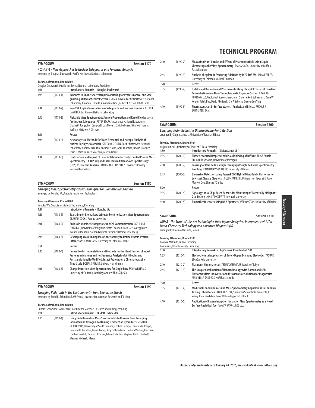| <b>SYMPOSIUM</b> |                                                                                                                                                                                       | Session 1170                                                                                                                                                                                                                                                                       |  |
|------------------|---------------------------------------------------------------------------------------------------------------------------------------------------------------------------------------|------------------------------------------------------------------------------------------------------------------------------------------------------------------------------------------------------------------------------------------------------------------------------------|--|
|                  | <b>ACS-ANYL - New Approaches to Nuclear Safequards and Forensics Analysis</b><br>arranged by Douglas Duckworth, Pacific Northwest National Laboratory<br>Tuesday Afternoon, Room B308 |                                                                                                                                                                                                                                                                                    |  |
|                  |                                                                                                                                                                                       | Douglas Duckworth, Pacific Northwest National Laboratory, Presiding                                                                                                                                                                                                                |  |
| 1:30             |                                                                                                                                                                                       | <b>Introductory Remarks - Douglas Duckworth</b>                                                                                                                                                                                                                                    |  |
| 1:35             | $(1170-1)$                                                                                                                                                                            | Advances in Online Spectroscopic Monitoring for Process Control and Safe-<br>quarding of Radiochemical Streams SAM A BRYAN, Pacific Northwest National<br>Laboratory, Amanda J Casella, Amanda M Lines, Gilbert L Nelson, Job M Bello                                              |  |
| 2:10             | $(1170-2)$                                                                                                                                                                            | New XRF Applications to Nuclear Safeguards and Nuclear Forensics GEORGE<br><b>HAVRILLA, Los Alamos National Laboratory</b>                                                                                                                                                         |  |
| 2:45             | $(1170-3)$                                                                                                                                                                            | Fieldable Mass Spectrometry: Sample Preparation and Rapid Field Analysis<br>for Nuclear Safeguards PETER STARK, Los Alamos National Laboratory,<br>Elizabeth Judge, Keri Campbell, Lisa Meyers, Chris Leibman, Ning Xu, Thomas<br>Yoshida, Matthew R Dirmyer                       |  |
| 3:20             |                                                                                                                                                                                       | Recess                                                                                                                                                                                                                                                                             |  |
| 3:35             | $(1170-4)$                                                                                                                                                                            | New Analytical Methods for Trace Elemental and Isotopic Analysis of<br>Nuclear Fuel Cycle Materials GREGORY C EIDEN, Pacific Northwest National<br>Laboratory, Andrew M Duffin, Michael P Dion, April J Carman, Orville T Farmer,<br>Jesse D Ward, Carmen S Menoni, Martin Liezers |  |
| 4:10             | $(1170-5)$                                                                                                                                                                            | Contribution and Impact of Laser Ablation Inductively Coupled Plasma Mass<br>Spectrometry (LA-ICP-MS) and Laser Induced Breakdown Spectroscopy<br>(LIBS) to Forensic Analysis JHANIS JOSE GONZALEZ, Lawrence Berkeley<br>National Laboratory                                       |  |

| <b>SYMPOSIUM</b>                                                             | Session 1180 |
|------------------------------------------------------------------------------|--------------|
| <b>Emerging Mass Spectrometry-Based Techniques for Biomolecular Analysis</b> |              |
| arranged by Ronghu Wu, Georgia Institute of Technology                       |              |

### **Tuesday Afternoon, Room B302**

|      |              | Ronghu Wu, Georgia Institute of Technology, Presiding                                                                                                                                                                                                                 |
|------|--------------|-----------------------------------------------------------------------------------------------------------------------------------------------------------------------------------------------------------------------------------------------------------------------|
| 1:30 |              | Introductory Remarks - Ronghu Wu                                                                                                                                                                                                                                      |
| 1:35 | $(1180-1)$   | Searching for Biomarkers Using Ambient Ionization Mass Spectrometry<br><b>GRAHAM COOKS, Purdue University</b>                                                                                                                                                         |
| 2:10 | $(1180-2)$   | An Inside-Outside Strategy to Study Cell Communication CATHERINE<br>FENSELAU, University of Maryland, Sitara Chauhan, Lucia Geis-Asteggiante,<br>Avantika Dhabaria, Nathan Edwards, Suzanne Ostrand-Rosenberg                                                         |
| 2:45 | $(1180-3)$   | Developing Cross-linking Mass Spectrometry to Define Protein-Protein<br>Interactions LAN HUANG, University of California, Irvine                                                                                                                                      |
| 3:20 |              | Recess                                                                                                                                                                                                                                                                |
| 3:35 | $(1180-4)$   | Innovative Instrumentation and Methods for the Identification of Intact<br>Proteins in Mixtures and for Sequence Analysis of Antibodies and<br>Posttranslationally-Modified, Intact Proteins on a Chromatographic<br>Time-Scale DONALD F HUNT, University of Virginia |
| 4:10 | $(1180 - 5)$ | Charge Detection Mass Spectrometry for Single Ions EVAN WILLIAMS,<br>University of California, Berkeley, Andrew Elliot, Zijie Xia                                                                                                                                     |

| <b>SYMPOSIUM</b>                                                                                                                                             | Session 1190 |
|--------------------------------------------------------------------------------------------------------------------------------------------------------------|--------------|
| Emerging Pollutants in the Environment - from Sources to Effects<br>arranged by Rudolf J Schneider, BAM Federal Institute for Materials Research and Testing |              |

### **Tuesday Afternoon, Room B303**

| 1:30 | <b>LUCSURV ALLEHTUVIL, INVILLED</b><br>Rudolf J Schneider, BAM Federal Institute for Materials Research and Testing, Presiding<br>Introductory Remarks - Rudolf J Schneider |                                                                                                                                                                                                                                                                                                                                                                                                                             |  |
|------|-----------------------------------------------------------------------------------------------------------------------------------------------------------------------------|-----------------------------------------------------------------------------------------------------------------------------------------------------------------------------------------------------------------------------------------------------------------------------------------------------------------------------------------------------------------------------------------------------------------------------|--|
| 1:35 | $(1190-1)$                                                                                                                                                                  | Using High Resolution Mass Spectrometry to Uncover New, Emerging<br><b>Iodinated and Nitrogen-Containing Disinfection Byproducts SUSAN D</b><br>RICHARDSON, University of South Carolina, Cristina Postigo, Christina M Joseph,<br>Hannah K Liberatore, Jessie Kadlec, Amy Cuthbertson, Friedrich Wendel, Christian<br>Luetke-Eversloh, Thomas A Ternes, Edward Machek, Stephen Duirk, Elizabeth<br>Wagner, Michael J Plewa |  |

| 2:10 | $(1190-2)$ | Measuring Plant Uptake and Effects of Pharmaceuticals Using Liquid<br>Chromatography/Mass Spectrometry DIANA S AGA, University at Buffalo,<br>Rachel Mullen                                                                                                                                          |  |
|------|------------|------------------------------------------------------------------------------------------------------------------------------------------------------------------------------------------------------------------------------------------------------------------------------------------------------|--|
| 2:45 | $(1190-3)$ | Analysis of Hydraulic Fracturing Additives by LC/Q-TOF-MS IMMA FERRER,<br>University of Colorado, Michael Thurman                                                                                                                                                                                    |  |
| 3:20 |            | Recess                                                                                                                                                                                                                                                                                               |  |
| 3:35 | $(1190-4)$ | Uptake and Disposition of Pharmaceuticals by Bluegill Exposed at Constant<br>Concentrations in a Flow-Through Aguatic Exposure System EDWARD<br>FURLONG, U.S. Geological Survey, Jian-Liang Zhao, Heiko L Schoenfuss, Dana W<br>Kolpin, Kyle L Bird, David J Feifarek, Eric A Schwab, Guang-Guo Ying |  |
| 4:10 | $(1190-5)$ | <b>Pharmaceuticals in Surface Waters - Analysis and Effects RUDOLF J</b><br>SCHNEIDER, BAM                                                                                                                                                                                                           |  |

### **SYMPOSIUM SESSION**

**Emerging Technologies for Disease Biomarker Detection**

arranged by Xiujun James Li, University of Texas at El Paso

#### **Tuesday Afternoon, Room B304**

|      |            | Xiujun James Li, University of Texas at El Paso, Presiding                                                                                                                           |
|------|------------|--------------------------------------------------------------------------------------------------------------------------------------------------------------------------------------|
| 1:30 |            | Introductory Remarks - Xiujun James Li                                                                                                                                               |
| 1:35 | $(1200-1)$ | Phase Separated Droplets Enable Multiplexing of Difficult ELISA Panels<br>SHUICHI TAKAYAMA, University of Michigan                                                                   |
| 2:10 | $(1200-2)$ | Looking for Rare Cells via High-throughput Single Cell Mass Spectrometry<br>Profiling JONATHAN V SWEEDLER, University of Illinois                                                    |
| 2:45 | $(1200-3)$ | Biomarker Detection Using Paper/PDMS Hybrid Microfluidic Platforms for<br>Low-cost Disease Diagnosis XIUJUN JAMES LI, University of Texas at El Paso,<br>Maowei Dou, Sharma T Sanjay |
| 3:20 |            | Recess                                                                                                                                                                               |
| 3:35 | $(1200-4)$ | 'Cytology-on-a-Chip' Based Sensors for Monitoring of Potentially Malignant<br>Oral Lesions JOHN T MCDEVITT, New York University                                                      |
| 4:10 | $(1200-5)$ | Biomarker Discovery Using DNA Aptamers WEIHONG TAN, University of Florida                                                                                                            |

#### **SYMPOSIUM Session 1210**

**JAIMA - The State-of-the-Art Technologies from Japan: Analytical Instruments with/for Nano-Chemistry Technology and Advanced Diagnosis (II)** arranged by Koichiro Matsuda, JAIMA

**Tuesday Afternoon, Room B305** Koichiro Matsuda, JAIMA, Presiding

|      | Koji Suzuki, Keio University, Presiding |                                                                                                                                                                                                           |
|------|-----------------------------------------|-----------------------------------------------------------------------------------------------------------------------------------------------------------------------------------------------------------|
| 1:30 |                                         | Introductory Remarks - Koji Suzuki, President of JSAC                                                                                                                                                     |
| 1:35 | $(1210-1)$                              | Electrochemical Application of Boron-Doped Diamond Electrodes YASUAKI<br>EINAGA, Keio University                                                                                                          |
| 2:10 | $(1210-2)$                              | Plasmonic Nanomaterials TETSU TATSUMA, University of Tokyo                                                                                                                                                |
| 2:45 | $(1210-3)$                              | The Unique Combination of Nanotechnology with Raman and SPRi<br>Platforms Offers Innovative and Ultrasensitive Solutions for Diagnostics<br>MARINELLA SANDROS, HORIBA Scientific                          |
| 3:20 |                                         | Recess                                                                                                                                                                                                    |
| 3:35 | $(1210-4)$                              | Medicinal Cannabinomics and Mass Spectrometry Applications to Cannabis<br>Testing Laboratories SCOTT KUZDZAL, Shimadzu Scientific Instruments, Di<br>Wang, Jonathan Edwardsen, William Lipps, Jeff H Dahl |
| 4:10 | $(1210-5)$                              | Application of Laser/desorption Ionization Mass Spectrometry as a Novel<br>Surface Analytical Tool TAKAYA SATOH, JEOL Ltd.                                                                                |

# **Tuesday Afternoon** Tuesday Afternoon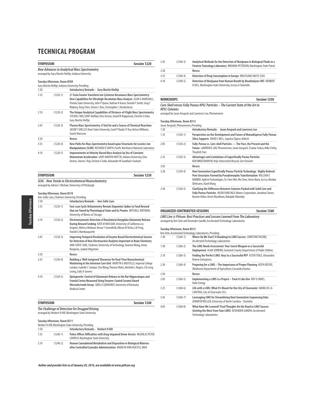| <b>Session 1220</b><br><b>SYMPOSIUM</b> |                                                                                                            |                                                                                                                                                                                                                                                                                                     |  |  |  |
|-----------------------------------------|------------------------------------------------------------------------------------------------------------|-----------------------------------------------------------------------------------------------------------------------------------------------------------------------------------------------------------------------------------------------------------------------------------------------------|--|--|--|
|                                         | <b>New Advances in Analytical Mass Spectrometry</b><br>arranged by Gary Martin Hieftje, Indiana University |                                                                                                                                                                                                                                                                                                     |  |  |  |
|                                         | Tuesday Afternoon, Room B309                                                                               |                                                                                                                                                                                                                                                                                                     |  |  |  |
|                                         |                                                                                                            | Gary Martin Hieftje, Indiana University, Presiding                                                                                                                                                                                                                                                  |  |  |  |
| 1:30                                    |                                                                                                            | <b>Introductory Remarks - Gary Martin Hieftje</b>                                                                                                                                                                                                                                                   |  |  |  |
| 1:35                                    | $(1220-1)$                                                                                                 | 21 Tesla Fourier Transform Ion Cyclotron Resonance Mass Spectrometry:<br>New Capabilities for Ultrahigh-Resolution Mass Analysis ALAN G MARSHALL,<br>Florida State University, John P Quinn, Nathan K Kaiser, Donald F Smith, Greg T<br>Blakney, Tong Chen, Steven C Beu, Christopher L Hendrickson |  |  |  |
| 2:10                                    | $(1220-2)$                                                                                                 | The Unique Analytical Capabilities of Distance-of-Flight Mass Spectrometry<br>STEVEN J RAY, SUNY-Buffalo, Elise Dennis, David W Koppenaal, Christie G Enke,<br>Gary Martin Hieftje                                                                                                                  |  |  |  |
| 2:45                                    | $(1220-3)$                                                                                                 | Plasma Mass Spectrometry: A Tool for and a Source of Chemical Reactions<br>JACOB T SHELLEY, Kent State University, Sunil P Badal, Yi You, Kelsey Williams,<br>Garett MacLean                                                                                                                        |  |  |  |
| 3:20                                    |                                                                                                            | Recess                                                                                                                                                                                                                                                                                              |  |  |  |
| 3:35                                    | $(1220-4)$                                                                                                 | New Paths for Mass Spectrometry based upon Structures for Lossless Ion<br>Manipulations (SLIM) RICHARD D SMITH, Pacific Northwest National Laboratory                                                                                                                                               |  |  |  |
| 4:10                                    | $(1220-5)$                                                                                                 | Improvements in Velocity-Based Mass Analysis by Use of Constant-<br>Momentum Acceleration GARY MARTIN HIEFTJE, Indiana University, Elise<br>Dennis, Steven J Ray, Christie G Enke, Alexander W Gundlach-Graham                                                                                      |  |  |  |

| <b>SYMPOSIUM</b>                                           | Session 1230 |
|------------------------------------------------------------|--------------|
| <b>SEAC - New Trends in Electrochemical Neurochemistry</b> |              |
| arranged by Adrian C Michael, University of Pittsburgh     |              |

### **Tuesday Afternoon, Room B310**

**Tuesday Afternoon** Tuesday Afternoon

|      |            | Ann-Sofie Cans, Chalmers University, Presiding                                                                                                                                                                                                           |
|------|------------|----------------------------------------------------------------------------------------------------------------------------------------------------------------------------------------------------------------------------------------------------------|
| 1:30 |            | <b>Introductory Remarks - Ann-Sofie Cans</b>                                                                                                                                                                                                             |
| 1:35 | $(1230-1)$ | Fast-scan Cyclic Voltammetry Reveals Dopamine Spikes to Food Reward<br>that are Tuned by Physiological State and Its Proxies MITCHELL ROITMAN,<br>University of Illinois at Chicago                                                                      |
| 2:10 | $(1230-2)$ | Electroenzymatic Detection of Basolateral Amygdala Glutamate Release<br>During Reward Seeking KATE M WASSUM, University of California Los<br>Angeles, Melissa Malvaez, Venuz Y Greenfield, Allison M Yorita, Lili Feng,<br>Harold G Monbouquette         |
| 2:45 | $(1230-3)$ | Improving Temporal Resolution of Enzyme Based Electrochemical Sensors<br>for Detection of Non-Electroactive Analytes Important in Brain Chemistry<br>ANN-SOFIE CANS, Chalmers University of Technology, Yuanmo Wang, Jenny<br>Bergman, Joakim Wigström   |
| 3:20 |            | Recess                                                                                                                                                                                                                                                   |
| 3:35 | $(1230-4)$ | Building a 'Well-tempered' Biosensor for Real-Time Neurochemical<br>Monitoring in the Intensive Care Unit MARTYN G BOUTELLE, Imperial College<br>London, Isabelle C Samper, Chu Wang, Thomas Watts, Michelle L Rogers, Chi Leng<br>Leong, Sally A Gowers |
| 4:10 | $(1230-5)$ | Optogenetic-Control of Glutamate Release in the Rat Hippocampus and<br>Frontal Cortex Measured Using Enzyme-Coated Ceramic Based<br>Microelectrode Arrays GREG A GERHARDT, University of Kentucky<br><b>Medical Center</b>                               |

| SYMPOSIUM                                               | Session 1240 |
|---------------------------------------------------------|--------------|
| The Challenge of Detection for Drugged Driving          |              |
| arranged by Herbert H Hill, Washington State University |              |

**Tuesday Afternoon, Room B311**

|      |            | Herbert H Hill. Washington State University. Presiding                                                                                    |
|------|------------|-------------------------------------------------------------------------------------------------------------------------------------------|
| 1:30 |            | <b>Introductory Remarks - Herbert H Hill</b>                                                                                              |
| 1:35 | $(1240-1)$ | Police Officer Difficulties with Drug-Impaired Driver Arrests NICHOLAS PETER<br>LOVRICH. Washington State University                      |
| 2:10 | $(1240-2)$ | Human Cannabinoid Metabolism and Disposition in Biological Matrices<br>after Controlled Cannabis Administration MARILYN ANN HUESTIS. NIDA |

**Author and presider lists as of January 20, 2016, are available at www.pittcon.org** 48

| 2:45 | $(1240-3)$ | Analytical Methods for the Detection of Mariiuana in Biological Fluids in a<br><b>Forensic Toxicology Laboratory BRIANNA PETERSON, Washington State Patrol</b> |
|------|------------|----------------------------------------------------------------------------------------------------------------------------------------------------------------|
| 3:20 |            | Recess                                                                                                                                                         |
| 3:35 | $(1240-4)$ | Detection of Drug Consumption in Europe WOLFGANG VAUTZ, ISAS                                                                                                   |
| 4:10 | $(1240-5)$ | Detection of Mariiuana from Human Breath by Breathalyzer-IMS HERBERT<br>H HILL. Washington State University. Jessica A Tufariello                              |

### **WORKSHOPS Session 1250**

| Core-Shell versus Fully Porous HPLC Particles - The Current State of the Art in |
|---------------------------------------------------------------------------------|
| <b>HPLC Columns</b>                                                             |
| arranged by Jason Anspach and Lawrence Loo, Phenomenex                          |

#### **Tuesday Afternoon, Room B313**

|      | Jason Anspach, Phenomenex, Presiding |                                                                                                                                                                                                                                                         |
|------|--------------------------------------|---------------------------------------------------------------------------------------------------------------------------------------------------------------------------------------------------------------------------------------------------------|
| 1:30 |                                      | Introductory Remarks - Jason Anspach and Lawrence Loo                                                                                                                                                                                                   |
| 1:35 | $(1250-1)$                           | Perspectives on the Development and Future of Monodisperse Fully-Porous<br>Silica Supports DAVID S BELL, Supelco/Sigma-Aldrich                                                                                                                          |
| 2:05 | $(1250-2)$                           | Fully-Porous vs. Core-shell Particles - The Past, the Present and the<br>Future LAWRENCE LOO, Phenomenex, Jason Anspach, Tivadar Farkas, Mike Chitty,<br><b>Thuylinh Tran</b>                                                                           |
| 2:35 | $(1250-3)$                           | Advantages and Limitations of Superficially Porous Particles<br>KEN BROECKHOVEN, Vrije Universiteit Brussel, Gert Desmet                                                                                                                                |
| 3:05 |                                      | Recess                                                                                                                                                                                                                                                  |
| 3:20 | $(1250-4)$                           | Next Generation Superficially Porous Particle Technology: Highly Ordered<br>Pore Structures Formed by Pseudomorphic Transformation WILLIAM E<br>BARBER, Agilent Technologies, Ta-Chen Wei, Wu Chen, Anne Mack, Jia Liu, Monika<br>Dittmann, Xiaoli Wang |
| 3:50 | $(1250-5)$                           | Clarifying the Difference Between Columns Packed with Solid Core and<br>Fully Porous Particles JACOB FAIRCHILD, Waters Corporation, Jonathan Turner,<br>Bonnie Alden, Kevin Wyndham, Babajide Okandeji                                                  |

### **ORGANIZED CONTRIBUTED SESSIONS Session 1260 LIMS Live @ Pittcon: Best Practices and Lessons Learned From The Laboratory**

arranged by Ken Ochi and Devender Gandhi, Accelerated Technology Laboratories

|      | Tuesday Afternoon, Room B315 | Ken Ochi, Accelerated Technology Laboratories, Presiding                                                                                                             |
|------|------------------------------|----------------------------------------------------------------------------------------------------------------------------------------------------------------------|
| 1:30 | $(1260-1)$                   | Where Do We Start? A Roadmap to LIMS Success CHRISTINE PASZKO,<br>Accelerated Technology Laboratories                                                                |
| 1:50 | $(1260-2)$                   | The LIMS Needs Assessment: Your Secret Weapon to a Successful<br>Deployment ALAN SERRERO, Gwinnett County Department of Public Utilities                             |
| 2:10 | $(1260-3)$                   | Finding the Perfect LIMS: Keys to a Successful RFP ASTER TEKLE, Alexandria<br><b>Renew Enterprises</b>                                                               |
| 2:30 | $(1260 - 4)$                 | Preparing for a LIMS - The Importance of Proper Planning KEITH KEESEE,<br>Oklahoma Department of Agriculture, Cassandra Kontas                                       |
| 2:50 |                              | Recess                                                                                                                                                               |
| 3:05 | $(1260-5)$                   | Implementing a LIMS is a Project - Treat It Like One ROY D JONES,<br><b>Duke Energy</b>                                                                              |
| 3:25 | $(1260-6)$                   | Life with a LIMS: What It's Meant for the City of Clearwater MARIA DE LA<br>CANTERA, City of Clearwater (FL)                                                         |
| 3:45 | $(1260 - 7)$                 | Leveraging LIMS for Streamlining Next Generation Sequencing Data<br>JENNIFER WELLER, University of North Carolina - Charlotte                                        |
| 4:05 | $(1260 - 8)$                 | What Have We Learned? Final Thoughts On the Road to LIMS Success<br>(Getting the Most From Your LIMS) DEVENDER GANDHI, Accelerated<br><b>Technology Laboratories</b> |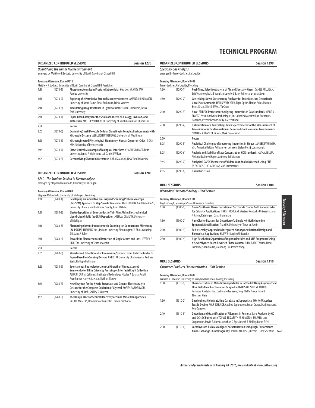|      |                              | <b>ORGANIZED CONTRIBUTED SESSIONS</b>                                                                                                               | <b>Session 1270</b> |
|------|------------------------------|-----------------------------------------------------------------------------------------------------------------------------------------------------|---------------------|
|      |                              | <b>Quantifying the Tumor Microenvironment</b><br>arranged by Matthew R Lockett, University of North Carolina at Chapel Hill                         |                     |
|      | Tuesday Afternoon, Room B316 |                                                                                                                                                     |                     |
|      |                              | Matthew R Lockett, University of North Carolina at Chapel Hill, Presiding                                                                           |                     |
| 1:30 | $(1270-1)$                   | Phosphoproteomics in Prostate Extracellular Vesicles W ANDY TAO,<br><b>Purdue University</b>                                                        |                     |
| 1:50 | $(1270-2)$                   | Exploring the Permissive Stromal Microenvironment AMANDA B HUMMON,<br>University of Notre Dame, Pinar Zorlutuna, Eric M Weaver                      |                     |
| 2:10 | $(1270-3)$                   | Modulating Drug Resistance in Hypoxia Tumors DIMITRI PAPPAS, Texas<br><b>Tech University</b>                                                        |                     |
| 2:30 | $(1270-4)$                   | Paper-Based Assays for the Study of Cancer Cell Biology, Invasion, and<br>Metastasis MATTHEW R LOCKETT, University of North Carolina at Chapel Hill |                     |
| 2:50 |                              | Recess                                                                                                                                              |                     |
| 3:05 | $(1270-5)$                   | Examining Small Molecule Cellular Signaling in Complex Environments with<br>Microscale Systems ASHLEIGH B THEBERGE, University of Washington        |                     |
| 3:25 | $(1270-6)$                   | Microengineered Physiological Biomimicry: Human Organ-on-Chips D DAN<br>HUH, University of Pennsylvania                                             |                     |
| 3:45 | $(1270-7)$                   | Direct Optical Microscopy of Biological Interfaces CHARLES R MACE, Tufts<br>University, Jenna A Walz, Irene Lui, Daniel J Wilson                    |                     |
| 4:05 | $(1270-8)$                   | Deconvolving Glycans in Metastasis LARA K MAHAL, New York University                                                                                |                     |

## **ORGANIZED CONTRIBUTED SESSIONS Session 1280**

**SEAC - The Student Session in Electroanalysis** arranged by Stephen Maldonado, University of Michigan

### **Tuesday Afternoon, Room B401**

|      |              | Stephen Maldonado, University of Michigan, Presiding                                                                                                                                                                                                            |
|------|--------------|-----------------------------------------------------------------------------------------------------------------------------------------------------------------------------------------------------------------------------------------------------------------|
| 1:30 | $(1280-1)$   | Developing an Innovative Bio-Inspired Scanning Probe Microscopy<br>(Bio-SPM) Approach to Map Specific Molecular Flux FLORIKA CALING MACAZO,<br>University of Maryland Baltimore County, Ryan J White                                                            |
| 1:50 | $(1280-2)$   | Electrodeposition of Semiconductor Thin Films Using Electrochemical<br>Liquid-Liquid-Solid (ec-LLS) Deposition JOSHUA DEMUTH, University<br>of Michigan                                                                                                         |
| 2:10 | $(1280-3)$   | Alternating Current Potentiometric Scanning Ion Conductance Microscopy<br>(AC-PSICM) LUSHAN ZHOU, Indiana University Bloomington, Yi Zhou, Wenging<br>Shi, Lane A Baker                                                                                         |
| 2:30 | $(1280-4)$   | Toward the Electrochemical Detection of Single Atoms and Ions JEFFREY E<br>DICK, The University of Texas at Austin                                                                                                                                              |
| 2:50 |              | Recess                                                                                                                                                                                                                                                          |
| 3:05 | $(1280 - 5)$ | Miniaturized Potentiometric Ion-Sensing Systems: From Bulk Electrodes to<br>Paper-Based Ion-Sensing Devices JINBO HU, University of Minnesota, Andreas<br>Stein, Philippe Buhlmann                                                                              |
| 3:25 | $(1280-6)$   | Spontaneous Photoelectrochemical Growth of Nanopatterned<br>Semiconductor Films Driven by Anisotropic Interfacial Light Collection<br>AZHAR I CARIM, California Institute of Technology, Nicolas A Batara, Anjali<br>Premkumar, Harry A Atwater, Nathan S Lewis |
| 3:45 | $(1280 - 7)$ | New Enzymes for the Hybrid Enzymatic and Organic Electrocatalytic<br>Cascade for the Complete Oxidation of Glycerol SOFIENE ABDELLAOUI,<br>University of Utah, Shelley D Minteer                                                                                |
| 4:05 | $(1280 - 8)$ | The Unique Electrochemical Reactivity of Small Metal Nanoparticles<br>RAFAEL MASITAS, University of Louisville, Francis Zamborini                                                                                                                               |

|      |                                                                           | ORGANIZED CONTRIBUTED SESSIONS                                                                                                                                                                            | Session 1290 |
|------|---------------------------------------------------------------------------|-----------------------------------------------------------------------------------------------------------------------------------------------------------------------------------------------------------|--------------|
|      | <b>Specialty Gas Analysis</b><br>arranged by Tracey Jacksier, Air Liquide |                                                                                                                                                                                                           |              |
|      | Tuesday Afternoon, Room B402                                              |                                                                                                                                                                                                           |              |
|      | Tracey Jacksier, Air Liquide, Presiding                                   |                                                                                                                                                                                                           |              |
| 1:30 | $(1290-1)$                                                                | Real-Time, Selective Analysis of Air and Specialty Gases DANIEL MILLIGAN,<br>Syft Technologies Ltd, Vaughan Langford, Barry Prince, Murray McEwan                                                         |              |
| 1:50 | $(1290-2)$                                                                | Cavity Ring-Down Spectroscopy Analyzer for Trace Moisture Detection in<br>Ultra-Pure Ammonia HELEN WAECHTER, Tiger Optics, Florian Adler, Marten<br>Beels, Brian Siller, Bill West, Yu Chen               |              |
| 2:10 | $(1290-3)$                                                                | Novel FTIR/GC Detector for Analyzing Impurities in Gas Standards MARTIN L<br>SPARTZ, Prism Analytical Technologies, Inc., Charles Mark Phillips, Anthony S<br>Bonanno, Peter P Behnke, Kelly R McPartland |              |
| 2:30 | $(1290-4)$                                                                | Optimization of a Cavity Ring-Down Spectrometer for the Measurement of<br><b>Trace Ammonia Contamination in Semicondutor Cleanroom Environments</b><br>GRAHAM A LEGGETT, Picarro, Mark Camenzind          |              |
| 2:50 |                                                                           | Recess                                                                                                                                                                                                    |              |
| 3:05 | $(1290-5)$                                                                | Analytical Challenges of Measuring Impurities in Biogas JANNEKE VAN WIJK,<br>VSL, Annarita Baldan, Adriaan van der Veen, Stefan Persijn, Jeanrong Li                                                      |              |
| 3:25 | $(1290-6)$                                                                | Analysis and Stability of Low Concentration HCl Standards NATHALIE LUU,<br>Air Liquide, Steve Hagen, Anthony Schleisman                                                                                   |              |
| 3:45 | $(1290 - 7)$                                                              | Analytical QA/QC Measures to Validate Your Analysis Method Using FTIR<br>SYLVIE BOSCH-CHARPENAY, MKS Instruments                                                                                          |              |
| 4:05 | $(1290-8)$                                                                | <b>Open Discussion</b>                                                                                                                                                                                    |              |

### **ORAL SESSIONS** Session 1300

### **Biomedical: Nanotechnology - Half Session**

|      | Tuesday Afternoon, Room B301 | Jagdish Singh, Mississippi State University, Presiding                                                                                                                                               |
|------|------------------------------|------------------------------------------------------------------------------------------------------------------------------------------------------------------------------------------------------|
| 1:30 | $(1300-1)$                   | Green Synthesis, Characterization of Saccharide Coated Gold Nanoparticles<br>for Catalytic Applications HARSH MOOLANI, Western Kentucky University, Jason<br>N Payne, Rajalingam Dakshinamurthy      |
| 1:50 | $(1300-2)$                   | NanoCluster Beacons for Detection of a Single N6-Methyladenine<br>Epigenetic Modification TIM YEH, University of Texas at Austin                                                                     |
| 2:10 | $(1300-3)$                   | Self-assembly Approach to Integrated Nanozymes: Rational Design and<br><b>Biomedical Applications HUI WEI, Nanjing University</b>                                                                    |
| 2:30 | $(1300-4)$                   | High Resolution Separation of Oligonucleotides and DNA Fragments Using<br>a New Polymer-Based Reversed Phase Column JULIA BAEK, Thermo Fisher<br>Scientific, Shanhua Lin, Xiaodong Liu, Jessica Wang |

### **ORAL SESSIONS** Session 1310

### **Consumer Products Characterization - Half Session**

**Tuesday Afternoon, Room B408**

|      |            | William R LaCourse, University of Maryland Baltimore County, Presiding                                                                                                                                                                                |     |
|------|------------|-------------------------------------------------------------------------------------------------------------------------------------------------------------------------------------------------------------------------------------------------------|-----|
| 1:30 | $(1310-1)$ | Characterization of Metallic Nanoparticles in Tattoo Ink Using Asymmetrical<br>Flow Field-Flow Fractionation Coupled with ICP-MS SOHEYL TADJIKI,<br>Postnova Analytics Inc., Evelin Moldenhauer, Tony Pfaffe, Trevor Havard,<br><b>Thorsten Klein</b> |     |
| 1:50 | $(1310-2)$ | Developing a Color Matching Database in Supercritical CO <sub>2</sub> for Waterless<br>Textile Dyeing ROLF SCHLAKE, Applied Separations, Susan Crowe, Madhu Anand,<br>Rob Dorrycott                                                                   |     |
| 2:10 | $(1310-3)$ | Detection and Quantification of Allergens in Personal Care Products by GC<br>and GC×GC Paired with TOFMS ELIZABETH M HUMSTON-FULMER, Leco<br>Corporation, David E Alonso, Jonathan D Byer, Joseph E Binkley, Lorne E Fell                             |     |
| 2:30 | $(1310-4)$ | Carbohydrate-Rich Microalgae Characterization Using High-Performance<br>Anion-Exchange Chromatography PARUL ANGRISH, Thermo Fisher Scientific                                                                                                         | N/A |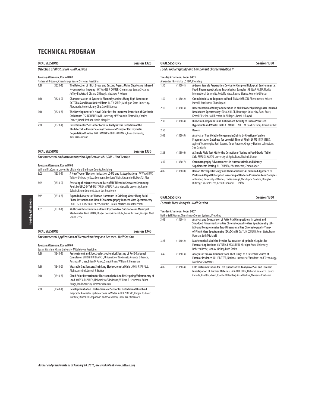|                                                                                        | <b>ORAL SESSIONS</b> | <b>Session 1320</b>                                                                                                                                                                                                       |  |
|----------------------------------------------------------------------------------------|----------------------|---------------------------------------------------------------------------------------------------------------------------------------------------------------------------------------------------------------------------|--|
|                                                                                        |                      | <b>Detection of Illicit Drugs - Half Session</b>                                                                                                                                                                          |  |
| Tuesday Afternoon, Room B407<br>Nathaniel R Gomer, Chemlmage Sensor Systems, Presiding |                      |                                                                                                                                                                                                                           |  |
| 1:30                                                                                   | $(1320-1)$           | The Detection of Illicit Drugs and Cutting Agents Using Shortwave Infrared<br><b>Hyperspectral Imaging NATHANIEL R GOMER, ChemImage Sensor Systems,</b><br>Jeffrey Beckstead, Oksana Olkhovyk, Matthew P Nelson           |  |
| 1:50                                                                                   | $(1320-2)$           | Characterization of Synthetic Phenethylamines Using High-Resolution<br>GC-TOFMS and Mass Defect Filters RUTH SMITH, Michigan State University,<br>Alexandria Anstett, Fanny Chu, David E Alonso                           |  |
| 2:10                                                                                   | $(1320-3)$           | The Development of a Novel Color Test for Improved Detection of Synthetic<br>Cathinones TSUNGHSUEH WU, University of Wisconsin-Platteville, Charles<br>Cornett, Brook Tashner, Nicole Kloepfer                            |  |
| 2:30                                                                                   | $(1320-4)$           | Potentiometric Sensor for Forensic Analysis: The Detection of the<br>'Undetectable Poison' Succinylcholine and Study of Its Enzymatic<br>Degradation Kinetics MOHAMED K ABD EL-RAHMAN, Cairo University,<br>Amr M Mahmoud |  |
|                                                                                        | <b>ORAL SESSIONS</b> | <b>Session 1330</b>                                                                                                                                                                                                       |  |

**Environmental and Instrumentation Application of LC/MS - Half Session**

#### **Tuesday Afternoon, Room B408**

|      |            | William R LaCourse, University of Maryland Baltimore County, Presiding                                                                                                                                              |
|------|------------|---------------------------------------------------------------------------------------------------------------------------------------------------------------------------------------------------------------------|
| 3:05 | $(1330-1)$ | A New Type of Electron Ionization LC-MS and Its Applications AVIV AMIRAV,<br>Tel Aviv University, Boaz Seemann, Svetlana Tsizin, Alexander Fialkov, Tal Alon                                                        |
| 3:25 | $(1330-2)$ | Assessing the Occurrence and Fate of UV Filters in Seawater Swimming<br>Pools by UPLC-Q-ToF-MS TAREK MANASFI, Aix-Marseille University, Ravier<br>Sylvain, Bruno Coulomb, Jean-Luc Boudenne                         |
| 3:45 | $(1330-3)$ | Expanded Analysis of Human Hormones in Drinking Water Using Solid<br>Phase Extraction and Liquid Chromatography Tandem Mass Spectrometry<br>CARL FISHER, Thermo Fisher Scientific, Claudia Martins, Pranathi Perati |
| 4:05 | $(1330-4)$ | Multiclass Determination of New Psychoactive Substances in Municipal<br>Wastewater IVAN SENTA, Rudjer Boskovic Institute, Ivona Krizman, Marijan Ahel,<br>Senka Terzic                                              |

### **ORAL SESSIONS Session 1340**

**Environmental Applications of Electrochemistry and Sensors - Half Session**

#### **Tuesday Afternoon, Room B409**

|      | Susan S Marine, Miami University Middletown, Presiding |                                                                                                                                                                                                                      |  |
|------|--------------------------------------------------------|----------------------------------------------------------------------------------------------------------------------------------------------------------------------------------------------------------------------|--|
| 1:30 | $(1340-1)$                                             | Pretreatment and Spectroelectrochemical Sensing of Re(I)-Carbonyl<br>Complexes SHIRMIR D BRANCH, University of Cincinnati, Amanda D French,<br>Amanda M Lines, Brian M Rapko, Sam A Bryan, William R Heineman        |  |
| 1:50 | $(1340-2)$                                             | Wearable Gas Sensors: Shrinking Electrochemical Cells JOHN R SAFFELL,<br>Alphasense Ltd., Joseph R Stetter                                                                                                           |  |
| 2:10 | $(1340-3)$                                             | Cloud Point Extraction for Electroanalysis: Anodic Stripping Voltammetry of<br>Lead CORY A RUSINEK, University of Cincinnati, William R Heineman, Adam<br>Bange, Ian Papautsky, Mercedes Warren                      |  |
| 2:30 | $(1340-4)$                                             | Development of an Electrochemical Sensor for Detection of Dissolved<br>Polycyclic Aromatic Hydrocarbons in Water ABRA PENEZIC, Rudjer Boskovic<br>Institute, Blazenka Gasparovic, Andrew Nelson, Drazenka Stipanicev |  |

### **ORAL SESSIONS** Session 1350 **Food Product Quality and Component Characterization II Tuesday Afternoon, Room B403** Alexander J Krynitsky, US FDA, Presiding<br>1:30 (1350-1) A Green S A Green Sample Preparation Device for Complex Biological, Environmental, **Food, Pharmaceutical and Toxicological Samples** ABUZAR KABIR, Florida International University, Rodolfo Mesa, Rayma Blanko, Kenneth G Furton 1:50 (1350-2) **Cannabinoids and Terpenes in Food** TIM ANDERSON, Phenomenex, Kristen Parnell, Ramkumar Dhandapani 2:10 (1350-3) **Determination of Whey Adulteration in Milk Powder by Using Laser Induced Breakdown Spectroscopy** GONCA BILGE, Hacettepe University, Banu Sezer, Kemal E Eseller, Halil Berbero lu, Ali Topcu, Ismail H Boyaci 2:30 (1350-4) **Bioactive Compounds and Antioxidant Activity of Guava Processed Byproducts and Wastes** NEELA EMANUEL, NIFTEM, Sao Khushbu, Aman Kaushik 2:50 **Recess** 3:05 (1350-5) **Analysis of Non Volatile Congeners in Spirits by Creation of an Ion Fragmentation Database for Use with Time of Flight LC MS** RITA STEED, Agilent Technologies, Joni Stevens, Tarun Anumol, Gregory Hunlen, Luke Adam, Sue Dantonio 3:25 (1350-6) **A Simple Field Test Kit for the Detection of Iodine in Food Grade (Table) Salt** RUFUS SHA'ATO, University of Agriculture, Nasiru L Usman 3:45 (1350-7) **Chromatography Advancements in Nutraceuticals and Dietary Supplements Testing** ALLEN MISA, Phenomenex, Zeshan Aqeel 4:05 (1350-8) **Raman Microspectroscopy and Chemometrics: A Combined Approach to Perform A Rapid Untargeted Screening of Bacteria Present in Food Samples** ALI ASSAF, University of Nantes, Emilie Grangé, Christophe Cordella, Douglas Rutledge, Michele Lees, Gerald Thouand N/A

### **ORAL SESSIONS Session 1360 Forensic Trace Analysis - Half Session**

**Tuesday Afternoon, Room B407**

Nathaniel R Gomer, ChemImage Sensor Systems, Presiding

| 3:05 | $(1360-1)$   | Analysis and Comparison of Fatty Acid Compositions in Latent and<br>Smudged Fingermarks via Gas Chromatography-Mass Spectrometry (GC-<br>MS) and Comprehensive Two-Dimensional Gas Chromatography-Time-<br>of-Flight Mass Spectrometry (GCxGC-MS) CAITLIN COBERN, Penn State, Frank |
|------|--------------|-------------------------------------------------------------------------------------------------------------------------------------------------------------------------------------------------------------------------------------------------------------------------------------|
|      |              | Dorman, Seth Michalski                                                                                                                                                                                                                                                              |
| 3:25 | $(1360-2)$   | Mathematical Model to Predict Evaporation of Ignitable Liquids for<br>Forensic Applications VICTORIA L MCGUFFIN, Michigan State University,<br>Rebecca Brehe, John W McIlrov, Ruth Smith                                                                                            |
| 3:45 | $(1360-3)$   | Analysis of Smoke Residues from Illicit Drugs as a Potential Source of<br>Forensic Evidence JULIE BITTER. National Institute of Standards and Technology.<br><b>Matthew Staymates</b>                                                                                               |
| 4:05 | $(1360 - 4)$ | LIBS Instrumentation for Fast Quantitative Analysis of Soil and Forensic<br>Investigation of Nuclear Materials ALAIN BLOUIN, National Research Council<br>Canada, Paul Bouchard, Josette El Haddad, Aissa Harhira, Mohamad Sabsabi                                                  |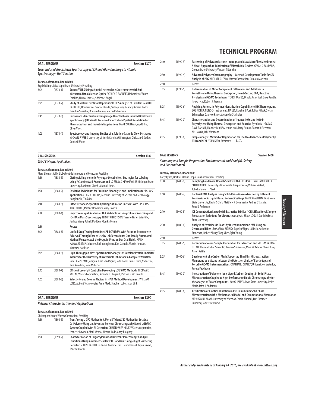| <b>Session 1370</b><br><b>ORAL SESSIONS</b> |                                    |                                                                                                                                                                                                                                           |
|---------------------------------------------|------------------------------------|-------------------------------------------------------------------------------------------------------------------------------------------------------------------------------------------------------------------------------------------|
|                                             | <b>Spectroscopy - Half Session</b> | Laser Induced Breakdown Spectroscopy (LIBS) and Glow Discharge in Atomic                                                                                                                                                                  |
|                                             | Tuesday Afternoon, Room B301       | Jagdish Singh, Mississippi State University, Presiding                                                                                                                                                                                    |
| 3:05                                        | $(1370-1)$                         | Standoff LIBS Using a Spatial Heterodyne Spectrometer with Sub-<br>Microsteradian Collection Optics PATRICK D BARNETT, University of South<br>Carolina, Nirmal Lamsal, S Michael Angel                                                    |
| 3:25                                        | $(1370-2)$                         | Study of Matrix Effects for Reproducible LIBS Analysis of Powders MATTHIEU<br>BAUDELET, University of Central Florida, Sudeep Jung Pandey, Richard Locke,<br>Brandon Seesahai, Romain Gaume, Martin Richardson                            |
| 3:45                                        | $(1370-3)$                         | Particulate Identification Using Image Directed Laser Induced Breakdown<br>Spectroscopy (LIBS) with Enhanced Spectral and Spatial Resolution for<br>Pharmaceutical and Industrial Applications MARK SULLIVAN, rap.ID Inc,<br>Oliver Valet |
| 4:05                                        | $(1370-4)$                         | Spectroscopy and Imaging Studies of a Solution-Cathode Glow Discharge<br>MICHAEL R WEBB, University of North Carolina Wilmington, Christian G Decker,<br>Denise E Moon                                                                    |

| 2:10 | $(1390-3)$ | Patterning of Polycaprolactone-Impregnated Glass Microfiber Membranes:<br>A Novel Approach to Fabrication of Microfluidic Devices GAYAN C BANDARA,<br>Oregon State University, Vincent T Remcho                                                     |
|------|------------|-----------------------------------------------------------------------------------------------------------------------------------------------------------------------------------------------------------------------------------------------------|
| 2:30 | $(1390-4)$ | Advanced Polymer Chromatography - Method Development Tools for SEC<br>Analysis of PEG MICHAEL OLEARY, Waters Corporation, Damian Morrison                                                                                                           |
| 2:50 |            | Recess                                                                                                                                                                                                                                              |
| 3:05 | $(1390-5)$ | Determination of Minor Component Differences and Additives in<br>Polyethylene Using Thermal Desorption, Heart-Cutting EGA, Reactive<br>Pyrolysis and GC/MS Techniques TERRY RAMUS, Diablo Analytical, Dave Randle,<br>Itsuko Iwai, Robert R Freeman |
| 3:25 | $(1390-6)$ | Applying Automatic Polymer Identification Capability to DSC Thermograms<br>BOB FIDLER, NETZSCH Instruments NA LLC, Ekkehard Post, Tobias Pflock, Stefan<br>Schmoelzer, Gabriele Kaiser, Alexander Schindler                                         |
| 3:45 | $(1390-7)$ | Characterization and Determination of Irganox 1076 and 1010 in<br>Polyethylene Using Thermal Desorption and Reactive Pyrolysis - GC/MS<br>DAVE RANDLE, Frontier Lab USA, Itsuko Iwai, Terry Ramus, Robert R Freeman,<br>Aki Hosaka, Ichi Watanabe   |
| 4:05 | $(1390-8)$ | Simple Analysis Method of Degradation for The Molded Articles Polymer by<br>FTIR and SEM YOKO KATO, Advantest<br>N/A                                                                                                                                |

| ORAL SESSIONS | <b>Session 1380</b> |
|---------------|---------------------|
|               |                     |

**LC/MS Biological Applications**

### **Tuesday Afternoon, Room B404**

|      |              | Mary Ellen McNally, E.I. DuPont de Nemours and Company, Presiding                                                                                                                                                                                                                                               |
|------|--------------|-----------------------------------------------------------------------------------------------------------------------------------------------------------------------------------------------------------------------------------------------------------------------------------------------------------------|
| 1:30 | $(1380-1)$   | Distinguishing Isomeric Acylsugar Metabolites: Strategies for Labeling<br>Using <sup>13</sup> C-amino Acid Precursors and LC-MS/MS XIAOXIAO LIU, Michigan State<br>University, Banibrata Ghosh, A Daniel Jones                                                                                                  |
| 1:50 | $(1380-2)$   | Oxidative Techniques for Pteridine Bioanalysis and Implications for ESI-MS<br>Applications CASEY BURTON, Missouri University of Science and Technology,<br>Honglan Shi, Yinfa Ma                                                                                                                                |
| 2:10 | $(1380-3)$   | Intact Histones Separation by Using Submicron Particles with RPLC-MS<br>XIMO ZHANG, Purdue University, Mary J Wirth                                                                                                                                                                                             |
| 2:30 | $(1380 - 4)$ | High Throughput Analysis of TCA Metabolites Using Column Switching and<br>IC-HRAM Mass Spectroscopy TERRIT CHRISTISON, Thermo Fisher Scientific,<br>Junhua Wang, John E Madden, Monika Verma                                                                                                                    |
| 2:50 |              | <b>Recess</b>                                                                                                                                                                                                                                                                                                   |
| 3:05 | $(1380 - 5)$ | Unified Drug Testing by Online SPE-LC/MS/MS with Focus on Productivity<br>Achieved Through Ease of Use by Lab Technicians: One Totally Automated<br>Method Measures ALL the Drugs in Urine and/or Oral Fluids MARK<br>HAYWARD, ITSP Solutions, Rick Youngblood, Kim Gamble, Martin Johnson,<br>Matthew Hardison |
| 3:25 | $(1380-6)$   | High-Throughput Mass Spectrometric Analysis of Covalent Protein-Inhibitor<br>Adducts for the Discovery of Irreversible Inhibitors: A Complete Workflow<br>IAIN CAMPUZANO, Amgen, Tisha San Miguel, Todd Rowe, Daniel Onea, Victor Cee,<br>Tara Arvedson, John McCarter                                          |
| 3:45 | $(1380 - 7)$ | Efficient Use of pH Control in Developing LC/UV/MS Methods THOMAS E<br>WHEAT, Waters Corporation, Amanda B Dlugasch, Patricia R McConville                                                                                                                                                                      |
| 4:05 | $(1380 - 8)$ | Selectivity and Column Choices in HPLC Method Development WILLIAM<br>LONG, Agilent Technologies, Anne Mack, Stephen Luke, Jason Link                                                                                                                                                                            |

### **ORAL SESSIONS** Session 1390

**Polymer Characterization and Applications**

### **Tuesday Afternoon, Room B405**

|      | 1929997111211199117109111970<br>Christopher Henry, Waters Corporation, Presiding |                                                                                                                                                                                                                                                                                 |  |
|------|----------------------------------------------------------------------------------|---------------------------------------------------------------------------------------------------------------------------------------------------------------------------------------------------------------------------------------------------------------------------------|--|
| 1:30 | $(1390-1)$                                                                       | Transferring a GPC Method to A More Efficient SEC Method for Zoladex<br>Co-Polymer Using an Advanced Polymer Chromatography Based U(H)PLC<br>System Coupled with RI Detection CHRISTOPHER HENRY, Waters Corporation,<br>Jeanette Bowden, Mark Wrona, Richard Ladd, Andy Boughey |  |
| 1:50 | $(1390-2)$                                                                       | Characterization of Polyacrylamide at Different Ionic Strength and pH<br><b>Conditions Using Asymmetrical Flow FFF and Multi-Angle Light Scattering</b><br>Detector SOHEYL TADJIKI, Postnova Analytics Inc., Trevor Havard, Japan Trivedi,<br><b>Thorsten Klein</b>             |  |

| <b>ORAL SESSIONS</b>         |                                                                    | <b>Session 1400</b> |
|------------------------------|--------------------------------------------------------------------|---------------------|
| and Contaminants)            | Sampling and Sample Preparation-Environmental and Food (ID, Safety |                     |
|                              |                                                                    |                     |
| Tuesday Afternoon, Room B406 |                                                                    |                     |
|                              | Garry Lynch, Bechtel Marine Propulsion Corporation, Presiding      |                     |

|      | 11 TVV 17    | ה המחומה כוסעו ו מון וכיטו - ומוזיר שהטוור ומטשטאפט ומווקומט<br>CLUTTERBUCK, University of Cincinnati, Joseph Caruso, William Wetzel,<br>Julio Landero<br>N/A                                                                                             |
|------|--------------|-----------------------------------------------------------------------------------------------------------------------------------------------------------------------------------------------------------------------------------------------------------|
| 1:50 | $(1400-2)$   | Bacterial DNA Analysis Using Solid-Phase Microextraction by Different<br>Polymeric Ionic Liquid-Based Sorbent Coatings OMPRAKASH NACHAM, lowa<br>State University, Kevin D Clark, Matthew P Bommarito, Andrea E Tsatalis,<br>Jared L Anderson             |
| 2:10 | $(1400-3)$   | ICE Concentration Linked with Extractive Stir Bar (ICECLES): A Novel Sample<br>Preparation Technique for Ultratrace Analysis BRIAN LOGUE, South Dakota<br><b>State University</b>                                                                         |
| 2:30 | $(1400-4)$   | Analysis of Pesticides in Foods by Direct Immersion SPME Using an<br>Overcoated Fiber LEONARD M SIDISKY, Supelco/Sigma-Aldrich, Katherine<br>Stenerson, Robert Shirey, Yong Chen, Tyler Young                                                             |
| 2:50 |              | Recess                                                                                                                                                                                                                                                    |
| 3:05 | $(1400-5)$   | Recent Advances in Sample Preparation for Extraction and SPE SM RAHMAT<br>ULLAH, Thermo Fisher Scientific, Kannan Srinivasan, Mike McAdams, Glenn Kuse,<br>Aaron Kettle                                                                                   |
| 3:25 | $(1400-6)$   | Development of a Carbon Mesh Supported Thin Film Microextraction<br>Membrane as a Means to Lower the Detection Limits of Bench-top and<br>Portable GC-MS Instrumentation JONATHAN J GRANDY, University of Waterloo,<br>Janusz Pawliszyn                   |
| 3:45 | $(1400 - 7)$ | Investigation of Polymeric Ionic Liquid Sorbent Coatings in Solid-Phase<br>Microextraction Coupled to High-Performance Liquid Chromatography for<br>the Analysis of Polar Compounds HONGLIAN YU, Iowa State University, Josias<br>Merib. Jared L Anderson |
| 4:05 | $(1400-8)$   | Justification of Kinetic Calibration in Pre-Equilibrium Solid Phase<br>Microextraction with a Mathematical Model and Computational Simulation<br>MD NAZMUL ALAM, University of Waterloo, Fardin Ahmadi, Luis Ricardez-<br>Sandoval, Janusz Pawliszyn      |

**Tuesday Afternoon** Tuesday Afternoon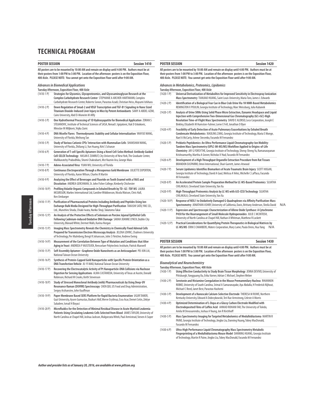#### **POSTER SESSION Session 1410**

**All posters are to be mounted by 10:00 AM and remain on display until 4:00 PM. Authors must be at their posters from 1:00 PM to 3:00 PM. Location of the afternoon posters is on the Exposition Floor, 400 Aisle. PLEASE NOTE: You cannot get onto the Exposition Floor until after 9:00 AM.**

#### **Advances in Biomedical Applications**

|               | Tuesday Afternoon, Exposition Floor, 400 Aisle                                                                                                                                                                                                                  |
|---------------|-----------------------------------------------------------------------------------------------------------------------------------------------------------------------------------------------------------------------------------------------------------------|
| $(1410-1)$    | Strategies for Glycomics, Glycoproteomics, and Glycosaminoglycan Research at the<br>Complex Carbohydrate Research Center STEPHANIE A ARCHER-HARTMANN, Complex<br>Carbohydrate Research Center, Roberto Sonon, Parastoo Azadi, Christian Heiss, Mayumi Ishihara  |
| $(1410-2P)$   | Down Regulation of Smad-2 and VEGF Transcription and TGF-B1 Signaling in Nano Sized<br>Titanium Dioxide-Induced Liver Injury in Mice by Potent Antioxidants SAMY A ABDEL AZIM,<br>Cairo University, Abd El-Moneim M Afify                                       |
| $(1410-3)$ P) | One Hydrothermal Processing of 1D Hydroxyapatite for Biomedical Application ZORAN S<br>STOJANOVIC, Institute of Technical Sciences of SASA, Nenad L Ignjatovic, Vuk D Uskokovic,<br>Miroslav M Miljkovic, Vojka Zunic                                           |
| $(1410 - 4P)$ | DNA Micelle Flares: Thermodynamic Stability and Cellular Internalization YANYUE WANG,<br>University of Florida, Weihong Tan                                                                                                                                     |
| $(1410-5P)$   | Study of Various Cationic CPEs' Interaction with Mammalian Cells SHANSHAN WANG,<br>University of Florida, Zhiliang Li, Yun Huang, Kirk S Schanze                                                                                                                |
| $(1410-6P)$   | Generation of T-cell Specific Aptamers Using a Novel Cell-Selex Method: Antibody Guided<br>Cell-SELEX Technology HASAN E ZUMRUT, City University of New York, The Graduate Center,<br>Mallikaratchy Prabodhika, Shomi Chakrabarti, Mst Naznin Ara, George Maio  |
| $(1410 - 7P)$ | Adeno-Associated Virus YUAN WU, University of Florida                                                                                                                                                                                                           |
| $(1410-8P)$   | Continuous Electroporation Through a Mesoporous Gold Membrane JULIETTE EXPERTON,<br>University of Florida, Aaron Wilson, Charles R Martin                                                                                                                       |
| $(1410-9P)$   | Analyzing the Effect of Beverages and Fluoride on Tooth Enamel with a FAAS and<br>Dissolution ANDREA GERCHMAN, St. John Fisher College, Kimberly Chichester                                                                                                     |
| $(1410-10P)$  | Profiling Volatile Organic Compounds in Exhaled Breath by TD-GC-TOF MS LAURA<br>MCGREGOR, Markes International Ltd, Caroline Widdowson, Nicola Watson, Chris Hall,<br>Ken Umbarger                                                                              |
| $(1410-11P)$  | Purification of Pharmaceutical Proteins Including Antibody and Peptides Using Ion-<br>Exchange Bulk Media Designed for High-Throughput Purification TAKASHI SATO, YMC CO.,<br>Ltd., Munehiro Shoda, Chiaki Iwata, Noriko Shoji, Takatomo Takai                  |
| $(1410-12P)$  | An Analysis of the Protective Effects of Selenium on Porcine Jejunal Epithelial Cells<br>Following Cadmium-induced Oxidative DNA Damage SARAH JOANNE LYNCH, Dublin City<br>University, Blánaid White, Dermot Walls, Karina Horgan                               |
| $(1410-13 P)$ | Imaging Mass Spectrometry Reveals the Chemistry in Chemically Fixed Adrenal Cells<br>Prepared for Transmission Electron Microscopy Analysis JELENA LOVRIC, Chalmers University<br>of Technology, Per Malmberg, Bengt R Johansson, John S Fletcher, Andrew Ewing |
| $(1410-14P)$  | Measurement of the Correlation Between Type of Mutation and Conditions that Alter<br>Aging in Yeast ANDREEA P MUSTEATA, Rensselaer Polytechnic Institute, Patrick Maxwell                                                                                       |
| (1410-15 P)   | Self-Assembly Aptamer-Graphene Oxide Nanosheets as an Anticoagulant PEI-XIN LAI,<br>National Taiwan Ocean University                                                                                                                                            |
| $(1410-16P)$  | Synthesis of Protein-Capped Gold Nanoparticles with Specific Protein Orientation as a<br>DNA Transfection Vehicle JU-YI MAO, National Taiwan Ocean University                                                                                                   |
| $(1410-17P)$  | Recovering the Electrocatalytic Activity of Pt Nanoparticle-DNA Collisions via Nuclease<br>Digestion for Sensing Applications ALMA CASTANEDA, University of Texas at Austin, Donald<br>Robinson, Richard M Crooks, Keith Stevenson                              |
| $(1410-18P)$  | Study of Stressed Monoclonal Antibody (mAb) Pharmaceuticals by Using Deep-UV<br>Resonance Raman (DUVRR) Spectroscopy CHEN QIU, US Food and Drug Administration,<br>Sergey Arzhanstev, John Kauffman                                                             |
| $(1410-19P)$  | Paper Membrane Based SERS Platform for Rapid Bacteria Enumeration UGUR TAMER,<br>Gazi University, Aysen Gumustas, Bozkurt Akif, Merve Eryilmaz, Esra Acar, Demet Cetin, Zekiye<br>Suludere, Ismail H Boyaci                                                     |
| $(1410-20P)$  | Microfluidics for the Detection of Minimal Residual Disease in Acute Myeloid Leukemia                                                                                                                                                                           |

(1410-20 P) **Microfluidics for the Detection of Minimal Residual Disease in Acute Myeloid Leukemia Patients Using Circulating Leukemic Cells Selected from Blood** JAMES TAYLOR, University of North Carolina at Chapel Hill, Joshua Jackson, Malgorzata Witek, Paul Armistead, Steven A Soper

#### **POSTER SESSION Session 1420**

**All posters are to be mounted by 10:00 AM and remain on display until 4:00 PM. Authors must be at their posters from 1:00 PM to 3:00 PM. Location of the afternoon posters is on the Exposition Floor, 400 Aisle. PLEASE NOTE: You cannot get onto the Exposition Floor until after 9:00 AM.**

**Advances in Metabolomics, Proteomics, Lipidomics**

|               | Tuesday Afternoon, Exposition Floor, 400 Aisle                                                                                                                                                                                                                                                                                          |
|---------------|-----------------------------------------------------------------------------------------------------------------------------------------------------------------------------------------------------------------------------------------------------------------------------------------------------------------------------------------|
| $(1420-1)$    | Universal Derivatization of Metabolites for Improved Sensitivity in Electrospray lonization<br>Mass Spectrometry TIANJIAO HUANG, Saint Louis University, Maria Toro, James L Edwards                                                                                                                                                    |
| $(1420-2P)$   | Identification of a Biological Fear Cue in Blue Crab Urine Via 1H NMR-Based Metabolomics<br>REMINGTON X POULIN, Georgia Institute of Technology, Marc Weissburg, Julia Kubanek                                                                                                                                                          |
| $(1420-3)$ P) | Analysis of Urine SRMs Using Solid Phase Micro Extraction, Dynamic Headspace and Liquid<br>Injection with Comprehensive Two-Dimensional Gas Chromatography (GC×GC)-High<br>Resolution Time-of-Flight Mass Spectrometry DAVID E ALONSO, Leco Corporation, Joseph E<br>Binkley, Elizabeth M Humston-Fulmer, Lorne E Fell, Jonathan D Byer |
| $(1420 - 4P)$ | Feasibility of Early Detection of Acute Pulmonary Exacerbations by Exhaled Breath<br>Condensate Metabolomics XIAOLING ZANG, Georgia Institute of Technology, Maria E Monge,<br>Nael A McCarty, Arlene Stecenko, Facundo M Fernandez                                                                                                     |
| $(1420 - 5P)$ | Prebiotic Peptidomics: An Ultra-Performance Liquid Chromatography-Ion Mobility-<br>Tandem Mass Spectrometry (UPLC-IM-MS/MS) Workflow Applied to Origins-of-Life<br>Chemistry JAY G FORSYTHE, Georgia Institute of Technology, Sheng-Sheng Yu, Ramanarayanan                                                                             |

- Krishnamurthy, Martha A Grover, Nicholas V Hud, Facundo M Fernandez (1420-6 P) **Development of a High Throughput Organelle Extraction Procedure from Rat Tissues** BRANDON EASPARRO, Omni International, Shari Garrett, James Atwood
- (1420-7 P) **Serum Lipidomics Identifies Biomarkers of Acute Traumatic Brain Injury** SCOTT HOGAN, Georgia Institute of Technology, David A Gaul, Melissa A Velez, Michelle C LaPlaca, Facundo M Fernandez
- (1420-8 P) **An Accelerated Protein Sample Preparation Method for LC-MS-Based Proteomics** SUJATHA CHILAKALA, Cleveland State University, Yan Xu
- (1420-9 P) **High-Throughput Proteomics Analysis by LC-MS with AJS-CESI Technology** SUJATHA CHILAKALA, Cleveland State University, Yan Xu
- (1420-10 P) **Response of NEIL1 to Oxidatively Damaged G-Quadruplexes via Affinity Purification-Mass Spectrometry** JONATHAN ASHBY, University of California, Davis, Brittany Anderson, Sheila David N/A
- (1420-11 P) **Expression and Spectroscopic Characterization of Allene Oxide Synthase: A Cytochrome P450 for the Rearrangement of Small Molecule Hydroperoxides** JULIE C MCINTOSH, University of North Carolina at Chapel Hill, Nathan A Whitman, Matthew R Lockett
- (1420-12 P) **Practical Considerations for Quantifying Protein Therapeutics in Biological Matrices by LC-MS/MS** ERIN E CHAMBERS, Waters Corporation, Mary Lame, Paula Orens, Hua Yang N/A

### **POSTER SESSION Session 1430**

**All posters are to be mounted by 10:00 AM and remain on display until 4:00 PM. Authors must be at their posters from 1:00 PM to 3:00 PM. Location of the afternoon posters is on the Exposition Floor, 400 Aisle. PLEASE NOTE: You cannot get onto the Exposition Floor until after 9:00 AM.**

#### **Bioanalytical and Neurochemistry**

- **Tuesday Afternoon, Exposition Floor, 400 Aisle** Using Effective Conductivity to Study Brain Tissue Morphology JENNA DEVIVO, University of Pittsburgh, Yangguang Ou, Erika Varner, Adrian C Michael, Stephen Weber
- (1430-2 P) **Serotonin and Histamine Coregulation in the Mouse Premammilary Nucleus** RHIANNON ROBKE, University of South Carolina, Srimal A Samaranayake, Aya Abdalla, H Frederick Nijhout, Michael C Reed, Janet Best, Parastoo Hashemi
- (1430-3 P) **Development of a Nanoscale Calcium-Selective Electrode** THERESA M RUWE, Northern Kentucky University, Edward A Dobrzykowski, Teri Rae Armstrong, Celeste A Morris
- (1430-4 P) **Optimized Determination of L-Dopa at a Glassy Carbon Electrode Modified with Electrodeposited Films of Caffeic Acid** AHMAD ROHANI FAR, The University of Toledo, Amila M Devasurendra, Joshua A Young, Jon R Kirchhoff
- (1430-5 P) **Mass Spectrometry Imaging for Targeted Metabolomics of Medulloblastoma** MARTIN R PAINE, Georgia Institute of Technology, Jingbo Liu, Danning Huang, Tobey MacDonald, Facundo M Fernandez
- (1430-6 P) **Ultra-High Performance Liquid Chromatography Mass Spectrometry Metabolic Fingerprinting of a Medulloblastoma Mouse Model** DANNING HUANG, Georgia Institute of Technology, Martin R Paine, Jingbo Liu, Tobey MacDonald, Facundo M Fernandez

**Tuesday Afternoon** Tuesday Afternoon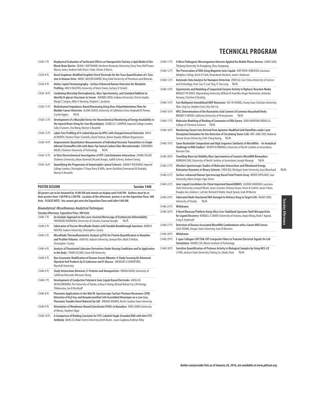#### (1430-7 P) **Biophysical Evaluation of Surfactant Effects on Nanoparticle Toxicity a Lipid Model of the Blood-Brain Barrier** ADAM L HOFFMANN, Northern Kentucky University, Darcy Poor, Rolf Fowee, Marcus Jones, Andrew Hall, Kristi L Haik, Celeste A Morris

| $(1430 - 8P)$  | Novel Graphene-Modified Graphite Pencil Electrode for the Trace Quantification of L-Tyro-<br>sine in Human Urine ABDEL-NASSER KAWDE, King Fahd University of Petroleum and Minerals                                                 |  |
|----------------|-------------------------------------------------------------------------------------------------------------------------------------------------------------------------------------------------------------------------------------|--|
| $(1430 - 9P)$  | Online Liquid Chromatography - Surface Enhanced Raman Detection for Metabolic<br>Profiling ANH H NGUYEN, University of Notre Dame, Zachary D Schultz                                                                                |  |
| $(1430-10P)$   | Combining Microchip Electrophoresis, Mass Spectrometry, and Standard Addition to<br>Identify N-glycan Structures in Serum XIAOMEI ZHOU, Indiana University, Christa Snyder,<br>Margit I Campos, Milos V Novotny, Stephen C Jacobson |  |
| $(1430-11P)$   | Multichannel Impedance-Based Biosensing Using Virus-Polyethylenimine Films for<br>Bladder Cancer Detection ALANA OGATA, University of California Irvine, Reginald M Penner,<br>Crystin Eggers<br>N/A                                |  |
| $(1430-12P)$   | Development of a Wearable Device for Neurochemical Monitoring of Energy Availability in<br>the Injured Brain Using On-Line Microdialysis ISABELLE C SAMPER, Imperial College London,<br>Sally A Gowers, Chu Wang, Martyn G Boutelle |  |
| $(1430-13)$ P) | Label-Free Profiling of O-Linked Glycans by HPLC with Charged Aerosol Detection IAN N<br>ACWORTH, Thermo Fisher Scientific, David Thomas, Rainer Bauder, William Kopaciewicz                                                        |  |
| $(1430-14P)$   | Amperometric Quantitative Measurements of Individual Vesicular Transmitters in Single<br>Adrenal Chromaffin Cells with Nano-Tip Conical Carbon Fiber Microelectrodes SOODABEH<br>MAJDI, Chalmers University of Technology<br>N/A    |  |
| $(1430 - 15P)$ | In Vitro Electrochemical Investigation of ATP: Catecholamine Interactions ZAHRA TALEAT,                                                                                                                                             |  |

- Chalmers University, Johan Dunevall, Ricardo Borges, Judith Estevez, Andrew Ewing
- (1430-16 P) **Quantifying the Progression of Amyotrophic Lateral Sclerosis** AIDAN P WICKHAM, Imperial College London, Christopher E Shaw, Kerry R Mills, James Bashford, Emmanuel M Drakakis, Martyn G Boutelle

| <b>POSTER SESSION</b>                                                                             | Session 1440 |
|---------------------------------------------------------------------------------------------------|--------------|
| All posters are to be mounted by 10:00 AM and remain on display until 4:00 PM. Authors must be at |              |

**their posters from 1:00 PM to 3:00 PM. Location of the afternoon posters is on the Exposition Floor, 400 Aisle. PLEASE NOTE: You cannot get onto the Exposition Floor until after 9:00 AM.**

**Bioanalytical: Miscellaneous Analytical Techniques**

| Tuesday Afternoon, Exposition Floor, 400 Aisle |  |  |
|------------------------------------------------|--|--|
|                                                |  |  |

| $(1440-1)$      | An Analytic Approach to the Laser-Assisted Microscopy of Erythrocyte Deformability<br>FARAMARZ RAHNAMA, University of Calcutta, Azamat Vaseghi<br>N/A                                                                                                                         |
|-----------------|-------------------------------------------------------------------------------------------------------------------------------------------------------------------------------------------------------------------------------------------------------------------------------|
| $(1440 - 2P)$   | Fabrication of Passive Microfluidic Diodes with Tunable Breakthrough Junctions MARK D<br>HOLTAN, Auburn University, Christopher J Easley                                                                                                                                      |
| $(1440-3)$ P)   | Microfluidic Thermofluorimetric Analysis (µTFA) for Protein Quantification in Nanoliter<br>and Picoliter Volumes JUAN HU, Auburn University, Joonyul Kim, Mark D Holtan,<br>Christopher J Easley                                                                              |
| $(1440 - 4P)$   | Analysis of Fluorinated Lidocaine Derivatives Under Varying Conditions and Its Application<br>in the Body CYANN CICCONI, Seton Hill University                                                                                                                                |
| $(1440-5P)$     | Non-Enzymatic Modification of Human Serum Albumin: A Study Focusing On Advanced<br>Glycation End Products by D-Galactose and D-Glucose MENASHI A COHENFORD,<br><b>Marshall University</b>                                                                                     |
| $(1440 - 6P)$   | Study Interactions Between 21 Proteins and Nanoparticles YAOKAI DUAN, University of<br>California Riverside, Wenwan Zhong                                                                                                                                                     |
| $(1440 - 7)$ P) | Development of Conductive Polymeric Ionic Liquid-Based Electrodes AMILA M<br>DEVASURENDRA, The University of Toledo, Joshua A Young, Ahmad Rohani Far, LM Viranga<br>Tillekeratne. Jon R Kirchhoff                                                                            |
| $(1440 - 8P)$   | Plasmonic Applications in the Mid-IR: Spectroscopic Surface Plasmon Resonance (SPR)<br>Detection of N <sub>2</sub> O Gas and Hexadecanethiol Self-Assembled Monolayer on a Low Loss,<br>Plasmonic Tunable Novel Material Dy:CdO HNIANG KHAMH, North Carolina State University |
| $(1440 - 9 P)$  | Orientation of Membrane-Bound Cytochrome P450's in Nanodiscs IVAN LENOV, University<br>of Illinois, Stephen Sligar                                                                                                                                                            |
| $(1440-10P)$    | A Comparison of Binding Constants for FITC-Labeled Single Stranded DNA with Anti-FITC<br>Antibody QIAN LIU, Wake Forest University, Keith Bonin, Jason Gagliano, Kathryn Riley                                                                                                |

#### (1440-11 P) **A Micro Pathogenic Microorganism Detector Applied for Mobile Phone Devices** LIANG SIJIA, Zhejiang University, Yu Dongdong, Zhou Jianguang (1440-12 P) **The Preservation of DNA Using Magnetic Ionic Liquids** MATTHEW SORENSEN, Gustavus Adolphus College, Kevin D Clark, Omprakash Nacham, Jared L Anderson (1440-13 P) **Automatic Data Analysis for Nanopore Detection** ZHEN GU, East China University of Science and Technology, Chan Cao, Yi-Lun Ying, Yi-Tao Long N/A

**TECHNICAL PROGRAM**

- (1440-14 P) **Experiments and Modeling of Sequential Enzyme Activity in Biphasic Reaction Media**  BRADLEY W DAVIS, Waynesburg University, William M Aumiller, Negar Hashemian, Antonios Armaou, Christine D Keating
- (1440-15 P) **Fast Multipoint Immobilized MOF Bioreactor** HSI-YA HUANG, Chung Yuan Christian University, Wan-Ling Liu, Stephen Lirio, Chia-Her Lin
- (1440-16 P) **HPLC Determination of the Rosmarinic Acid Content of Common Household Herbs** BRANDT A WOOD, California University of Pennsylvania N/A
- (1440-17 P) **Molecular Modeling of Binding of Coumarins to DNA Gyrase** SARA MARIYAM ABDULLA, College of Chemical Sciences N/A
- (1440-18 P) **Monitoring Cluster Ions Derived from Aptamer-Modified Gold Nanofilms under Laser Desorption/Ionization for the Detection of Circulating Tumor Cells** WEI-JANE CHIU, National Taiwan Ocean University, Chih-Ching Huang N/A
- (1440-19 P) **Same Nucleotide Composition and High Sequence Similarity of MicroRNAs An Analytical Challenge to RNA Studies?** JOSEPH N MWANGI, University of North Carolina at Greensboro, Norman Chiu
- (1440-20 P) **Travelling Wave Ion Mobility Mass Spectrometry of Isomeric MicroRNA Biomarkers**  NORMAN CHIU, University of North Carolina at Greensboro, Joseph Mwangi N/A
- (1440-21 P) **Ultrafast Spectroscopic Studies of Molecular Interactions and Vibrational Energy Relaxation Dynamics in Binary Solvents** CHEN QIU, Michigan State University, Gary Blanchard N/A
- (1440-22 P) **Surface-enhanced Raman Spectroscopy Based Total Protein Assay** MERVE ERYILMAZ, Gazi University, Adem Zengin, Ugur Tamer (1440-23 P) **Ionic Liquid Crosslinkers for Chiral Imprinted NanoGUMBOS** SUZANA HAMDAN, Louisiana
- State University, Leonard Moore, Jason LeJeune, Farhana Hasan, Trevor K Carlisle, Jason E Bara, Douglas Gin, Andrew L LaFrate, Richard D Noble, David Spivak, Isiah M Warner
- (1440-24 P) **Fabricated Multi-functional DNA Nanogel to Delivery Drug to Target Cells** XIGAO CHEN, University of Florida N/A
- (1440-25 P) **Withdrawn** (1440-26 P) **A Novel Bioassay Platform Using Silica Core-Stabilized Liposome Shell Microparticles for Ligand Discovery** KENDALL E SANDY, University of Arizona, Jinyan Wang, Mark T Agasid, Craig A Aspinwall (1440-27 P) **Detection of Disease Associated MicroRNA Combinations with a Smart AND Sensor**
- LULU ZHANG, Oregon State University, Sean M Burrows
- (1440-28 P) **Withdrawn**
- (1440-29 P) **E-spun Collagen-CNT/Silk-CNT Composite Fibers to Transmit Electrical Signals for Cell Stimulation** NAIWEI CHI, Illinois Institute of Technology
- (1440-30 P) **Sensitive Quantification of Protease Activity in Biological Samples by Using MCE-LIF**  LI PAN, Jackson State University, Yiming Liu, Shulin Zhao N/A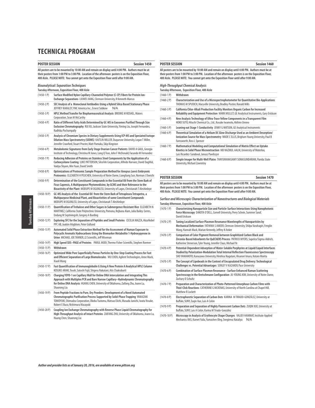#### **POSTER SESSION Session 1450**

**All posters are to be mounted by 10:00 AM and remain on display until 4:00 PM. Authors must be at their posters from 1:00 PM to 3:00 PM. Location of the afternoon posters is on the Exposition Floor, 400 Aisle. PLEASE NOTE: You cannot get onto the Exposition Floor until after 9:00 AM.**

### **Bioanalytical: Separation Techniques**

| Tuesday Afternoon, Exposition Floor, 400 Aisle |  |  |
|------------------------------------------------|--|--|
|                                                |  |  |

| $(1450-1)$     | Surface Modified Nylon Capillary-Channeled Polymer (C-CP) Fibers for Protein lon-<br>Exchange Separations LIUWEI JIANG, Clemson University, R Kenneth Marcus                                                                                                                                         |  |  |
|----------------|------------------------------------------------------------------------------------------------------------------------------------------------------------------------------------------------------------------------------------------------------------------------------------------------------|--|--|
| $(1450-2)$ P)  | SEC Analysis of a Monoclonal Antibodies Using a Hybrid Silica Based Stationary Phase<br>JEFFREY KAKALEY, YMC America Inc., Ernest Sobkow<br>N/A                                                                                                                                                      |  |  |
| $(1450-3)$ P)  | <b>HPLC Method Transfer for Biopharmaceutical Analysis BROOKE M KOSHEL, Waters</b><br>Corporation, Sean M McCarthy                                                                                                                                                                                   |  |  |
| $(1450-4P)$    | Ratio of Different Fatty Acids Determined by GC-MS in Exosomes Purified Through Size<br>Exclusion Chromatography RUI XU, Jackson State University, Yiming Liu, Joseph Fernandes,<br>Radhika Pochampally                                                                                              |  |  |
| $(1450-5P)$    | Analysis of Chromium Species in Dietary Supplements Using ICP-MS and Speciated Isotope<br>Dilution Mass Spectrometry (SIDMS) KAITLIN MILLER, Duquesne University, Logan T Miller,<br>Jennifer Crawford, Stuart Procter, Matt Pamuku, Skip Kingston                                                   |  |  |
| $(1450-6P)$    | Metabolomic Signatures from Early Stage Ovarian Cancer Patients DAVID A GAUL, Georgia<br>Institute of Technology, Christina M Jones, Long Q Tran, John F McDonald, Facundo M Fernandez                                                                                                               |  |  |
| $(1450 - 7)$   | Reducing Adhesion of Proteins on Stainless Steel Components by the Application of a<br>Carboxysilane Coating LUKE PATTERSON, SilcoTek Corporation, Alfredo Narvaez, David Daghfal,<br>Vaidya Shyam, Min Yuan, David Smith                                                                            |  |  |
| $(1450-8P)$    | Optimizations of Proteomic Sample Preparation Method for Xenopus Laevis Embryonic<br>Proteomics ELIZABETH H PEUCHEN, University of Notre Dame, Liangliang Sun, Norman J Dovichi                                                                                                                      |  |  |
| $(1450-9P)$    | Determination of the Constituent Compounds in the Essential Oil from the Stem Bark of<br>Ficus Capensis, A Multipurpose Phytomedicine, by GCMS and their Relevance to the<br>Bioactivity of the Plant MODUPE M OGUNLESI, University of Lagos, Christianah T Aleshinloye                              |  |  |
| $(1450-10P)$   | GC-MS Analysis of the Essential Oil from the Stem Bark of Tetrapleura Tetrapetra, a<br>Multipurpose Medicinal Plant, and Bioactivities of some Constituent Compounds<br>MODUPE M OGUNLESI, University of Lagos, Christianah T Aleshinloye                                                            |  |  |
| $(1450-11P)$   | Quantification of Trehalose and Other Sugars in Submergence Resistant Rice ELIZABETH N<br>MARTINEZ, California State Polytechnic University, Pomona, Rejbana Alam, Julia Bailey-Serres,<br>Endang M Septiningsih, Gregory A Barding                                                                  |  |  |
| $(1450-12P)$   | Exploring SFC for the Separation of Peptides and Small Proteins CECILIA MAZZA, AkzoNobel<br>PPC AB, Joakim Högblom, Peter Gidlund                                                                                                                                                                    |  |  |
| $(1450-13 P)$  | Automated Solid Phase Extraction Method for the Assessment of Human Exposure to<br>Polycyclic Aromatic Hydrocarbons Using the Biomarker Metabolite 1-Hydroxypyrene in<br>Urine MICHAEL JOE TANNER, J2 Scientific, Jeff Wiseman                                                                       |  |  |
| $(1450-14P)$   | High Speed SDS-PAGE of Proteins PARUL MODI, Thermo Fisher Scientific, Stephen Roemer                                                                                                                                                                                                                 |  |  |
| $(1450-15P)$   | Withdrawn                                                                                                                                                                                                                                                                                            |  |  |
| $(1450-16P)$   | Optimized Wide Pore Superficially Porous Particles by One-Step Coating Process for Fast<br>and Efficient Separation of Large Biomolecules WU CHEN, Agilent Technologies, Anne Mack,<br>Xiaoli Wang                                                                                                   |  |  |
| $(1450-17P)$   | Fast Quantification of Immunoglobulin G Using A New Protein A Analytical HPLC Column<br>KOSUKE ARAKI, Tosoh, Satoshi Fujii, Shigeru Nakatani, Atis Chakrabarti                                                                                                                                       |  |  |
| $(1450-18P)$   | Charging YOYO-1 on Capillary Wall for Online DNA Intercalation and Integrating This<br>Approach with Multiplex PCR and Bare Narrow Capillary-Hydrodynamic Chromatography<br>for Online DNA Analysis HUANG CHEN, University of Oklahoma, Zaifang Zhu, Joann Lu,<br>Shaorong Liu                       |  |  |
| $(1450-19P)$   | From Peptide Fractions to Pure, Dry Powders: Development of a Novel Automated<br>Chromatographic Purification Process Supported by Solid-Phase Trapping YAMAZAKI<br>TOMOYUKI, Shimadzu Corporation, Okoba Tsutomu, Matsuo Eiichi, Masuda Junichi, Iwata Yosuke,<br>Robert E Buco, Nishimura Masayuki |  |  |
| $(1450 - 20P)$ | Coupling Ion Exchange Chromatography with Reverse Phase Liquid Chromatography for<br>High-Throughput Analysis of Intact Proteins ZAIFANG ZHU, University of Oklahoma, Joann Lu,                                                                                                                      |  |  |

#### **POSTER SESSION Session 1460**

**All posters are to be mounted by 10:00 AM and remain on display until 4:00 PM. Authors must be at their posters from 1:00 PM to 3:00 PM. Location of the afternoon posters is on the Exposition Floor, 400 Aisle. PLEASE NOTE: You cannot get onto the Exposition Floor until after 9:00 AM.**

**High-Throughput Chemical Analysis**

**Tuesday Afternoon, Exposition Floor, 400 Aisle**

| $(1460-1)$      | Withdrawn                                                                                                                                                                                                    |
|-----------------|--------------------------------------------------------------------------------------------------------------------------------------------------------------------------------------------------------------|
| $(1460 - 2P)$   | Characterization and Use of a Microspectrophotometer for Quantitative Bio-Applications<br>THOMAS M SPUDICH, Maryville University, Bradley Postier, Ronald Mills                                              |
| $(1460-3)$ P)   | California Chlor-Alkali Production Facility Monitors Organic Carbon for Increased<br>Reliability and Equipment Protection MARK MULLET, GE Analytical Instruments, Gary Erickson                              |
| $(1460 - 4P)$   | New Analysis Technology of Ultra-Trace Yellow Components in a Transparent Film<br>HOKO SUTO, Hitachi Chemical Co., Ltd., Kosuke Iwamoto, Akihiro Unnno                                                       |
| $(1460-5P)$     | Leaning out Stage 1 Conductivity JENNY G WATSON, GE Analytical Instruments                                                                                                                                   |
| $(1460 - 6P)$   | Theoretical Simulation of a Helium DC Glow Discharge Used as an Ambient Desorption/<br>Ionization Source for Mass Spectrometry WADE CELLIS, Brigham Young University, Paul B<br>Farnsworth, Ross L Spencer   |
| $(1460 - 7)$ P) | Mathematical Modeling and Computational Simulation of Matrix Effect on Uptake<br>Kinetics in Solid Phase Microextraction MD NAZMUL AALM, University of Waterloo,<br>Luis Ricardez-Sandoval, Janusz Pawliszyn |
| $(1460 - 8P)$   | Simple Imager for Multi-Well Plates THAYUMANASAMY SOMASUNDARAM, Florida State<br>University, Michael Zawrotny                                                                                                |

| POSTER SESSION                                                                                       | Session 1470 |
|------------------------------------------------------------------------------------------------------|--------------|
| All posters are to be mounted by 10:00 AM and remain on display until 4:00 PM. Authors must be at    |              |
| their posters from 1:00 PM to 3:00 PM. Location of the afternoon posters is on the Exposition Floor, |              |
| 400 Aisle. PLEASE NOTE: You cannot get onto the Exposition Floor until after 9:00 AM.                |              |

**Surface and Microscopic Characterization of Nanostructures and Biological Materials Tuesday Afternoon, Exposition Floor, 400 Aisle**

- (1470-1 P) **Characterizing Nanoparticle Size and Particle-Surface Interactions Using Nanophotonic Force Microscopy** DAKOTA O'DELL, Cornell University, Perry Schein, Summer Saraf, David Erickson
- (1470-2 P) **Tuning Localized Surface Plasmon Resonance Wavelengths of Nanoparticles by Mechanical Deformation** FATHIMA S AMEER, Clemson University, Shilpa Varahagiri, Fenglin Wang, Hannah Mack, Marian Kennedy, Jeffrey N Anker
- (1470-3 P) **Comparison of Color Pigment Removal between Graphitized Carbon Black and Zirconia-Based Adsorbents for QuEChERS Process** PATRICK MYERS, Supelco/Sigma-Aldrich, Katherine Stenerson, Tyler Young, Jennifer Claus, Michael Ye
- (1470-4 P) **Potential-Dependent Adsorption of Water-Soluble Porphyrins at Liquid/Liquid Interfaces Studied by Polarization-Modulation Total Internal Reflection Fluorescence Spectroscopy** SHO YAMAMOTO, Kanazawa University, Hirohisa Nagatani, Hisanori Imura, Kotaro Morita
- (1470-5 P) **The Concept of Lipobeads in the Context of Encapsulated Drug Delivery: Technological Challenges vs. Potential Advantages** SERGEY V KAZAKOV, Pace University
- (1470-6 P) **Combination of Surface Plasmon Resonance Surface Enhanced Raman Scattering Spectroscopy in the Kretschmann Configuration** JU-YOUNG KIM, University of Notre Dame, Zachary D Schultz
- (1470-7 P) **Preparation and Characterization of Photo-Patterned Amorphous Carbon Films with Thiol-Click Reactions** CATHERINE G MCKENAS, University of North Carolina at Chapel Hill, Matthew R Lockett
- (1470-8 P) **Electrophoretic Separation of Carbon Dots** KARINA M TIRADO-GONZÁLEZ, University at Buffalo, SUNY, Zuqin Xue, Luis A Colón
- (1470-9 P) **Preparation and Separation of Highly Fluorescent Carbon Dots** ZUQIN XUE, University at Buffalo, SUNY, Luis A Colón, Karina M Tirado-González
- (1470-10 P) **Microscopy in Analysis of Erythrocyte Shape Changes** VALIEV HAMMAT, Institute Applied Mechanics RAS, Karnet Yulia, Yumashev Oleg, Snegireva Nataliya N/A

**Tuesday Afternoon** Tuesday Afternoon

Huang Chen, Shaorong Liu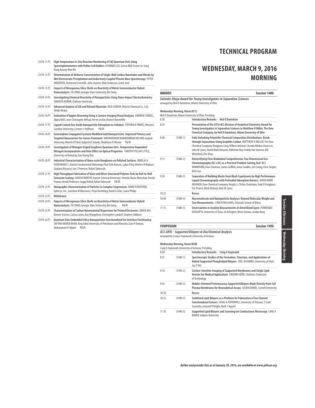| $(1470-11P)$    | High Temperature In-Situ Reaction Monitoring of CdS Quantum Dots Using<br>Spectrophotometers with Peltier Cell Holders KYUNBAE LEE, Scinco R&D Center, In-Sung<br>Kang, Kyung-Won Ro                                                                     |
|-----------------|----------------------------------------------------------------------------------------------------------------------------------------------------------------------------------------------------------------------------------------------------------|
| $(1470-12P)$    | Determination of Airborne Concentration of Single-Wall Carbon Nanotubes and Metals by<br>Wet Electrostatic Precipitation and Inductively Coupled Plasma Mass Spectroscopy PETER<br>ANDERSEN, Elemental Scientific, John Aumen, Matt Anderson, Grant Josh |
| $(1470-13P)$    | Impacts of Mesoporous Silica Shells on Reactivity of Metal-Semiconductor Hybrid<br>Nanocatalysts FEI ZHAO, Georgia State University, Bin Dong                                                                                                            |
| $(1470-14P)$    | Investigating Chemical Reactivity of Nanoparticles Using Nano-Impact Electrochemistry<br><b>ANAHITA KARIMI, Clarkson University</b>                                                                                                                      |
| $(1470-15P)$    | Advanced Analysis of LIB and Related Materials KEIJI SUMIYA, Hitachi Chemical Co., Ltd.,<br>Hiroki Hirano                                                                                                                                                |
| $(1470-16P)$    | Evaluation of Apples Browning Using a Camera-Imaging Visual Analyzer ANDREW COWELL,<br>Alpha MOS, Jean-Christophe Mifsud, Herve Lechat, Marion Bonnefille                                                                                                |
| $(1470-17P)$    | Ligand-Coated Zinc Oxide Nanoparticle Adsorption to Cellulose STEPHEN R PRINTZ, Western<br>Carolina University, Carmen L Huffman<br>N/A                                                                                                                  |
| $(1470-18P)$    | Gemcitabine Conjugated Cysteine Modified Gold Nanoparticles: Improved Potency and<br>Targeted Nanocarriers for Cancer Treatment NIKUNJKUMAR NARAYANBHAI VALAND, Gujarat<br>University, Manish B Patel, Kalpesh B Solanki, Shobhana K Menon<br>N/A        |
| $(1470-19P)$    | Investigation of Nitrogen-Doped Graphene Quantum Dots: Temperature Dependent<br>Nitrogen Incorporations and their Effect on Optical Properties TIMOTHY PILLAR-LITTLE,<br>University of Kentucky, Doo Young Kim                                           |
| $(1470 - 20P)$  | Industrial Characterization of Nano-scale Roughness on Polished Surfaces NIKOLAJ A<br>FEIDENHANS'L, Danish Fundamental Metrology, Poul-Erik Hansen, Lukas Pilny, Morten H Madsen,<br>Giuliano Bissacco, Jan C Petersen, Rafael Taboryski                 |
| $(1470-21P)$    | High Throughput Fabrication of Nano and Micro Structured Polymer Foils by Roll-to-Roll-<br>Extrusion Coating SWATHI MURTHY, Danish Tchnical University/ Inmold, Maria Matschuk, Henrik<br>Pranov, Henrik Pedersen, Guggi Kofod, Rafael Taboryski<br>N/A  |
| $(1470-22P)$    | Holographic Characterization of Particles in Complex Suspensions DAVID B RUFFNER,<br>Spheryx, Inc., Jaroslaw M Blusewicz, Priya Kasimbeg, David G Grier, Laura Philips                                                                                   |
| $(1470 - 23 P)$ | Withdrawn                                                                                                                                                                                                                                                |
| $(1470 - 24P)$  | Impacts of Mesoporous Silica Shells on Reactivity of Metal-Semiconductor Hybrid<br>Nanocatalysts FEI ZHAO, Georgia State University, Bin Dong<br>N/A                                                                                                     |
| $(1470-25P)$    | Characterization of Carbon Nanomaterial Dispersions for Printed Electronics QIHUA WU,<br>Brewer Science, Carissa Jones, Kay Mangelson, Christopher Landorf, Stephen Gibbons                                                                              |
| $(1470 - 26P)$  | Quantum Dots Embedded Silica Nanoparticles Functionalized for Interface Partitioning<br>SAFYAN AKRAM KHAN, King Fahd University of Petroleum and Minerals, Zain H Yamani,<br>Mohammed H Aljabri<br>N/A                                                   |

## **WEDNESDAY, MARCH 9, 2016 MORNING**

| <b>AWARDS</b> |                                     | <b>Session 1480</b>                                                                                                                                                                                                                                                                                                          |
|---------------|-------------------------------------|------------------------------------------------------------------------------------------------------------------------------------------------------------------------------------------------------------------------------------------------------------------------------------------------------------------------------|
|               |                                     | Satinder Ahuja Award for Young Investigators in Separation Sciences<br>arranged by Neil D Danielson, Miami University of Ohio                                                                                                                                                                                                |
|               | <b>Wednesday Morning, Room B312</b> |                                                                                                                                                                                                                                                                                                                              |
| 8:30          |                                     | Neil D Danielson, Miami University of Ohio, Presiding<br><b>Introductory Remarks - Neil D Danielson</b>                                                                                                                                                                                                                      |
| 8:35          |                                     | Presentation of the 2016 ACS Division of Analytical Chemistry Award for<br>Young Investigators in Separation Sciences to Matthew D Miller, The Dow<br>Chemical Company, by Neil D Danielson, Miami University of Ohio                                                                                                        |
| 8:40          | $(1480-1)$                          | Fully Unlocking Polyolefin Chemical Composition Distributions: Break-<br>through Separations Using Graphitic Carbon MATTHEW D MILLER, The Dow<br>Chemical Company, Rongjuan Cong, Willem deGroot, Chanda Klinker, Dean Lee,<br>John W Lyons, David Mark Meunier, Abhishek Roy, Freddy Van Damme, Bill<br>Winniford, Zhe Zhou |
| 9:15          | $(1480-2)$                          | Demystifying Flow Modulated Comprehensive Two Dimensional Gas<br>Chromatography (GC x GC) as a Practical Problem Solving Tool BILL<br>WINNIFORD, Dow Chemical, James Griffith, Anna Sandlin, Jim Luong, Chris Siegler,<br>Kefu Sun                                                                                           |
| 9:50          | $(1480-3)$                          | Separation of Building Blocks from Block Copolymers by High Performance<br>Liquid Chromatography with Preloaded Adsorption Barriers DAVID MARK<br>MEUNIER, Dow Chemical Company, Yongfu Li, Tirtha Chatterjee, Todd O Pangburn,<br>Eric Pearce, Mark Rickard, John W Lyons                                                   |
| 10:25         |                                     | <b>Recess</b>                                                                                                                                                                                                                                                                                                                |
| 10:40         | $(1480 - 4)$                        | Macromolecule and Nanoparticle Analyses: Beyond Molecular Weight and<br>Size Measurements S KIM R WILLIAMS. Colorado School of Mines                                                                                                                                                                                         |
| 11:15         | $(1480 - 5)$                        | Uncertainties in Analyte Measurements in Dried Blood Spots PURNENDU                                                                                                                                                                                                                                                          |

#### **SYMPOSIUM Session 1490**

### **ACS-ANYL - Supported Bilayers in Bio/Chemical Analysis**

| arranged by Craig A Aspinwall, University of Arizona |
|------------------------------------------------------|
|------------------------------------------------------|

### **Wednesday Morning, Room B308**

|       |            | Craig A Aspinwall, University of Arizona, Presiding                                                                                                                                             |
|-------|------------|-------------------------------------------------------------------------------------------------------------------------------------------------------------------------------------------------|
| 8:30  |            | Introductory Remarks - Craig A Aspinwall                                                                                                                                                        |
| 8:35  | $(1490-1)$ | Spectroscopic Studies of the Formation, Structure, and Applications of<br>Hybrid Supported Phospholipid Bilayers JOEL M HARRIS, University of Utah,<br>Jay P Kitt                               |
| 9:10  | $(1490-2)$ | Surface-Sensitive Imaging of Supported Membranes and Single Lipid<br>Vesicles for Medical Applications FREDRIK HÖÖK, Chalmers University<br>of Technology                                       |
| 9:45  | $(1490-3)$ | Mobile, Oriented Proteinaceous Supported Bilayers Made Directly from Cell<br>Plasma Membranes for Bioanalytical Assays SUSAN DANIEL, Cornell University                                         |
| 10:20 |            | Recess                                                                                                                                                                                          |
| 10:35 | $(1490-4)$ | Stabilized Lipid Bilayers as a Platform for Fabrication of Ion Channel<br>Functionalized Sensors CRAIG A ASPINWALL, University of Arizona, S Scott<br>Saavedra, Leonard K Bright, Mark T Agasid |
| 11:10 | $(1490-5)$ | Supported Lipid Bilayers and Scanning Ion Conductance Microscopy LANE A<br><b>BAKER. Indiana University</b>                                                                                     |

DASGUPTA, University of Texas at Arlington, Brian Stamos, Jordan Berg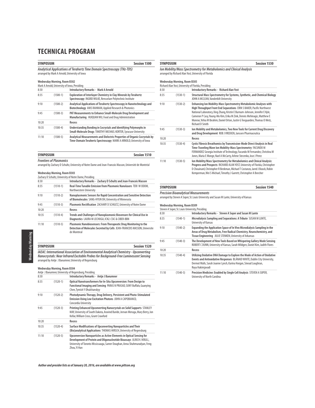| <b>Session 1500</b><br><b>SYMPOSIUM</b><br>Analytical Applications of Terahertz Time Domain Spectroscopy (THz-TDS)<br>arranged by Mark A Arnold, University of Iowa |            |                                                                                                                                                    |  |
|---------------------------------------------------------------------------------------------------------------------------------------------------------------------|------------|----------------------------------------------------------------------------------------------------------------------------------------------------|--|
|                                                                                                                                                                     |            |                                                                                                                                                    |  |
| 8:30                                                                                                                                                                |            | <b>Introductory Remarks - Mark A Arnold</b>                                                                                                        |  |
| 8:35                                                                                                                                                                | $(1500-1)$ | Exploration of Interlayer Chemistry in Clay Minerals by Terahertz<br>Spectroscopy INGRID WILKE, Rensselaer Polytechnic Institute                   |  |
| 9:10                                                                                                                                                                | $(1500-2)$ | Analytical Applications of Terahertz Spectroscopy in Nanotechnology and<br>Biotechnology ANIS RAHMAN, Applied Research & Photonics                 |  |
| 9:45                                                                                                                                                                | $(1500-3)$ | PAT Measurements to Enhance Small-Molecule Drug Development and<br>Manufacturing HUIQUAN WU, Food and Drug Administration                          |  |
| 10:20                                                                                                                                                               |            | Recess                                                                                                                                             |  |
| 10:35                                                                                                                                                               | $(1500-4)$ | Understanding Bonding in Cocrystals and Identifying Polymorphs in<br>Small-Molecule Drugs TIMOTHY MICHAEL KORTER, Syracuse University              |  |
| 11:10                                                                                                                                                               | $(1500-5)$ | Analytical Measurements and Dielectric Properties of Organic Cocrystals by<br>Time-Domain Terahertz Spectroscopy MARK A ARNOLD, University of lowa |  |

| <b>SYMPOSIUM</b>               | Session 1510 |  |
|--------------------------------|--------------|--|
| <b>Frontiers of Plasmonics</b> |              |  |

arranged by Zachary D Schultz, University of Notre Dame and Jean-Francois Masson, Université de Montréal

### **Wednesday Morning, Room B303**

|       |            | Zachary D Schultz, University of Notre Dame, Presiding                                                                                                        |
|-------|------------|---------------------------------------------------------------------------------------------------------------------------------------------------------------|
| 8:30  |            | Introductory Remarks - Zachary D Schultz and Jean-Francois Masson                                                                                             |
| 8:35  | $(1510-1)$ | Real-Time Tunable Emission from Plasmonic Nanolasers TERI W ODOM.<br>Northwestern University                                                                  |
| 9:10  | $(1510-2)$ | Nanoplasmonic Sensors for Rapid Concentration and Sensitive Detection<br>of Biomolecules SANG-HYUN OH, University of Minnesota                                |
| 9:45  | $(1510-3)$ | Plasmonic Rectification ZACHARY D SCHULTZ, University of Notre Dame                                                                                           |
| 10:20 |            | Recess                                                                                                                                                        |
| 10:35 | $(1510-4)$ | Trends and Challenges of Nanoplasmonic Biosensors for Clinical Use in<br>Diagnostics LAURA M LECHUGA, ICN2. CSIC & CIBER-BBN                                  |
| 11:10 | $(1510-5)$ | Plasmonic Nanobiosensors: From Therapeutic Drug Monitoring to the<br>Detection of Molecules Secreted by Cells JEAN-FRANCOIS MASSON, Universite<br>de Montreal |

# Wednesday Morning Wednesday Morning

**SYMPOSIUM Session 1520** IAEAC: International Association of Environmental Analytical Chemistry - Upconverting<br>Nanocrystals: Near Infrared Excitable Probes for Background-Free Luminescent Sensing<br>arranged by Antje J Baeumner, University of Regensb

### **Wednesday Morning, Room B304**

|       |            | Antie J Baeumner, University of Regensburg, Presiding                                                                                                                                                                                     |
|-------|------------|-------------------------------------------------------------------------------------------------------------------------------------------------------------------------------------------------------------------------------------------|
| 8:30  |            | Introductory Remarks - Antje J Baeumner                                                                                                                                                                                                   |
| 8:35  | $(1520-1)$ | Optical Nanotransformers for In-Situ Upconversion: From Design to<br>Functional Imaging and Sensing PARAS N PRASAD, SUNY Buffalo, Guanying<br>Chen, Tymish Y Ohulchanskyy                                                                 |
| 9:10  | $(1520-2)$ | Photodynamic Therapy, Drug Delivery, Persistent and Photo-Stimulated<br>Emission Using Low Excitation Photons JOHN A CAPOBIANCO,<br>Concordia University                                                                                  |
| 9:45  | $(1520-3)$ | <b>Printing Enhanced Upconverting Nanocrystals on Solid Supports STANLEY</b><br>MAY, University of South Dakota, Aravind Baride, Jeevan Meruga, Mary Berry, Jon<br>Kellar, William Cross, Grant Crawford                                  |
| 10:20 |            | Recess                                                                                                                                                                                                                                    |
| 10:35 | $(1520-4)$ | Surface Modifications of Upconverting Nanoparticles and Their<br>(Bio)analytical Applications THOMAS HIRSCH, University of Regensburg                                                                                                     |
| 11:10 | $(1520-5)$ | Upconversion Nanoparticles as Active Elements in Optical Sensing for<br>Development of Protein and Oligonucleotide Bioassays ULRICH J KRULL,<br>University of Toronto Mississauga, Samer Doughan, Anna Shahmuradyan, Feng<br>Zhou, Yi Han |

|  | Author and presider lists as of January 20, 2016, are available at www.pittcon.org |  |
|--|------------------------------------------------------------------------------------|--|
|  |                                                                                    |  |

| Session 1530<br><b>SYMPOSIUM</b> |                                     |                                                                                                                                                                                                                                                                                                                                                                                                        |
|----------------------------------|-------------------------------------|--------------------------------------------------------------------------------------------------------------------------------------------------------------------------------------------------------------------------------------------------------------------------------------------------------------------------------------------------------------------------------------------------------|
|                                  |                                     | Ion Mobility/Mass Spectrometry for Metabolomics and Clinical Analysis<br>arranged by Richard Alan Yost, University of Florida                                                                                                                                                                                                                                                                          |
|                                  | <b>Wednesday Morning, Room B305</b> | Richard Alan Yost, University of Florida, Presiding                                                                                                                                                                                                                                                                                                                                                    |
| 8:30                             |                                     | <b>Introductory Remarks - Richard Alan Yost</b>                                                                                                                                                                                                                                                                                                                                                        |
| 8:35                             | $(1530-1)$                          | Structural Mass Spectrometry for Systems, Synthetic, and Chemical Biology<br>JOHN A MCLEAN, Vanderbilt University                                                                                                                                                                                                                                                                                      |
| 9:10                             | $(1530-2)$                          | Enhancing Ion Mobility-Mass Spectrometry Metabolomic Analyses with<br>High Throughput Front End Separations ERIN S BAKER, Pacific Northwest<br>National Laboratory, Xing Zhang, Kristin E Burnum-Johnson, Jennifer E Kyle,<br>Cameron P Casy, Young-Mo Kim, Erika M Zink, Dennis Mehinagic, Matthew E<br>Monroe, Yehia M Ibrahim, Daniel Orton, Justin G Teeguarden, Thomas O Metz,<br>Richard D Smith |
| 9:45                             | $(1530-3)$                          | Ion Mobility and Metabolomics, Two New Tools for Current Drug Discovery<br>and Drug Development ROB J VREEKEN, Janssen Pharmaceutica                                                                                                                                                                                                                                                                   |
| 10:20                            |                                     | Recess                                                                                                                                                                                                                                                                                                                                                                                                 |
| 10:35                            | $(1530-4)$                          | Cystic Fibrosis Breathomics by Transmission-Mode Direct Analysis in Real<br>Time-Traveling Wave Ion Mobility-Mass Spectrometry FACUNDO M<br>FERNANDEZ Georgia Institute of Technology, Facundo M Fernandez, Christina M<br>Jones, Maria E Monge, Nael A McCarty, Arlene Stecenko, Jose J Perez                                                                                                         |
| 11:10                            | $(1530-5)$                          | Ion Mobility/Mass Spectrometry for Metabolomics and Clinical Analysis:<br>Progress and Prospects RICHARD ALAN YOST, University of Florida, Christopher<br>D Chouinard, Christopher R Beekman, Michael T Costanzo, Jared J Boock, Robin<br>Kemperman, Wei S Michael, Timothy J Garrett, Christopher A Beecher                                                                                           |

### **SYMPOSIUM Session 1540**

**Precision Bioanalytical Measurements** arranged by Steven A Soper, St. Louis University and Susan M Lunte, University of Kansas

#### **Wednesday Morning, Room B309**

|       |            | Steven A Soper, St. Louis University, Presiding                                                                                                                                                                                                 |
|-------|------------|-------------------------------------------------------------------------------------------------------------------------------------------------------------------------------------------------------------------------------------------------|
| 8:30  |            | Introductory Remarks - Steven A Soper and Susan M Lunte                                                                                                                                                                                         |
| 8:35  | $(1540-1)$ | Microdialysis Sampling and Separations: A Tribute SUSAN M LUNTE,<br>University of Kansas                                                                                                                                                        |
| 9:10  | $(1540-2)$ | Expanding the Application Space of In Vivo Microdialysis Sampling in the<br>Areas of Drug Metabolism, Free Radical Chemistry, Neurochemistry, and<br>Tissue Engineering JULIE STENKEN, University of Arkansas                                   |
| 9:45  | $(1540-3)$ | The Development of New Tools Based on Whispering Gallery Mode Sensing<br>ROBERT C DUNN, University of Kansas, Sarah Wildgen, Daniel Kim, Judith Flores                                                                                          |
| 10:20 |            | Recess                                                                                                                                                                                                                                          |
| 10:35 | $(1540-4)$ | Utilizing Oxidative DNA Damage to Explore the Mode of Action of Oxidative<br>Events and Antioxidative Responses BLÁNAID WHITE, Dublin City University,<br>Dermot Walls, Sarah Joanne Lynch, Karina Horgan, Sinead Loughran,<br>Roya Hakimjavadi |
| 11:10 | $(1540-5)$ | Precision Medicine: Enabled by Single Cell Analysis STEVEN A SOPER,<br>University of North Carolina                                                                                                                                             |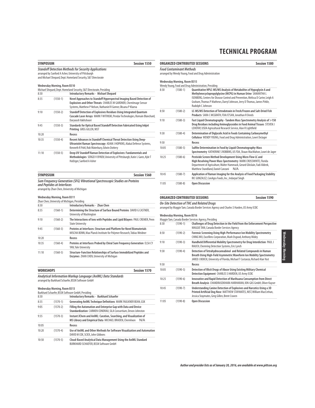| <b>SYMPOSIUM</b><br>Session 1550 |                              |                                                                                                                                                                                                            |
|----------------------------------|------------------------------|------------------------------------------------------------------------------------------------------------------------------------------------------------------------------------------------------------|
|                                  |                              | <b>Standoff Detection Methods for Security Applications</b><br>arranged by Sanford A Asher, University of Pittsburgh<br>and Michael Shepard, Dept. Homeland Security, S&T Directorate                      |
|                                  | Wednesday Morning, Room B310 | Michael Shepard, Dept. Homeland Security, S&T Directorate, Presiding                                                                                                                                       |
| 8:30                             |                              | <b>Introductory Remarks - Michael Shepard</b>                                                                                                                                                              |
| 8:35                             | $(1550-1)$                   | Novel Approaches to Standoff Hyperspectral Imaging Based Detection of<br>Explosives and Other Threats CHARLES W GARDNER, ChemImage Sensor<br>Systems, Matthew P Nelson, Nathaniel R Gomer, Oksana P Klueva |
| 9:10                             | $(1550-2)$                   | Standoff Detection of Explosives Residues Using Integrated Quantum<br>Cascade Laser Arrays MARK F WITINSKI, Pendar Technologies, Romain Blanchard,<br>Daryoosh Vakhshoori                                  |
| 9:45                             | $(1550-3)$                   | Standards for Optical Based Standoff Detection Fabricated Using Inkiet<br>Printing GREG GILLEN, NIST                                                                                                       |
| 10:20                            |                              | Recess                                                                                                                                                                                                     |
| 10:35                            | $(1550-4)$                   | Recent Advances in Standoff Chemical Threat Detection Using Deep-<br>Ultraviolet Raman Spectroscopy ADAM J HOPKINS, Alakai Defense Systems,<br>Kenneth R Pohl, Rob Waterbury, Edwin Dottery                |
| 11:10                            | $(1550-5)$                   | Deep UV Standoff Raman Detection of Explosives: Fundamentals and<br>Methodologies SERGEI V BYKOV, University of Pittsburgh, Katie L Gares, Kyle T<br>Hufziger, Sanford A Asher                             |

| <b>SYMPOSIUM</b>                                                                                           | Session 1560 |
|------------------------------------------------------------------------------------------------------------|--------------|
| Sum Frequency Generation (SFG) Vibrational Spectroscopic Studies on Proteins<br>and Peptides at Interfaces |              |
| arranged by Zhan Chen. University of Michigan                                                              |              |

#### **Wednesday Morning, Room B311**

|       |              | Zhan Chen, University of Michigan, Presiding                                                                                                    |
|-------|--------------|-------------------------------------------------------------------------------------------------------------------------------------------------|
| 8:30  |              | <b>Introductory Remarks - Zhan Chen</b>                                                                                                         |
| 8:35  | $(1560-1)$   | Determining the Structure of Surface Bound Proteins DAVID G CASTNER,<br>University of Washington                                                |
| 9:10  | $(1560-2)$   | The Interactions of lons with Peptides and Lipid Bilayers PAUL CREMER, Penn<br><b>State University</b>                                          |
| 9:45  | $(1560-3)$   | Proteins at Interfaces: Structure and Platform for Novel Biomaterials<br>MISCHA BONN, Max Planck Institute for Polymer Research, Tobias Weidner |
| 10:20 |              | Recess                                                                                                                                          |
| 10:35 | $(1560-4)$   | Proteins at Interfaces Probed by Chiral Sum Frequency Generation ELSA CY<br>YAN, Yale University                                                |
| 11:10 | $(1560 - 5)$ | Structure-Function Relationships of Surface Immobilized Peptides and<br>Enzymes ZHAN CHEN, University of Michigan                               |

| <b>WORKSHOPS</b>                                                                                                   | Session 1570 |
|--------------------------------------------------------------------------------------------------------------------|--------------|
| Analytical Information Markup Language (AnIML) Data Standards<br>arranged by Burkhard Schaefer, BSSN Software GmbH |              |

### **Wednesday Morning, Room B313**

|       |            | Burkhard Schaefer, BSSN Software GmbH, Presiding                                                                                    |  |
|-------|------------|-------------------------------------------------------------------------------------------------------------------------------------|--|
| 8:30  |            | <b>Introductory Remarks - Burkhard Schaefer</b>                                                                                     |  |
| 8:35  | $(1570-1)$ | Generating AnIML Technique Definitions MARK FAULKNER BEAN, GSK                                                                      |  |
| 9:05  | $(1570-2)$ | Filling the Automation and Enterprise Gap with Data and Device<br>Standardization CARMEN CONDRAU, SiLA Consortium, Devon Johnston   |  |
| 9:35  | $(1570-3)$ | Instant JChem and AnIML: Curation, Searching, and Visualization of<br>MS Library and Empirical Data MICHAEL BRADEN, ChemAxon<br>N/A |  |
| 10:05 |            | Recess                                                                                                                              |  |
| 10:20 | $(1570-4)$ | Use of AnIML and Other Methods for Software Visualization and Automation<br>DAVID M COX, SCIEX, John Gibbons                        |  |
| 10:50 | $(1570-5)$ | Cloud-Based Analytical Data Management Using the AnIML Standard<br>BURKHARD SCHAEFER, BSSN Software GmbH                            |  |

|                                                                                          |                                     | <b>ORGANIZED CONTRIBUTED SESSIONS</b>                                                                                                                                                                                                                                                                                  | <b>Session 1580</b> |  |
|------------------------------------------------------------------------------------------|-------------------------------------|------------------------------------------------------------------------------------------------------------------------------------------------------------------------------------------------------------------------------------------------------------------------------------------------------------------------|---------------------|--|
| <b>Food Contaminant Methods</b><br>arranged by Wendy Young, Food and Drug Administration |                                     |                                                                                                                                                                                                                                                                                                                        |                     |  |
|                                                                                          | <b>Wednesday Morning, Room B315</b> | Wendy Young, Food and Drug Administration, Presiding                                                                                                                                                                                                                                                                   |                     |  |
| 8:30                                                                                     | $(1580-1)$                          | Quantitative HPLC-MS/MS Analysis of Metabolites of Hypoglycin A and<br>Methylenecyclopropylglycine (MCPG) in Human Urine SAMANTHA L<br>ISENBERG, Centers for Disease Control and Prevention, Melissa D Carter, Leigh A<br>Graham, Thomas P Mathews, Darryl Johnson, Jerry D Thomas, James Pirkle,<br>Rudolph C Johnson |                     |  |
| 8:50                                                                                     | $(1580-2)$                          | LC-MS/MS Detection of Tetrodotoxin in Fresh/Frozen and Salt-Dried Fish<br>Products SARA C MCGRATH, FDA/CFSAN, Jonathan R Deeds                                                                                                                                                                                         |                     |  |
| 9:10                                                                                     | $(1580-3)$                          | Fast Liquid Chromatography - Tandem Mass Spectrometry Analysis of >150<br>Drug Residues including Aminoglycosides in Food Animal Tissues STEVEN J<br>LEHOTAY, USDA Agricultural Research Service, Alan R Lightfield                                                                                                    |                     |  |
| 9:30                                                                                     | $(1580 - 4)$                        | Determination of Diglycolic Acid in Foods Containing Carboxymethyl<br>Cellulose WENDY YOUNG, Food and Drug Administration, Lowri DeJager                                                                                                                                                                               |                     |  |
| 9:50                                                                                     |                                     | Recess                                                                                                                                                                                                                                                                                                                 |                     |  |
| 10:05                                                                                    | $(1580 - 5)$                        | Sulfite Determination in Food by Liquid Chromatography-Mass<br>Spectrometry KATHERINE S ROBBINS, US FDA, Shaun MacMahon, Lowri de Jager                                                                                                                                                                                |                     |  |
| 10:25                                                                                    | $(1580-6)$                          | Pesticide Screen Method Development Using Micro Flow LC and<br>High Resolving Power Mass Spectrometry MARK CROSSWHITE, Florida<br>Department of Agriculture, Walter Hammack, Gerard Ghislain, Fadi Aldeek,<br>Matthew Standland, Daniel Canzani<br>N/A                                                                 |                     |  |
| 10:45                                                                                    | $(1580 - 7)$                        | Application of Raman Imaging for the Analysis of Food Packaging Stability<br>RIC GONZALEZ, ConAgra Foods, Inc., Indarpal Singh                                                                                                                                                                                         |                     |  |
| 11:05                                                                                    | $(1580 - 8)$                        | <b>Open Discussion</b>                                                                                                                                                                                                                                                                                                 |                     |  |

### **ORGANIZED CONTRIBUTED SESSIONS Session 1590**

**On-Site Detection of THC and Related Drugs** arranged by Maggie Tam, Canada Border Services Agency and Charles S Harden, US Army ECBC

### **Wednesday Morning, Room B316**

|       |              | Maggie Tam, Canada Border Services Agency, Presiding                                                                                                                                                                     |
|-------|--------------|--------------------------------------------------------------------------------------------------------------------------------------------------------------------------------------------------------------------------|
| 8:30  | $(1590-1)$   | Challenges of Drug Detection in the Field from the Enforcement Perspective<br>MAGGIE TAM, Canada Border Services Agency                                                                                                  |
| 8:50  | $(1590-2)$   | Forensic Screening Using High-Performance Ion Mobility Spectrometry<br>CHING WU, Excellims Corporation, Mark Osgood, Anthony Midey                                                                                       |
| 9:10  | $(1590-3)$   | Handheld Differential Mobility Spectrometry for Drug Interdiction PAUL J<br>RAUCH, Chemring Detection Systems, Eric Lynch                                                                                                |
| 9:30  | $(1590-4)$   | Detection of Tetrahydrocannabinol and Related Compounds in Human<br>Breath Using High-Field Asymmetric Waveform Ion Mobility Spectrometry<br>JARED J BOOCK, University of Florida, Michael T Costanzo, Richard Alan Yost |
| 9:50  |              | Recess                                                                                                                                                                                                                   |
| 10:05 | $(1590-5)$   | Detection of Illicit Drugs of Abuse Using Existing Military Chemical<br>Detection Equipment CHARLES S HARDEN, US Army ECBC                                                                                               |
| 10:25 | $(1590-6)$   | Innovative and Rapid Detection of Marihuana Consumption from Direct<br>Breath Analysis CHANDRASEKHARA HARIHARAN, ION-GAS GmbH, Oliver Kayser                                                                             |
| 10:45 | $(1590 - 7)$ | Understanding Canine Detection of Explosives and Narcotics Using a 3D<br>Printed Artificial Dog Nose MATTHEW STAYMATES, NIST, William MacCrehan,<br>Jessica Staymates, Greg Gillen, Brent Craven                         |
| 11:05 | $(1590-8)$   | <b>Open Discussion</b>                                                                                                                                                                                                   |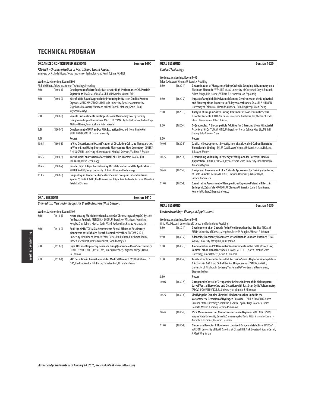|                                                                                                                                               |              | <b>ORGANIZED CONTRIBUTED SESSIONS</b>                                                                                                                                                                                                 | Session 1600 |
|-----------------------------------------------------------------------------------------------------------------------------------------------|--------------|---------------------------------------------------------------------------------------------------------------------------------------------------------------------------------------------------------------------------------------|--------------|
| PAI-NET - Characterization of Micro/Nano Liquid Phases<br>arranged by Akihide Hibara, Tokyo Institute of Technology and Kenji Kojima, PAI-NET |              |                                                                                                                                                                                                                                       |              |
| Wednesday Morning, Room B301<br>Akihide Hibara, Tokyo Institute of Technology, Presiding                                                      |              |                                                                                                                                                                                                                                       |              |
| 8:30                                                                                                                                          | $(1600-1)$   | Development of Microfluidic Lattices for High-Performance Cell/Particle<br>Separations MASUMI YAMADA, Chiba University, Minoru Seki                                                                                                   |              |
| 8:50                                                                                                                                          | $(1600-2)$   | Microfluidic-Based Approach for Producing Diffraction Quality Protein<br>Crystals MAEKI MASATOSHI, Hokkaido University, Pawate Ashtamurthy,<br>Sugishima Masakazu, Watanabe Keiichi, Tokeshi Manabu, Kenis J Paul,<br>Miyazaki Masaya |              |
| 9:10                                                                                                                                          | $(1600-3)$   | Sample Pretreatments for Droplet-Based Microanalytical System by<br>Using Nanodroplet Formation MAO FUKUYAMA, Kyoto Institute of Technology,<br>Akihide Hibara. Yumi Yoshida. Kohii Maeda                                             |              |
| 9:30                                                                                                                                          | $(1600-4)$   | Development of DNA and/or RNA Extraction Method from Single Cell<br>YUKIHIRO OKAMOTO, Osaka University                                                                                                                                |              |
| 9:50                                                                                                                                          |              | Recess                                                                                                                                                                                                                                |              |
| 10:05                                                                                                                                         | $(1600-5)$   | In Vivo Detection and Quantification of Circulating Cells and Nanoparticles<br>in Whole Blood Using Photoacoustic-Fluorescence Flow Cytometry DMITRY<br>A NEDOSEKIN, University of Arkansas for Medical Sciences, Vladimir P Zharov   |              |
| 10:25                                                                                                                                         | $(1600-6)$   | Microfluidic Construction of Artificial Cell-Like Reactors MASAHIRO<br>TAKINOUE, Tokyo Technology                                                                                                                                     |              |
| 10:45                                                                                                                                         | $(1600 - 7)$ | Parallel Lipid Bilayer Formation by Microfabrication and Its Applications<br>RYUJI KAWANO, Tokyo University of Agriculture and Technology                                                                                             |              |
| 11:05                                                                                                                                         | $(1600-8)$   | Unique Liquid Properties by Surface Silanol Groups in Extended-Nano<br>Spaces YUTAKA KAZOE, The University of Tokyo, Keisuke Ikeda, Kazuma Mawatari,<br>Takehiko Kitamori                                                             |              |

| <b>ORAL SESSIONS</b>                                                   | Session 1610 |
|------------------------------------------------------------------------|--------------|
| <b>Biomedical: New Technologies for Breath Analysis (Half Session)</b> |              |

| 8:30 | $(1610-1)$ | Heart-Cutting Multidimensional Micro Gas Chromatography (µGC) System<br>for Breath Analysis MENGLIAN ZHOU, University of Michigan, Jiwon Lee,<br>Hongbo Zhu, Robert Nidetz, Kevin Ward, Xudong Fan, Katsuo Kurabayashi                                                  |
|------|------------|-------------------------------------------------------------------------------------------------------------------------------------------------------------------------------------------------------------------------------------------------------------------------|
| 8:50 | $(1610-2)$ | Real-time PTR-TOF-MS Measurements Reveal Effects of Respiratory<br>Maneuvers onto Exhaled Breath Biomarker Profiles PRITAM SUKUL.<br>University Medicine of Rostock, Peter Oertel, Phillip Trefz, Khushman Taunk,<br>Jochen K Schubert, Wolfram Miekisch, Svend Kamysek |
| 9:10 | $(1610-3)$ | High Altitude Respiratory Research Using Quadrupole Mass Spectrometry<br>CHARLES W DE CARLO, Extrel CMS, James R Brenner, Zbigniew Krieger, Frank<br><b>DeThomas</b>                                                                                                    |
| 9:30 | $(1610-4)$ | VOC Detection in Animal Models for Medical Research WOLFGANG VAUTZ.<br>ISAS, Liedtke Sascha, Nils Kunze, Thorsten Perl, Ursula Telgheder                                                                                                                                |

|      | Wednesday Morning, Room B402 | Tyler Davis, West Virginia University, Presiding                                                                                                                                                                          |
|------|------------------------------|---------------------------------------------------------------------------------------------------------------------------------------------------------------------------------------------------------------------------|
| 8:30 | $(1620-1)$                   | Determination of Manganese Using Cathodic Stripping Voltammetry on a<br>Platinum Electrode WENJING KANG, University of Cincinnati, Cory A Rusinek.<br>Adam Bange, Erin Haynes, William R Heineman, Ian Papautsky          |
| 8:50 | $(1620-2)$                   | Impact of Amphiphilic Poly(amido)amine Dendrimers on the Biophysical<br>and Biorecognition Properties of Bilayer Membranes SAMUEL S HINMAN,<br>University of California, Riverside, Charles J Ruiz, Ling Peng, Ouan Cheng |

**ORAL SESSIONS** Session 1620

| 9:10  | $(1620-3)$   | Analysis of Drugs in Saliva During Treatment of Post-Traumatic Stress<br>Disorder Patients KATHRYN DANA, Real-Time Analyzers, Inc, Chetan Shende,<br>Stuart Farguharson, Albert J Arias                    |
|-------|--------------|------------------------------------------------------------------------------------------------------------------------------------------------------------------------------------------------------------|
| 9:30  | $(1620-4)$   | G-Quadruplex: A Biocompatible Additive for Enhancing the Antibacterial<br>Activity of H <sub>2</sub> O <sub>2</sub> YUQIAN XING, University of North Dakota, Xiao Liu, Minh H<br>Duong, Julia Xiaojun Zhao |
| 9:50  |              | Recess                                                                                                                                                                                                     |
| 10:05 | $(1620-5)$   | Capillary Electrophoresis Investigation of Multiwalled Carbon Nanotube-<br>Biomolecule Binding TYLER DAVIS, West Virginia University, Lisa A Holland,<br>Julia Ann Mouch                                   |
| 10:25 | $(1620-6)$   | Determining Variability in Potency of Marijuana for Potential Medical<br>Application REBECCA PLESSEL, Pennsylvania State University, Frank Dorman,<br>Amanda Rigdon                                        |
| 10:45 | $(1620 - 7)$ | Design and Development of a Portable Aptasensor for Toxicity Monitoring<br>of Field Samples GONCA BULBUL, Clarkson University, Akhtar Hayat,<br>Silvana Andreescu                                          |
| 11:05 | $(1620-8)$   | Quantitative Assessment of Nanoparticles Exposure Potential Effects in<br>Embryonic Zebrafish XIAOBO LIU, Clarkson University, Eduard Dumitrescu,<br>Kenneth Wallace, Silvana Andreescu                    |

| <b>ORAL SESSIONS</b>                   | Session 1630 |
|----------------------------------------|--------------|
| $\sim$<br>$\sim$<br>the control of the |              |

### **Electrochemistry - Biological Applications**

**Clinical/Toxicology**

|       | <b>Wednesday Morning, Room B403</b> |                                                                                                                                                                                                                                                                |
|-------|-------------------------------------|----------------------------------------------------------------------------------------------------------------------------------------------------------------------------------------------------------------------------------------------------------------|
|       |                                     | Yinfa Ma, Missouri University of Science and Technology, Presiding                                                                                                                                                                                             |
| 8:30  | $(1630-1)$                          | Development of an Optrode for In Vivo Neurochemical Studies THOMAS<br>FIELD, University of Kansas, Meng Sun, Peter M Ruggles, Michael A Johnson                                                                                                                |
| 8:50  | $(1630-2)$                          | Adenosine Transiently Modulates Vasodilation in Caudate-Putamen YING<br>WANG, University of Virginia, B Jill Venton                                                                                                                                            |
| 9:10  | $(1630-3)$                          | Amperometric and Voltammetric Measurements in the Cell Cytosol Using<br><b>Conical Carbon Nanoelectrodes EDWIN MITCHELL, North Carolina State</b><br>University, James Roberts, Leslie A Sombers                                                               |
| 9:30  | $(1630-4)$                          | Tunable Electroosmotic Push-Pull Perfusion Shows Higher Aminopeptidase<br>N Activity in CA1 than CA3 of the Rat Hippocampus YANGGUANG OU,<br>University of Pittsburgh, Bocheng Yin, Jenna DeVivo, German Barrionuevo,<br>Stephen Weber                         |
| 9:50  |                                     | Recess                                                                                                                                                                                                                                                         |
| 10:05 | $(1630-5)$                          | Optogenetic Control of Octopamine Release in Drosophila Melanogaster<br>Larval Ventral Nerve Cord and Detection with Fast Scan Cyclic Voltammetry<br>(FSCV) POOJAN PYAKUREL, University of Virginia, B Jill Venton                                             |
| 10:25 | $(1630-6)$                          | Clarifying the Complex Chemical Mechanisms that Underlie the<br>Voltammetric Detection of Hydrogen Peroxide LESLIE A SOMBERS, North<br>Carolina State University, Samantha K Smith, Leyda Z Lugo-Morales, James<br>Roberts, Maxim A Voinov, Tatyana I Smirnova |
| 10:45 | $(1630 - 7)$                        | FSCV Measurements of Neurotransmitters in Daphnia MATT N JACKSON,<br>Wayne State University, Srimal A Samaranayake, David Pitts, Shawn McElmurry,<br>Annette R Tremonti, Parastoo Hashemi                                                                      |
| 11:05 | $(1630-8)$                          | Glutamate Receptor Influence on Localized Oxygen Metabolism LINDSAY<br>WALTON, University of North Carolina at Chapel Hill, Nick Boustead, Susan Carroll,<br>R Mark Wightman                                                                                   |

**Wednesday Morning** Wednesday Morning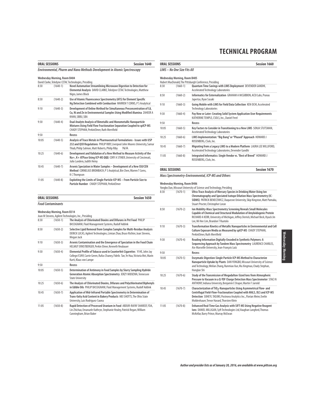|       | <b>ORAL SESSIONS</b>                                                                 | <b>Session 1640</b>                                                                                                                                                                                                 |  |  |
|-------|--------------------------------------------------------------------------------------|---------------------------------------------------------------------------------------------------------------------------------------------------------------------------------------------------------------------|--|--|
|       | Environmental, Pharm and Nano Methods Development in Atomic Spectroscopy             |                                                                                                                                                                                                                     |  |  |
|       | Wednesday Morning, Room B404<br>David Clarke, Teledyne CETAC Technologies, Presiding |                                                                                                                                                                                                                     |  |  |
| 8:30  | $(1640-1)$                                                                           | Novel Automation Streamlining Microwave Digestion to Detection for<br>Elemental Analysis DAVID CLARKE, Teledyne CETAC Technologies, Matthew<br>Nigro, James Block                                                   |  |  |
| 8:50  | $(1640-2)$                                                                           | Use of Atomic Fluorescence Spectrometry (AFS) for Element Specific<br>Hq Detection Combined with Combustion WARREN T CORNS, P S Analytical                                                                          |  |  |
| 9:10  | $(1640-3)$                                                                           | Development of Online Method for Simultaneous Preconcentration of Cd,<br>Cu, Ni and Zn in Environmental Samples Using Modified Alumina ZAHEER A<br>KHAN, SBBU, SBA                                                  |  |  |
| 9:30  | $(1640-4)$                                                                           | Dual Analyte Analysis of Bimetallic and Monometallic Nanoparticle<br>Mixtures Using Field Flow Fractionation Separation Coupled to spICP-MS<br>CHADY STEPHAN, PerkinElmer, Ruth Merrifield                          |  |  |
| 9:50  |                                                                                      | Recess                                                                                                                                                                                                              |  |  |
| 10:05 | $(1640-5)$                                                                           | Analysis of Trace Metals in Pharmaceutical Formulations - Issues with USP<br>232 and Q3D Regulations PHILIP RIBY, Liverpool John Moores University, Samar<br>Thiab, Philip Salmon, Matt Roberts, Philip Riby<br>N/A |  |  |
| 10:25 | $(1640-6)$                                                                           | Development and Validation of a New Method to Measure Activity of the<br>Na+, K+ ATPase Using ICP-MS QQQ CORY A STINER, University of Cincinnati,<br>Julio Landero, Judith Heiny                                    |  |  |
| 10:45 | $(1640 - 7)$                                                                         | Arsenic Speciation in Water Samples - Development of a New ISO/CEN<br>Method CORNELIUS BROMBACH, P S Analytical, Bin Chen, Warren T Corns,<br><b>KCThompson</b>                                                     |  |  |
| 11:05 | $(1640-8)$                                                                           | Exploiting the Limits of Single Particle ICP-MS - From Particle Size to<br>Particle Number CHADY STEPHAN, PerkinElmer                                                                                               |  |  |

| <b>ORAL SESSIONS</b>     | Session 1650 |
|--------------------------|--------------|
| <b>Food Contaminants</b> |              |

### **Wednesday Morning, Room B314**

|       |              | Joan M Stevens, Agilent Technologies, Inc., Presiding                                                                                                                                       |
|-------|--------------|---------------------------------------------------------------------------------------------------------------------------------------------------------------------------------------------|
| 8:30  | $(1650-1)$   | The Analysis of Chlorinated Dioxins and Difurans in Pet Food PHILIP<br>BASSIGNANI, Fluid Management Systems, Rudolf Addink                                                                  |
| 8:50  | $(1650-2)$   | Selective Lipid Removal from Complex Samples for Multi-Residue Analysis<br>DERICK LUCAS, Agilent Technologies, Limian Zhao, Bruce Richter, Joan Stevens,<br>Megan Juck                      |
| 9:10  | $(1650-3)$   | Arsenic Contamination and the Emergence of Speciation in the Food Chain<br>HELMUT ERNSTBERGER, Perkin Elmer, Kenneth Neubauer                                                               |
| 9:30  | $(1650-4)$   | Elemental Profile of Tobacco used in Counterfeit Cigarettes YI HE, John Jay<br>College/CUNY, Carrie Green, Rufus Chaney, Fidelis Tan, Ye Hua, Victoria Mei, Marin<br>Kurti, Klaus von Lampe |
| 9:50  |              | Recess                                                                                                                                                                                      |
| 10:05 | $(1650-5)$   | Determination of Antimony in Food Samples by Slurry Sampling Hydride<br><b>Generation Atomic Absorption Spectrometry JERZY MIERZWA, Tennessee</b><br><b>State University</b>                |
| 10:25 | $(1650-6)$   | The Analysis of Chlorinated Dioxins, Difurans and Polychlorinated Biphenyls<br>in Edible Oils PHILIP BASSIGNANI, Fluid Management Systems, Rudolf Addink                                    |
| 10:45 | $(1650 - 7)$ | Application of Mid-Infrared Portable Spectrometry in Determination of<br>Trans-fatty Acid Content in Bakery Products MEI SHOTTS, The Ohio State<br>University, Luis Rodriguez-Saona         |
| 11:05 | $(1650-8)$   | Rapid Detection of Processed Uranium in Food ABDUR-RAFAY SHAREEF, FDA,<br>Lin Zhichao, Emanuele Kathryn, Stephanie Healey, Patrick Regan, William<br>Cunningham, Brian Baker                |

|                                                                                               | <b>ORAL SESSIONS</b>               | Session 1660                                                                                                                   |
|-----------------------------------------------------------------------------------------------|------------------------------------|--------------------------------------------------------------------------------------------------------------------------------|
|                                                                                               | <b>IIMS</b> - No One Size Fits All |                                                                                                                                |
| <b>Wednesday Morning, Room B405</b><br>Hubert MacDonald, The Pittsburgh Conference, Presiding |                                    |                                                                                                                                |
| 8:30                                                                                          | $(1660-1)$                         | Quantum Time Savings with LIMS Deployment DEVENDER GANDHI,<br>Accelerated Technology Laboratories                              |
| 8:50                                                                                          | $(1660-2)$                         | Informatics for Externalization GRAHAM A MCGIBBON, ACD/Labs, Pranas<br>Japertas, Ryan Sasaki                                   |
| 9:10                                                                                          | $(1660-3)$                         | Going Mobile with LIMS for Field Data Collection KEN OCHI, Accelerated<br><b>Technology Laboratories</b>                       |
| 9:30                                                                                          | $(1660-4)$                         | Pay Now or Later: Creating Solid System Application User Requirements<br>KATHERINE TEMPLE, CSOLS, Inc., Daniel Freel           |
| 9:50                                                                                          |                                    | Recess                                                                                                                         |
| 10:05                                                                                         | $(1660-5)$                         | Key Factors to Consider in Transitioning to a New LIMS SONJA STUTSMAN,<br>Accelerated Technology Laboratories                  |
| 10:25                                                                                         | $(1660-6)$                         | LIMS Implementation: "Big Bang" or "Phased" Approach HOWARD J<br>ROSENBERG, CSols, Inc.                                        |
| 10:45                                                                                         | $(1660 - 7)$                       | Migrating from a Legacy LIMS to a Modern Platform LAURA LEE WILLIFORD,<br>Accelerated Technology Laboratories, Devender Gandhi |
| 11:05                                                                                         | $(1660-8)$                         | Integrated Informatics: Single Vendor vs. "Best of Breed" HOWARD J<br>ROSENBERG, CSols, Inc.                                   |

### **ORAL SESSIONS** Session 1670

### **Mass Spectrometry-Environmental, ICP-MS and Others**

**Wednesday Morning, Room B406**

|       |            | Yongbo Dan, Missouri University of Science and Technology, Presiding                                                                                                                                                                                                                 |
|-------|------------|--------------------------------------------------------------------------------------------------------------------------------------------------------------------------------------------------------------------------------------------------------------------------------------|
| 8:30  | $(1670-1)$ | Ultra-Trace Analysis of Mercury Species in Drinking Water Using Ion<br>Chromatography and Speciated Isotope Dilution Mass Spectrometry (IC-<br>SIDMS) PATRICK BENECEWICZ, Duquesne University, Skip Kingston, Matt Pamuku,<br>Stuart Procter, Christopher Loran                      |
| 8:50  | $(1670-2)$ | Ion Mobility-Mass Spectrometry Screening Reveals Small Molecules<br>Capable of Chemical and Structural Modulation of Amyloidogenic Protein<br>RICHARD A KERR, University of Michigan, Jeffrey Derrick, Michael Beck, Hyuck Jin<br>Lee. Mi Hee Lim. Brandon T Ruotolo                 |
| 9:10  | $(1670-3)$ | Transformation Kinetics of Metallic Nanoparticles in Environmental and Cell<br>Culture Exposure Media as Measured by spICP-MS CHADY STEPHAN,<br>PerkinElmer, Ruth Merrifield                                                                                                         |
| 9:30  | $(1670-4)$ | Reading Information Digitally-Encoded in Synthetic Polymers: A<br>Sequencing Approach by Tandem Mass Spectrometry LAURENCE CHARLES,<br>Aix-Marseille University, Jean-François Lutz                                                                                                  |
| 9:50  |            | Recess                                                                                                                                                                                                                                                                               |
| 10:05 | $(1670-5)$ | <b>Enzymatic Digestion-Single Particle ICP-MS Method to Characterize</b><br>Nanoparticle Uptake by Plants DAN YONGBO, Missouri University of Science<br>and Technology, Weilan Zhang, Runmiao Xue, Ma Xingmao, Chady Stephan,<br>Honglan Shi                                         |
| 10:25 | $(1670-6)$ | Study of the Transmission of Megadalton-Sized lons from Atmospheric<br>Pressure to Vacuum in a Q-TOF Charge Detection Mass Spectrometer STACIN<br>ANTHONY, Indiana University, Benjamin E Draper, Martin F Jarrold                                                                   |
| 10:45 | $(1670-7)$ | Characterization of TiO <sub>2</sub> -Nanoparticles Using Asymmetrical Flow- and<br>Centrifugal Field-Flow-Fractionation Coupled with MALS, DLS and ICP-MS<br>Detection SOHEYL TADJIKI, Postnova Analytics Inc., Florian Meier, Evelin<br>Moldenhauer. Trevor Havard. Thorsten Klein |
| 11:05 | $(1670-8)$ | Enhanced Real-Time Gas Analysis with SIFT-MS Using Negative Reagent<br>Ions DANIEL MILLIGAN, Syft Technologies Ltd, Vaughan Langford, Thomas<br>McKellar, Barry Prince, Murray McEwan                                                                                                |

**Wednesday Morning** Wednesday Morning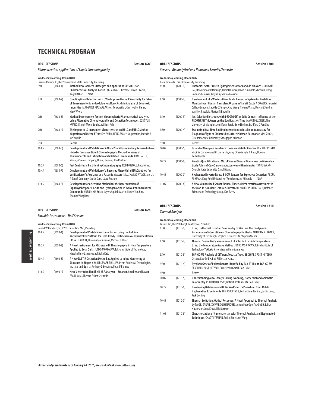|       | <b>ORAL SESSIONS</b>         | <b>Session 1680</b>                                                                                                                                                                                                                                                 |
|-------|------------------------------|---------------------------------------------------------------------------------------------------------------------------------------------------------------------------------------------------------------------------------------------------------------------|
|       |                              | <b>Pharmaceutical Applications of Liquid Chromatography</b>                                                                                                                                                                                                         |
|       | Wednesday Morning, Room B401 |                                                                                                                                                                                                                                                                     |
|       |                              | Paulina Piotrowski, The Pennsylvania State University, Presiding                                                                                                                                                                                                    |
| 8:30  | $(1680-1)$                   | Method Development Strategies and Applications of 2D LC for<br>Pharmaceutical Analysis PANKAJ AGGARWAL, Pfizer Inc., David T Fortin,<br>N/A<br>Angel R Diaz                                                                                                         |
| 8:50  | $(1680 - 2)$                 | Coupling Mass Detection with UV to Improve Method Sensitivity for Esters<br>of Benzenesulfonic and p-Toluenesulfonic Acids in Analysis of Genotoxic<br>Impurities MARGARET MAZIARZ, Waters Corporation, Christopher Henry,<br>Mark Wrona                            |
| 9:10  | $(1680-3)$                   | Method Development for Non-Chromophoric Pharmaceutical Analytes<br>Using Alternative Chromatographic and Detection Techniques ZONGYUN<br>HUANG, Bristol-Myers Squibb, William Fish                                                                                  |
| 9:30  | $(1680 - 4)$                 | The Impact of LC Instrument Characteristics on HPLC and UPLC Method<br>Migration and Method Transfer PAULA HONG, Waters Corporation, Patricia R<br>McConville                                                                                                       |
| 9:50  |                              | <b>Recess</b>                                                                                                                                                                                                                                                       |
| 10:05 | $(1680 - 5)$                 | Development and Validation of A Novel Stability-Indicating Reversed-Phase<br>High-Performance Liquid Chromatography Method for Assay of<br>Thiabendazole and Estimation of its Related Compounds JIANGTAO HE,<br>Merial, A Sanofi Company, Huang Junmin, Abu Rustum |
| 10:25 | $(1680 - 6)$                 | Fast Centrifugal Partitioning Chromatography ROB DRISCOLL, Robatel Inc.                                                                                                                                                                                             |
| 10:45 | $(1680 - 7)$                 | Development and Validation of a Reversed Phase Chiral HPLC Method for<br>Verification of Afoxolaner as a Racemic Mixture NILUSHA PADIVITAGE, Merial,<br>A Sanofi Company, Satish Kumar, Abu Rustum                                                                  |
| 11:05 | $(1680 - 8)$                 | Development for a Sensitive Method for the Determination of<br>Diphenylphosphoryl Azide and Hydrogen Azide in Active Pharmaceutical<br>Compounds XUEJUN XU, Bristol-Myers Squibb, Martin Nunez, Yun K Ye,<br><b>Thomas V Raglione</b>                               |

| <b>ORAL SESSIONS</b>                       | Session 1690 |
|--------------------------------------------|--------------|
| <b>Portable Instruments - Half Session</b> |              |

### **Wednesday Morning, Room B409**

|       |            | Robert W Baudoux, Sr., RWB Convention Mgt, Presiding                                                                                                                                                       |
|-------|------------|------------------------------------------------------------------------------------------------------------------------------------------------------------------------------------------------------------|
| 10:05 | $(1690-1)$ | Development of Portable Instrumentation Using the Arduino<br>Microcontroller Platform for Field-Ready Electrochemical Experimentation<br>DREW C FARRELL, University of Arizona, Michael L Heien            |
| 10:25 | $(1690-2)$ | A Novel Instrument for Microscale IR Thermography in High Temperature<br>Applied to Solar Salts JUNKO MORIKAWA, Tokyo Institute of Technology,<br>Massimiliano Zamengo, Yukitaka Kato                      |
| 10:45 | $(1690-3)$ | A New GC/FTIR Detection Method as Applied to Inline Monitoring of<br>Siloxanes in Biogas CHARLES MARK PHILLIPS, Prism Analytical Technologies,<br>Inc., Martin L Spartz, Anthony S Bonanno, Peter P Behnke |
| 11:05 | $(1690-4)$ | Next-Generation Handheld XRF Analyzer - Smarter, Smaller and Faster<br><b>ESA NUMMI. Thermo Fisher Scientific</b>                                                                                          |

| <b>ORAL SESSIONS</b> |                                              | Session 1700                                                                                                                                                                                                                                                              |
|----------------------|----------------------------------------------|---------------------------------------------------------------------------------------------------------------------------------------------------------------------------------------------------------------------------------------------------------------------------|
|                      |                                              | Sensors - Bioanalytical and Homeland Security/Forensics                                                                                                                                                                                                                   |
|                      | <b>Wednesday Morning, Room B407</b>          |                                                                                                                                                                                                                                                                           |
|                      | Katie Edwards, Cornell University, Presiding |                                                                                                                                                                                                                                                                           |
| 8:30                 | $(1700-1)$                                   | Photonic Crystal Protein Hydrogel Sensor for Candida Albicans ZHONGYU<br>CAI, University of Pittsburgh, Daniel H Kwak, David Punihaole, Zhenmin Hong,<br>Sachin S Velankar, Xinyu Liu, Sanford A Asher                                                                    |
| 8:50                 | $(1700-2)$                                   | Development of a Wireless Microfluidic Biosensor System for Real-Time<br>Monitoring of Human Transplant Organs in Transit SALLY A GOWERS, Imperial<br>College London, Isabelle C Samper, Chu Wang, Thomas Watts, Bynvant Sandhu,<br>Vassilios Papalois, Martyn G Boutelle |
| 9:10                 | $(1700-3)$                                   | Jon-Selective Electrodes with PEDOT(PSS) as Solid Contact: Influence of the<br>PEDOT(PSS) Thickness on the Equilibration Time MARCIN GUZINSKI, The<br>University of Memphis, Jennifer M Jarvis, Erno Lindner, Bradford D Pendley                                          |
| 9:30                 | $(1700-4)$                                   | Evaluating Real Time Binding Interactions in Insulin Immunoassay for<br>Diagnosis of Type of Diabetes by Surface Plasmon Resonance VINI SINGH,<br>Oklahoma State University, Sadagopan Krishnan                                                                           |
| 9:50                 |                                              | Recess                                                                                                                                                                                                                                                                    |
| 10:05                | $(1700-5)$                                   | Extended Nanopore Residence Times via Metallic Clusters JOSEPH E REINER,<br>Virginia Commonwealth University, Amy E Chavis, Kyle T Brady, Nuwan<br>Kothalawala                                                                                                            |
| 10.25                | $(1700-6)$                                   | Kinetics Ouantification of MicroRNAs as Disease Biomarkers on Microelec-<br>trode Point-of-Care Sensors at Attomoles within Minutes TANYU WANG.<br>Georgia State University, Gangli Wang                                                                                  |
| 10:45                | $(1700 - 7)$                                 | Hyphenated Inverted Mesa E-QCM Sensors for Explosives Detection ABDUL<br>REHMAN, King Fahd University of Petroleum and Minerals<br>N/A                                                                                                                                    |
| 11:05                | $(1700-8)$                                   | A New Miniaturized Sensor for Real-Time Suit Penetration Assessment in<br>the Man-In-Simulant-Test (MIST) Protocol NICHOLAS FITZGERALD, Defence<br>Science and Technology Group, Karl Pavey                                                                               |

|       | <b>Wednesday Morning, Room B408</b> |                                                                                                                                                                                                                                                             |
|-------|-------------------------------------|-------------------------------------------------------------------------------------------------------------------------------------------------------------------------------------------------------------------------------------------------------------|
| 8:30  | $(1710-1)$                          | Fu-mei Lin, The Pittsburgh Conference, Presiding<br>Using Isothermal Titration Calorimetry to Measure Thermodynamic<br>Parameters of Adsorption on Chromatographic Media ANTHONY R HORNER,<br>University of Pittsburgh, Stephen R Groskreutz, Stephen Weber |
| 8:50  | $(1710-2)$                          | Thermal Conductivity Measurement of Solar Salt in High Temperature<br>Using the Temperature Wave Method JUNKO MORIKAWA, Tokyo Institute of<br>Technology, Yukitaka Kato, Massimiliano Zamengo                                                               |
| 9:10  | $(1710-3)$                          | TGA-GC-MS Analysis of Different Tobacco Types EKKEHARD POST, NETZSCH<br>Geraetebau GmbH, Bob Fidler, Jan Hanss                                                                                                                                              |
| 9:30  | $(1710-4)$                          | Pyrolysis Gases of Polycarbonate Identified by TGA-FT-IR and TGA-GC-MS<br>EKKEHARD POST, NETZSCH Geraetebau GmbH, Bob Fidler                                                                                                                                |
| 9:50  |                                     | Recess                                                                                                                                                                                                                                                      |
| 10:05 | $(1710-5)$                          | Understanding Auto-Catalysis Using Scanning, Isothermal and Adiabatic<br>Calorimetry PETER RALBOVSKY, Netzsch Instruments, Bob Fidler                                                                                                                       |
| 10:25 | $(1710-6)$                          | Developing Databases and Optimized Spectral Searching from TGA-IR<br>Hyphenation Experiments IAN ROBERTSON, PerkinElmer Limited, Justin Lang,<br><b>Jack Botting</b>                                                                                        |
| 10:45 | $(1710-7)$                          | Thermal Excitation, Optical Response: A Novel Approach to Thermal Analysis<br>by TMOR SARAH SCHWARZ G HENRIQUES, Anton Paar OptoTec GmbH, Tobias<br>Husemann, Jens Kruse, Nils Bertram                                                                      |
| 11:05 | $(1710-8)$                          | Characterization of Nanomaterials with Thermal Analysis and Hyphenated<br>Techniques CHADY STEPHAN, PerkinElmer, Jun Wang                                                                                                                                   |

**ORAL SESSIONS** Session 1710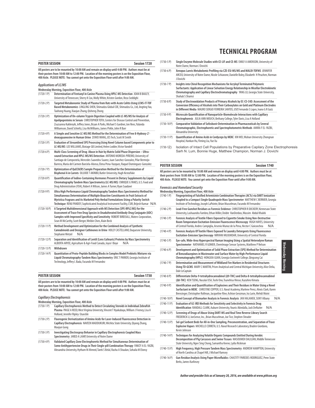| <b>POSTER SESSION</b>                                                                                | <b>Session 1720</b> |
|------------------------------------------------------------------------------------------------------|---------------------|
| All posters are to be mounted by 10:00 AM and remain on display until 4:00 PM. Authors must be at    |                     |
| their posters from 10:00 AM to 12:00 PM. Location of the morning posters is on the Exposition Floor, |                     |
| 400 Aisle. PLEASE NOTE: You cannot get onto the Exposition Floor until after 9:00 AM.                |                     |

### **Applications of LC/MS**

|               | Wednesday Morning, Exposition Floor, 400 Aisle                                                                                                                                                                                                                                                                                                                  |
|---------------|-----------------------------------------------------------------------------------------------------------------------------------------------------------------------------------------------------------------------------------------------------------------------------------------------------------------------------------------------------------------|
| $(1720-1)$    | Determination of Fentanyl in Canine Plasma Using HPLC-MS Detection JOAN B BAILEY,<br>University of Tennessee, Sherry K Cox, Molly White, Kristen Gordon, Reza Seddighi                                                                                                                                                                                          |
| $(1720 - 2P)$ | Targeted Metabonomic Study of Plasma from Rats with Acute Colitis Using LCMS-IT-TOF<br>Based Metabonomics LINGLING SHEN, Shimadzu Global COE, Shimadzu Co., Ltd, Jingting Yao,<br>Taohong Huang, Xiaojun Zhang, Qisheng Zhong                                                                                                                                   |
| $(1720-3P)$   | Optimization of On-column Trypsin Digestion Coupled with LC-MS/MS for Analysis of<br>Apolipoproteins in Serum CHRISTOPHER TOTH, Centers for Disease Control and Prevention,<br>Zsuzsanna Kuklenyik, Jeffrey Jones, Bryan A Parks, Michael S Gardner, Jon Rees, Yulanda<br>Williamson, David Schieltz, Lisa McWilliams, James Pirkle, John R Barr                |
| $(1720 - 4P)$ | A Simple and Sensitive LC-MS/MS Method for the Determination of Free 8-Hydroxy-2'-<br>deoxyguanosine in Human Urine ZUWEI WANG, JES Tech, Scott M Smith                                                                                                                                                                                                         |
| $(1720-5P)$   | Evaluation of Streamlined SPE Processing Using Novel Column based Components prior to<br>LC-MS/MS LEE WILLIAMS, Biotage GB Limited, Helen Lodder, Victor Vandell                                                                                                                                                                                                |
| $(1720-6P)$   | Multi-Class Screening of Drug Abuse in Hair by Matrix Solid Phase Dispersion - Ultra-<br>sound Extraction and HPLC-MS/MS Detection ANTONIO MOREDA-PIÑEIRO, University of<br>Santiago de Compostela, Mercedes Saavedra-Suarez, Juan Sanchez-Gonzalez, Pilar Bermejo-<br>Barrera, Maria del Carmen Barciela-Alonso, Elena Pena-Vazquez, Raquel Dominguez-Gonzalez |
| $(1720 - 7P)$ | Optimization of QuEChERS Sample Preparation Method for the Determination of<br>Bisphenol A in Carrots OLUJIDE T AKINBO, Butler University, Hugh Kestufskie                                                                                                                                                                                                      |
| $(1720-8P)$   | Quantification of Iodine-Containing Hormones Present in Dietary Supplements by Liquid<br>Chromatography Tandem Mass Spectrometry (LC-MS/MS) ENRIQUE GYANES, U.S. Food and<br>Drug Administration (FDA), Robert A Wilson, James A Turner, Ryan Saadawi                                                                                                           |
| $(1720 - 9P)$ | Ultra High Performance Liquid Chromatography Tandem Mass Spectrometry Method for<br>Simultaneous Determination of Multiple Bioactive Constituents in Fruit Extracts of<br>Myristica Fragrans and its Marketed Poly Herbal Formulations Using a Polarity Switch<br>Technique RENU PANDEY, Sophisticated Analytical Instrument Facility, CSIR, Brijesh Kumar N/A  |
| $(1720-10P)$  | A Targeted Multidimensional Approach with MS Detection (SPE-RPLC/MS) for the<br>Assessment of Trace Free Drug Species in Unadulterated Antibody-Drug Conjugate (ADC)<br>Samples with Improved Specificity and Sensitivity ROBERT BIRDSALL, Waters Corporation,<br>Sean M McCarthy, Scott Berger, Weibin Chen, Alain Beck                                        |
| $(1720-11P)$  | Method Development and Optimization for the Combined Analysis of Synthetic<br>Cannabinoids and Designer Cathinones in Urine HOLLY CASTELLANO, Duquesne University,<br>Stephanie Wetzel<br>N/A                                                                                                                                                                   |
| $(1720-12P)$  | Separation and Identification of Lentil (Lens Culinaris) Proteins by Mass Spectrometry<br>ALBERTA ARYEE, Agriculture & Agri-Food Canada, Joyce I Boye<br>N/A                                                                                                                                                                                                    |
| $(1720-13P)$  | Withdrawn                                                                                                                                                                                                                                                                                                                                                       |
| $(1720-14P)$  | Quantitation of Proto-Peptide Building Blocks in Complex Model Prebiotic Mixtures via<br>Liquid Chromatography-Tandem Mass Spectrometry ERIC T PARKER, Georgia Institute of<br>Technology, Jeffrey L Bada, Facundo M Fernandez                                                                                                                                  |

| <b>POSTER SESSION</b>                                                                                | Session 1730 |
|------------------------------------------------------------------------------------------------------|--------------|
| All posters are to be mounted by 10:00 AM and remain on display until 4:00 PM. Authors must be at    |              |
| their posters from 10:00 AM to 12:00 PM. Location of the morning posters is on the Exposition Floor. |              |
| 400 Aisle,PLEASE NOTE: You cannot get onto the Exposition Floor until after 9:00 AM.                 |              |

#### **Capillary Electrophoresis**

**Wednesday Morning, Exposition Floor, 400 Aisle**

| $(1730-1)$    | Capillary Electrophoresis Method to Detect Circulating Steroids in Individual Zebrafish<br>Plasma PAIGE A REED, West Virginia University, Vincent T Nyakubaya, William J Feeney, Lisa A<br>Holland, Jennifer Ripley-Stueckle |
|---------------|------------------------------------------------------------------------------------------------------------------------------------------------------------------------------------------------------------------------------|
| $(1730-2P)$   | Fluorogenic Derivatization of Amino Acids for Laser-Induced Fluorescence Detection in<br>Capillary Electrophoresis NAVEEN MADDUKURI, Wichita State University, Qiyang Zhang,<br>Maojun Gong                                  |
| $(1730-3P)$   | Investigating Electrospray Behavior in Capillary Electrophoresis Coupled Mass<br>Spectrometry JARED A LAMP, University of Notre Dame                                                                                         |
| $(1730 - 4P)$ | Validated Capillary Zone Electrophoretic Method for Simultaneous Determination of<br>Come Antibunovtopoise Dures in Their Cinele pill Combination Thomas: CAW/7V A EL VA7DL                                                  |

**Some Antihypertensive Drugs in Their Single-pill Combination Therapy** FAWZY A EL-YAZBI,<br>Alexandria University, Hytham M Ahmed, Tarek S Belal, Rasha A Shaalan, Sohaila M Elonsy

### **TECHNICAL PROGRAM**

- (1730-5 P) **Single Enzyme Molecule Studies with CE-LIF and CE-MS** EMILY A AMENSON, University of Notre Dame, Norman J Dovichi
- (1730-6 P) **Xenopus Laevis Metabolomic Profiling via CZE-ESI-MS/MS and MALDI-TOFMS** JENNIFER ARCEO, University of Notre Dame, Nicole Schiavone, Danielle Boley, Elizabeth H Peuchen, Norman J Dovichi
- (1730-7 P) **Insights into Chiral Recognition Mechanisms for Acryloyl Terminated Polymeric Surfactants: Application of Linear Solvation Energy Relationship in Micellar Electrokinetic Chromatography and Capillary Electrochromatography** YANG LU, Georgia State University, Shahab S Shamsi
- (1730-8 P) **Study of Electrooxidation Products of Primary Alcohols by EC-CE-C4D: Assessment of the Conversion Efficiency of Alcohols into Their Carboxylates on Gold and Platinum Electrodes in Different Media** MAURO SERGIO FERREIRA SANTOS, USP, Fernando S Lopes, Ivano G R Gutz
- (1730-9 P) **Microscale Quantification of Nanoparticle-Biomolecule Interactions with Capillary Electrophoresis** JULIA ANN MOUCH, Bethany College, Tyler Davis, Lisa A Holland
- (1730-10 P) **Comparative Validation of Sofosbuvir Determination in Pharmaceuticals by Several Chromatographic, Electrophoretic and Spectrophotometric Methods** AMIRA F EL-YAZBI, Alexandria University
- (1730-11 P) **Quantification of Amino Acids in Cordyceps by MEKC** XIN WEI, Wuhan University Zhongnan Hospital, Hankun Hu, Yiming Liu, Yue Xu
- (1730-12) Isolation of Intact Cell Populations by Preparative Capilary Zone Electrophoresis Sarh N. Lum, Bonnie Huge, Matthew Champion, Norman J. Dovichi

#### **POSTER SESSION Session 1740 All posters are to be mounted by 10:00 AM and remain on display until 4:00 PM. Authors must be at their posters from 10:00 AM to 12:00 PM. Location of the morning posters is on the Exposition Floor, 400 Aisle. PLEASE NOTE: You cannot get onto the Exposition Floor until after 9:00 AM.**

**Forensics and Homeland Security**

**Wednesday Morning, Exposition Floor, 400 Aisle**

| $(1740-1)$    | Fingerprinting of Falsified Artemisinin Combination Therapies (ACTs) via DART Ionization<br>Coupled to a Compact Single Quadrupole Mass Spectrometer MATTHEW C BERNIER, Georgia<br>Institute of Technology, Joseph LaPointe, Brian Musselman, Facundo M Fernandez                    |  |  |
|---------------|--------------------------------------------------------------------------------------------------------------------------------------------------------------------------------------------------------------------------------------------------------------------------------------|--|--|
| $(1740-2)$ P) | Lead-Free Gunshot Residues as Forensic Evidence CHRISTOPHER R DOCKERY, Kennesaw State<br>University, Lashaundra Fambro, Ethan Miller, Deidre VanDenbos, Wassim Abdul Khalek                                                                                                          |  |  |
| $(1740-3)$ P) | Forensic Analysis of Textile Fibers Exposed to Cigarette Smoke Using Non-Destructive<br>Room Temperature Excitation-Emission Fluorescence Microscopy HUGH HAYES, University<br>of Central Florida, Andres Campiglia, Arsenio Munoz de la Pena, Hector C Goicoechea<br>N/A            |  |  |
| $(1740-4P)$   | Forensic Analysis Of Textile Fibers Exposed To Laundry Detergents Using Fluorescence<br>Excitation-Emission Spectroscopy NIRVANI MUJUMDAR, University of Central Florida                                                                                                             |  |  |
| $(1740-5P)$   | Eye-safe, Wide-Area Hyperspectral Raman Imaging Using a Spatial Heterodyne Raman<br>Spectrometer NATHANIEL R GOMER, ChemImage Sensor Systems, Matthew P Nelson                                                                                                                       |  |  |
| $(1740-6P)$   | Development and Optimization of Solid Phase Extraction (SPE) Method for Determination<br>of Benzodiazepines in Wastewater and Surface Water by High-Performance Liquid<br>Chromatography (HPLC) HONGXIA GUAN, Georgia Gwinnett College, Qingsong Cai                                 |  |  |
| $(1740 - 7P)$ | Determination and Measurement of Wildland Fire Markers in Residential Structures<br>Using TD-GCMS MARY C MARTIN, Prism Analytical and Central Michigan University, Alice Delia,<br>Dale LeCaptain                                                                                    |  |  |
| $(1740-8P)$   | Differentiate Delta-9-tetrahydrocannabinol (Δ9-THC) and Delta-8-tetrahydrocannabinol<br>(Δ8-THC) KEN TSENG, Nacalai USA, Toshi Ono, Tsunehisa Hirose, Kazuhiro Kimata                                                                                                                |  |  |
| $(1740-9P)$   | Identification and Quantification of Explosives and Their Residues in Water Using a Novel<br>Surfactant in MEKC CHRISTINE COPPER, U.S. Naval Academy, Marlene Perez, Alexis Clark, Karen<br>Brensinger, Christopher Rollman, Jacqueline Rine, Ashton Genzman, Ira Lurie, Mehdi Moini |  |  |
| $(1740-10P)$  | N/A<br>Novel Concept of Biomarker Analysis in Forensic Analysis JAN HALAMEK, SUNY Albany                                                                                                                                                                                             |  |  |
| $(1740-11P)$  | Evaluation of GC-IRD Methods for Sensitivity and Selectivity in Forensic Drug<br>Identification RANDALL CLARK, Auburn University, Younis Abiedalla, Jack DeRuiter<br>N/A                                                                                                             |  |  |
| $(1740-12P)$  | Screening of Drugs of Abuse Using DART-MS and Real Time Reverse Library Search<br>FREDERICK LI, IonSense, Inc., Brian Musselman, Joe Tice, Stephen Shrader                                                                                                                           |  |  |
| $(1740-13 P)$ | Sol-gel Sorbent Beds for All-in-One Sampling, Preconcentration, and Separation of Trace<br>Explosive Vapors MICHELLE CERRETA, U.S. Naval Research Laboratory, Braden Giordano,<br>Kevin Johnson                                                                                      |  |  |
| $(1740-14P)$  | Techniques for Analyzing Volatile Organic Compounds Emitted During Aerobic<br>Decomposition of Pig Carcasses and Swine Tissues MASOUMEH DALILIAN, Middle Tennessee<br>State University, Ngee Sing Chong, Samantha Keene, Lydia Rickman                                               |  |  |
| $(1740-15P)$  | High Frequency, High Pressure Tandem Mass Spectrometry ANDREW HAMPTON, University<br>of North Carolina at Chapel Hill, J Michael Ramsey                                                                                                                                              |  |  |
| $(1740-16P)$  | Gun Residue Analysis Using Paper Microfluidics CHASTITY PAREDES-RODRIGUEZ, Penn State<br>Berks, James Karlinsey                                                                                                                                                                      |  |  |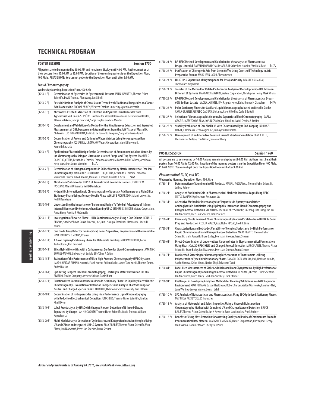| <b>POSTER SESSION</b> | Session 1750                                                                                                                                                                                                                                                                                                     |
|-----------------------|------------------------------------------------------------------------------------------------------------------------------------------------------------------------------------------------------------------------------------------------------------------------------------------------------------------|
|                       | All posters are to be mounted by 10:00 AM and remain on display until 4:00 PM. Authors must be at<br>their posters from 10:00 AM to 12:00 PM. Location of the morning posters is on the Exposition Floor,<br>400 Aisle. PLEASE NOTE: You cannot get onto the Exposition Floor until after 9:00 AM.               |
|                       | <b>Liquid Chromatography</b>                                                                                                                                                                                                                                                                                     |
| $(1750-1)$            | Wednesday Morning, Exposition Floor, 400 Aisle<br>Determination of Pyrethrins in Pyrethrum Oil Extracts IAN N ACWORTH, Thermo Fisher<br>Scientific, David Thomas, Alan Wong, Jan Glinski                                                                                                                         |
| (1750-2 P)            | Pesticide Residue Analysis of Cereal Grains Treated with Traditional Fungicides or a Tannic<br>Acid Biopesticide BROOKE M BIEN, Western Carolina University, Cynthia Atterholt                                                                                                                                   |
| (1750-3 P)            | Microwave-Assisted Extraction of Triketone and Pyrazole Corn Herbicides from<br>Agricultural Soil SANJA STIPIČEVI, Institute for Medical Research and Occupational Health,<br>Milena Milaković, Marija Dvoršćak, Sanja Fingler, Gordana Mendaš                                                                   |
| $(1750-4P)$           | Development and Validation of a Method for the Simultaneous Extraction and Separated<br>Measurement of Diflubenzuron and Azamethiphos from the Soft Tissue of Mussel M.<br>Chilensis LUIS NORAMBUENA, Instituto de Fomento Pesquero, Sergio Contreras-Lynch                                                      |
| (1750-5 P)            | Determination of Anions and Cations in Water Matrices Using Non-suppressed Ion<br>Chromatography JOSEPH PAUL ROMANO, Waters Corporation, Mark E Benvenuti,<br>Kenneth Rosnack                                                                                                                                    |
| $(1750-6)$            | Application of Factorial Design for the Determination of Ammonium in Saline Waters by<br>Ion Chromatography Using an Ultrasound-assisted Purge-and-Trap System MANUEL C<br>CARNEIRO, CETEM, Fernanda N Ferreira, Fernanda Veronesi M Pontes, Julio C Afonso, Arnaldo A<br>Neto, Maria Ines Couto Monteiro<br>N/A |
| $(1750 - 7P)$         | Determination of Nitrogen Compounds in Saline Waters by Matrix Interference-Free Ion<br>Chromatography MARIA INES COUTO MONTEIRO, CETEM, Fernanda N Ferreira, Fernanda<br>Veronesi M Pontes, Julio C Afonso, Manuel C Carneiro, Arnaldo A Neto<br>N/A                                                            |
| $(1750-8P)$           | Micellar and Sub-Micellar UHPLC of Aromatic Acid Geometric Isomers JENNIFER M<br>FASCIANO, Miami University, Neil D Danielson                                                                                                                                                                                    |
| $(1750-9P)$           | Hydrophilic Interaction Liquid Chromatography of Aromatic Acid Isomers on a Plain Silica<br>Stationary Phase Using a Ternary Mobile Phase ASHLEY E RICHARDSON, Miami University,<br>Neil D Danielson                                                                                                             |
| $(1750-10 P)$         | Understanding the Importance of Instrument Design To Take Full Advantage of 1.0mm<br>Internal Diameter (ID) Columns when Running UPLC JENNIFER SIMEONE, Waters Corporation,<br>Paula Hong, Patricia R McConville                                                                                                 |
| $(1750-11P)$          | Investigation of Reverse-Phase - HILIC Continuous Analysis Using a One Column RONALD<br>BENSON, Shodex/Showa Denko America, Inc., Junji Sasuga, Tomokazu Umezawa, Hideyuki<br>Kondo                                                                                                                              |
| (1750-12 P)           | One Diode Array Detector for Analytical, Semi-Preparative, Preparative and Biocompatible<br><b>HPLC KATHRYN E MONKS, Knauer</b>                                                                                                                                                                                  |
| (1750-13 P)           | A Novel Diphenyl Stationary Phase for Metabolite Profiling MARK WOODRUFF, Fortis<br>Technologies, Ken Butchart                                                                                                                                                                                                   |
| (1750-14 P)           | Silica Hybrid Monoliths with a Carbonaceous Surface for Liquid Chromatography AMARIS C<br>BORGES-MUNOZ, University at Buffalo SUNY, Luis A Colón                                                                                                                                                                 |
| $(1750-15P)$          | Evaluation of the Performance of Ultra-high Pressure Chromatography (UPLC) Systems<br>IMAD A HAIDAR AHMAD, Novartis, Frank Hrovat, Adrian Clarke, James Tam, Xue Li, Thomas Tarara,<br>Andrei Blasko                                                                                                             |
| $(1750-16P)$          | Optimizing Reagent Free Ion Chromatography; Electrolytic Water Purification JOHN M<br>RIVIELLO, Trovion Company, Archava Siriraks, Daniel Khor                                                                                                                                                                   |
| $(1750-17P)$          | Functionalized Carbon Nanotubes as Pseudo-Stationary Phases in Capillary Electrokinetic<br>Chromatography - Evaluation of Retention Energetics and Analysis of a Wide Range of<br>Neutral and Charged Species SARAH ALHARTHI, Oklahoma State University, Ziad El Rassi                                           |
| $(1750-18P)$          | Determination of Hydroperoxides Using High Performance Liquid Chromatography<br>with Reductive Electrochemical Detection JUN CHENG, Thermo Fisher Scientific, Yan Liu,<br><b>Khalil Divan</b>                                                                                                                    |
| (1750-19 P)           | Label-Free Analysis by HPLC with Charged Aerosol Detection of N-linked Glycans<br>Separated by Charge IAN N ACWORTH, Thermo Fisher Scientific, David Thomas, William<br>Kopaciewicz                                                                                                                              |
| $(1750 - 20 P)$       | Multi-Modal Analyte Detection of Cyclodextrin and Ketoprofen Inclusion Complex Using<br>UV and CAD on an Integrated UHPLC System BRUCE BAILEY, Thermo Fisher Scientific, Marc<br>Plante, Ian N Acworth, Evert-Jan Sneekes, Frank Steiner                                                                         |

| $(1750-21P)$   | RP-HPLC Method Development and Validation for the Analysis of Pharmaceutical                                                                                                     |
|----------------|----------------------------------------------------------------------------------------------------------------------------------------------------------------------------------|
|                | Drugs-Linezolid RAJESHKUMAR H CHAUDHARI, B/H Saikrishna Hospital, Vadilal G Patel<br>N/A                                                                                         |
| $(1750-22P)$   | Purification of Chlorogenic Acid from Green Coffee Using Core-shell Technology in Axia<br>Preparative Format MARC JEAN JACOB, Phenomenex                                         |
| $(1750-23P)$   | HILIC HPLC Separation of Oxymorphone for Assay and Purity BRADLEY KUMAGAI,<br>Theravance Biopharma                                                                               |
| $(1750-24P)$   | Transfer of the Method for Related Substances Analysis of Metoclopramide HCl Between<br>Different LC Systems MARGARET MAZIARZ, Waters Corporation, Christopher Henry, Mark Wrona |
| $(1750-25P)$   | RP-HPLC Method Development and Validation for the Analysis of Pharmaceutical Drugs-<br>60% Sodium Lactate VADILAL G PATEL, B/H Rajpath Hotel, Rajeshkumar H Chaudhari<br>N/A     |
| $(1750-26P)$   | Polar Stationary Phases for Capillary Liquid Chromatography based on Metallic Oxides<br>CARLA GRAZIELI AZEVEDO DA SILVA, Unicamp, Carol H Collins, Carla B Bottoli               |
| $(1750-27P)$   | Selection of Chromatographic Columns by Supercritical Fluid Chromatography CARLA<br>GRAZIELI AZEVEDO DA SILVA, IQ/UNICAMP, Carol H Collins, Isabel Cristina S Jardim             |
| $(1750 - 28P)$ | Stability Evaluation of Core Shell C18 with Encapsulated Type End-Capping NORIKAZU<br>NAGAE, ChromaNik Technologies Inc., Tomoyasu Tsukamoto                                     |
| $(1750-29P)$   | Development of an Interactive Counter Current Extraction Simulation SEAN A REED,<br>Westminster College, Erin Wilson, James Anthony                                              |

#### **POSTER SESSION Session 1760**

**All posters are to be mounted by 10:00 AM and remain on display until 4:00 PM. Authors must be at their posters from 10:00 AM to 12:00 PM. Location of the morning posters is on the Exposition Floor, 400 Aisle. PLEASE NOTE: You cannot get onto the Exposition Floor until after 9:00 AM.**

### **Pharmaceutical-IC, LC, and SFC**

| Wednesday Morning, Exposition Floor, 400 Aisle |                                                                                                        |  |  |
|------------------------------------------------|--------------------------------------------------------------------------------------------------------|--|--|
| $(1760-1)$ P)                                  | Determination of Aluminum in OTC Products MANALI AGGRAWAL. Thermo Fisher Scientific.<br>Jeffrey Rohrer |  |  |
|                                                |                                                                                                        |  |  |

- (1760-2 P) **Analysis of Antibiotics Sold in Pharmaceutical Market in Idumota, Lagos Using HPLC**  SIXTUS I AMADI, Hydrochrom Resources Ltd
- (1760-3 P) **A Sensitive Method for Direct Analysis of Impurities in Apramycin and Other Aminoglycoside-Antibiotics Using Hydrophilic Interaction Liquid Chromatography and Charged Aerosol Detection** ZHEN LONG, Thermo Fisher Scientific, Qi Zhang, Lina Liang, Yan Jin, Ian N Acworth, Evert-Jan Sneekes, Frank Steiner
- (1760-4 P) **Chemically Stable Reversed Phase Chromatography Material Scalable from UHPLC to Semi Prep and Production** CECILIA MAZZA, AkzoNobel PPC AB, Fredrik Lime
- (1760-5 P) **Characterization and Lot-to-Lot Variability of Complex Surfactants by High Performance Liquid Chromatography and Charged Aerosol Detection** MARC PLANTE, Thermo Fisher Scientific, Ian N Acworth, Bruce Bailey, Evert-Jan Sneekes, Frank Steiner
- (1760-6 P) **Direct-Determination of Underivatized Carbohydrates in Biopharmaceutical Formulations Using Heart-Cut, 2D HPLC-HILIC and Charged Aerosol Detection** MARC PLANTE, Thermo Fisher Scientific, Bruce Bailey, Ian N Acworth, Evert-Jan Sneekes, Frank Steiner
- (1760-7 P) **Fast Method Screening for Chromatographic Separation of Enantiomers Utilizing Polysaccharides Type Chiral Stationary Phases** TAKASHI SATO, YMC CO., Ltd., Noritaka Kuroda, Saoko Nozawa, Keiko Kihara, Noriko Shoji, Takatomo Takai
- (1760-8 P) **Label-Free Measurement of Sialic Acids Released From Glycoproteins, by High Performance Liquid Chromatography and Charged Aerosol Detection** QI ZHANG, Thermo Fisher Scientific, Ian N Acworth, Bruce Bailey, Evert-Jan Sneekes, Frank Steiner
- (1760-9 P) **Challenges in Developing Analytical Methods for Cleaning Validations in a GMP Regulated Environment** XIAOHUI YANG, Baxter Healthcare, Robert Garber, Walter Wasylenko, Lakshmy Nair, Jane Werling, George Monen, Beena Uchil
- (1760-10 P) **SFC Analysis of Nutraceuticals and Pharmaceuticals Using SFC Optimized Stationary Phases** MATTHEW PRZYBYCIEL, ES Industries
- (1760-11 P) **Analysis of Metoprolol and Select Impurities Using a Hydrophilic Interaction Chromatography Method with Combined UV and Charged Aerosol Detection** BRUCE BAILEY, Thermo Fisher Scientific, Ian N Acworth, Evert-Jan Sneekes, Frank Steiner
- (1760-12 P) **Benefits of Using Mass Detection for Assessing Quality and Purity of Cetrimonium Bromide Pharmaceutical Raw Material** MARGARET MAZIARZ, Waters Corporation, Christopher Henry, Mark Wrona, Dominic Moore, Chengxia O'Shea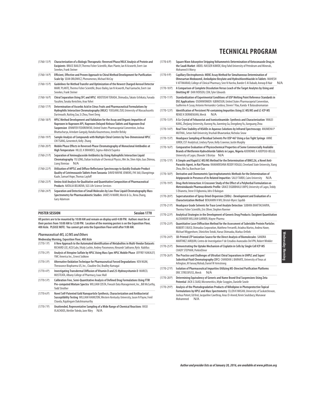| $(1760-13 P)$ | Characterization of a Biologic Therapeutic: Reversed Phase/HILIC Analysis of Protein and        |
|---------------|-------------------------------------------------------------------------------------------------|
|               | <b>Excipients</b> BRUCE BAILEY. Thermo Fisher Scientific. Marc Plante. Ian N Acworth. Evert-Jan |
|               | Sneekes, Frank Steiner                                                                          |

- (1760-14 P) **Efficient, Effective and Proven Approach to Chiral Method Development for Purification Scale Up** SEAN ORLOWICZ, Phenomenex, Michael McCoy
- (1760-15 P) **Guidelines for Method Transfer and Optimization of the Newest Charged Aerosol Detector**  MARC PLANTE, Thermo Fisher Scientific, Bruce Bailey, Ian N Acworth, Paul Gamache, Evert-Jan Sneekes, Frank Steiner (1760-16 P) **Chiral Separation Using SFC and HPLC** HIDETOSHI TERADA, Shimadzu, Takato Uchikata, Funada
- Yasuhiro, Tanaka Kenichiro, Arao Yohei
- (1760-17 P) **Determination of Ascorbic Acid in Citrus Fruits and Pharmaceutical Formulations by Hydrophilic Interaction Chromatography (HILIC)** YUEGANG ZUO, University of Massachusetts Dartmouth, Ruiting Zuo, Si Zhou, Yiwei Deng
- (1760-18 P) **HPLC Method Development and Validation for the Assay and Organic Impurities of Naproxen in Naproxen API, Naproxen Delayed-Release Tablets and Naproxen Oral Suspension** JENNIFER FEDOROWSKI, United States Pharmacopeial Convention, Joshua Bhattacharya, Arindam Ganguly, Natalia Kouznetsova, Jennifer Belsky
- (1760-19 P) **Sample Analysis of Compounds with Multiple Chiral Centers by Two-Dimensional HPLC**  CHI TSANG, Genentech, Kelly Zhang (1760-20 P) **Mobile Phase Effects in Reversed-Phase Chromatography of Monoclonal Antibodies at**
- **High Temperature** HILLEL K BRANDES, Sigma-Aldrich/Supelco (1760-21 P) **Separation of Aminoglycoside Antibiotics by Using Hydrophilic Interaction Liquid Chromatography** YU LONG, Dalian Institute of Chemical Physics, Wei Jie, Shen Aijin, Guo Zhimou,
- Liang Xinmiao N/A (1760-22 P) **Utilization of HPTLC and Diffuse Reflectance Spectroscopy to Quickly Evaluate Product Quality of Cotrimoxazole Tablets from Tanzania** DAVID WAYNE JENKINS, FHI 360, Eliangiringa Kaale, Samuel Hope, Thomas Layloff
- (1760-23 P) **Amino Acid Analysis for Qualitative and Quantitative Composition of Pharmaceutical Products** NATALIA BELIKOVA, SGS Life Science Services
- (1760-24 P) **Separation and Detection of Small Molecules by Low-Flow Liquid Chromatography Mass Spectrometry for Pharmacokinetic Studies** JAMES N MARR, Merck & Co., Rena Zhang, Gary Adamson

| <b>POSTER SESSION</b> |  |     | Session 1770 |
|-----------------------|--|-----|--------------|
| $\sim$                |  | $-$ |              |

**All posters are to be mounted by 10:00 AM and remain on display until 4:00 PM. Authors must be at their posters from 10:00 AM to 12:00 PM. Location of the morning posters is on the Exposition Floor, 400 Aisle. PLEASE NOTE: You cannot get onto the Exposition Floor until after 9:00 AM.**

#### **Pharmaceutical-MS, LC/MS and Others**

**Wednesday Morning, Exposition Floor, 400 Aisle**

(1770-1 P) **A New Approach to the Automated Identification of Metabolites in Multi-Vendor Datasets** RICHARD LEE, ACD/Labs, Vitaly Lashin, Andrey Paramonov, Alexandr Sakharov, Rytis Kubilius (1770-2 P) **Analysis of Atropine Sulfate by HPLC Using Mass Spec HPLC Mobile Phase** JEFFREY KAKALEY, YMC America Inc., Ernest Sobkow (1770-3 P) **Alternative Oxidation Technique for Pharmaceutical Forced Degradations** KEN NGIM, Theravance Biopharma US, Inc., Claudine Ooi, Bradley Kumagai (1770-4 P) **Investigating Transdermal Diffusion of Vitamin D and 25-Hydroxyvitamin D** MARCEL MUSTEATA, Albany College of Pharmacy, Isaac Mall (1770-5 P) **Calibration Free, Semi-Quantitative Analysis of Defined Drug Formulations Using FTIR Pre-computed Mixture Spectra** WILLIAM COSTA, Fiveash Data Management, Inc., Bill McCarthy, Todd Strother (1770-6 P) **Novel Self-Patented Gold Nanoparticle Synthesis, Characterization and Antibacterial Susceptibility Testing** WILLIAM HAMILTON, Western Kentucky University, Jason N Payne, Fenil Chavda, Rajalingam Dakshinamurthy (1770-7 P) **Unattended, Representative Sampling of a Wide Range of Chemical Reactions** VASO VLACHOOS, Mettler Toledo, Jane Riley N/A

- **TECHNICAL PROGRAM**
- (1770-8 P) **Square Wave Adsorptive Stripping Voltammetric Determination of Ketoconazole Drug in the Saudi Market** ABDEL-NASSER KAWDE, King Fahd University of Petroleum and Minerals, Mohamed A Morsy (1770-9 P) **Capillary Electrophoresis: MEKC Assay Method for Simultaneous Determination of Olmesartan Medoxomil, Amlodipine Besylate and Hydrochlorothiazide in Tablets** MAHESH V ATTIMARAD, College of Clinical Pharmacy, Sree N Harsha, Bander E Al Dubaib, Anroop B Nair N/A (1770-10 P) **A Comparison of Complete Dissolution Versus Leach of the Target Analytes by Using and Omitting HF** DAN IVERSEN, CEM, Tyler Edwards (1770-11 P) **Standardization of Experimental Conditions of USP Melting Point Reference Standards in DSC Applications** OSOMWONKEN IGBINOSUN, United States Pharmacopeial Convention, Guillermo A Casay, Antonio Hernandez-Cardoso, Steven T Rau, Kanda K Balasubramanian (1770-12 P) **Identification of Persistent Pd-containing Impurities Using LC-MS/MS and LC-ICP-MS** RENEE K DERMENJIAN, Merck N/A (1770-13 P) **A Co-Crystal of Febuxostat and Isonicotinamide: Synthesis and Characterization** YANLEI KANG, Zhejiang University, Xiurong Hu, Jianming Gu, Dongdong Yu, Jianguang Zhou (1770-14 P) **Real Time Stability of NSAIDs in Aqueous Solutions by Infrared Spectroscopy** ANUMEHA P MUTHAL, Seton Hall University, Vrushali Bhawtankar, Nicholas Snow (1770-15 P) **Headspace Sampling of Residual Solvents Per USP 467 Using a Gas Tight Syringe** ANNE JUREK, EST Analytical, Lindsey Pyron, Kelly Cravenor, Justin Murphy (1770-16 P) **Comparative Evaluation of Physicochemical Properties of Some Commercially Available Brands of Metformin Hydrochloride Tablets in Lagos, Nigeria** ADERONKE A ADEPOJU-BELLO, University of Lagos, Olawale S Bisiriyu N/A (1770-17 P) **A Simple and Rapid LC-MS/MS Method for the Determination of BMCL26, a Novel Anti-Parasitic Agent, in Rat Plasma** RAMAKRISHNA REDDY VOGGU, Cleveland State University, Xiang Zhou, Bin Su, Baochuan Guo (1770-18 P) **Derivative and Chemometric Spectrophotometric Methods for the Determination of Aripiprazole in Presence of its Related Impurities** SALLY TAREK, Cairo University N/A (1770-19 P) **Drug-Herb Interaction: A Crossover Study of the Effect of a Polyherbal Formulation on Metroinidazole Pharmacokinetic Profile** GRACE EIGBIBHALU UKPO, University of Lagos, Teddy S Ehianeta, Steve O Ogbonnia, Idris O Balogun (1770-20 P) **Supersaturation of Spray-Dried-Dispersion (SDDs) - Development and Evaluation of a Characterization Method** BENJAMIN H WU, Bristol-Myers Squibb (1770-21 P) **Headspace Grade Solvents for Trace Level Analyte Detection** SUBHRA BHATTACHARYA, Thermo Fisher Scientific, Eric Oliver, Stephen Roemer (1770-22 P) **Analytical Strategies in the Development of Generic Drug Products: Excipient Quantitation**  ALEXANDER WILLIAM GARNER, Mayne Pharma (1770-23 P) **Quantitative Laser Diffraction Method for the Assessment of Subvisible Protein Particles** ROBERT E BUCO, Shimadzu Corporation, Matthew Ferrarelli, Ariadna Martos, Andrea Hawe, Michael Wiggenhorn, Shinichiro Totoki, Haruo Shimaoka, Markus Ortlieb (1770-24 P) **3D-Printed LTP Ionization Source for the Direct Analysis of Biomolecules** SANDRA MARTINEZ JARQUIN, Centro de Investigation Y de Estudios Avanzados Del IPN, Robert Winkler (1770-25 P) **Demonstrating the Uptake Mechanism of Cisplatin in Cells by Single Cell ICP-MS**  CHADY STEPHAN, PerkinElmer (1770-26 P) **The Practice and Challenges of Ultrafast Chiral Separations in UHPLC and Super/ Subcritical Fluid Chromatography (SFC)** CHANDAN L BARHATE, University of Texas at Arlington, M Farooq Wahab, Daniel W Armstrong
- (1770-27 P) **Isolation of Pharmaceutical Impurities Utilizing MS-Directed Purification Platforms**  ERIC STRECKFUSS, Merck N/A
- (1770-28 P) **Determining Equivalency of Generic and Name Brand Oral Suspensions Using Zeta Potential** JACK G SAAD, Micromeritics, Myke Scoggins, Danielle Sowle
- (1770-29 P) **Analysis of the Photodegradation Products of Nifedipine in Photoprotective Topical Formulations by HPLC and Mass Spectrometry** ELLEN K WASAN, University of Saskatchewan, Joshua Poteet, Ed Krol, Jacqueline Cawthray, Anas El-Aneed, Kevin Soulsbury, Munawar Mohammed N/A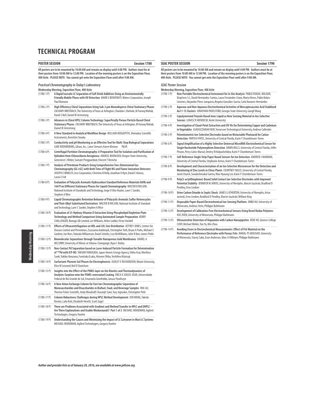| <b>Session 1780</b><br><b>POSTER SESSION</b> |                                                                                                                                                                                                                                                                                                    |                                                                    | <b>SEAC POSTER SE</b>   |  |
|----------------------------------------------|----------------------------------------------------------------------------------------------------------------------------------------------------------------------------------------------------------------------------------------------------------------------------------------------------|--------------------------------------------------------------------|-------------------------|--|
|                                              | All posters are to be mounted by 10:00 AM and remain on display until 4:00 PM. Authors must be at<br>their posters from 10:00 AM to 12:00 PM. Location of the morning posters is on the Exposition Floor,<br>400 Aisle. PLEASE NOTE: You cannot get onto the Exposition Floor until after 9:00 AM. | All posters are to be<br>their posters from<br>400 Aisle. PLEASE I |                         |  |
| $(1780-1)$                                   | Practical Chromatography in Today's Laboratory<br>Wednesday Morning, Exposition Floor, 400 Aisle<br>A Rapid Isocratic LC Separation of Soft Drink Additives Using an Environmentally<br>Friendly Mobile Phase with UV Detection MARK E BENVENUTI, Waters Corporation, Joseph                       | SEAC Poster Sess<br><b>Wednesday Mornin</b><br>$(1790-1)$          | New<br>Drop:            |  |
|                                              | Paul Romano                                                                                                                                                                                                                                                                                        |                                                                    | Lime                    |  |
| $(1780-2P)$                                  | High Efficiency Chiral Separations Using Sub-2 µm Monodisperse Chiral Stationary Phases<br>ZACHARY BREITBACH, The University of Texas at Arlington, Chandan L Barhate, M Farooq Wahab,<br>David S Bell, Daniel W Armstrong                                                                         | $(1790-2P)$                                                        | Aque<br>Au11            |  |
| $(1780-3P)$                                  | Advances in Chiral HPLC Column Technology: Superficially Porous Particle Based Chiral                                                                                                                                                                                                              | $(1790-3)$ P)                                                      | Copo<br>Sens            |  |
|                                              | Stationary Phases ZACHARY BREITBACH, The University of Texas at Arlington, M Farooq Wahab,<br>Daniel W Armstrong                                                                                                                                                                                   | $(1790-4P)$                                                        | Inve:<br>in Ve          |  |
| $(1780-4P)$                                  | A New Standard in Analytical Workflow Design WILLIAM HEDGEPETH, Shimadzu Scientific<br>Instruments, Kenichiro Tanaka                                                                                                                                                                               | $(1790-5P)$                                                        | Pote<br>Dete            |  |
| $(1780 - 5P)$                                | Conductivity and pH Monitoring as an Effective Tool for Multi-Step Biological Separations<br>LUKE ROENNEBURG, Gilson, Inc., Laine Stewart, Karen Kleman<br>N/A                                                                                                                                     | $(1790-6P)$                                                        | Sign<br>Sing            |  |
| $(1780 - 6P)$                                | Centrifugal Partition Chromatography: A Preparative Tool for Isolation and Purification of<br>Xylindein from Chlorociboria Aeruginosa ANUKUL BOONLOED, Oregon State University,<br>Genevieve L Weber, Sumate Pengpumkiat, Vincent T Remcho                                                         | $(1790 - 7P)$                                                      | Pinzo<br>Self-<br>Unive |  |
| $(1780 - 7P)$                                | Analysis of Petroleum Products Using Comprehensive Two-Dimensional Gas<br>Chromatography (GC×GC) with Both Time of Flight MS and Flame Ionization Detectors<br>JOSEPH E BINKLEY, Leco Corporation, Christina N Kelly, Jonathan D Byer, David E Alonso,<br>Lorne E Fell                             | $(1790-8P)$                                                        | Deve<br>Moni<br>Jared   |  |
| $(1780-8P)$                                  | Evaluation of Polycyclic Aromatic Hydrocarbon Standard Reference Materials 869b and<br>1647f on Different Stationary Phases for Liquid Chromatography WALTER B WILSON,<br>National Institute of Standards and Technology, Jorge O Oña-Ruales, Lane C Sander,                                       | $(1790-9P)$                                                        | Poly<br>Pote<br>Pend    |  |
|                                              | Stephen A Wise                                                                                                                                                                                                                                                                                     | $(1790-10P)$                                                       | Urin<br>Jasin           |  |
| $(1780 - 9P)$                                | Liquid Chromatographic Retention Behavior of Polycyclic Aromatic Sulfur Heterocycles<br>and Their Alkyl-Substituted Derivatives WALTER B WILSON, National Institute of Standard<br>and Technology, Lane C Sander, Stephen A Wise                                                                   | (1790-11 P)                                                        | Disp<br>Minn            |  |
| $(1780-10P)$                                 | Evaluation of 25-Hydroxy Vitamin D Extraction Using Phospholipid Depletion Plate<br>Technology and Method Comparison Using Automated Sample Preparation KERRY                                                                                                                                      | $(1790-12 P)$<br>$(1790-13 P)$                                     | Deve<br>XUE 2<br>Ultra  |  |
| $(1780-11P)$                                 | CHALLENGER, Biotage GB Limited, Lee Williams, Helen Lodder, Victor Vandell<br>Effects of Ultracentrifugation on HDL and LDL Size Distribution JEFFREY JONES, Centers for                                                                                                                           |                                                                    | (UN)                    |  |
|                                              | Disease Control and Prevention, Zsuzsanna Kuklenyik, Christopher Toth, Bryan A Parks, Michael S<br>Gardner, Jon Rees, Yulanda Williamson, David Schieltz, Lisa McWilliams, John R Barr, James Pirkle                                                                                               | $(1790-14P)$                                                       | Avoi<br>Perf            |  |
| $(1780-12P)$                                 | Biomolecular Separations through Tunable Nanoporous Gold Membranes DANIEL A<br>MCCURRY, University of Illinois at Urbana-Champaign, Ryan C Bailey                                                                                                                                                  |                                                                    | of Mi                   |  |
| $(1780-13 P)$                                | Non-Contact Pd Separation based on Laser-Induced Particle Formation for Determination<br>of 107Pd with ICP-MS TAKUMI YOMOGIDA, Japan Atomic Energy Agency, Shiho Asai, Morihisa<br>Saeki, Yukiko Hanzawa, Fumitaka Esaka, Hironori Ohba, Yoshihiro Kitatsuji                                       |                                                                    |                         |  |
| $(1780-14P)$                                 | Surfactant-Pluronic Gel Phases for Electrophoresis ASHLEY E RICHARDSON, Miami University,<br>Elise M Leonard, Neil D Danielson                                                                                                                                                                     |                                                                    |                         |  |
| $(1780-15P)$                                 | Insights into the Effect of the PDMS-layer on the Kinetics and Thermodynamics of<br>Analytes Sorption onto the PDMS-overcoated Coating ERICA A SOUZA-SILVA, Universidade<br>Federal do Rio Grande do Sul, Emanuela Gionfriddo, Janusz Pawliszyn                                                    |                                                                    |                         |  |
| $(1780-16P)$                                 | A New Anion Exchange Column for Fast Ion Chromatographic Separation of<br>Monosaccharides and Disaccharides in Biofuel, Food, and Beverage Samples YAN LIU,<br>Thermo Fisher Scientific, Andy Woodruff, Charanjit Saini, Yury Agroskin, Christopher Pohl                                           |                                                                    |                         |  |
| $(1780-17P)$                                 | Column Robustness Challenges during HPLC Method Development JUN WANG, Takeda<br>Boston, Laila Kott, Elizabeth Hewitt, Scott Zugel                                                                                                                                                                  |                                                                    |                         |  |
| $(1780 - 18P)$                               | There are Problems Associated with Gradient and Method Transfer in HPLC and UHPLC -<br>Are There Explanations and Usable Workarounds? Part 1 of 2 MICHAEL WOODMAN, Agilent<br>Technologies, Gregory Hunlen                                                                                         |                                                                    |                         |  |
| (1700, 100)                                  | Undergrounding the Course and Minimiging the Imperial of IC Company in Mart IC Customs                                                                                                                                                                                                             |                                                                    |                         |  |

(1780-19 P) **Understanding the Causes and Minimizing the Impact of LC Carryover in Most LC Systems** MICHAEL WOODMAN, Agilent Technologies, Gregory Hunlen

**SEACH SESSION** Session 1790

**All posters are to be mounted by 10:00 AM and remain on display until 4:00 PM. Authors must be at their posters from 10:00 AM to 12:00 PM. Location of the morning posters is on the Exposition Floor,** MOTE: You cannot get onto the Exposition Floor until after 9:00 AM.

### **SEAC Poster Session**

| SEAL Poster Session |                                                                                                                                                                                                                                                                         |
|---------------------|-------------------------------------------------------------------------------------------------------------------------------------------------------------------------------------------------------------------------------------------------------------------------|
|                     | Wednesday Morning, Exposition Floor, 400 Aisle                                                                                                                                                                                                                          |
| $(1790-1)$          | New Portable Electrochemical Instrument for In Situ Analysis PABLO FANJUL-BOLADO,<br>DropSens S.L, David Hernández-Santos, Laura Fernández-Llano, Marta Neves, Pablo Bobes-<br>Limenes, Alejandro Pérez-Junguera, Begoña González-García, Carla Navarro-Hernández       |
| $(1790-2P)$         | Aqueous and Non-Aqueous Electrochemical Activities of Mercaptosuccinic Acid Stabilized<br>Au11-13 Clusters JONATHAN PADELFORD, Georgia State University, Gangli Wang                                                                                                    |
| $(1790-3P)$         | Copolymerized Triazole Based Ionic Liquid as New Sensing Material in Ion-Selective<br>Sensors LUKASZ K MENDECKI, Keele University                                                                                                                                       |
| $(1790 - 4P)$       | Investigation of Cloud-Point Extraction and UV-Vis for Determining Copper and Cadmium<br>in Vegetables ASADUZZAMAN NUR, Tennessee Technological University, Andrew Callender                                                                                            |
| $(1790 - 5P)$       | Potentiometric Ion-Selective Electrodes based on Metastable Photoacid for Cation<br>Detection PARTH K PATEL, University of Central Florida, Karin Y Chumbimuni-Torres                                                                                                   |
| $(1790-6P)$         | Signal Amplification of a Highly Selective Universal MicroRNA Electrochemical Sensor for<br>Single Nucleotide Polymorphism Detection DAWN MILLS, University of Central Florida, Jeffer<br>Pinzon, Percy Calvo-Marzal, Dmitry M Kolpashchikov, Karin Y Chumbimuni-Torres |
| $(1790 - 7P)$       | Self-Reference Single Strip Paper Based Sensors for Ion Detection ANDREW J MANHAN,<br>University of Central Florida, Stephanie Armas, Karin Y Chumbimuni-Torres                                                                                                         |
| $(1790-8P)$         | Development and Characterization of an Ion Selective Microsensor for the Detection and<br>Monitoring of Zinc Levels in Citrus Plants COURTNEY HULCE, University of Central Florida,<br>Jared Church, Swadeshmukul Santra, Woo Hyoung Lee, Karin Y Chumbimuni-Torres     |
| $(1790 - 9P)$       | Poly(3-octylthiophene)-Based Solid Contact Ion-Selective Electrodes with Improved<br>Potential Stability JENNIFER M JARVIS, University of Memphis, Marcin Guzinski, Bradford D<br>Pendley, Erno Lindner                                                                 |
| $(1790-10P)$        | Urine Carbon Dioxide in Septic Shock JAMES G ATHERTON, University of Memphis, Artur<br>Jasinski, Erno Lindner, Bradford D Pendley, Marcin Guzinski, William King                                                                                                        |
| $(1790-11P)$        | Disposable Paper-Based Electrochemical Ion-Sensing Platform JINBO HU, University of<br>Minnesota, Andreas Stein, Philippe Buhlmann                                                                                                                                      |
| $(1790-12P)$        | Development of Calibration-Free Electrochemical Sensors Using Novel Redox Polymers<br>XUE ZHEN, University of Minnesota, Philippe Buhlmann                                                                                                                              |
| $(1790-13 P)$       | Ultrasensitive Detection of Dopamine with Carbon Nanopipettes KEKE HU, Queens College<br>CUNY, Michael Mirkin, Yun Yu, Min Zhou                                                                                                                                         |
| $(1790-14P)$        | Avoiding Errors in Electrochemical Measurements: Effect of Frit Material on the<br>Performance of Reference Electrodes with Porous Frits MARAL PS MOUSAVI, University<br>of Minnesota, Stacey Saba, Evan Anderson, Marc A Hillmyer, Philippe Buhlmann                   |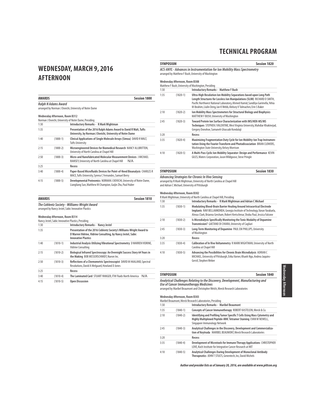### **WEDNESDAY, MARCH 9, 2016 AFTERNOON**

| <b>AWARDS</b> |                                | <b>Session 1800</b>                                                                                                                  |
|---------------|--------------------------------|--------------------------------------------------------------------------------------------------------------------------------------|
|               | Ralph N Adams Award            | arranged by Norman J Dovichi, University of Notre Dame                                                                               |
|               | Wednesday Afternoon, Room B312 |                                                                                                                                      |
|               |                                | Norman J Dovichi, University of Notre Dame, Presiding                                                                                |
| 1:30          |                                | Introductory Remarks - R Mark Wightman                                                                                               |
| 1:35          |                                | Presentation of the 2016 Ralph Adams Award to David R Walt, Tufts<br>University, by Norman J Dovichi, University of Notre Dame       |
| 1:40          | $(1800 - 1)$                   | Clinical Applications of Single Molecule Arrays (Simoa) DAVID R WALT,<br><b>Tufts University</b>                                     |
| 2:15          | $(1800 - 2)$                   | Microengineered Devices for Biomedical Research NANCY ALLBRITTON,<br>University of North Carolina at Chapel Hill                     |
| 2:50          | $(1800-3)$                     | Micro-and Nanofabricated Molecular Measurement Devices J MICHAEL<br>RAMSEY, University of North Carolina at Chapel Hill<br>N/A       |
| 3:25          |                                | Recess                                                                                                                               |
| 3:40          | $(1800 - 4)$                   | Paper-Based Microfluidic Devices for Point-of-Need Bioanalysis CHARLES R<br>MACE, Tufts University, Syrena C Fernandes, Samuel Berry |
| 4:15          | $(1800 - 5)$                   | Developmental Proteomics NORMAN J DOVICHI, University of Notre Dame,<br>Liangliang Sun, Matthew M Champion, Guijie Zhu, Paul Huber   |

| <b>AWARDS</b>                                       | <b>Session 1810</b> |
|-----------------------------------------------------|---------------------|
| The Coblentz Society - Williams-Wright Award        |                     |
| arranged by Nancy Jestel, Sabic Innovative Plastics |                     |

#### **Wednesday Afternoon, Room B314**

|      |            | Nancy Jestel, Sabic Innovative Plastics, Presiding                                                                                                                 |
|------|------------|--------------------------------------------------------------------------------------------------------------------------------------------------------------------|
| 1:30 |            | <b>Introductory Remarks - Nancy Jestel</b>                                                                                                                         |
| 1:35 |            | Presentation of the 2016 Coblentz Society's Williams-Wright Award to<br>D Warren Vidrine, Vidrine Consulting, by Nancy Jestel, Sabic<br><b>Innovative Plastics</b> |
| 1:40 | $(1810-1)$ | Industrial Analysis Utilizing Vibrational Spectrometry D WARREN VIDRINE,<br>Vidrine Consulting                                                                     |
| 2:15 | $(1810-2)$ | Biological Infrared Spectroscopy: An Overnight Success Story 64 Years in<br>the Making BOB MESSERSCHMIDT, Nueon Inc.                                               |
| 2:50 | $(1810-3)$ | Reflections of a Chemometric Spectroscopist DAVID M HAALAND, Spectral<br>Resolutions, David A Melgaard, Howland D Jones                                            |
| 3:25 |            | Recess                                                                                                                                                             |
| 3:40 | $(1810-4)$ | The Laminated Card STUART YANIGER, ITW Fluids North America<br>N/A                                                                                                 |
| 4:15 | $(1810-5)$ | <b>Open Discussion</b>                                                                                                                                             |

### **SYMPOSIUM SESSION SESSION SESSION SESSION SESSION SESSION ACS-ANYL - Advances in Instrumentation for Ion Mobility Mass Spectrometry** arranged by Matthew F Bush, University of Washington **Wednesday Afternoon, Room B308** Matthew F Bush, University of Washington, Presiding 1:30 **Introductory Remarks - Matthew F Bush**

| 1:35 | $(1820-1)$   | Ultra-High Resolution Ion Mobility Separations based upon Long Path<br>Length Structures for Lossless Ion Manipulations (SLIM) RICHARD D SMITH,<br>Pacific Northwest National Laboratory, Ahmed Hamid, Sandilya Garimella, Yehia<br>M Ibrahim, Liulin Deng, Ian K Webb, Aleksey V Tolmachev, Erin S Baker |
|------|--------------|-----------------------------------------------------------------------------------------------------------------------------------------------------------------------------------------------------------------------------------------------------------------------------------------------------------|
| 2:10 | $(1820-2)$   | Ion Mobility Mass Spectrometers for Structural Biology and Biophysics<br>MATTHEW F BUSH, University of Washington                                                                                                                                                                                         |
| 2:45 | $(1820-3)$   | Toward Protein Ion Surface Characterization with IMS/HDX-MS/MS<br>Techniques STEPHEN J VALENTINE, West Virginia University, Mahdiar Khakinejad,<br>Gregory Donohoe, Samaneh Ghassabi Kondalaji                                                                                                            |
| 3:20 |              | Recess                                                                                                                                                                                                                                                                                                    |
| 3:35 | $(1820 - 4)$ | Maximizing Fragmentation Duty Cycle for Ion Mobility-Ion Trap Instrumen-<br>tation Using the Fourier Transform and Photodissociation BRIAN CLOWERS,<br>Washington State University, Kelsey Morrison                                                                                                       |
| 4:10 | $(1820 - 5)$ | A Multi-Pass Cyclic Ion Mobility Separator: Design and Performance KEVIN<br>GILES, Waters Corporation, Jason Wildgoose, Steve Pringle                                                                                                                                                                     |

## **SYMPOSIUM Session 1830**

*Advancing Strategies for Chronic In Vivo Sensing***<br>arranged by R Mark Wightman, University of North Carolina at Chapel Hill<br>and Adrian C Michael, University of Pittsburgh** 

### **Wednesday Afternoon, Room B302**

|      |            | R Mark Wightman, University of North Carolina at Chapel Hill, Presiding                                                                                                                                                                |
|------|------------|----------------------------------------------------------------------------------------------------------------------------------------------------------------------------------------------------------------------------------------|
| 1:30 |            | Introductory Remarks - R Mark Wightman and Adrian C Michael                                                                                                                                                                            |
| 1:35 | $(1830-1)$ | Modulating Blood-Brain Barrier Healing Around Intracortical Electrode<br>Implants RAVI BELLAMKONDA, Georgia Institute of Technology, Varun Yarabarla,<br>Alexus Clark, Brianna Gresham, Robert Kretschmar, Shoba Paul, Jessica Falcone |
| 2:10 | $(1830-2)$ | Is Microdialysis Specifically Monitoring the Tonic Modality of Dopamine<br>Transmission? GAETANO DI CHIARA, University of Cagliari                                                                                                     |
| 2:45 | $(1830-3)$ | Long-Term Monitoring of Dopamine PAUL EM PHILLIPS, University<br>of Washington                                                                                                                                                         |
| 3:20 |            | Recess                                                                                                                                                                                                                                 |
| 3:35 | $(1830-4)$ | Calibration of In Vivo Voltammetry R MARK WIGHTMAN, University of North<br>Carolina at Chapel Hill                                                                                                                                     |
| 4:10 | $(1830-5)$ | Advancing the Possibilities for Chronic Brain Microdialysis ADRIAN C<br>MICHAEL, University of Pittsburgh, Erika Varner, Khanh Ngo, Andrea Jaguins-<br>Gerstl, Stephen Weber                                                           |

| <b>SYMPOSIUM</b>                                                                                                         | <b>Session 1840</b> |
|--------------------------------------------------------------------------------------------------------------------------|---------------------|
| Analytical Challenges Relating to the Discovery, Development, Manufacturing and<br>Use of Cancer Immunotherapy Medicines |                     |
| arranged by Maribel Beaumont and Christopher Welch, Merck Research Laboratories                                          |                     |
| Wednesday Afternoon, Room B303                                                                                           |                     |
| Maribel Beaumont, Merck Research Laboratories, Presiding                                                                 |                     |

| 1:30 |            | <b>Introductory Remarks - Maribel Beaumont</b>                                                                                                                               |
|------|------------|------------------------------------------------------------------------------------------------------------------------------------------------------------------------------|
| 1:35 | $(1840-1)$ | Concepts of Cancer Immunotherapy ROBERT KASTELEIN, Merck & Co.                                                                                                               |
| 2:10 | $(1840-2)$ | Identifying and Profiling Tumor Specific T Cells Using Mass Cytometry and<br>Highly Multiplexed Peptide-MHC Tetramer Staining EVAN W NEWELL,<br>Singapore Immunology Network |
| 2:45 | $(1840-3)$ | Analytical Challenges in the Discovery, Development and Commercializa-<br>tion of Keytruda MARIBEL BEAUMONT, Merck Research Laboratories                                     |
| 3:20 |            | Recess                                                                                                                                                                       |
| 3:35 | $(1840-4)$ | Development of Microtools for Immune Therapy Applications CHRISTOPHER<br>LOVE, Koch Institute for Integrative Cancer Research at MIT                                         |
| 4:10 | $(1840-5)$ | Analytical Challenges During Development of Monoclonal Antibody<br>Therapeutics JOHN T STULTS, Genentech, Inc, David Michels                                                 |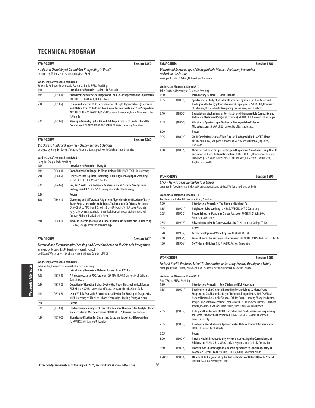| <b>SYMPOSIUM</b> |                                                                           | <b>Session 1850</b>                                                                                                                                                                                                                               |
|------------------|---------------------------------------------------------------------------|---------------------------------------------------------------------------------------------------------------------------------------------------------------------------------------------------------------------------------------------------|
|                  |                                                                           | Analytical Chemistry of Oil and Gas Prospecting in Brazil<br>arranged by Maira Menezes, NurnbergMesse Brasil                                                                                                                                      |
|                  | Wednesday Afternoon, Room B304                                            |                                                                                                                                                                                                                                                   |
| 1:30             |                                                                           | Jailson de Andrade, Universidade Federal da Bahia-UFBA, Presiding<br>Introductory Remarks - Jailson de Andrade                                                                                                                                    |
| 1:35             | $(1850-1)$                                                                | Analytical Chemistry Challenges of Oil and Gas Prospection and Exploration<br>JAILSON B DE ANDRADE, UFBA N/A                                                                                                                                      |
| 2:10             | $(1850-2)$                                                                | Compound Specific δ13C Determination of Light Hydrocarbons (n-alkanes<br>and Olefins from C1 to C5) at Low Concentration for Oil and Gas Prospection<br>ARTHUR DE LEMOS SCOFIELD, PUC-RIO, Angela R Wagener, Laura R Morales, Lilian<br>F Almeida |
| 2:45             | $(1850-3)$                                                                | Mass Spectrometry by FT-ICR and Orbitrap: Analysis of Crude Oil and Its<br>Derivatives EDUARDO MORGADO SCHMIDT, State University Campinas                                                                                                         |
| <b>SYMPOSIUM</b> |                                                                           | Session 1860                                                                                                                                                                                                                                      |
|                  | <b>Wednesday Afternoon, Room B305</b><br>Hang Lu, Georgia Tech, Presiding | <b>Big Data in Analytical Sciences - Challenges and Solutions</b><br>arranged by Hang Lu, Georgia Tech and Andriana San Miguel, North Carolina State University                                                                                   |
| 1:30             |                                                                           | <b>Introductory Remarks - Hang Lu</b>                                                                                                                                                                                                             |
| 1:35             | $(1860-1)$                                                                | Data Analysis Challenges in Plant Biology PHILIP BENFEY, Duke University                                                                                                                                                                          |
| 2:10             | $(1860 - 2)$                                                              | First Steps into Big Data Chemistry- Ultra-High-Throughput Screening<br>SPENCER D DREHER, Merck & Co., Inc.                                                                                                                                       |
| 2:45             | $(1860-3)$                                                                | Big, But Small, Data: Network Analysis in Small Sample Size Systems<br>Biology MARK P STYCZYNSKI, Georgia Institute of Technology                                                                                                                 |
| 3:20             |                                                                           | <b>Recess</b>                                                                                                                                                                                                                                     |
| 3:35             | $(1860 - 4)$                                                              | Clustering and Differential Alignment Algorithm: Identification of Early                                                                                                                                                                          |

|      | Hand Lu, Georgia Tech, Presidind |                                                                                                                                                                                                                                                                                                                                               |
|------|----------------------------------|-----------------------------------------------------------------------------------------------------------------------------------------------------------------------------------------------------------------------------------------------------------------------------------------------------------------------------------------------|
| 1:30 |                                  | Introductory Remarks - Hang Lu                                                                                                                                                                                                                                                                                                                |
| 1:35 | $(1860-1)$                       | Data Analysis Challenges in Plant Biology PHILIP BENFEY, Duke University                                                                                                                                                                                                                                                                      |
| 2:10 | $(1860-2)$                       | First Steps into Big Data Chemistry- Ultra-High-Throughput Screening<br>SPENCER D DREHER, Merck & Co., Inc.                                                                                                                                                                                                                                   |
| 2:45 | $(1860-3)$                       | Big, But Small, Data: Network Analysis in Small Sample Size Systems<br>Biology MARK P STYCZYNSKI, Georgia Institute of Technology                                                                                                                                                                                                             |
| 3:20 |                                  | Recess                                                                                                                                                                                                                                                                                                                                        |
| 3:35 | $(1860-4)$                       | Clustering and Differential Alignment Algorithm: Identification of Early<br>Stage Regulators in the Arabidopsis Thaliana Iron Deficiency Response<br>CRANOS WILLIAMS, North Carolina State University, Terri A Long, Alexandr<br>Koryachko, Anna Matthiadis, James Tuck, Durreshahwar Muhammad, Joel<br>Ducoste, Siobhan Brady, Jessica Foret |
| 4:10 | $(1860 - 5)$                     | Machine Learning for Big Nonlinear Problems in Science and Engineering<br>LE SONG, Georgia Institute of Technology                                                                                                                                                                                                                            |

### **SYMPOSIUM Session 1870**

**Electrical and Electrochemical Sensing and Detection based on Nucleic Acid Recognition** arranged by Rebecca Lai, University of Nebraska-Lincoln and Ryan J White, University of Maryland Baltimore County (UMBC)

### **Wednesday Afternoon, Room B309**

Rebecca Lai, University of Nebraska-Lincoln, Presiding Introductory Remarks - Rebecca Lai and Ryan J White 1:35 (1870-1) **A New Approach to POC Serology** KEVIN W PLAXCO, University of California Santa Barbara 2:10 (1870-2) **Detection of Hepatitis B Virus DNA with a Paper Electrochemical Sensor** RICHARD M CROOKS, University of Texas at Austin, Xiang Li, Karen Scida 2:45 (1870-3) **Using Widely Available Electrochemical Device for Sensing or Diagnostics**  YI LU, University of Illinois at Urbana-Champaign, JingJing Zhang, Yu Xiang 3:20 **Recess** 3:35 (1870-4) **Electrochemical Analysis of Clinically-Relevant Biomolecular Analytes Using Nanostructured Microelectrodes** SHANA KELLEY, University of Toronto 4:10 (1870-5) **Signal Amplification for Biosensing Based on Nucleic Acid Recognition** 

JU HUANGXIAN, Nanjing University

### **Vibrational Spectroscopy of Biodegradable Plastics: Evolution, Revolution or Back to the Future** arranged by John F Rabolt, University of Delaware **Wednesday Afternoon, Room B310** John F Rabolt, University of Delaware, Presiding<br>1:30 **Introductory Report Introductory Remarks - John F Rabolt** 1:35 (1880-1) **Spectroscopic Study of Structural Evolution Dynamics of Bio-Based and Biodegradable Poly(hydroxyalkanoate) Copolymers** ISAO NODA, University of Delaware, Brian Sobieski, Liang Gong, Bruce Chase, John F Rabolt 2:10 (1880-2) **Degradation Mechanisms of Poly(lactic acid)-Nanoparticle Composite and Phthalate Plasticized Poly(vinyl chloride)** ZHAN CHEN, University of Michigan 2:45 (1880-3) **Vibrational Spectroscopic Studies on Biodegradable Polymer Microstructures** SHAW L HSU, University of Massachusetts 3:20 **Recess** 3:35 (1880-4) **2D IR Correlation Study of Thin Films of Biodegradable PHA/PEG Blend** YOUNG MEE JUNG, Kangwon National University, Yeonju Park, Yujing Chen, Isao Noda 4:10 (1880-5) **Characterization of Single Electrospun Biopolymer Nanofibers Using AFM-IR and Selected Area Electron Diffraction** JOHN F RABOLT, University of Delaware, Liang Gong, Isao Noda, Bruce Chase, Curtis Marcott, C J McBrin, David Martin, Jinglin Liu, Chao Ni

**SYMPOSIUM Session 1880**

### **WORKSHOPS Session 1890**

### **CACA - How to be Successful in Your Career**

arranged by Tao Jiang, Mallinckrodt Pharmaceuticals and Michael Ye, Supelco/Sigma-Aldrich

### **Wednesday Afternoon, Room B311**

|      |            | Tao Jiang, Mallinckrodt Pharmaceuticals, Presiding                                  |     |
|------|------------|-------------------------------------------------------------------------------------|-----|
| 1:30 |            | Introductory Remarks - Tao Jiang and Michael Ye                                     |     |
| 1:35 | $(1890-1)$ | Insights on Job Searching MICHAEL W DONG, MWD Consulting                            |     |
| 2:05 | $(1890-2)$ | Recognizing and Managing Career Passover ROBERT L STEVENSON,<br>American Laboratory |     |
| 2:35 | $(1890-3)$ | Advancing Academic Career as a Faculty YI HE, John Jay College/CUNY                 |     |
| 3:05 |            | Recess                                                                              |     |
| 3:20 | $(1890-4)$ | Career Development Workshop NAIDONG WENG, JNJ                                       |     |
| 3:50 | $(1890-5)$ | From a Bench Chemist to an Entrepreneur BRUCE LIU, ACB Scitech, Inc.                | N/A |
| 4:20 | $(1890-6)$ | Go Wider and Higher CHUPING LUO, Waters Corporation                                 |     |

**WORKSHOPS Session 1900 Natural Health Products: Scientific Approaches to Securing Product Quality and Safety** arranged by Rob O'Brien, ISURA and Bob Chapman, National Research Council of Canada

#### **Wednesday Afternoon, Room B313**

| <b>Rob O'Rrian ISIIRA Praciding</b> |  |  |
|-------------------------------------|--|--|

| 1:30    |            | Introductory Remarks - Rob O'Brien and Bob Chapman                                                                                                                                                                                                                                                                                                                                  |
|---------|------------|-------------------------------------------------------------------------------------------------------------------------------------------------------------------------------------------------------------------------------------------------------------------------------------------------------------------------------------------------------------------------------------|
| 1:35    | $(1900-1)$ | Development of a Chemical Barcoding Methodology to Identify and<br>Support the Quality and Safety of Functional Ingredients BOB CHAPMAN,<br>National Research Council of Canada, Fabrice Berrue, Junzeng Zhang, Ian Burton,<br>Joseph Hui, Sabrena MacKenzie, Camilo Martinez-Farina, Aissa Harhira, El Haddad<br>Josette, Mohamad Sabsabi, Alain Blouin, Yuan-Chun Ma, Rob O'Brien |
| 2:05    | $(1900-2)$ | Utility and Limitations of DNA Barcoding and Next Generation Sequencing<br>for Herbal Product Authentication JONATHAN VAN HAMME, Thompson<br><b>Rivers University</b>                                                                                                                                                                                                               |
| 2:35    | $(1900-3)$ | Developing Metabolomics Approaches for Natural Product Authentication<br>LIANG LI, University of Alberta                                                                                                                                                                                                                                                                            |
| 3:05    |            | Recess                                                                                                                                                                                                                                                                                                                                                                              |
| 3:20    | $(1900-4)$ | Natural Health Product Quality Control: Addressing the Current Issue of<br>Adulterants YUAN-CHUN MA, Canadian Phytopharmaceuticals Corporation                                                                                                                                                                                                                                      |
| 3:50    | $(1900-5)$ | Practical Gas Chromatographic based Approaches to Confirm Identity of<br>Powdered Herbal Products ROB O'BRIEN, ISURA, Anderson Smith                                                                                                                                                                                                                                                |
| 4:20:50 | $(1900-6)$ | TLC and HPLC Fingerprinting for Authentication of Natural Health Products<br>RUDOLF BAUER, University of Graz                                                                                                                                                                                                                                                                       |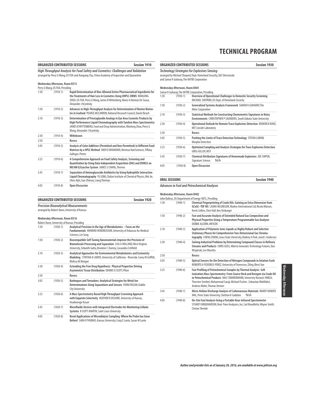|                                                                                                                                                                                    |                                                                                 | ORGANIZED CONTRIBUTED SESSIONS<br><b>Session 1910</b>                                                                                                                                                        |                                                                                                                                                                     |                                              | ORGANIZED CONTRIBUTED SESSIONS                                                                                                                                                                                         | <b>Session 1930</b> |  |
|------------------------------------------------------------------------------------------------------------------------------------------------------------------------------------|---------------------------------------------------------------------------------|--------------------------------------------------------------------------------------------------------------------------------------------------------------------------------------------------------------|---------------------------------------------------------------------------------------------------------------------------------------------------------------------|----------------------------------------------|------------------------------------------------------------------------------------------------------------------------------------------------------------------------------------------------------------------------|---------------------|--|
| High Throughput Analysis for Food Safety and Cosmetics: Challenges and Validation<br>arranged by Perry G Wang, US FDA and Xiaogang Chu, China Academy of Inspection and Quarantine |                                                                                 |                                                                                                                                                                                                              | Technology Strategies for Explosives Sensing<br>arranged by Michael Shepard, Dept. Homeland Security, S&T Directorate<br>and Samar K Guharay, The MITRE Corporation |                                              |                                                                                                                                                                                                                        |                     |  |
| 1:30                                                                                                                                                                               | Wednesday Afternoon, Room B315<br>Perry G Wang, US FDA, Presiding<br>$(1910-1)$ | Rapid Determination of Non-Allowed Active Pharmaceutical Ingredients for                                                                                                                                     |                                                                                                                                                                     | Wednesday Afternoon, Room B401               | Samar K Guharay, The MITRE Corporation, Presiding                                                                                                                                                                      |                     |  |
|                                                                                                                                                                                    |                                                                                 | the Treatments of Hair Loss in Cosmetics Using UHPLC-HRMS WANLONG<br>ZHOU, US FDA, Perry G Wang, James B Wittenberg, Maria A Dionisio De Sousa,                                                              | 1:30                                                                                                                                                                | $(1930-1)$                                   | Overview of Operational Challenges to Domestic Security Screening<br>MICHAEL SHEPARD, US Dept. of Homeland Security                                                                                                    |                     |  |
| 1:50                                                                                                                                                                               | $(1910-2)$                                                                      | Alexander J Krynitsky<br>Advances in High-Throughput Analysis for Determination of Marine Biotox-                                                                                                            | 1:50                                                                                                                                                                | $(1930-2)$                                   | Generalized Systems Analysis Framework SAMAR K GUHARAY, The<br><b>Mitre Corporation</b>                                                                                                                                |                     |  |
| 2:10                                                                                                                                                                               | $(1910-3)$                                                                      | ins in Seafood PEARSE MCCARRON, National Research Council, Daniel Beach<br>Determination of Prostaglandin Analogs in Eye Area Cosmetic Products by                                                           | 2:10                                                                                                                                                                | $(1930-3)$                                   | Statistical Methods for Constructing Chemometric Signatures in Noisy<br>Environments CHRISTOPHER P SAUNDERS, South Dakota State University                                                                             |                     |  |
|                                                                                                                                                                                    |                                                                                 | High Performance Liquid Chromatography with Tandem Mass Spectrometry<br>JAMES B WITTENBERG, Food and Drug Administration, Wanlong Zhou, Perry G<br>Wang, Alexander J Krynitsky                               | 2:30                                                                                                                                                                | $(1930-4)$                                   | Operational Outlook for Remote Trace Explosives Detection RODERICK KUN<br><b>MIT Lincoln Laboratory</b>                                                                                                                |                     |  |
| 2:30                                                                                                                                                                               | $(1910-4)$                                                                      | Withdrawn                                                                                                                                                                                                    | 2:50                                                                                                                                                                |                                              | Recess                                                                                                                                                                                                                 |                     |  |
| 2:50                                                                                                                                                                               |                                                                                 | Recess                                                                                                                                                                                                       | 3:05                                                                                                                                                                | $(1930-5)$                                   | Pushing the Limits of Trace Detection Technology STEFAN LUKOW,<br>Morpho Detection                                                                                                                                     |                     |  |
| 3:05                                                                                                                                                                               | $(1910-5)$                                                                      | Analysis of Color Additives (Permitted and Non-Permitted) in Different Food<br>Matrices by a HPLC Method SNEH D BHANDARI, Merieux NutrSciences, Tiffany                                                      | 3:25                                                                                                                                                                | $(1930-6)$                                   | Optimized Sampling and Analysis Strategies for Trace Explosives Detectio<br><b>GREG GILLEN, NIST</b>                                                                                                                   |                     |  |
| 3:25                                                                                                                                                                               | $(1910-6)$                                                                      | Gallegos-Peretz<br>A Comprehensive Approach on Food Safety Analysis, Screening and                                                                                                                           | 3:45                                                                                                                                                                | $(1930-7)$                                   | Chemical Attribution Signatures of Homemade Explosives JOE CHIPUK,<br>Signature Science<br>N/A                                                                                                                         |                     |  |
|                                                                                                                                                                                    |                                                                                 | Quantitation by Using Data Independent Acquisition (DIA) and DDMS2 on<br>HR/AM Q Exactive System JAMES S CHANG, Thermo                                                                                       | 4:05                                                                                                                                                                | $(1930-8)$                                   | <b>Open Discussion</b>                                                                                                                                                                                                 |                     |  |
| 3:45                                                                                                                                                                               | $(1910-7)$                                                                      | Separation of Aminoglycoside Antibiotics by Using Hydrophilic Interaction<br>Liquid Chromatography YU LONG, Dalian Institute of Chemical Physics, Wei Jie,<br>Shen Aijin, Guo Zhimou, Liang Xinmiao          |                                                                                                                                                                     | <b>ORAL SESSIONS</b>                         |                                                                                                                                                                                                                        | <b>Session 1940</b> |  |
| 4:05                                                                                                                                                                               | $(1910-8)$                                                                      | <b>Open Discussion</b>                                                                                                                                                                                       |                                                                                                                                                                     |                                              | Advances in Fuel and Petrochemical Analyses                                                                                                                                                                            |                     |  |
|                                                                                                                                                                                    |                                                                                 | ORGANIZED CONTRIBUTED SESSIONS<br><b>Session 1920</b><br><b>Precision Bioanalytical Measurements</b>                                                                                                         | 1:30                                                                                                                                                                | Wednesday Afternoon, Room B402<br>$(1940-1)$ | John Baltrus, US Department of Energy-NETL, Presiding<br>Chemical Fingerprinting of Crude Oils: Gaining an Extra Dimension from<br>GCxGC-TOF MS LAURA MCGREGOR, Markes International Ltd, Nicola Watson,               |                     |  |
|                                                                                                                                                                                    |                                                                                 | arranged by Robert Dunn, University of Kansas                                                                                                                                                                |                                                                                                                                                                     |                                              | Kevin Collins, Chris Hall, Ken Umbarger                                                                                                                                                                                |                     |  |
|                                                                                                                                                                                    | Wednesday Afternoon, Room B316                                                  | Robert Dunn, University of Kansas, Presiding                                                                                                                                                                 | 1:50                                                                                                                                                                | $(1940-2)$                                   | Fast and Accurate Analysis of Extended Natural Gas Composition and<br>Physical Properties Using a Temperature Programmable Gas Analyzer<br>DEBBIE ALCORN, INFICON                                                      |                     |  |
| 1:30                                                                                                                                                                               | $(1920-1)$                                                                      | Analytical Precision in the Age of Metabolomics - Focus on the<br>Fundamentals HOWARD HENDRICKSON, University of Arkansas for Medical<br>Sciences, Lin Song                                                  | 2:10                                                                                                                                                                | $(1940-3)$                                   | Application of Polymeric Ionic Liquids as Highly Robust and Selective<br>Stationary Phases for Comprehensive Two-Dimensional Gas Chroma-<br>tography CHENG ZHANG, Iowa State University, Rodney A Park, Jared L Anders |                     |  |
| 1:50                                                                                                                                                                               | $(1920-2)$                                                                      | Biocompatible Self-Tuning Nanomaterials Improve the Precision of<br>Biomolecule Processing and Separation LISA A HOLLAND, West Virginia<br>University, Srikanth Gattu, Brandon C Durney, Cassandra Crihfield | 2:30                                                                                                                                                                | $(1940-4)$                                   | Solving Industrial Problems by Determining Compound Classes in Refiner<br>Streams and Products CHRIS GOSS, Alberta Innovates Technology Futures, Dar<br>Wispinski, Lee Marotta                                         |                     |  |
| 2:10                                                                                                                                                                               | $(1920-3)$                                                                      | Analytical Approaches for Environmental Metabolomics and Ecotoxicity                                                                                                                                         | 2:50                                                                                                                                                                |                                              | Recess                                                                                                                                                                                                                 |                     |  |
|                                                                                                                                                                                    |                                                                                 | Modeling CYNTHIA K LARIVE, University of California - Riverside, Corey M Griffith,<br>Melissa M Morgan                                                                                                       | 3:05                                                                                                                                                                | $(1940-5)$                                   | Optical Sensors for the Detection of Nitrogen Compounds in Aviation Fuel<br>ROBERTO A FEDERICO-PEREZ, University of Tennessee, Ziling (Ben) Xue                                                                        |                     |  |
| 2:30                                                                                                                                                                               | $(1920-4)$                                                                      | Extending the Free Drug Hypothesis: Physical Properties Driving<br>Asymmetric Tissue Distribution DENNIS O SCOTT, Pfizer                                                                                     |                                                                                                                                                                     | $(1940-6)$                                   | Fast Profiling of Petrochemical Samples by Thermal Analysis-Soft                                                                                                                                                       |                     |  |
| 2:50                                                                                                                                                                               |                                                                                 | Recess                                                                                                                                                                                                       |                                                                                                                                                                     |                                              | Ionization Mass Spectrometry: From Source Rock and Kerogen via Crude O<br>to Petrochemical Products RALF ZIMMERMANN, University Rostock /HMGU,                                                                         |                     |  |
| 3:05                                                                                                                                                                               | $(1920-5)$                                                                      | Barbeques and Tornadoes: Analytical Strategies for Metal Ion<br>Determinations Using Separations and Sensors FIONA REGAN, Dublin<br><b>City University</b>                                                   |                                                                                                                                                                     |                                              | Thorsten Streibel, Mohammad Saraji, Michael Fischer, Sebastian Wohlfahrt,<br>Andreas Walte, Thomas Denner                                                                                                              |                     |  |
| 3:25                                                                                                                                                                               | $(1920-6)$                                                                      | A Mass Spectrometry Based High Throughput Screening Approach<br>with Exquisite Selectivity HEATHER R DESAIRE, University of Kansas,                                                                          | 3:45                                                                                                                                                                | $(1940-7)$                                   | Micro-Hollow Discharge Analysis of Carbonaceous Materials RANDY VANDE<br>WAL, Penn State University, Chethan K Gaddam                                                                                                  | N/A                 |  |
|                                                                                                                                                                                    |                                                                                 | Imaduwage Kasun                                                                                                                                                                                              | 4:05                                                                                                                                                                | $(1940-8)$                                   | On-Site Fuel Analysis Using a Portable Near-Infrared Spectrometer<br>STUART FARQUHARSON, Real-Time Analyzers, Inc, Carl Brouillette, Wayne Smith                                                                       |                     |  |
| 3:45                                                                                                                                                                               | $(1920-7)$                                                                      | Microfluidic Devices with Integrated Electrodes for Monitoring Cellular<br><b>Systems</b> R SCOTT MARTIN, Saint Louis University                                                                             |                                                                                                                                                                     |                                              | <b>Chetan Shende</b>                                                                                                                                                                                                   |                     |  |
| 4:05                                                                                                                                                                               | $(1920-8)$                                                                      | Novel Applications of Microdialysis Sampling: Where No Probe has Gone<br>Before! SARA R THOMAS, Kansas University, Craig E Lunte, Susan M Lunte                                                              |                                                                                                                                                                     |                                              |                                                                                                                                                                                                                        |                     |  |

### **Technology Strategies for Explosives Sensing** epard, Dept. Homeland Security, S&T Directorate epara, Separrometant<br>he MITRE Corporation **Wednesday Afternoon, Room B401 ITRE Corporation, Presiding** 1:30 (1930-1) **Overview of Operational Challenges to Domestic Security Screening** MICHAEL SHEPARD, US Dept. of Homeland Security 1:50 (1930-2) **Generalized Systems Analysis Framework** SAMAR K GUHARAY, The Mitre Corporation 2:10 (1930-3) **Statistical Methods for Constructing Chemometric Signatures in Noisy Environments** CHRISTOPHER P SAUNDERS, South Dakota State University 2:30 (1930-4) **Operational Outlook for Remote Trace Explosives Detection** RODERICK KUNZ, MIT Lincoln Laboratory 2:50 **Recess** 3:05 (1930-5) **Pushing the Limits of Trace Detection Technology** STEFAN LUKOW, Morpho Detection 3:25 (1930-6) **Optimized Sampling and Analysis Strategies for Trace Explosives Detection** GREG GILLEN, NIST 3:45 (1930-7) **Chemical Attribution Signatures of Homemade Explosives** JOE CHIPUK, Signature Science N/A 4:05 (1930-8) **Open Discussion**

### **Ad Petrochemical Analyses**

### **Room B402**

| John Baltrus, US Department of Energy-NETL, Presiding |  |  |  |  |  |
|-------------------------------------------------------|--|--|--|--|--|
|                                                       |  |  |  |  |  |

| 1:30 | $(1940-1)$   | Chemical Fingerprinting of Crude Oils: Gaining an Extra Dimension from<br>GCxGC-TOF MS LAURA MCGREGOR, Markes International Ltd, Nicola Watson,<br>Kevin Collins, Chris Hall, Ken Umbarger                                                                                                                                        |
|------|--------------|-----------------------------------------------------------------------------------------------------------------------------------------------------------------------------------------------------------------------------------------------------------------------------------------------------------------------------------|
| 1:50 | $(1940-2)$   | Fast and Accurate Analysis of Extended Natural Gas Composition and<br>Physical Properties Using a Temperature Programmable Gas Analyzer<br>DEBBIE ALCORN, INFICON                                                                                                                                                                 |
| 2:10 | $(1940-3)$   | Application of Polymeric Ionic Liquids as Highly Robust and Selective<br>Stationary Phases for Comprehensive Two-Dimensional Gas Chroma-<br>tography CHENG ZHANG, Iowa State University, Rodney A Park, Jared L Anderson                                                                                                          |
| 2:30 | $(1940-4)$   | Solving Industrial Problems by Determining Compound Classes in Refinery<br>Streams and Products CHRIS GOSS, Alberta Innovates Technology Futures, Dan<br>Wispinski, Lee Marotta                                                                                                                                                   |
| 2:50 |              | Recess                                                                                                                                                                                                                                                                                                                            |
| 3:05 | $(1940-5)$   | Optical Sensors for the Detection of Nitrogen Compounds in Aviation Fuels<br>ROBERTO A FEDERICO-PEREZ, University of Tennessee, Ziling (Ben) Xue                                                                                                                                                                                  |
| 3:25 | $(1940-6)$   | Fast Profiling of Petrochemical Samples by Thermal Analysis-Soft<br>Ionization Mass Spectrometry: From Source Rock and Kerogen via Crude Oil<br>to Petrochemical Products RALF ZIMMERMANN, University Rostock /HMGU,<br>Thorsten Streibel, Mohammad Saraji, Michael Fischer, Sebastian Wohlfahrt,<br>Andreas Walte, Thomas Denner |
| 3:45 | $(1940 - 7)$ | Micro-Hollow Discharge Analysis of Carbonaceous Materials RANDY VANDER<br>WAL, Penn State University, Chethan K Gaddam<br>N/A                                                                                                                                                                                                     |
| 4:05 | $(1940-8)$   | On-Site Fuel Analysis Using a Portable Near-Infrared Spectrometer<br>STUART FARQUHARSON, Real-Time Analyzers, Inc, Carl Brouillette, Wayne Smith,<br>Chetan Shende                                                                                                                                                                |

# Wednesday Afternoo Wednesday Afternoon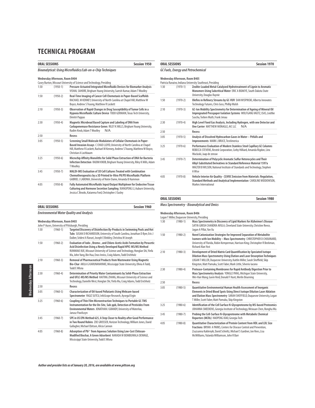|      | <b>ORAL SESSIONS</b>           | <b>Session 1950</b>                                                                                                                                                                                                                                        |
|------|--------------------------------|------------------------------------------------------------------------------------------------------------------------------------------------------------------------------------------------------------------------------------------------------------|
|      |                                | Bioanalytical: Using Microfluidics/Lab-on-a-Chip Techniques                                                                                                                                                                                                |
|      | Wednesday Afternoon, Room B404 | Casey Burton, Missouri University of Science and Technology, Presiding                                                                                                                                                                                     |
| 1:30 | $(1950-1)$                     | Pressure-Actuated Integrated Microfluidic Devices for Biomarker Analysis<br>VISHAL SAHORE, Brigham Young University, Suresh Kumar, Adam T Woolley                                                                                                          |
| 1:50 | $(1950-2)$                     | Real-Time Imaging of Cancer Cell Chemotaxis in Paper-Based Scaffolds<br>RACHAEL M KENNEY, University of North Carolina at Chapel Hill, Matthew W<br>Boyce, Andrew S Truong, Matthew R Lockett                                                              |
| 2:10 | $(1950-3)$                     | Observation of Rapid Changes in Drug Susceptibility of Tumor Cells in a<br>Hypoxia Microfluidic Culture Device TODD GERMAIN, Texas Tech University,<br>Dimitri Pappas                                                                                      |
| 2:30 | $(1950-4)$                     | Magnetic Microbead Based Capture and Labeling of DNA from<br>Carbapenemase Resistance Genes RILEY K MILLS, Brigham Young University,<br>Radim Knob, Adam T Woolley<br>N/A                                                                                  |
| 2:50 |                                | Recess                                                                                                                                                                                                                                                     |
| 3:05 | $(1950-5)$                     | Screening Small Molecule Modulators of Cellular Chemotaxis in Paper-<br>Based Invasion Assays C CHAD LLOYD, University of North Carolina at Chapel<br>Hill, Matthew R Lockett, Rachael M Kenney, Andrew S Truong, Matthew W Boyce,<br>Christian A Lochbaum |
| 3:25 | $(1950-6)$                     | Microchip Affinity Monoliths for Solid Phase Extraction of DNA for Bacteria<br>Infection Detection RADIM KNOB, Brigham Young University, Riley K Mills, Adam<br><b>TWoolley</b>                                                                            |
| 3:45 | $(1950 - 7)$                   | MALDI-IMS Evaluation of 3D Cell Cultures Treated with Combination<br>Chemotherapeutics by a 3D Printed In-Vitro PK/PD Microfluidic Platform<br>GABRIEL J LABONIA, University of Notre Dame, Amanda B Hummon                                                |
| 4:05 | $(1950-8)$                     | Fully Automated Microfluidic Input/Output Multiplexer for Endocrine Tissue<br>Culturing and Hormone Secretion Sampling XIANGPENG LI, Auburn University,<br>Jessica C Brooks, Katarena Ford, Christopher J Easley                                           |

| <b>ORAL SESSIONS</b> | Session 1960 |
|----------------------|--------------|
|                      |              |

### **Environmental Water Quality and Analysis**

### **Wednesday Afternoon, Room B403**

|      |              | John P Auses, University of Pittsburgh, Presiding                                                                                                                                                                                                                                                      |
|------|--------------|--------------------------------------------------------------------------------------------------------------------------------------------------------------------------------------------------------------------------------------------------------------------------------------------------------|
| 1:30 | $(1960-1)$   | Targeted Discovery of Disinfection By-Products in Swimming Pools and Hot<br>Tubs SUSAN D RICHARDSON, University of South Carolina, Jonathan D Byer, Eric J<br>Daiber, Sridevi A Ravuri, Joseph E Binkley, Christina M Joseph                                                                           |
| 1:50 | $(1960 - 2)$ | Evaluation of lodo-, Bromo-, and Chloro-Acetic Acids Formation by Peracetic<br>Acid Disinfection Using a Newly Developed Rapid HPIC-MS/MS Method<br>RUNMIAO XUE, Missouri University of Science and Technology, Honglan Shi, Yinfa<br>Ma, John Yang, Bin Hua, Enos Inniss, Craig Adams, Todd Erichholz |
| 2:10 | $(1960-3)$   | Removal of Pharmaceutical Products from Wastewater Using Magnetic<br>Bio-Char AKILA G KARUNANAYAKE, Mississippi State University, Olivia A Todd,<br><b>Todd E MIsna</b>                                                                                                                                |
| 2:30 | $(1960-4)$   | Determination of Priority Water Contaminants by Solid-Phase Extraction<br>and UFLC-MS/MS Method HAITING ZHANG, Missouri University of Science and<br>Technology, Danielle West, Honglan Shi, Yinfa Ma, Craig Adams, Todd Erichholz                                                                     |
| 2:50 |              | Recess                                                                                                                                                                                                                                                                                                 |
| 3:05 | $(1960 - 5)$ | <b>Characterization of Oil-based Pollutants Using Webcam-based</b><br>Spectrometer YAGIZ SUTCU, InfoScope Research, Aysequl Ergin                                                                                                                                                                      |
| 3:25 | $(1960-6)$   | Coupling of Thin Film Microextraction Techniques to Portable GC-TMS<br>Instrumentation for the On-Site, Sub-ppb, Detection of Pesticides From<br>Environmental Waters JONATHAN J GRANDY, University of Waterloo,<br>Janusz Pawliszyn                                                                   |
| 3:45 | $(1960 - 7)$ | SPE in US EPA Method 625, A Step Closer to Reality after Good Performance<br>in Two Round Robins ZOE GROSSER, Horizon Technology, William Jones, David<br>Gallagher, Michael Ebitson, Alicia Cannon                                                                                                    |
| 4:05 | $(1960 - 8)$ | Adsorption of Pb <sup>2+</sup> from Aqueous Solution Using Low-Cost Chitosan-<br>Modified Biochar, A Green Adsorbent NARADA W BOMBUWALA DEWAGE.<br>Mississippi State University, Todd E Mlsna                                                                                                          |

| Session 1970<br><b>ORAL SESSIONS</b><br><b>GC Fuels, Energy and Petrochemical</b> |              |                                                                                                                                                                                                                                |
|-----------------------------------------------------------------------------------|--------------|--------------------------------------------------------------------------------------------------------------------------------------------------------------------------------------------------------------------------------|
|                                                                                   |              |                                                                                                                                                                                                                                |
|                                                                                   |              | Patricia Ranaivo, Indiana University Southeast, Presiding                                                                                                                                                                      |
| 1:30                                                                              | $(1970-1)$   | Zeolite-Loaded Metal-Catalyzed Hydrotreatment of Lignin to Aromatic<br>Monomers Using Subcritical Water ERIC A BOAKYE, South Dakota State<br>University, Douglas Raynie                                                        |
| 1:50                                                                              | $(1970-2)$   | Olefins in Refinery Streams by GC-VUV DAN WISPINSKI, Alberta Innovates<br>Technology Futures, Chris Goss, Phillip Walsh                                                                                                        |
| 2:10                                                                              | $(1970-3)$   | GC-Ion Mobility Spectrometry for Determination of Ageing of Mineral Oil<br>Impregnated Presspaper Isolation Systems WOLFGANG VAUTZ, ISAS, Liedtke<br>Sascha, Torben Muth, Frank Jenau                                          |
| 2:30                                                                              | $(1970-4)$   | High Level Fixed Gas Analysis, Including Hydrogen, with one Detector and<br>One Carrier MATTHEW MONAGLE, AIC LLC<br>N/A                                                                                                        |
| 2:50                                                                              |              | Recess                                                                                                                                                                                                                         |
| 3:05                                                                              | $(1970-5)$   | Analysis of Dissolved Hydrocarbon Gases in Water - Pitfalls and<br>Improvements MARK L BRUCE, TestAmerica                                                                                                                      |
| 3:25                                                                              | $(1970-6)$   | Performance Evaluation of Modern Stainless Steel Capillary GC Columns<br>REBECCA STEVENS, Restek Corporation, Corby Hilliard, Amanda Rigdon, Linx<br>Waclaski, Jaap de zeeuw                                                   |
| 3:45                                                                              | $(1970 - 7)$ | Determination of Polycyclic Aromatic Sulfur Heterocycles and Their<br>Alkyl-Substituted Derivatives in Standard Reference Material 1597a<br>WALTER B WILSON, National Institute of Standards and Technology, Stephen<br>A Wise |
| 4:05                                                                              | $(1970-8)$   | Vehicle Interior Air Quality - (S)VOC Emission from Materials: Regulation,<br>Standard Methods and Analytical Implementation CAROLINE WIDDOWSON,<br>Markes International                                                       |

**ORAL SESSIONS** Session 1980

### **Mass Spectrometry - Bioanalytical and Omics**

### **Wednesday Afternoon, Room B406**

|      |              | Logan T Miller, Duguesne University, Presiding                                                                                                                                                                                                                                                     |
|------|--------------|----------------------------------------------------------------------------------------------------------------------------------------------------------------------------------------------------------------------------------------------------------------------------------------------------|
| 1:30 | $(1980 - 1)$ | Mass Spectrometry in Discovery of Lipid Markers for Alzheimer's Disease<br>SATYA GIRISH CHANDRA AVULA, Cleveland State University, Christine Reece,<br>Jagan A Pillai, Yan Xu                                                                                                                      |
| 1:50 | $(1980 - 2)$ | Novel Cationization Strategies for Improved Separation of Metabolite<br>Isomers with Ion Mobility - Mass Spectrometry CHRISTOPHER D CHOUINARD.<br>University of Florida, Robin Kemperman, Harrison King, Christopher R Beekman,<br><b>Richard Alan Yost</b>                                        |
| 2:10 | $(1980-3)$   | Development of Dried Matrix Card Quantification by Speciated Isotope<br>Dilution Mass Spectrometry Using Elution and Laser Desorption Techniques<br>LOGAN T MILLER, Duquesne University, Kaitlin Miller, Sarah Sheffield, Skip<br>Kingston, Matt Pamuku, Scott Faber, Mark Little, Silverio Iacono |
| 2:30 | $(1980 - 4)$ | Protease-Containing Membranes for Rapid Antibody Digestion Prior to<br>Mass Spectrometry Analysis YONGLE PANG, Michigan State University,<br>Wei-Han Wang, Gavin Reid, Donald F Hunt, Merlin Bruening                                                                                              |
| 2:50 |              | Recess                                                                                                                                                                                                                                                                                             |
| 3:05 | $(1980 - 5)$ | Quantitative Environmental Human Health Assessment of Inorganic<br>Elements in Dried Blood Spots Using Direct Isotope Dilution Laser Ablation<br>and Elution Mass Spectrometry SARAH SHEFFIELD, Duquesne University, Logan<br>T Miller, Scott Faber, Matt Pamuku, Skip Kingston                    |
| 3:25 | $(1980-6)$   | Identification of the Cell Surface N-Glycoproteome by MS-based Proteomics<br>JOHANNA SMEEKENS, Georgia Institute of Technology, Weixuan Chen, Ronghu Wu                                                                                                                                            |
| 3:45 | $(1980 - 7)$ | Probing the Cell-Surface N-Glycoproteome with Metabolic Chemical<br>Reporters (MCRs) HAOPENG XIAO, Georgia Tech                                                                                                                                                                                    |
| 4:05 | $(1980 - 8)$ | <b>Ouantitative Characterization of Protein Content from HDL and LDL Size</b><br>Fractions BRYAN A PARKS, Centers for Disease Control and Prevention,<br>Zsuzsanna Kuklenyik, David Schieltz, Michael S Gardner, Jon Rees, Lisa<br>McWilliams. Yulanda Williamson, John R Barr                     |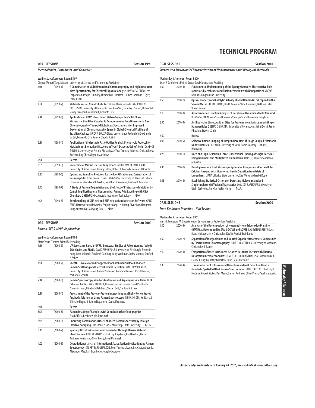|      | <b>ORAL SESSIONS</b>                          | <b>Session 1990</b>                                                                                                                                                                                                                                                                                                                                                                                      |  |
|------|-----------------------------------------------|----------------------------------------------------------------------------------------------------------------------------------------------------------------------------------------------------------------------------------------------------------------------------------------------------------------------------------------------------------------------------------------------------------|--|
|      | <b>Metabolomics, Proteomics, and Genomics</b> |                                                                                                                                                                                                                                                                                                                                                                                                          |  |
|      | Wednesday Afternoon, Room B407                |                                                                                                                                                                                                                                                                                                                                                                                                          |  |
|      |                                               | Qingbo (Roger) Yang, Missouri University of Science and Technology, Presiding                                                                                                                                                                                                                                                                                                                            |  |
| 1:30 | $(1990-1)$                                    | A Combination of Multidimensional Chromatography and High Resolution<br>Mass Spectrometry for Chemical Exposure Analysis DAVID E ALONSO, Leco<br>Corporation, Joseph E Binkley, Elizabeth M Humston-Fulmer, Jonathan D Byer,<br>Lorne E Fell                                                                                                                                                             |  |
| 1:50 | $(1990-2)$                                    | Metabolomics of Nonalcoholic Fatty Liver Disease via LC-MS RAINEY E<br>PATTERSON, University of Florida, Richard Alan Yost, Timothy J Garrett, Nishanth E<br>Sunny, Srilaxmi Kalavalapalli, Kenneth Cusi                                                                                                                                                                                                 |  |
| 2:10 | $(1990-3)$                                    | Application of PDMS-Overcoated Matrix-Compatible Solid Phase<br>Microextraction Fiber Coupled to Comprehensive Two-Dimensional Gas<br>Chromatography-Time-of-Flight Mass Spectrometry for Improved<br>Exploitation of Chromatographic Space in Global Chemical Profiling of<br>Brazilian Cachaça ERICA A SOUZA-SILVA, Universidade Federal do Rio Grande<br>do Sul, Fernando C Fontanive, Claudia A Zini |  |
| 2:30 | $(1990-4)$                                    | Application of the Isotopic Ratio Outlier Analysis Phenotypic Protocol for<br>Metabolomic Biomarker Discovery in Type 1 Diabetes Using T Cells CANDICE<br>Z ULMER, University of Florida, Richard Alan Yost, Timothy J Garrett, Christopher A<br>Beecher, Jing Chen, Clayton Matthews                                                                                                                    |  |
| 2:50 |                                               | Recess                                                                                                                                                                                                                                                                                                                                                                                                   |  |
| 3:05 | $(1990-5)$                                    | Secretome of Murine Islets of Langerhans ANDREW W SCHMUDLACH,<br>University of Notre Dame, Jeremy Felton, Robert T Kennedy, Norman J Dovichi                                                                                                                                                                                                                                                             |  |
| 3:25 | $(1990-6)$                                    | Optimizing Sampling Protocols for the Identification and Quantitation of<br>Neuropeptides from Brain Tissues NING YANG, University of Illinois at Urbana-<br>Champaign, Stanislav S Rubakhin, Jonathan V Sweedler, Krishna D Anapindi                                                                                                                                                                    |  |
| 3:45 | $(1990 - 7)$                                  | A Study of Protein Degradation and the Effect of Proteasome Inhibition by<br>Combining Biorthogonal Noncanonical Amino Acid Labeling with Click<br>Chemistry ZHENYU ZHOU, Georgia Institute of Technology<br>N/A                                                                                                                                                                                         |  |
| 4:05 | $(1990-8)$                                    | Benchmarking of DNA-seg and RNA-seg Variant Detection Software GANG<br>FENG, Northwestern University, Zhujun Huang, Lei Huang, Riyue Bao, Hongmei<br>Jiang, Yuchen Bai, Xiaoyong Sun<br>N/A                                                                                                                                                                                                              |  |

**ORAL SESSIONS Session 2000**

1:50 (2000-2) **Sheath-Flow Microfluidic Approach for Combined Surface Enhanced** 

2:10 (2000-3) **Raman Spectroscopy Monitors Glutamine and Asparagine Side Chain OCCC**

Shintaro Noguchi, Satoru Nagatoishi, Kouhei Tsumoto

3:05 (2000-5) **Raman Imaging of Samples with Complex Surface Topographies**  TIM BATTEN, Renishaw plc, Tim Smith 3:25 (2000-6) **Improving Raman and Surface Enhanced Raman Spectroscopy Through** 

3:45 (2000-7) **Spatially Offset vs Conventional Raman for Through-Barrier Material** 

Andrews, Ken Mann, Oliver Presly, Pavel Matousek

Alexander May, Carl Brouillette, Joseph Cosgrove

1:30 (2000-1) **UV Resonance Raman (UVRR) Structural Studies of Polyglutamine (polyQ) Side Chains and Fibrils** DAVID PUNIHAOLE, University of Pittsburgh, Zhenmin Hong, Ryan Jakubek, Elizabeth Dahlburg, Riley Workman, Jeffry Madura, Sanford

**Raman Scattering and Electrochemical Detection** MATTHEW R BAILEY, University of Notre Dame, Amber Pentecost, Asmira Selimovic, R Scott Martin,

**Dihedral Angles** RYAN JAKUBEK, University of Pittsburgh, David Punihaole, Zhenmin Hong, Elizabeth Dahlburg, Steven Geib, Sanford A Asher 2:30 (2000-4) **Assessment of the Protein–Protein Interactions in a Highly Concentrated**

**Antibody Solution by Using Raman Spectroscopy** CHIKASHI OTA, Horiba, Ltd.,

**Effective Sampling DONGMAO ZHANG, Mississippi State University N/A** 

**Identification** ROBERT STOKES, Cobalt Light Systems, Paul Loeffen, Darren

**Raman, SERS, UVRR Applications Wednesday Afternoon, Room B408** Matt Cerutti, Thermo Scientific, Presiding<br>1:30 (2000-1) UV Resona

2:50 **Recess**

A Asher

Zachary D Schultz

|                                                                                                  | <b>ORAL SESSIONS</b> | <b>Session 2010</b>                                                                                                                                                                                                     |
|--------------------------------------------------------------------------------------------------|----------------------|-------------------------------------------------------------------------------------------------------------------------------------------------------------------------------------------------------------------------|
|                                                                                                  |                      | Surface and Microscopic Characterization of Nanostructures and Biological Materials                                                                                                                                     |
| Wednesday Afternoon, Room B409<br>Brian R Strohmeier, United States Steel Corporation, Presiding |                      |                                                                                                                                                                                                                         |
| 1:30                                                                                             | $(2010-1)$           | Fundamental Understanding of the Synergy Between Electroactive Poly<br>(amic) Acid Membranes and Their Interaction with Nanoparticles VICTOR<br><b>KARIUKI, Binghamton University</b>                                   |
| 1:50                                                                                             | $(2010-2)$           | Optical Property and Catalytic Activity of Gold Nanorods End-capped with a<br>Second Metal GUFENG WANG, North Carolina State University, Nathalia Ortiz,<br>Vineet Kumar                                                |
| 2:10                                                                                             | $(2010-3)$           | Autocorrelation Function Analysis of Rotational Dynamics of Gold Nanorod<br>KUANGCAI CHEN, Iowa State University/Georgia State University, Ning Fang                                                                    |
| 2:30                                                                                             | $(2010-4)$           | Antibody-Like Biorecognition Sites for Proteins from Surface Imprinting on<br>Nanoparticles SNEHASIS BHAKTA, University of Connecticut, Saiful Seraji, James<br>F Rusling, Steven L Suib                                |
| 2:50                                                                                             |                      | Recess                                                                                                                                                                                                                  |
| 3:05                                                                                             | $(2010-5)$           | Selective Raman Imaging of Integrin Receptors Through Coupled Plasmonic<br>Nanostructures LIFU XIAO, University of Notre Dame, Zachary D Schultz,<br>Hao Wang                                                           |
| 3:25                                                                                             | $(2010-6)$           | Deep and High-Resolution Three-Dimensional Tracking of Single Particles<br>Using Nonlinear and Multiplexed Illumination TIM YEH, University of Texas<br>at Austin                                                       |
| 3:45                                                                                             | $(2010 - 7)$         | Development of a Dual Microscope System for Integration of Intracellular<br>Calcium Imaging with Monitoring Insulin Secretion from Islets of<br>Langerhans LIAN YI, Florida State University, Xue Wang, Michael G Roper |
| 4:05                                                                                             | $(2010-8)$           | Establishing Statistical Criteria for Detecting Molecular Motion in<br>Single-molecule Diffusional Trajectories MOUSSA BARHOUM, University of<br>Utah, Karl-Heinz Gericke, Joel M Harris<br>N/A                         |

### **ORAL SESSIONS Session 2020**

#### **Trace Explosives Detection - Half Session**

**Wednesday Afternoon, Room B301**

|      |            | Maria K Ferguson, PA Department of Environmental Protection, Presiding                                                                                                                                                            |
|------|------------|-----------------------------------------------------------------------------------------------------------------------------------------------------------------------------------------------------------------------------------|
| 1:30 | $(2020-1)$ | Analysis of the Decomposition of Hexamethylene Triperoxide Diamine<br>(HMTD) as Determined by SPME-GC/MS and LC/MS LAURYN DEGREEFF, Naval<br>Research Laboratory, Christopher Katilie, Frank L Steinkamp                          |
| 1:50 | $(2020-2)$ | Separation of Inorganic Ions and Neutral Organic Nitroaromatic Compounds<br>by Electrokinetic Chromatography JULIE R MCGETTRICK, University of Montana,<br><b>Christopher P Palmer</b>                                            |
| 2:10 | $(2020-3)$ | Comparison of Inter-Instrument Relative Response Factors with Thermal<br>Desorption Internal Standards H MITCHELL RUBENSTEIN, USAF, Maomian Fan,<br>Claude C Grigsby, Kathy Fullerton, Brian Geier, Darrin Ott                    |
| 2:30 | $(2020-4)$ | Through-Barrier Explosives and Hazardous Material Detection Using a<br>Handheld Spatially Offset Raman Spectrometer PAUL LOEFFEN, Cobalt Light<br>Systems, Robert Stokes, Ken Mann, Darren Andrews, Oliver Presly, Pavel Matousek |

# Wednesday AfternoonWednesday Afternc

| 4:05 | $(2000-8)$ | Degradation Analysis of International Space Station Medications by Raman  |
|------|------------|---------------------------------------------------------------------------|
|      |            | Spectroscopy STUART FARQUHARSON, Real-Time Analyzers, Inc, Chetan Shende, |
|      |            | Alexander May, Carl Brouillette, Joseph Cosgrove                          |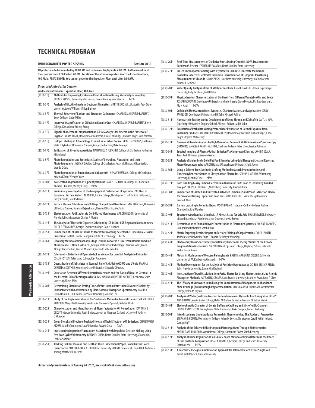| UNDERGRADUATE POSTER SESSION<br>Session 2030                                                                                                                                                                                                                                                       |                                                                                                                                                                                                                                              |  |
|----------------------------------------------------------------------------------------------------------------------------------------------------------------------------------------------------------------------------------------------------------------------------------------------------|----------------------------------------------------------------------------------------------------------------------------------------------------------------------------------------------------------------------------------------------|--|
| All posters are to be mounted by 10:00 AM and remain on display until 4:00 PM. Authors must be at<br>their posters from 1:00 PM to 3:00 PM. Location of the afternoon posters is on the Exposition Floor,<br>400 Aisle. PLEASE NOTE: You cannot get onto the Exposition Floor until after 9:00 AM. |                                                                                                                                                                                                                                              |  |
|                                                                                                                                                                                                                                                                                                    | Undergraduate Poster Session                                                                                                                                                                                                                 |  |
| $(2030-1)$                                                                                                                                                                                                                                                                                         | Wednesday Afternoon, Exposition Floor, 400 Aisle<br>Methods for Improving Cytokine in Vivo Calibration During Microdialysis Sampling<br>PATRICK M PYSZ, University of Arkansas, Tina M Poseno, Julie Stenken                                 |  |
| $(2030-2)$ P)                                                                                                                                                                                                                                                                                      | Analysis of Nicotine Levels in Electronic Cigarettes MARTIN ERIC MILLER, Austin Peay State<br>University, Jacob Williams, Dillon Burrow                                                                                                      |  |
| $(2030-3)$ P)                                                                                                                                                                                                                                                                                      | Thermal Behavior of Barium and Strontium Carbonates CHARLES MANSFIELD EARNEST,<br>Berry College, Ethan Miller                                                                                                                                |  |
| $(2030-4P)$                                                                                                                                                                                                                                                                                        | Improved Quantification of Gibbsite in Bauxite Ores CHARLES MANSFIELD EARNEST, Berry<br>College, Karla Gann, Britney Stong                                                                                                                   |  |
| $(2030-5P)$                                                                                                                                                                                                                                                                                        | Signal Enhancement Compensation in ICP-MS Analysis for Arsenic in the Presence of<br>Organics ADAM KAGEL, University of California, Davis, Carla Kagel, Richard Kagel, Nels Worden                                                           |  |
| $(2030-6)$                                                                                                                                                                                                                                                                                         | Isotope Labeling in Astrobiology: Ethanol as a Carbon Source NICOLE G PERKINS, California<br>State Polytechnic University, Pomona, Gregory A Barding, Rakesh Mogul                                                                           |  |
| $(2030 - 7)$ P)                                                                                                                                                                                                                                                                                    | Sulfidation of Silver Nanoparticles NATHANIEL D FLETCHER, College of Charleston, Katherine<br>M Mullaugh                                                                                                                                     |  |
| $(2030-8P)$                                                                                                                                                                                                                                                                                        | Photodegradation and Ecotoxicity Studies of Sertraline, Fluoxetine, and their<br>Photodegradants SYLVIA C DAVILA, College of Charleston, Jessica R Hinson, Allison Welch,<br>Wendy C Cory                                                    |  |
| $(2030-9P)$                                                                                                                                                                                                                                                                                        | Photodegradation of Bupropion and Gabapentin NEHAV MUPPALA, College of Charleston,<br>Kristina K Tran, Wendy C Cory                                                                                                                          |  |
| $(2030-10P)$                                                                                                                                                                                                                                                                                       | Accelerated Degradation of Diphenhydramine JAMES L SOLOMON, College of Charleston,<br>Michael T Blanton, Wendy C Cory<br>N/A                                                                                                                 |  |
| $(2030-11P)$                                                                                                                                                                                                                                                                                       | Preliminary Investigation of the Geographical Distribution of Synthetic UV Filters in<br>Bahamian Surface Waters AEJIN KIM, Elmira College, Christopher B Hall, Emily J Feldpausch,<br>Betsy A Smith, Jared S Baker                          |  |
| $(2030-12 P)$                                                                                                                                                                                                                                                                                      | Surface Plasma Polaritons from Voltage Charged Gold Nanotubes SAM KONCHAN, University<br>of Florida, Pradeep Ramiah Rajasekaran, Charles R Martin, Alec Talin                                                                                |  |
| $(2030-13P)$                                                                                                                                                                                                                                                                                       | Electroporation Facilitation via Gold-Plated Membranes AARON WILSON, University of<br>Florida, Juliette Experton, Charles R Martin                                                                                                           |  |
| $(2030-14P)$                                                                                                                                                                                                                                                                                       | The Analysis of Electronic Cigarette Solutions by ICP-MS for USP Regulated Contaminates<br>CHLOE E FERNANDES, Georgia Gwinnett College, Daniel H Jones                                                                                       |  |
| $(2030-15P)$                                                                                                                                                                                                                                                                                       | Comparison of Cellular Response to Atorvastatin Among Selected Cell Lines by MS-Based<br>Proteomics GEORGE TANG, Georgia Institute of Technology<br>N/A                                                                                      |  |
| $(2030-16P)$                                                                                                                                                                                                                                                                                       | Discovery Metabolomics of Early-Stage Ovarian Cancer in a Dicer-Pten Double Knockout<br>Murine Model LAURA C WINALSKI, Georgia Institute of Technology, Christina Jones, Maria E<br>Monge, Jaeyeon Kim, Martin M Matzuk, Facundo M Fernandez |  |
| $(2030-17P)$                                                                                                                                                                                                                                                                                       | Colorimetric Detection of Pyrocatechol as a Model for Urushiol Analysis in Poison Ivy<br>COLLIN J STEEN, Kalamazoo College, Kari Anderson                                                                                                    |  |
| $(2030-18P)$                                                                                                                                                                                                                                                                                       | Quantification of Salicylates in Stomach Relief Aids Using GC-MS and UV-Vis MARINA<br>CHRISTINA KOETHER, Kennesaw State University, Kimberly C Powers                                                                                        |  |
| $(2030-19P)$                                                                                                                                                                                                                                                                                       | Correlation Between Different Extraction Methods and the Ratio of Neral to Geranial in<br>the Essential Oils of Lemongrass by GC-MS MARINA CHRISTINA KOETHER, Kennesaw State<br>University, Skyler Mize                                      |  |
| $(2030-20P)$                                                                                                                                                                                                                                                                                       | Determining Dissolution Testing Time of Potassium in Potassium Gluconate Tablets by<br>Conductivity with Confirmation by Flame Atomic Absorption Spectrometry MARINA<br>CHRISTINA KOETHER, Kennesaw State University, Minwoo Lee             |  |
| $(2030-21P)$                                                                                                                                                                                                                                                                                       | Study of the Implementation of the Systematic Method in General Chemistry II VICTORIA Y<br>REINDERS, Maryville University Saint Louis, Thomas M Spudich, Natalie Ulrich                                                                      |  |
| $(2030-22P)$                                                                                                                                                                                                                                                                                       | Characterization and Identification of Biosurfactants for Oil Remediation KAYDREN B<br>ORCUTT, Mercer University, Justis E Ward, Joseph W Kloepper, Garland L Crawford, Kathryn<br>D Kloepper                                                |  |
| $(2030-23P)$                                                                                                                                                                                                                                                                                       | Green Diesel and Biodiesel Fuel Additives and Their Effects on VOC Emissions CHRISTOPHER<br>MOORE, Middle Tennessee State University, Joseph Close<br>N/A                                                                                    |  |
| $(2030 - 24 P)$                                                                                                                                                                                                                                                                                    | Investigating Dopamine Fluctuations Associated with Impulsive Decision Making Using<br>Fast Scan Cyclic Voltammetry BRENNEN GUZIK, North Carolina State University, Xiaohu Xie,<br>Leslie A Sombers                                          |  |
| $(2030-25P)$                                                                                                                                                                                                                                                                                       | Tracking Cellular Invasion and Death in Three Dimensional Paper-Based Cultures with<br>Quantitative PCR CHRISTIAN A LOCHBAUM, University of North Carolina at Chapel Hill, Andrew S<br>Truong, Matthew R Lockett                             |  |

| $(2030-26)$   | Real-Time Measurements of Oxidative Stress During Chronic L-DOPA Treatment for<br>Parkinson's Disease CATHERINE F MASON, North Carolina State University                                                                                                                 |
|---------------|--------------------------------------------------------------------------------------------------------------------------------------------------------------------------------------------------------------------------------------------------------------------------|
| $(2030-27P)$  | Pulsed Chronopotentiometry with Asymmetric Cellulose Triacetate Membrane-<br>Based Ion-Selective Electrodes for Kinetic Discrimination of Lipophilic Ions During<br>Measurement of Chloride SIMON SEGAL, Northern Kentucky University, Jeremy Meyers,<br>Kebede L Gemene |
| $(2030-28P)$  | Water Quality Analysis of the Chattahoochee River KIZGEL DAVIS-DESOUZA, Oglethorpe<br>University, Kelly Jacobson, Md H Kabir                                                                                                                                             |
| $(2030-29P)$  | Physicochemical Characterization of Biodiesel from Different Vegetable Oils and Seeds<br>JOSEPH GOODWIN, Oglethorpe University, Michelle Huang, Grace Djokoto, Markus Germann,<br>N/A<br>Md H Kabir                                                                      |
| $(2030-30P)$  | Colloidal CdSe Quantum Dots: Synthesis, Characterization, and Applications KELLY<br>JACOBSON, Oglethorpe University, Md H Kabir, Michael Rulison                                                                                                                         |
| $(2030-31P)$  | Nanoparticle Toxicity on the Development of Brine Shrimp and Zebrafish CAITLIN MAY,<br>Oglethorpe University, Gregory Gabriel, Michael Rulison, Md H Kabir                                                                                                               |
| $(2030-32P)$  | Evaluation of Phthalate Wiping Protocols for Estimation of Dermal Exposure from<br>Consumer Products ALEXANDRIA VAN GROUW, University of Portland, Richard Kagel, Carla<br>Kagel, Stephen McWeeney                                                                       |
| $(2030-33P)$  | Gaseous Molecular Analysis by High Resolution Coherent Multidimensional Spectroscopy<br>(HRCMDS) ANGELAR KANINI MUTHIKE, Spelman College, Peter Chen, Jessica Robinson                                                                                                   |
| $(2030-34P)$  | Spectral Imaging of Plasma Optical Emission Via Compressed Sensing JOHN D USALA,<br>Texas Tech University, Gerardo Gamez                                                                                                                                                 |
| $(2030-35P)$  | Analysis of Melamine in Solid Pet Food Samples Using Gold Nanoparticles and Reversed<br>Phase Chromatography AARON HUMMERT, Washburn University, Seid Adem                                                                                                               |
| $(2030-36P)$  | Using a Solvent-Free Synthesis-Grafting Method to Attach Phenanthroline and<br>Dimethoxybenzene Groups to Glassy Carbon Electrodes SOPHIA L MELNYK, Wittenberg<br>University, Kristin K Cline<br>N/A                                                                     |
| $(2030-37P)$  | Does Grinding Glassy Carbon Electrodes in Diazonium Salts Lead to Covalently Bonded<br>Groups? CHELSEA L HORVATH, Wittenberg University, Kristin K Cline                                                                                                                 |
| $(2030-38P)$  | Comparison of Grafted and Untreated Activated Carbon as Solid Phase Extraction Media<br>for Preconcentrating Copper and Lead Ions MARGARET COLE, Wittenberg University,<br>Kristin K Cline                                                                               |
| $(2030-39P)$  | Barium Leaching in Ceramic Glazes JASON HALMO, Hampden-Sydney College, Joshua<br>Chamberlin, Paul Mueller                                                                                                                                                                |
| $(2030-40P)$  | Spectroelectrochemical Urinalysis: A Kinetic Assay for Uric Acid PAUL FLOWERS, University<br>of North Carolina at Pembroke, Sean Downes, Sonvia Brown                                                                                                                    |
| $(2030-41P)$  | Determination of Formaldehyde Concentration in Electronic Cigarettes ROLAND LANDERS,<br><b>Cumberland University, Sarah Pierce</b>                                                                                                                                       |
| $(2030-42P)$  | Matrix Targeting Peptide Impact on Tertiary Folding of Cargo Proteins TYLER J SMITH,<br>Truman State University, Brian P Adams, Bethany P Manning                                                                                                                        |
| $(2030-43 P)$ | Electrospray Mass Spectrometry and Density Functional Theory Studies of the Estrone<br>Fragmentation Mechanisms YASSIN JEILANI, Spelman College, Daphney Sihwa, Gabrielle<br>Webb, Nasrin Aweis                                                                          |
| $(2030-44P)$  | Metals in Mushrooms of Western Pennsylvania KAELYN MARGARET GRESKO, California<br>University of PA, Kimberly A Woznack<br>N/A                                                                                                                                            |
| $(2030-45 P)$ | Method Development for the Analysis of Pesticide Degradates by GC-ECD JESSICA REILLY,<br>Saint Francis University, Samantha Radford                                                                                                                                      |
| $(2030-46P)$  | Investigation of Iron Dissolution from Pyrite Electrodes Using Electrochemical and Atomic<br>Absorption Methods KATELYN NUSBAUM, Saint Francis University, Brandyn Pryce, Rose A Clark                                                                                   |
| $(2030-47P)$  | The Efficacy of Duckweed in Reducing the Concentration of Manganese in Abandoned<br>Mine Drainage (AMD) through Phytoremediation REBECCA ANNE BRADNAM, Westminster<br>College, Helen M Boylan                                                                            |
| $(2030-48P)$  | Analysis of Water Quality in Western Pennsylvania near Hydraulic Fracturing Sites KELSEY<br>ANN KILBANE, Westminster College, Helen M Boylan, Jamie Linderman, Christina Mauri                                                                                           |
| $(2030-49P)$  | Electrophoretic Character of Borate Buffers in Capillary and Microfluidic Channels<br>LAUNICK SAINT-FORT, Pennsylvania State University-Berks Campus, James Karlinsey                                                                                                    |
| $(2030-50P)$  | Interdisciplinary Undergraduate Research in Chemometrics: The Students' Perspective<br>STEPHANIE HOMITZ, Westminster College, Helen M Boylan, Christopher Caroff, Keilah Ireland,<br>Carolyn Cuff                                                                        |
| $(2030-51P)$  | Analysis of the Toluene Efflux Pumps in Microorganisms Through Bioinformatics<br>MATHILDA WILLOUGHBY, Westminster College, Samantha Tower, Sarah Kennedy                                                                                                                 |
| $(2030-52P)$  | Analysis of Urine Organic Acids via GC/MS-based Metabolomics to Determine the Effect<br>of Diet on Urine Composition JESSICA MINNICK, Georgia College and State University,<br>Catrena Lisse<br>N/A                                                                      |

(2030-53 P) **A Cascade SERS Signal Amplification Approach for Telomerase Activity at Single-cell Level** MULING SHI, Hunan University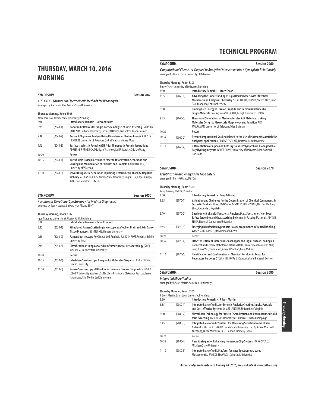### **THURSDAY, MARCH 10, 2016 MORNING**

|       | <b>SYMPOSIUM</b><br><b>Session 2040</b>                                                                              |                                                                                                                                                                                       |  |  |
|-------|----------------------------------------------------------------------------------------------------------------------|---------------------------------------------------------------------------------------------------------------------------------------------------------------------------------------|--|--|
|       | ACS-ANLY - Advances in Electrokinetic Methods for Bioanalysis<br>arranged by Alexandra Ros, Arizona State University |                                                                                                                                                                                       |  |  |
|       | <b>Thursday Morning, Room B308</b>                                                                                   |                                                                                                                                                                                       |  |  |
|       |                                                                                                                      | Alexandra Ros, Arizona State University, Presiding                                                                                                                                    |  |  |
| 8:30  |                                                                                                                      | <b>Introductory Remarks - Alexandra Ros</b>                                                                                                                                           |  |  |
| 8:35  | $(2040-1)$                                                                                                           | Nanofluidic Devices for Single-Particle Analysis of Virus Assembly STEPHEN C<br>JACOBSON, Indiana University, Zachary D Harms, Lisa Selzer, Adam Zlotnick                             |  |  |
| 9:10  | $(2040-2)$                                                                                                           | Amyloid Oligomers Analysis Using Microchannel Electrophoresis CHRISTA<br>HESTEKIN, University of Arkansas, Sadia Paracha, Melissa Moss                                                |  |  |
| 9:45  | $(2040-3)$                                                                                                           | Surface Isoelectric Focusing (SIEF) for Therapeutic Protein Separations<br>ADRIENNE R MINERICK, Michigan Technological University, Zhichao Wang                                       |  |  |
| 10:20 |                                                                                                                      | <b>Recess</b>                                                                                                                                                                         |  |  |
| 10:35 | $(2040-4)$                                                                                                           | Microfluidic-Based Electrokinetic Methods for Protein Separation and<br>Sensing and Manipulation of Particles and Droplets CAROLYN L REN,<br>University of Waterloo                   |  |  |
| 11:10 | $(2040-5)$                                                                                                           | Towards Organelle Separation Exploiting Deterministic Absolute Negative<br>Mobility ALEXANDRA ROS, Arizona State University, Jinghui Luo, Edgar Arriaga,<br>Katherine Muratore<br>N/A |  |  |

## **SYMPOSIUM Session 2050**

**Advances in Vibrational Spectroscopy for Medical Diagnostics** arranged by Igor K Lednev, University at Albany, SUNY

#### **Thursday Morning, Room B302**

|       |            | Igor K Ledney, University at Albany, SUNY, Presiding                                                                          |
|-------|------------|-------------------------------------------------------------------------------------------------------------------------------|
| 8:30  |            | Introductory Remarks - Igor K Lednev                                                                                          |
| 8:35  | $(2050-1)$ | Stimulated Raman Scattering Microscopy as a Tool for Brain and Skin Cancer<br>Tissue Diagnoses SUNNEY XIE, Harvard University |
| 9:10  | $(2050-2)$ | Raman Spectroscopy for Clinical Cell Analysis JÜERGEN POPP, Friedrich-Schiller<br>University Jena                             |
| 9:45  | $(2050-3)$ | Classification of Lung Cancers by Infrared Spectral Histopathology (SHP)<br>MAX DIEM, Northeastern University                 |
| 10:20 |            | Recess                                                                                                                        |
| 10:35 | $(2050-4)$ | Label-Free Spectroscopic Imaging for Molecular Diagnosis JI-XIN CHENG,<br><b>Purdue University</b>                            |
| 11:10 | $(2050-5)$ | Raman Spectroscopy of Blood for Alzheimer's Disease Diagnostics IGOR K                                                        |

LEDNEV, University at Albany, SUNY, Elena Ryzhikova, Oleksandr Kazakov, Lenka Halamkova, Eric Molho, Earl Zimmerman

#### **SYMPOSIUM Session 2060**

**Computational Chemistry Coupled to Analytical Measurements: A Synergistic Relationship** arranged by Bruce Chase, University of Delaware

### **Thursday Morning, Room B303**

|       |            | Bruce Chase, University of Delaware, Presiding                                                                                                                                        |
|-------|------------|---------------------------------------------------------------------------------------------------------------------------------------------------------------------------------------|
| 8:30  |            | <b>Introductory Remarks - Bruce Chase</b>                                                                                                                                             |
| 8:35  | $(2060-1)$ | Advancing the Understanding of Rigid Rod Polymers with Statistical<br>Mechanics and Analytical Chemistry STEVE LUSTIG, DuPont, Steven Allen, Juan<br>David Londono, Christopher Seay  |
| 9:10  |            | Binding Free Energy of DNA on Graphite and Carbon Nanotubes by<br>Single-Molecule Peeling ANAND JAGOTA, Lehigh University<br>N/A                                                      |
| 9:45  | $(2060-3)$ | Theory and Simulations of Macromolecular Soft Materials: Linking<br>Molecular Design to Macroscale Morphology and Function ARTHI<br>JAYARAMAN, University of Delaware, Tyler B Martin |
| 10:20 |            | Recess                                                                                                                                                                                |
| 10:35 | $(2060-2)$ | Recent Computational Studies Related to the Use of Plasmonic Materials for<br>Analytical Applications GEORGE C SCHATZ, Northwestern University                                        |
| 11:10 | $(2060-4)$ | Differentiation of Alpha and Beta Crystalline Polymorphs in Biodegradable<br>Poly Hydroxybutyrate BRUCE CHASE, University of Delaware, Brian Sobieski,<br>Isao Noda                   |

### **SYMPOSIUM Session 2070**

**Identification and Analysis for Food Safety**

arranged by Perry G Wang, US FDA

### **Thursday Morning, Room B304**

| Perry G Wang, US FDA, Presiding |            |                                                                                                                                                                                                                        |  |
|---------------------------------|------------|------------------------------------------------------------------------------------------------------------------------------------------------------------------------------------------------------------------------|--|
| 8:30                            |            | <b>Introductory Remarks - Perry G Wang</b>                                                                                                                                                                             |  |
| 8:35                            | $(2070-1)$ | Validation and Challenge for the Determination of Chemical Components in<br>Cosmetic Products Using LC-MS and GC-MS PERRY G WANG, US FDA, Wanlong<br>Zhou, Alexander J Krynitsky                                       |  |
| 9:10                            | $(2070-2)$ | Development of Multi-Functional Ambient Mass Spectrometry for Food<br>Safety Screening and Characterizing Polymers in Packing Materials JENTAIE<br>SHIEA, National Sun Yat-sen University                              |  |
| 9:45                            | $(2070-3)$ | <b>Emerging Disinfection Byproducts Halobenzoguinones in Treated Drinking</b><br>Water XING-FANG LI, University of Alberta                                                                                             |  |
| 10:20                           |            | Recess                                                                                                                                                                                                                 |  |
| 10:35                           | $(2070-4)$ | Effects of Different Dietary Doses of Copper and High Fructose Feeding on<br>Rat Fecal and Liver Metabolome XIANG ZHANG, University of Louisville, Ming<br>Song, Xiaoli Wei, Xinmin Yin, Aminul Prodhan, Craig McClain |  |
| 11:10                           | $(2070-5)$ | <b>Identification and Confirmation of Chemical Residues in Foods for</b><br>Regulatory Purposes STEVEN J LEHOTAY, USDA Agricultural Research Service                                                                   |  |

### **SYMPOSIUM Session 2080**

**Integrated Microfluidics**

arranged by R Scott Martin, Saint Louis University

#### **Thursday Morning, Room B305**

|       |              | R Scott Martin, Saint Louis University, Presiding                                                                                                                                                                  |
|-------|--------------|--------------------------------------------------------------------------------------------------------------------------------------------------------------------------------------------------------------------|
| 8:30  |              | <b>Introductory Remarks - R Scott Martin</b>                                                                                                                                                                       |
| 8:35  | $(2080-1)$   | Integrated Microfluidics for Forensic Analysis: Creating Simple, Portable<br>and Cost-effective Systems JAMES LANDERS, University of Virginia                                                                      |
| 9:10  | $(2080-2)$   | Microfluidic Technology for Protein Crystallization and Pharmaceutical Solid<br>form Screening PAUL KENIS, University of Illinois at Urbana Champaign                                                              |
| 9:45  | $(2080-3)$   | Integrated Microfluidic Systems for Measuring Secretion from Cellular<br>Networks MICHAEL G ROPER, Florida State University, Lian Yi, Adrian M Schrell,<br>Xue Wang, Nikita Mukhitov, Basel Bandak, Kimberly Evans |
| 10:20 |              | Recess                                                                                                                                                                                                             |
| 10:35 | $(2080-4)$   | New Strategies for Enhancing Human-on-Chip Systems DANA SPENCE,<br>Michigan State University                                                                                                                       |
| 11:10 | $(2080 - 5)$ | Integrated Microfluidic Platform for Mass Spectrometry based<br>Metabolomics JAMES L EDWARDS, Saint Louis University                                                                                               |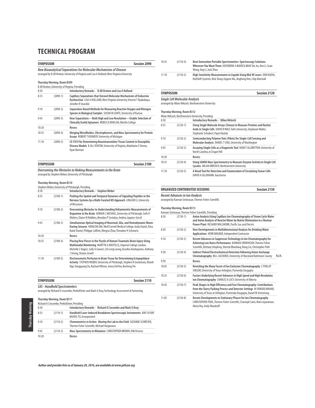|       | <b>Session 2090</b><br><b>SYMPOSIUM</b>                                                                                                                             |                                                                                                                                                                           |  |  |  |
|-------|---------------------------------------------------------------------------------------------------------------------------------------------------------------------|---------------------------------------------------------------------------------------------------------------------------------------------------------------------------|--|--|--|
|       | New Bioanalytical Separations for Molecular Mechanisms of Disease<br>arranged by B Jill Venton, University of Virginia and Lisa A Holland, West Virginia University |                                                                                                                                                                           |  |  |  |
|       |                                                                                                                                                                     |                                                                                                                                                                           |  |  |  |
|       | Thursday Morning, Room B309                                                                                                                                         |                                                                                                                                                                           |  |  |  |
|       |                                                                                                                                                                     | B Jill Venton, University of Virginia, Presiding                                                                                                                          |  |  |  |
| 8:30  |                                                                                                                                                                     | Introductory Remarks - B Jill Venton and Lisa A Holland                                                                                                                   |  |  |  |
| 8:35  | $(2090-1)$                                                                                                                                                          | Capillary Separations that Unravel Molecular Mechanisms of Endocrine<br>Dysfunction LISA A HOLLAND, West Virginia University, Vincent T Nyakubaya,<br>Jennifer R Stueckle |  |  |  |
| 9:10  | $(2090-2)$                                                                                                                                                          | Separation-Based Methods for Measuring Reactive Oxygen and Nitrogen<br>Species in Biological Samples SUSAN M LUNTE, University of Kansas                                  |  |  |  |
| 9:45  | $(2090-3)$                                                                                                                                                          | How Separations-Both High and Low Resolution-Enable Selection of<br>Clinically Useful Aptamers REBECCA WHELAN, Oberlin College                                            |  |  |  |
| 10:20 |                                                                                                                                                                     | Recess                                                                                                                                                                    |  |  |  |
| 10:35 | $(2090-4)$                                                                                                                                                          | Merging Microfluidics, Electrophoresis, and Mass Spectrometry for Protein<br>Assays ROBERT T KENNEDY, University of Michigan                                              |  |  |  |
| 11:10 | $(2090-5)$                                                                                                                                                          | CE-FSCV for Determining Neurotransmitter Tissue Content in Drosophila<br>Disease Models B JILL VENTON, University of Virginia, Madelaine E Denno,<br>Ryan Borman          |  |  |  |

| <b>SYMPOSIUM</b>                                             | Session 2100 |
|--------------------------------------------------------------|--------------|
| Overcoming the Obstacles to Making Measurements in the Rrain |              |

**Overcoming the Obstacles to Making Measurements in the Brain**  arranged by Stephen Weber, University of Pittsburgh

### **Thursday Morning, Room B310**

|       |            | Stephen Weber, University of Pittsburgh, Presiding                                                                                                                                                                                                          |
|-------|------------|-------------------------------------------------------------------------------------------------------------------------------------------------------------------------------------------------------------------------------------------------------------|
| 8:30  |            | <b>Introductory Remarks - Stephen Weber</b>                                                                                                                                                                                                                 |
| 8:35  | $(2100-1)$ | Probing the Spatial and Temporal Dynamics of Signaling Peptides in the<br>Nervous Systems by a Multi-Faceted MS Approach LINGJUN LI, University<br>of Wisconsin                                                                                             |
| 9:10  | $(2100-2)$ | Overcoming Obstacles to Understanding Voltammetric Measurements of<br>Dopamine in the Brain ADRIAN C MICHAEL, University of Pittsburgh, Seth H<br>Walters, Elaine M Robbins, Brendan P Sestokas, Andrea Jaquins-Gerstl                                      |
| 9:45  | $(2100-3)$ | Simultaneous Optical Imaging of Neuronal, Glia, and Hemodynamic Waves<br>During Seizures HONGTAO MA, Weill Cornell Medical College, Andy Daniel, Eliza<br>Baird-Daniel, Philippe Laffont, Mingrui Zhao, Theodore H Schwartz                                 |
| 10:20 |            | Recess                                                                                                                                                                                                                                                      |
| 10:35 | $(2100-4)$ | Placing New Pieces in the Puzzle of Human Traumatic Brain Injury Using<br>Multimodal Monitoring MARTYN G BOUTELLE, Imperial College London,<br>Michelle L Rogers, Sally A Gowers, Chi Leng Leong, Vassilios Kontojannis, Anthony<br>J Strong, Sharon Jewell |
| 11:10 | $(2100-5)$ | Electroosmotic Perfusion in Brain Tissue for Determining Ectopeptidase<br>Activity STEPHEN WEBER, University of Pittsburgh, Stephen R Groskreutz, Khanh<br>Ngo, Yangguang Ou, Rachael Wilson, Jenna DeVivo, Bocheng Yin                                     |

| <b>SYMPOSIUM</b>                    | Session 2110 |
|-------------------------------------|--------------|
|                                     |              |
| <b>SAS</b> - Handheld Spectrometers |              |

**SAS - Handheld Spectrometers** arranged by Richard A Crocombe, PerkinElmer and Mark A Druy, Technology Assessment & Partnering

### **Thursday Morning, Room B311**

| Richard A Crocombe, PerkinElmer, Presiding |            |                                                                                                                       |
|--------------------------------------------|------------|-----------------------------------------------------------------------------------------------------------------------|
| 8:30                                       |            | Introductory Remarks - Richard A Crocombe and Mark A Druy                                                             |
| 8:35                                       | $(2110-1)$ | Handheld Laser-Induced Breakdown Spectroscopic Instruments AMY JO RAY<br>BAUER, TSI, Incorporated                     |
| 9:10                                       | $(2110-2)$ | Chemometrics in Action: Moving the Lab to the Field SUZANNE SCHREYER,<br>Thermo Fisher Scientific, Michael Hargreaves |
| 9:45                                       | $(2110-3)$ | Mass Spectrometry in Miniature CHRISTOPHER BROWN, 908 Devices                                                         |
| 10:20                                      |            | Recess                                                                                                                |

| 10:35 | $(2110-4)$ | Next Generation Portable Spectrometers: Spectroscopy Solutions<br>Wherever You Want Them KATHERINE A BAKEEV, B&W Tek, Inc. Ken Li, Sean<br>Wang, Jing Li, Jack Zhou |
|-------|------------|---------------------------------------------------------------------------------------------------------------------------------------------------------------------|
| 11:10 | $(2110-5)$ | High Sensitivity Measurements in Liquids Using Mid-IR Lasers DON KUEHL.<br>RedShift Systems, Rick Sharp, Eugene Ma, Jinghong Kim, Chip Marshall                     |

### **SYMPOSIUM SESSION SESSION**

**Single Cell Molecular Analysis** arranged by Milan Mrksich, Northwestern University

### **Thursday Morning, Room B312**

| Milan Mrksich, Northwestern University, Presiding                                                                                                                                   |
|-------------------------------------------------------------------------------------------------------------------------------------------------------------------------------------|
| <b>Introductory Remarks - Milan Mrksich</b>                                                                                                                                         |
| Using Single Molecule Arrays (Simoa) to Measure Proteins and Nucleic<br>Acids in Single Cells DAVID R WALT, Tufts University, Stephanie Walter,<br>Stephanie Schubert, Payal Ghatak |
| Semiconducting Polymer Dots (Pdots) for Single-Cell Sensing and<br>Molecular Analysis DANIEL T CHIU, University of Washington                                                       |
| Assaying Single Cells as a Diagnostic Tool NANCY ALLBRITTON, University of<br>North Carolina at Chapel Hill                                                                         |
| Recess                                                                                                                                                                              |
| Using SAMDI Mass Spectrometry to Measure Enzyme Activity in Single Cell<br>Lysates MILAN MRKSICH, Northwestern University                                                           |
| A Novel Tool for Detection and Enumeration of Circulating Tumor Cells<br>DAVID A GILJOHANN, AuraSense                                                                               |
|                                                                                                                                                                                     |

### **ORGANIZED CONTRIBUTED SESSIONS Session 2130**

**Recent Advances in Ion Analysis**

arranged by Kannan Srinivasan, Thermo Fisher Scientific

### **Thursday Morning, Room B313**

|       |              | Kannan Srinivasan, Thermo Fisher Scientific, Presiding                                                                                                                                                                    |     |
|-------|--------------|---------------------------------------------------------------------------------------------------------------------------------------------------------------------------------------------------------------------------|-----|
| 8:30  | $(2130-1)$   | Anion Analysis Using Capillary Ion Chromatography of Steam Cycle Water<br>and Anion Analysis of Reactor Water by Matrix Elimination in a Nuclear<br>Power Plant RICHARD WALLWORK, Pacific Gas and Electric                |     |
| 8:50  | $(2130-2)$   | New Developments in Multidimensional Analysis for Drinking Water<br>Applications HERB WAGNER, Independent Contractor                                                                                                      |     |
| 9:10  | $(2130-3)$   | Recent Advances in Suppressor Technology in Ion Chromatography for<br>Achieving Low Noise Performance KANNAN SRINIVASAN, Thermo Fisher<br>Scientific, Brittany Omphroy, Sheetal Bhardwaj, Rong Lin, Christopher Pohl      |     |
| 9:30  | $(2130-4)$   | <b>Indirect Pulsed Electrochemical Detection following Anion-Exchange</b><br>Chromatography BILL LACOURSE, University of Maryland Baltimore County                                                                        | N/A |
| 9:50  |              | Recess                                                                                                                                                                                                                    |     |
| 10:05 | $(2130-5)$   | Revisiting the Many Facets of Ion Exclusion Chromatography C PHILLIP<br>SHELOR, University of Texas Arlington, Purnendu Dasgupta                                                                                          |     |
| 10:25 | $(2130-6)$   | Factors Underlying Recent Advances in High Speed and High Resolution<br>Ion Chromatography CHARLES A LUCY, University of Alberta                                                                                          |     |
| 10:45 | $(2130 - 7)$ | Peak Shapes in High Efficiency and Fast Chromatography: Contributions<br>from the Slurry Packing Process and Detector Settings M FAROOQ WAHAB,<br>University of Texas at Arlington, Purnendu Dasgupta, Daniel W Armstrong |     |
| 11:05 | $(2130-8)$   | Recent Developments in Stationary Phases for Ion Chromatography<br>CHRISTOPHER POHL, Thermo Fisher Scientific, Charanjit Saini, Mani Jayaraman,<br>Maria Rey, Andy Woodruff                                               |     |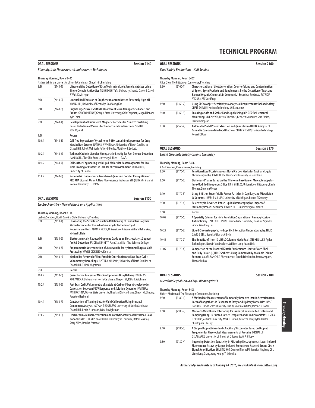| <b>ORAL SESSIONS</b>                                                                                         |                                                     | <b>Session 2140</b>                                                                                                                                                                                                 |  |
|--------------------------------------------------------------------------------------------------------------|-----------------------------------------------------|---------------------------------------------------------------------------------------------------------------------------------------------------------------------------------------------------------------------|--|
|                                                                                                              | Bioanalytical: Fluorescence/Luminescence Techniques |                                                                                                                                                                                                                     |  |
| <b>Thursday Morning, Room B405</b><br>Nathan Whitman, University of North Carolina at Chapel Hill, Presiding |                                                     |                                                                                                                                                                                                                     |  |
| 8:30                                                                                                         | $(2140-1)$                                          | Ultrasensitive Detection of Ricin Toxin in Multiple Sample Matrixes Using<br>Single-Domain Antibodies TRINH DINH, Tufts University, Shonda Gaylord, David<br>R Walt, Kevin Ngan                                     |  |
| 8:50                                                                                                         | $(2140-2)$                                          | Unusual Red Emission of Graphene Quantum Dots at Extremely High pH<br>YIYANG LIU, University of Kentucky, Doo Young Kim                                                                                             |  |
| 9:10                                                                                                         | $(2140-3)$                                          | Bright Large Stokes' Shift NIR Fluorescent Silica Nanoparticle Labels and<br>Probes GABOR PATONAY, Georgia State University, Gala Chapman, Maged Henary,<br>Kyle Emer                                               |  |
| 9:30                                                                                                         | $(2140-4)$                                          | Development of Fluorescent Magnetic Particles for "On-Off" Switching<br>based Detection of Various Lectin-Saccharide Interactions SUZUKI<br>YOSHIO, AIST                                                            |  |
| 9:50                                                                                                         |                                                     | Recess                                                                                                                                                                                                              |  |
| 10:05                                                                                                        | $(2140-5)$                                          | Cell-free Expression of Cytochrome P450-containing Liposomes for Drug<br>Metabolism Screens NATHAN A WHITMAN, University of North Carolina at<br>Chapel Hill, Julie C McIntosh, Jeffrey B Penley, Matthew R Lockett |  |
| 10:25                                                                                                        | $(2140-6)$                                          | Tethered Cationic Lipoplex Nanoparticle Biochip for Fast Disease Detection<br>JIAMING HU, The Ohio State University, LJ Lee<br>N/A                                                                                  |  |
| 10:45                                                                                                        | $(2140-7)$                                          | Cell Surface Engineering with Lipid-Molecular Beacon Aptamer for Real<br>Time Probing of Proteins in Cellular Microenvironment WEIJIA HOU,<br>University of Florida                                                 |  |
| 11:05                                                                                                        | $(2140-8)$                                          | Ratiometric Fluorescence Assay based Quantum Dots for Recognition of<br>RRE RNA Ligands Using A New Fluorescence Indicator ZHIQI ZHANG, Shaanxi<br>N/A<br>Normal University                                         |  |

| <b>ORAL SESSIONS</b> | Session 2150 |
|----------------------|--------------|
|                      |              |

**Electrochemistry - New Methods and Applications**

### **Thursday Morning, Room B314**

|       |              | Leslie A Sombers, North Carolina State University, Presiding                                                                                                                                                                                    |
|-------|--------------|-------------------------------------------------------------------------------------------------------------------------------------------------------------------------------------------------------------------------------------------------|
| 8:30  | $(2150-1)$   | Elucidating the Structure/Function Relationship of Conductive Polymer<br>Microelectrodes for Use in Fast-Scan Cyclic Voltammetry of<br>Neurotransmitters ADAM R MEIER, University of Arizona, William Bahureksa,<br>Michael I Heien             |
| 8:50  | $(2150-2)$   | Electrochemically Reduced Graphene Oxide as an Electrocatalyst Support<br>for H <sub>2</sub> S Detection JASON A BENNETT, Penn State Erie - The Behrend College                                                                                 |
| 9:10  | $(2150-3)$   | Amperometric Determination of Aurocyanide for Hydrometallurgical Gold<br>Processing WAYNE DICKINSON, Kemira                                                                                                                                     |
| 9:30  | $(2150-4)$   | Method for Removal of Non-Faradaic Contributions to Fast-Scan Cyclic<br>Voltammetry Recordings JUSTIN A JOHNSON, University of North Carolina at<br>Chapel Hill, R Mark Wightman                                                                |
| 9:50  |              | <b>Recess</b>                                                                                                                                                                                                                                   |
| 10:05 | $(2150-5)$   | Quantitative Analysis of Microiontophoresis Drug Delivery DOUGLAS<br>KIRKPATRICK, University of North Carolina at Chapel Hill, R Mark Wightman                                                                                                  |
| 10:25 | $(2150-6)$   | Fast Scan Cyclic Voltammetry of Metals at Carbon-Fiber Microelectrodes:<br>Correlation Between FSCV Response and Solution Dynamics PAVITHRA<br>PATHIRATHNA, Wayne State University, Thushani Siriwardhane, Shawn McElmurry,<br>Parastoo Hashemi |
| 10:45 | $(2150 - 7)$ | <b>Construction of Training Sets for Valid Calibration Using Principal</b><br>Component Analysis NATHANT RODEBERG, University of North Carolina at<br>Chapel Hill, Justin A Johnson, R Mark Wightman                                            |
| 11:05 | $(2150-8)$   | Electrochemical Characterization and Catalytic Activity of Ultrasmall Gold<br>Nanoparticles FRANCIS ZAMBORINI, University of Louisville, Rafael Masitas,<br>Stacy Allen, Dhruba Pattadar                                                        |

|      | <b>ORAL SESSIONS</b>                          | Session 2160                                                                                                                                                                                                                                      |  |
|------|-----------------------------------------------|---------------------------------------------------------------------------------------------------------------------------------------------------------------------------------------------------------------------------------------------------|--|
|      | <b>Food Safety Evaluations - Half Session</b> |                                                                                                                                                                                                                                                   |  |
|      | <b>Thursday Morning, Room B407</b>            |                                                                                                                                                                                                                                                   |  |
|      |                                               | Alice Chen, The Pittsburgh Conference, Presiding                                                                                                                                                                                                  |  |
| 8:30 | $(2160-1)$                                    | Characterization of the Adulteration, Counterfeiting and Contamination<br>of Spices, Spice Products and Supplements by the Detection of Toxic and<br>Banned Organic Chemicals in Commercial Botanical Products PATRICIA<br>ATKINS, SPEX CertiPrep |  |
| 8:50 | $(2160-2)$                                    | Using SPE to Adjust Sensitivity to Analytical Requirements for Food Safety<br>CHRIS SHEVLIN, Horizon Technology, William Jones                                                                                                                    |  |
| 9:10 | $(2160-3)$                                    | Ensuring a Safe and Stable Food Supply Using ICP-OES for Elemental<br>Monitoring NICK SPIVEY, PerkinElmer Inc., Kenneth Neubauer, Stan Smith,<br>Laura Thompson                                                                                   |  |
| 9:30 | $(2160-4)$                                    | Automated Solid Phase Extraction and Quantitative UHPLC Analysis of<br>Cannabis Compounds in Food Matrices CHRIS SHEVLIN, Horizon Technology,<br>Robert E Buco                                                                                    |  |

### **ORAL SESSIONS** Session 2170

**Liquid Chromatography Column Chemistry**

### **Thursday Morning, Room B406**

|       | A Carl Sanchez, Phenomenex, Presiding |                                                                                                                                                                                                                                                  |
|-------|---------------------------------------|--------------------------------------------------------------------------------------------------------------------------------------------------------------------------------------------------------------------------------------------------|
| 8:30  | $(2170-1)$                            | Functionalized Octatetrayne as Novel Carbon Media for Capillary Liquid<br>Chromatography JIAYI LIU, The Ohio State University, Susan Olesik                                                                                                      |
| 8:50  | $(2170-2)$                            | Stationary Phases Based on the Thiol-ene Reaction on Mercaptopropylsi-<br>lane-Modified Nonporous Silica ERIN SHIELDS, University of Pittsburgh, Kayla<br>Thomas, Stephen Weber                                                                  |
| 9:10  | $(2170-3)$                            | Using 5 Micron Superficially Porous Particles in Capillary and Microfluidic<br>LC Columns JAMES P GRINIAS, University of Michigan, Robert T Kennedy                                                                                              |
| 9:30  | $(2170-4)$                            | Selectivity in Reversed-Phase Liquid Chromatography: Impact of<br>Stationary Phase Chemistry DAVID S BELL, Supelco/Sigma-Aldrich                                                                                                                 |
| 9:50  |                                       | Recess                                                                                                                                                                                                                                           |
| 10:05 | $(2170-5)$                            | A Specialty Column for High Resolution Separation of Aminoglycoside<br>Antibiotics by HPLC XUEFEI SUN, Thermo Fisher Scientific, Xiao Cui, Yoginder<br>Singh, Xiaodong Liu                                                                       |
| 10:25 | $(2170-6)$                            | Liquid Chromatography, Hydrophilic Interaction Chromatography, HILIC<br>DAVID S BELL, Supelco/Sigma-Aldrich                                                                                                                                      |
| 10:45 | $(2170 - 7)$                          | The Benefits of 1mm ID UHPLC Columns Made Real STEPHEN LUKE, Agilent<br>Technologies, Norwin Von Doehren, William Long, Jason Link                                                                                                               |
| 11:05 | $(2170-8)$                            | Comparison of the Practical Kinetic Performance Limits of Core-Shell<br>and Fully Porous (U)HPLC Sorbents Using Commercially Available Column<br>Formats A CARL SANCHEZ, Phenomenex, Gareth Friedlander, Jason Anspach,<br><b>Tivadar Farkas</b> |

### **ORAL SESSIONS** Session 2180

**Microfluidics/Lab-on-a-Chip - Bioanalytical I**

### **Thursday Morning, Room B403**

|      |            | Hubert MacDonald. The Pittsburgh Conference. Presiding                                                                                                                                                                                                                            |
|------|------------|-----------------------------------------------------------------------------------------------------------------------------------------------------------------------------------------------------------------------------------------------------------------------------------|
| 8:30 | $(2180-1)$ | A Method for Measurement of Temporally Resolved Insulin Secretion from<br>Islets of Langerhans in Response to Fatty Acid Hydroxy Fatty Acids BASEL<br>BANDAK, Florida State University, Lian Yi, Nikita Mukhitov, Michael G Roper                                                 |
| 8:50 | $(2180-2)$ | Macro-to-Microfluidic Interfacing for Primary Endocrine Cell Culture and<br>Sampling Using 3D Printed Device Templates and Fluidic Manifolds JESSICA<br>C BROOKS, Auburn University, Mark D Holtan, Katarena Ford, Dylan Holder,<br>Christopher J Easley                          |
| 9:10 | $(2180-3)$ | A Simple Droplet Microfluidic Capillary Viscometer Based on Droplet<br>Frequency for Rheological Measurements of Proteins MICHAEL F<br>DELAMARRE, University of Illinois at Chicago, Scott A Shippy                                                                               |
| 9:30 | $(2180-4)$ | Improving Detection Sensitivity in Microchip Electrophoresis-Laser Induced<br>Fluorescence Assays by Target-Induced Exonuclease Assisted Strand Circle<br>Signal Amplification SHULIN ZHAO, Guangxi Normal University, Yingfeng Qin,<br>Liangliang Zhang, Yong Huang, Yi-Ming Liu |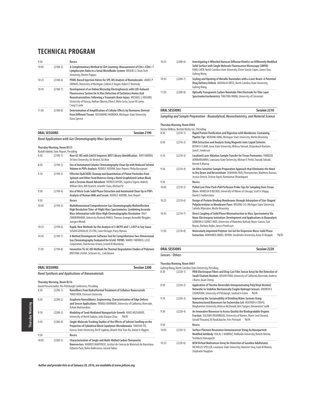| 9:50  |              | Recess                                                                                                                                                                                                                                                                                                          |
|-------|--------------|-----------------------------------------------------------------------------------------------------------------------------------------------------------------------------------------------------------------------------------------------------------------------------------------------------------------|
| 10:05 | $(2180-5)$   | A Complementary Method to CD4 Counting: Measurement of CD4+/CD8+ T<br>Lymphocytes Ratio in a Serial Microfluidic System WENJIE LI, Texas Tech<br>University, Dimitri Pappas                                                                                                                                     |
| 10:25 | $(2180-6)$   | PDMS-Based Injection Valves for SPE-MS Analysis of Biomolecules JAMES P<br>GRINIAS, University of Michigan, Colleen E Dugan, Robert T Kennedy                                                                                                                                                                   |
| 10:45 | $(2180 - 7)$ | Development of an Online Microchip Electrophoresis with LED-Induced<br>Fluorescence System for In Vivo Detection of Excitatory Amino Acid<br>Neurotransmitters Following a Traumatic Brain Injury MICHAEL L HOGARD,<br>University of Kansas, Nathan Oborny, Elton E Melo Costa, Susan M Lunte,<br>Craig E Lunte |
| 11:05 | $(2180-8)$   | Determination of Amplification of Cellular Effects by Hormones Derived<br>from Different Tissues KESHAVARZ HAMIDEH, Michigan State University,<br>Dana Spence                                                                                                                                                   |

| <b>ORAL SESSIONS</b> |  |  | Session 2190 |
|----------------------|--|--|--------------|
|                      |  |  |              |

**Novel Applications with Gas Chromatography Mass Spectrometry**

**Thursday Morning, Room B315**

|       | Rudolf Addink, Toxic Report, Presiding |                                                                                                                                                                                                                                                                                                          |
|-------|----------------------------------------|----------------------------------------------------------------------------------------------------------------------------------------------------------------------------------------------------------------------------------------------------------------------------------------------------------|
| 8:30  | $(2190-1)$                             | How GC-MS with Cold EI Improves NIST Library Identification AVIV AMIRAV,<br>Tel Aviv University, Uri Keshet, Tal Alon                                                                                                                                                                                    |
| 8:50  | $(2190-2)$                             | Use of Automated Column Chromatography Clean Up with Reduced Solvent<br>Volume in POPs Analysis RUDOLF ADDINK, Toxic Report, Philip Bassignani                                                                                                                                                           |
| 9:10  | $(2190-3)$                             | Effective QuEChERS Cleanup and Quantitation of Planar Pesticides from<br>Spinach and Other Food Matrices Using a Novel Graphitized Carbon Black<br>and a Zirconia-Based Adsorbent PATRICK MYERS, Supelco/Sigma-Aldrich,<br>William Betz, Bill Ozanich, Jennifer Claus, Michael Ye                        |
| 9:30  | $(2190-4)$                             | Use of Micro Scale Solid Phase Extraction and Automated Clean Up in POPs<br>Analysis of Human Milk and Serum RUDOLF ADDINK, Toxic Report                                                                                                                                                                 |
| 9:50  |                                        | Recess                                                                                                                                                                                                                                                                                                   |
| 10:05 | $(2190-5)$                             | Multidimensional Comprehensive Gas Chromatography Multireflection<br>High Resolution Time-of-Flight Mass Spectrometry: Combining Accurate<br>Mass Information with Ultra-High Chromatographic Resolution RALF<br>ZIMMERMANN, University Rostock/HMGU, Thomas Groeger, Benedikt Weggler,<br>Juergen Wendt |
| 10:25 | $(2190-6)$                             | Rapid, New Methods for the Analysis of 3-MCPD and 1,3 DCP in Soy Sauce<br>SUSAN GENUALDI, US FDA, Lowri DeJager, Patsy Nyman                                                                                                                                                                             |
| 10:45 | $(2190 - 7)$                           | A Method Development Software Tool for Comprehensive Two-Dimensional<br>Gas Chromatography Evaluated for GCxGC-TOFMS MARK F MERRICK, LECO<br>Corporation, Viatcheslav Artaev, Leonid M Blumberg                                                                                                          |
| 11:05 | $(2190-8)$                             | Innovative TG-GC-MS Methods for Thermal Degradation Studies of Polymers<br>KRISTINA LILOVA, Setaram Inc., Link Brown                                                                                                                                                                                     |

| <b>ORAL SESSIONS</b>                                     | Session 2200 |
|----------------------------------------------------------|--------------|
| <b>Novel Synthesis and Applications of Nanomaterials</b> |              |

**Thursday Morning, Room B316**

|       |            | David Pensenstadler, The Pittsburgh Conference, Presiding                                                                                                                                                                        |
|-------|------------|----------------------------------------------------------------------------------------------------------------------------------------------------------------------------------------------------------------------------------|
| 8:30  | $(2200-1)$ | Nanofibers from Hydrothermal Treatment of Cellulose Nanocrystals<br>YIMEI WEN, Clemson University                                                                                                                                |
| 8:50  | $(2200-2)$ | Graphene Nanoribbons: Engineering, Characterization of Edge Defects<br>and Sensor Applications PANKAJ RAMNANI, University of California, Riverside,<br>Ashok Mulchandani                                                         |
| 9:10  | $(2200-3)$ | Modeling of Seed-Mediated Nanoparticle Growth HANS MUSGRAVE,<br>University of North Dakota, Julia Xiaojun Zhao<br>N/A                                                                                                            |
| 9:30  | $(2200-4)$ | Single-Molecule Tracking Studies of the Effects of Solvent Swelling on the<br>Properties of Cylindrical Block Copolymer Microdomains TAKASHI ITO,<br>Kansas State University, Dol R Sapkota, Khanh-Hoa Tran-Ba, Daniel A Higgins |
| 9:50  |            | Recess                                                                                                                                                                                                                           |
| 10:05 | $(2200-5)$ | <b>Characterization of Single and Multi-Walled Carbon Theranostic</b><br>Nanovectors MARKUS MARTINCIC. Institut de Ciencia de Materials de Barcelona.<br>Elzbieta Pach, Belen Ballesteros, Gerard Tobias                         |

| 10:25 | $(2200-6)$ | Investigating 4-Wheeled Nanocar Diffusion Kinetics on Differently Modified<br>Solid Surface with Single Molecule Fluorescence Microscopy (SMFM)<br>FANG CHEN, North Carolina State University, Víctor García-López, James Tour,<br><b>Gufeng Wang</b> |
|-------|------------|-------------------------------------------------------------------------------------------------------------------------------------------------------------------------------------------------------------------------------------------------------|
| 10:45 | $(2200-7)$ | Sealing and Opening of Metallic Nanotubes with a Laser Beam: A Potential<br>Drug Delivery Vehicle NATHALIA ORTIZ. North Carolina State University.<br><b>Gufeng Wang</b>                                                                              |
| 11:05 | $(2200-8)$ | Optically Transparent Carbon Nanotube Film Electrode for Thin Layer<br>Spectroelectrochemistry TINGTING WANG, University of Cincinnati                                                                                                                |

**ORAL SESSIONS** Session 2210 **Sampling and Sample Preparation - Bioanalytical, Neurochemistry, and Material Science**

| <b>Thursday Morning, Room B404</b>             |
|------------------------------------------------|
| Denise Wilkins, Bechtel Bettis Inc., Presiding |

| 8:30  | $(2210-1)$ | Rapid Protein Purification and Digestion with Membrane-Containing<br>Pipette Tips WENJING NING, Michigan State University, Merlin Bruening                                                                                                                                 |
|-------|------------|----------------------------------------------------------------------------------------------------------------------------------------------------------------------------------------------------------------------------------------------------------------------------|
| 8:50  | $(2210-2)$ | DNA Extraction and Analysis Using Magnetic Ionic Liguid Solvents<br>KEVIN D CLARK, Iowa State University, Melissa Yamsek, Omprakash Nacham,<br>lared L Anderson                                                                                                            |
| 9:10  | $(2210-3)$ | Localized Laser Ablation Sample Transfer for Tissue Proteomics FABRIZIO<br>DONNARUMMA, Louisiana State University, Michael E Pettit, Touradj Solouki,<br>Kermit K Murray                                                                                                   |
| 9:30  | $(2210-4)$ | An Ultra Sensitive Sample Preparation Approach that Eliminates the Need<br>to Dry Down and Reconstitute SHAHANA HUQ, Phenomenex, Matthew Brusius,<br>Jessica Detsch, Zeshan Ageel, Ramkumar Dhandapani                                                                     |
| 9:50  |            | Recess                                                                                                                                                                                                                                                                     |
| 10:05 | $(2210-5)$ | Pulled Low Flow Push-Pull Perfusion Probe Tips for Sampling from Tissue<br>Slices MARISSA R BECKER, University of Illinois at Chicago, Scott A Shippy,<br>David E Featherstone                                                                                             |
| 10:25 | $(2210-6)$ | Design of Protein-Binding Membranes through Adsorption of Star-Shaped<br>Polyelectrolytes in Membrane Pores WEIJING LIU, Michigan State University,<br>Salinda Wijeratne, Merlin Bruening                                                                                  |
| 10:45 | $(2210-7)$ | Direct Coupling of Solid Phase Microextraction to Mass Spectrometry Via<br>Nano-Electrospray Ionization: Development and Applications in Bioanalysis<br>GERMAN A GOMEZ-RIOS, University of Waterloo, Nathaly Reyes-Garces, Ezel<br>Boyaci, Barbara Bojko, Janusz Pawliszyn |
| 11:05 | $(2210-8)$ | Molecularly Imprinted Polymer-Sol-Gel for Dispersive Micro-Solid Phase<br>Extraction MOHAMED ABDEL-REHIM, Stockholm University, Aziza El-Beggali<br>N/A                                                                                                                    |

### **ORAL SESSIONS Session 2220 Sensors - Others**

**Thursday Morning, Room B401**

Gufeng Wang, North Carolina State University, Presiding

| 8:30  | $(2220-1)$ | PANi Electrospun Fibers and Drop Cast Film Sensor Array for the Detection of<br>Small Chained Alcohols KELVIN TRAN, University of California Riverside, Andrew<br>J Burris, Quan Cheng                      |
|-------|------------|-------------------------------------------------------------------------------------------------------------------------------------------------------------------------------------------------------------|
| 8:50  | $(2220-2)$ | Application of Thermo-Reversible Interpenetrating Poly(Vinyl Alcohol)<br>Networks to Stabilize Mechanically Fragile Hydrogel Sensors ANDREW E<br>COUKOUMA, University of Pittsburgh, Sanford A Asher<br>N/A |
| 9:10  | $(2220-3)$ | Improving the Sustainability of Drinking Water Systems Using<br>Nanostructured Biosensors for Escherichia Coli HEATHER A CRAPO.<br>Binghamton University, Melissa McDonald, Idris Yazgan, Omowunmi Sadik    |
| 9:30  | $(2220-4)$ | An Innovative Biosensor to Assess Quickly the Biodegradable Organic<br>Fraction SULIVAN JOUANNEAU, University of Nantes, Marie-José Durand,<br>Gerald Thouand, Ali Boukabache, Yves Primault<br>N/A         |
| 9:50  |            | Recess                                                                                                                                                                                                      |
| 10:05 | $(2220-5)$ | Surface Plasmon Resonance Immunosensor Using Au Nanoparticle<br>Modified Antibody DULAL C KABIRAZ, Hokkaido University, Kinichi Morita,<br>Toshikazu Kawaguchi                                              |
| 10:25 | $(2220-6)$ | QCM Virtual Multisensor Array for Detection of Gasoline Adulterants<br>NICHOLAS SPELLER, Louisiana State University, Noureen Siraj, Isiah M Warner,<br>Stephanie Vaughan                                    |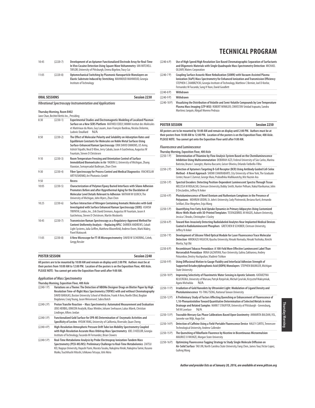| 10:45 | $(2220-7)$ | Development of an Aptamer Functionalized Electrode Array for Real-Time<br>In Vivo Cocaine Detection Using Square Wave Voltammetry JAN MITCHELL<br>TAYLOR, University of Pittsburgh, Emma Bigelow, Tracy Cui |
|-------|------------|-------------------------------------------------------------------------------------------------------------------------------------------------------------------------------------------------------------|
| 11:05 | $(2220-8)$ | Optomechanical Switching by Plasmonic Nanoparticle Monolavers on<br>Elastic Substrate Induced by Stretching MAHMOUD MAHMOUD, Georgia<br>Institute of Technology                                             |

|           | <b>ORAL SESSIONS</b> |  |  | Session 2230 |
|-----------|----------------------|--|--|--------------|
| $- - - -$ |                      |  |  |              |

**Vibrational Spectroscopy Instrumentation and Applications**

#### **Thursday Morning, Room B402**

|       | Jane Chan, Bechtel Bettis Inc., Presiding |                                                                                                                                                                                                                                                                                                                                 |
|-------|-------------------------------------------|---------------------------------------------------------------------------------------------------------------------------------------------------------------------------------------------------------------------------------------------------------------------------------------------------------------------------------|
| 8:30  | $(2230-1)$                                | <b>Experimental Studies and Electromagnetic Modeling of Localized Plasmon</b><br>Surface on a New SERS Platform MATHIEU EDELY. IMMM Institut des Molécules<br>et Matériaux du Mans, Guy Louarn, Jean-François Bardeau, Nicolas Delorme,<br>N/A<br>Ludovic Douillard                                                             |
| 8:50  | $(2230-2)$                                | The Effect of Molecular Polarity and Solubility on Adsorption Rates and<br>Equilibrium Constants for Molecules on Noble Metal Surfaces Using<br>Surface-Enhanced Raman Spectroscopy ERIK DAVID EMMONS, US Army,<br>Ashish Tripathi, Neal D Kline, Jerry Cabalo, Jason A Guicheteau, Augustus W<br>Fountain, Steven D Christesen |
| 9:10  | $(2230-3)$                                | Room Temperature Freezing and Orientation Control of Surface<br>Immobilized Biomoelcules in Air YAOXIN LI, University of Michigan, Zhang<br>Xiaoxian, Somayesadat Badieyan, Zhan Chen                                                                                                                                           |
| 9:30  | $(2230-4)$                                | Fiber Spectroscopy for Process Control and Medical Diagnostics VIACHESLAV<br>ARTYUSHENKO, Art Photonics GmbH                                                                                                                                                                                                                    |
| 9:50  |                                           | <b>Recess</b>                                                                                                                                                                                                                                                                                                                   |
| 10:05 | $(2230-5)$                                | Characterization of Polymer/Epoxy Buried Interfaces with Silane Adhesion<br>Promoters Before and after Hygrothermal Aging for the Elucidation of<br>Molecular Level Details Relevant to Adhesion NATHAN W ULRICH. The<br>University of Michigan, John Myers, Zhan Chen                                                          |
| 10:25 | $(2230-6)$                                | Surface Interaction of Nitrogen Containing Aromatic Molecules with Gold<br>Investigated with Surface Enhanced Raman Spectroscopy (SERS) ASHISH<br>TRIPATHI, Leidos, Inc., Erik David Emmons, Augustus W Fountain, Jason A<br>Guicheteau, Steven D Christesen, Martin Moskovits                                                  |
| 10:45 | $(2230 - 7)$                              | Transmission Raman Spectroscopy as a Regulatory-Approved Method for<br>Content Uniformity Analysis - Replacing HPLC DARREN ANDREWS, Cobalt<br>Light Systems, Julia Griffen, Matthew Bloomfield, Andrew Owen, Mark Mabry,<br>Pavel Matousek                                                                                      |
| 11:05 | $(2230-8)$                                | A New Microscope for FT-IR Microspectrometry DAVID W SCHIERING, Czitek,<br>Gregg Ressler                                                                                                                                                                                                                                        |

#### **POSTER SESSION Session 2240**

**All posters are to be mounted by 10:00 AM and remain on display until 2:00 PM. Authors must be at their posters from 10:00 AM to 12:00 PM. Location of the posters is on the Exposition Floor, 400 Aisle. PLEASE NOTE: You cannot get onto the Exposition Floor until after 9:00 AM.**

#### **Application of Mass Spectrometry**

**Thursday Morning, Exposition Floor, 400 Aisle**

- (2240-1 P) **Variations on a Theme: The Detection of NBOMe Designer Drugs on Blotter Paper by High Resolution Time-of-flight Mass Spectrometry (TOFMS) with and without Chromatography** DAVID BARAJAS, Boston University School of Medicine, Frank A Kero, Noelle Elliot, Bogdan Bogdanov, Craig Young, Jason Weisenseel, Sabra Botch (2240-2 P) **Proton Transfer Reaction – Mass Spectrometry: Automated Measurement and Evaluation** JENS HERBIG, IONICON Analytik, Klaus Winkler, Johann Seehauser, Lukas Mäerk, Christian Lindinger, Alfons Jordan (2240-3 P) **Functionalized Gold Surface for SPR-MS Determination of Enzymatic Activities and Specificity of Lectins** HYOJIK YANG, University of California, Riverside, Quan Cheng
- (2240-4 P) **High-Resolution Atmospheric Pressure Drift Tube Ion Mobility Spectrometry Coupled with High-Resolution Accurate Mass Orbitrap Mass Spectrometry** JOEL D KEELOR, Georgia Institute of Technology, Facundo M Fernandez, Brian Clowers
- (2240-5 P) **Real-Time Metabolome Analysis by Probe Electrospray Ionization-Tandem Mass Spectrometry (PESI-MS/MS): Preliminary Challenge to Real-Time Metabolomics** ZAITSU KEI, Nagoya University, Hayashi Yumi, Murata Tasuku, Nakajima Hiroki, Nakajima Tamie, Kusano Maiko, Tsuchihashi Hitoshi, Ishikawa Tetsuya, Ishii Akira

### **TECHNICAL PROGRAM**

- (2240-6 P) **Use of High Speed/High Resolution Size Based Chromatographic Separation of Surfactants and Oligomeric Materials with Single Quadrupole Mass Spectrometry Detection** MICHAEL OLEARY, Waters Corporation
- (2240-7 P) **Coupling Surface Acoustic Wave Nebulization (SAWN) with Vacuum-Assisted Plasma Ionization (VaPI) Mass Spectrometry for Enhanced Ionization and Transmission Efficiency** STEPHEN C ZAMBRZYCKI, Georgia Institute of Technology, Matthew C Bernier, Joel D Keelor, Fernandez M Facundo, Sung H Yoon, David Goodlett (2240-8 P) **Withdrawn**

#### (2240-9 P) **Withdrawn**

(2240-10 P) **Visualizing the Distribution of Volatile and Semi-Volatile Compounds by Low Temperature Plasma Mass Imaging (LTP-MSI)** ROBERT WINKLER, CINVESTAV Unidad Irapuato, Sandra Martinez Jarquín, Abigail Moreno Pedraza

### **POSTER SESSION Session 2250**

**All posters are to be mounted by 10:00 AM and remain on display until 2:00 PM. Authors must be at their posters from 10:00 AM to 12:00 PM. Location of the posters is on the Exposition Floor, 400 Aisle. PLEASE NOTE: You cannot get onto the Exposition Floor until after 9:00 AM.**

#### **Fluorescence and Luminescence**

**Thursday Morning, Exposition Floor, 400 Aisle**

- (2250-1 P) **Determination of Thiamine by Flow Analysis System Based on the Chemiluminescence Inhibition Using Multicommutation** DEBORAH AZZI, Federal University of São Carlos, Marina Batistão, Bruno C Janegitz, Marina Baccarin, Geiser Oliveira, Orlando Fatibello-Filho (2250-2 P) **Selection of Aptamers Targeting B-Cell Receptor (BCR) Using Antibody Guided Cell-Selex Method - A Novel Approach** SHOMI CHAKRABARTI, City University of New York, The Graduate Center, Hasan E Zumrut, George Maio, Prabodhika Mallikaratchy, Mst Naznin Ara (2250-3 P) **Spectral Encoders: Detecting Position-Dependent Luminescent Spectra Through Tissue** MELISSA M ROGALSKI, Clemson University, Bobby Smith, Hunter Pelham, Nakul Ravikumar, John D DesJardins, Jeffrey N Anker (2250-4 P) **Photoluminescence of Novel Osmium and Ruthenium Complexes in the Presence of Polyanions** MEHRUN UDDIN, St. John's University, Cody Piotrowski, Besiana Kurti, Armando Seitllari, Elise Megehee, Enju Wang (2250-5 P) **Quantifying Free Fatty Acid Uptake Dynamics in Primary Adipocytes Using Customized Micro-Wells Made with 3D-Printed Templates** TESFAGEBRIEL M HAGOS, Auburn University, Jessica C Brooks, Christopher J Easley (2250-6 P) **Toward Non-Invasively Detecting Radiolabeled Analytes Near Implanted Medical Devices Coated in Radioluminescent Phosphors** GRETCHEN B SCHOBER, Clemson University, Jeffrey N Anker (2250-7 P) **Development of Silicone Filled Optical Module for Laser Fluorescence Trace Molecular Detection** HIROKAZU HIGUCHI, Kyushu University, Hiroaki Nomada, Hiroaki Yoshioka, Kinichi Morita, Yuji Oki (2250-8 P) **Recombinant Tobacco Peroxidase: A 100-Fold More Effective Luminescent Label Than Horseradish Peroxidase** IRINA GAZARYAN, Pace University, Galina Zakharova, Andrey Poloznikov, Dmitry Hushpulian, Vladimir Tishkov (2250-9 P) **Using Diffusional Motion to Gauge Fluidity and Interfacial Adhesion Strength of Supported Octadecylphosphonic Acid (ODPA) Monolayers** STEPHEN BAUMLER, Michigan State University (2250-10 P) **Improving Selectivity of Fluorimetric Water Sensing in Aprotic Solvents** KATARZYNA KŁUCIŃSKA, University of Warsaw, Patryk Rzepiński, Michał Cyrański, Krzysztof Maksymiuk, Agata Michalska N/A (2250-11 P) **Irradiation of Gold Nanodots by Ultraviolet Light: Modulation of Ligand Density and Photoluminescence** YU-TING TSENG, National Taiwan University
- (2250-12 P) **A Preliminary Study of Factors Affecting Quenching or Enhancement of Fluorescence of 1,10-Phenantrololine Toward Quantitative Determination of Selected Metals in mine Drainage and Related Samples** MARK T STAUFFER, University of Pittsburgh - Greensburg, Tell M Lovelace N/A
- (2250-13 P) **Traceable Mercury Gas Phase Calibrations Based Upon Gravimetry** ANNARITA BALDAN, VSL, Janneke van Wijk, Hugo Ent
- (2250-14 P) **Detection of Caffeine Using a Field-Portable Fluorescence Device** HALEY CURTIS, Tennessee Technological University, Andrew Callender
- (2250-15 P) **The Quenching of Riboflavin Fluorence by Nicotine in Bicontinuous Microemulsion**  MAURICE O IWUNZE, Morgan State University
- (2250-16 P) **Optimizing Fluorescence Tagging Strategy to Study Single Molecule Diffusion on Air-Solid Surface** TAO JIN, North Carolina State University, Fang Chen, James Tour, Victor Lopez, Gufeng Wang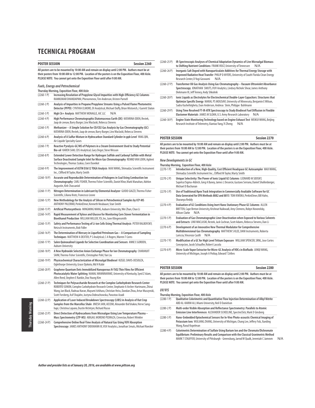|                 | Session 2260<br><b>POSTER SESSION</b>                                                                                                                                                                                                                                                                                                                  |  |  |
|-----------------|--------------------------------------------------------------------------------------------------------------------------------------------------------------------------------------------------------------------------------------------------------------------------------------------------------------------------------------------------------|--|--|
|                 | All posters are to be mounted by 10:00 AM and remain on display until 2:00 PM. Authors must be at<br>their posters from 10:00 AM to 12:00 PM. Location of the posters is on the Exposition Floor, 400 Aisle.<br>PLEASE NOTE: You cannot get onto the Exposition Floor until after 9:00 AM.                                                             |  |  |
|                 | <b>Fuels, Energy and Petrochemical</b>                                                                                                                                                                                                                                                                                                                 |  |  |
| $(2260 - 1)$    | Thursday Morning, Exposition Floor, 400 Aisle<br>Increasing Resolution of Propylene Glycol Impurities with High-Efficiency GC Columns<br>RAMKUMAR DHANDAPANI, Phenomenex, Tim Anderson, Kristen Parnell                                                                                                                                                |  |  |
| $(2260-2P)$     | Analysis of Impurities in Propane/Propylene Streams Using a Pulsed Flame Photometric<br>Detector (PFPD) CYNTHIA ELMORE, OI Analytical, Michael Duffy, Brian Mistovich, J Garrett Slaton                                                                                                                                                                |  |  |
| $(2260-3P)$     | High C6+ Analysis MATTHEW MONAGLE, AIC LLC<br>N/A                                                                                                                                                                                                                                                                                                      |  |  |
| $(2260-4P)$     | High Performance Chromatographic Diatomaceous Earth (DE) KATARINA ODEN, Restek,<br>Jaap de zeeuw, Barry Burger, Linx Waclaski, Rebecca Stevens                                                                                                                                                                                                         |  |  |
| $(2260-5P)$     | Methanizer - A Simple Solution for CO/CO2 Gas Analysis by Gas Chromatography (GC)<br>KATARINA ODEN, Restek, Jaap de zeeuw, Barry Burger, Linx Waclaski, Rebecca Stevens                                                                                                                                                                                |  |  |
| $(2260-6P)$     | Analysis of A Sulfur Mixture in Hydrocarbon Standard Cylinder in ppb Level YANG QIN,<br>Air Liquide Specialty Gases                                                                                                                                                                                                                                    |  |  |
| $(2260 - 7)$ P) | Reactive Pyrolysis-GC/MS of Polymers in a Steam Environment Used to Study Potential<br>Bio-oil KAREN SAM, CDS Analytical, Gary Deger, Steve Wesson                                                                                                                                                                                                     |  |  |
| $(2260-8P)$     | Extended Lower Detection Range for Hydrogen Sulfide and Carbonyl Sulfide with Metal<br>Surface Deactivated Sample Inlet for Micro Gas Chromatography REMKO VAN LOON, Agilent<br>Technologies, Thomas Szakas, Coen Duvekot                                                                                                                              |  |  |
| $(2260-9P)$     | The Improvement of ASTM D3612 TOGA Analysis MAX WANG, Shimadzu Scientific Instrument<br>Inc., Clifford M Taylor, Marty Smith                                                                                                                                                                                                                           |  |  |
| $(2260 - 10 P)$ | Accurate and Reproducible Determination of Halogens in Coal Using Combustion Ion<br>Chromatography CARL FISHER, Thermo Fisher Scientific, Daniel Khor, Mark Manahan, Adelon<br>Augustin, Kirk Chassaniol                                                                                                                                               |  |  |
| $(2260-11P)$    | Nitrogen Determination in Lubricant by Elemental Analyzer GUIDO GIAZZI, Thermo Fisher<br>Scientific, Liliana Krotz, Francesco Leone                                                                                                                                                                                                                    |  |  |
| $(2260-12P)$    | New Methodology for the Analysis of Silicon in Petrochemical Samples by ICP-MS<br>ANTHONY PALERMO, PerkinElmer, Kenneth Neubauer, Stan Smith                                                                                                                                                                                                           |  |  |
| $(2260-13 P)$   | Artificial Photosynthesis MINGMING WANG, Auburn University, Wei Zhan, Chao Li                                                                                                                                                                                                                                                                          |  |  |
| $(2260-14P)$    | Rapid Measurement of Xylose and Glucose for Monitoring Corn Stover Fermentation in<br>Bioethanol Production WILLIAM MILLER, YSI, Inc, June Klingensmith                                                                                                                                                                                                |  |  |
| $(2260-15P)$    | Safety and Performance Testing of Li-ion Cells Using Thermal Analysis PETER RALBOVSKY,<br>Netzsch Instruments, Bob Fidler                                                                                                                                                                                                                              |  |  |
| $(2260-16P)$    | The Determination of Mercury in Liquefied Petroleum Gas - A Comparison of Sampling<br>Techniques MATTHEW A DEXTER, P S Analytical, C A Rogers, Warren T Corns                                                                                                                                                                                          |  |  |
| $(2260-17P)$    | Salen Quinoxalinol Ligands for Selective Coordination and Sensors ANNE E GORDEN,<br><b>Auburn University</b>                                                                                                                                                                                                                                           |  |  |
| $(2260-18P)$    | A New Hydroxide Selective Anion Exchange Phase for Ion Chromatography CHARANJIT<br>SAINI, Thermo Fisher Scientific, Christopher Pohl, Yan Liu                                                                                                                                                                                                          |  |  |
| $(2260-19P)$    | Physicochemical Characterization of Microalgal Biodiesel KIZGEL DAVIS-DESOUZA,<br>Oglethorpe University, Grace Djokoto, Md H Kabir                                                                                                                                                                                                                     |  |  |
| $(2260 - 20 P)$ | Graphene Quantum Dots Immobilized Nanoporous N-TiO2 Thin Films for Efficient<br>Photocatalytic Water Splitting NAMAL WANNINAYAKE, University of Kentucky, Syed Z Islam,<br>Allen Reed, Stephen E Rankin, Doo Young Kim                                                                                                                                 |  |  |
| $(2260-21P)$    | Techniques for Polysaccharide Research at the Complex Carbohydrate Research Center<br>ROBERTO SONON, Complex Carbohydrate Research Center, Stephanie A Archer-Hartmann, Zhirui<br>Wang, Ian Black, Radnaa Naran, Mayumi Ishihara, Christian Heiss, Dandan Zhou, Artur Muszynski,<br>Scott Forsberg, Asif Shajahn, Justyna Dobruchowska, Parastoo Azadi |  |  |
| $(2260 - 22 P)$ | Application of Laser Induced Breakdown Spectroscopy (LIBS) in Analysis of Out Crop<br>Samples from the Marcellus Shale JINESH JAIN, AECOM, Alexander Bol'shakov, Herve Sang-<br>hapi, Christina Lopano, Dustin McIntyre, Richard Russo                                                                                                                 |  |  |
| $(2260-23 P)$   | Direct Detection of Hydrocarbons from Microalgae Using Low Temperature Plasma -<br>Mass Spectrometry (LTP-MS) ABIGAIL MORENO PEDRAZA, Cinvestav, Robert Winkler                                                                                                                                                                                        |  |  |
| $(2260 - 24 P)$ | Comprehensive Online Real-Time Analysis of Natural Gas Using VUV Absorption<br>Spectroscopy JAMES ANTHONY DIEKMANN III, VUV Analytics, Jonathan Smuts, Michael Roecker                                                                                                                                                                                 |  |  |

- (2260-25 P) **IR-Spectroscopic Analyses of Chemical Adaptation Dynamics of Live Microalgal Biomass**  to Shifting Nutrient Conditions FRANK VOGT, University of Tennessee
- (2260-26 P) **Inorganic Salt Doped with Nanoparticulate Additives for Thermal Energy Storage with Improved Radiative Heat Transfer** PHILIP D MYERS, University of South Florida Clean Energy Research Center, D Yogi Goswami N/A
- (2260-27 P) **Transformer Oil Gas Analysis Using Gas Chromatography Vacuum Ultraviolet Absorbance Spectroscopy** JONATHAN SMUTS, VUV Analytics, Lindsey Nichole Shear, James Anthony Diekmann III, Jeff Tenney, Andy Shkolnik
- (2260-28 P) **Ionic Liquids as Electrolytes for Electrochemical Double-Layer Capacitors: Structures that Optimize Specific Energy** MARAL PS MOUSAVI, University of Minnesota, Benjamin E Wilson, Sadra Kashefolgheta, Evan Anderson, Andreas Stein, Philippe Buhlmann
- (2260-29 P) **Using Time Resolved FT-IR-ATR Spectroscopy to Study Biodiesel Fuel Diffusion in Flexible Elastomer Materials** JAMES M SLOAN, U.S. Army Research Laboratory N/A
- (2260-30 P) **Engine State Monitoring Technology based on Engine Exhaust Test** WEIKUI WANG, Beijing Research Institute of Telemetry, Xiantao Yang, Yi Zheng N/A

### **POSTER SESSION Session 2270**

**All posters are to be mounted by 10:00 AM and remain on display until 2:00 PM. Authors must be at their posters from 10:00 AM to 12:00 PM. Location of the posters is on the Exposition Floor, 400 Aisle. PLEASE NOTE: You cannot get onto the Exposition Floor until after 9:00 AM.**

#### **New Developments in GC**

- **Thursday Morning, Exposition Floor, 400 Aisle Introduction of a New, High-Quality, Cost Efficient Headspace GC Autosampler MAX WANG,** Shimadzu Scientific Instrument Inc., Clifford M Taylor, Marty Smith
- (2270-2 P) **Unique Selectivity: The Power of Ionic Liquid GC Columns** LEONARD M SIDISKY, Supelco/Sigma-Aldrich, Greg A Baney, James L Desorcie, Gustavo Serrano, Daniel Shollenberger, Michael D Buchanan
- (2270-3 P) **Use of Traditional/Apex Track Integration in Commercially Available Software for GC Data Generated for EPA Methods 8082 and 8015** TOM KWOKA, PerkinElmer, Bill Hahn, Sharanya Reddy
- (2270-4 P) **Evaluation of GC Conditions Using Inert Nano Stationary Phase GC Columns** ALLEN BRITTEN, Cape Breton University, Krishnat Naikwadi, Amy Clemens, Robyn Novorolsky, Allison Clarke N/A
- (2270-5 P) **Evaluation of Gas Chromatographic Liner Deactivation when Exposed to Various Solvents and Extracts** LINX WACLASKI, Restek, Jack Cochran, Scott Adams, Rebecca Stevens, Dan Li
- (2270-6 P) **Development of an Innovative New Thermal Modulator for Comprehensive Multidimensional Gas Chromatography** MATTHEW S KLEE, DANI Instruments, Roberta Lariccia, Vincenzo Casilli N/A
- (2270-7 P) **Modification of a GC for High Level Tritium Exposure** WILLIAM SPENCER, SRNL, Jose Cortes Concepcion, Jacob Schaufler, Robert Lascola
- (2270-8 P) **Micro-Scale Vapor Extractor for Micro-GC Analysis of VOCs in Biofluids** JUNQI WANG, University of Michigan, Joseph A Potkay, Edward T Zellers

#### **POSTER SESSION Session 2280**

**All posters are to be mounted by 10:00 AM and remain on display until 2:00 PM. Authors must be at their posters from 10:00 AM to 12:00 PM. Location of the posters is on the Exposition Floor, 400 Aisle. PLEASE NOTE: You cannot get onto the Exposition Floor until after 9:00 AM.**

#### **UV/VIS**

- **Thursday Morning, Exposition Floor, 400 Aisle** (2280-1 P) **Qualitative Colorimetric and Quantitative Flow Injection Determination of Alkyl Nitrite** ABD AL-KARIM ALI, Miami University, Neil D Danielson
- (2280-2 P) **Multi-order Visible Absorption and Reflectance Spectrometry: Parallels to Atomic Emission Line Interferences** ALEXANDER SCHEELINE, SpectroClick, Mark D Ginsberg
- (2280-3 P) **Nano-Embedded Optochemical Sensors for In-Vivo Photo-acoustic Chemical Imaging of Potassium Ions** WULIANG ZHANG, University of Michigan, Chang Lee, Jeffery Folz, Xueding Wang, Raoul Kopelman
- (2280-4 P) **Colorimetric Determination of Sulfate Using Barium Ion and the Chromate/Dichromate Equilibrium: Preliminary Results and Comparison with the Classical Gravimetric Method** MARK T STAUFFER, University of Pittsburgh - Greensburg, Jarrod W Qualk, Jeremiah C Jamrom N/A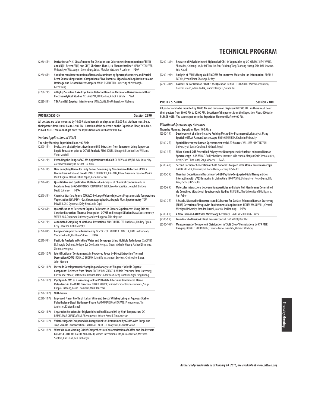(2280-5 P) **Derivatives of 4,5-Diazafluorene for Chelation and Colorimetric Determination of FE(II) and CU(I): Better FE(II) and CU(I) Chelators Than 1,10-Phenanthroline?** MARK T STAUFFER, University of Pittsburgh - Greensburg, Luke J Metzler, Matthew R Luderer N/A

| $(2280-6P)$   | Simultaneous Determination of Iron and Aluminum by Spectrophotometry and Partial<br>Least Squares Regression: Comparison of Two Potential Ligands and Application to Mine<br>Drainage and Related Water Samples MARK T STAUFFER. University of Pittsburgh -<br>Greensburg |  |
|---------------|---------------------------------------------------------------------------------------------------------------------------------------------------------------------------------------------------------------------------------------------------------------------------|--|
| $(2280 - 7P)$ | A Highly Selective Naked Eve Anion Detector Based on Chromone Derivatives and their<br>Electroanalytical Studies NEHA GUPTA, IIT Roorkee, Ashok K Singh<br>N/A                                                                                                            |  |

- 
- (2280-8 P) **TBAF and It's Spectral Interference** IAN ADAMS, The University of Alabama

| <b>POSTER SESSION</b> | Session 2290 |
|-----------------------|--------------|
|-----------------------|--------------|

**All posters are to be mounted by 10:00 AM and remain on display until 2:00 PM. Authors must be at their posters from 10:00 AM to 12:00 PM. Location of the posters is on the Exposition Floor, 400 Aisle. PLEASE NOTE: You cannot get onto the Exposition Floor until after 9:00 AM.**

#### **Various Applications of GCMS**

|               | Thursday Morning, Exposition Floor, 400 Aisle                                                                                                                                                                                                                   |
|---------------|-----------------------------------------------------------------------------------------------------------------------------------------------------------------------------------------------------------------------------------------------------------------|
| $(2290-1)$    | Evaluation of Methylisothiazolinone (MI) Extraction from Sunscreen Using Supported<br>Liquid Extraction prior to GC/MS Analysis RHYS JONES, Biotage GB Limited, Lee Williams,<br><b>Victor Vandell</b>                                                          |
| $(2290-2P)$   | Extending the Range of GC-MS Applications with Cold EI AVIV AMIRAV, Tel Aviv University,<br>Alexander Fialkov, Uri Keshet, Tal Alon                                                                                                                             |
| $(2290-3P)$   | New Sampling Device for Early Cancer Screening by Non-Invasive Detection of VOCs<br>Biomarkers in Exhaled Breath PAOLO BENEDETTI, IIA - CNR, Ettore Guerriero, Federico Marini,<br>Mark Ragusa, Maria Cristina Zappa, Carlo Crescenzi                           |
| $(2290-4P)$   | Quantitative and Qualitative Multi-Residue Analysis of Chemical Contaminants in<br>Food and Feed by GC-HRTOFMS JONATHAN D BYER, Leco Corporation, Joseph E Binkley,<br>David E Alonso<br>N/A                                                                    |
| $(2290-5P)$   | Chemical Warfare Agents (CWAVX) by Large Volume Injection/Programmable Temperature<br>Vaporization (LVI/PTV) - Gas Chromatography/Quadrupole Mass Spectrometry TOM<br>FOWLER, CSS-Dynamac, Kelly Head, Julia Capri                                              |
| $(2290-6P)$   | Quantification of Persistent Organic Pollutants in Dietary Supplements Using Stir-bar<br>Sorptive Extraction-Thermal Desorption- GC/MS and Isotope Dilution Mass Spectrometry<br>WEIER HAO, Duquesne University, Andrew Boggess, Skip Kingston                  |
| $(2290 - 7P)$ | Automated Sampling of Methanol Extractions ANNE JUREK, EST Analytical, Lindsey Pyron,<br>Kelly Cravenor, Justin Murphy                                                                                                                                          |
| $(2290-8P)$   | Complex Sample Characterization by GC×GC-TOF ROBERTA LARICCIA, DANI Instruments,<br>Vincenzo Casilli, Matthew S Klee<br>N/A                                                                                                                                     |
| $(2290-9P)$   | Pesticide Analysis in Drinking Water and Beverages Using Multiple Techniques XIAOPING<br>LI, Georgia Gwinnett College, Zoe Goldstein, Hongxia Guan, Michelle Huang, Rashad Simmons,<br>Simon Mwongela                                                           |
| $(2290-10P)$  | Identification of Contaminants in Powdered Foods by Direct Extraction Thermal<br>Desorption GC/MS RONALD SHOMO, Scientific Instrument Services, Christopher Baker,<br>John Manura                                                                               |
| $(2290-11P)$  | Methods Development for Sampling and Analysis of Biogenic Volatile Organic<br>Compounds Released from Plants PRITHVIRAJ SRIPATHI, Middle Tennessee State University,<br>Christopher Moore, Kathleen Kuklewicz, James G Milstead, Beng Guat Ooi, Ngee Sing Chong |
| $(2290-12P)$  | Pyrolysis-GC/MS as a Screening Tool for Phthalate Esters and Brominated Flame<br>Retardants in the RoHS Directive NICOLE M LOCK, Shimadzu Scientific Instruments, Shilpi<br>Chopra, Di Wang, Laura Chambers, Mark Janeczko                                      |
| $(2290-13 P)$ | Withdrawn                                                                                                                                                                                                                                                       |
| $(2290-14P)$  | Improved Flavor Profile of Italian Wine and Scotch Whiskey Using an Aqueous-Stable<br>Polyethylene Glycol Stationary Phase RAMKUMAR DHANDAPANI, Phenomenex, Tim<br>Anderson, Kristen Parnell                                                                    |
| $(2290-15P)$  | Separation Solutions for Triglycerides in Food Fat and Oil by High Temperature GC<br>RAMKUMAR DHANDAPANI, Phenomenex, Kristen Parnell, Tim Anderson                                                                                                             |
| $(2290-16P)$  | Volatile Organic Compounds in Energy Drinks as Determined by GC/MS with Purge and<br>Trap Sample Concentration CYNTHIA ELMORE, OI Analytical, J Garrett Slaton                                                                                                  |
| $(2290-17P)$  | What's in Your Morning Drink? Comprehensive Characterization of Coffee and Tea Extracts<br>by GCxGC-TOF MS LAURA MCGREGOR, Markes International Ltd, Nicola Watson, Massimo<br>Santoro Chris Hall Ken Umbarger                                                  |

(2290-18 P) **Research of Polychlorinated Biphenyls (PCBs) in Vegetables by GC-MS/MS** XIZHI WANG, Shimadzu, Shiheng Luo, Feifei Tian, Jun Fan, Guixiang Yang, Taohong Huang, Shin-ichi Kawano, Yuki Hashi

**TECHNICAL PROGRAM**

- (2290-19 P) **Analysis of FAMEs Using Cold EI GC/MS for Improved Molecular Ion Information** ADAM J PATKIN, PerkinElmer, Sharanya Reddy
- (2290-20 P) **Basmati or Not Basmati? That is the Question** KENNETH ROSNACK, Waters Corporation, Gareth Cleland, Adam Ladak, Jennifer Burgess, Steven Lai

### **POSTER SESSION Session 2300 All posters are to be mounted by 10:00 AM and remain on display until 2:00 PM. Authors must be at**

**their posters from 10:00 AM to 12:00 PM. Location of the posters is on the Exposition Floor, 400 Aisle. PLEASE NOTE: You cannot get onto the Exposition Floor until after 9:00 AM.**

### **Vibrational Spectroscopy Advances**

|               | Thursday Morning, Exposition Floor, 400 Aisle                                                                                                                                                                                                |
|---------------|----------------------------------------------------------------------------------------------------------------------------------------------------------------------------------------------------------------------------------------------|
| $(2300-1)$    | Development of a Non-Invasive Probing Method for Pharmaceutical Analysis Using<br>Spatially Offset Raman Spectroscopy HYUNG MIN KIM, Kookmin University                                                                                      |
| $(2300 - 2P)$ | Spatial Heterodyne Raman Spectrometer with LED Sources WILLIAM HUNTINGTON,<br>University of South Carolina, S Michael Angel                                                                                                                  |
| $(2300-3)$ P) | Silver-Coated Self-Assembled Polystyrene Nanospheres for Surface-enhanced Raman<br>Spectroscopy LARA MIKAC, Rudjer Boskovic Institute, Mile Ivanda, Marijan Gotic, Vesna Janicki,<br>Hrvoje Zorc, Tibor Janci, Sanja Vidacek<br>N/A          |
| $(2300 - 4P)$ | Second Harmonic Generation of Gold Nanorods Coupled with Atomic Force Microscopy<br>DARBY NELSON, University of Notre Dame, Zachary D Schultz                                                                                                |
| $(2300-5P)$   | Chemical Detection and Tracking of c-RGD Peptide-Conjugated Gold Nanoparticles<br>Interacting with aVB3 Integrins in Living Cells HAO WANG, University of Notre Dame, Lifu<br>Xiao, Zachary D Schultz                                        |
| $(2300-6P)$   | Molecular Interactions between Nanoparticles and Model Cell Membranes Determined<br>via Combined Vibrational Spectroscopic Studies PEIPEI HU, The University of Michigan at<br>Ann Arbor                                                     |
| $(2300 - 7)$  | A Stable, Disposable Nanostructured Substrate for Surface Enhanced Raman Scattering<br>(SERS) Detection of Drugs with Environmental Applications HONEY MADUPALLI, Central<br>Michigan University, Brandon Russell, Mary M Tecklenburg<br>N/A |
| $(2300-8P)$   | A New Diamond ATR Video Microscopy Accessory DAVID W SCHIERING, Czitek                                                                                                                                                                       |
| $(2300-9P)$   | From Mars to Mission Critical Process Control DAN WOOD, Keit Ltd                                                                                                                                                                             |
|               |                                                                                                                                                                                                                                              |

(2300-10 P) **Measurement of Component Distribution in "Soft Chew" Formulations by ATR FTIR Imaging** RONALD RUBINOVITZ, Thermo Fisher Scientific, William Wihlborg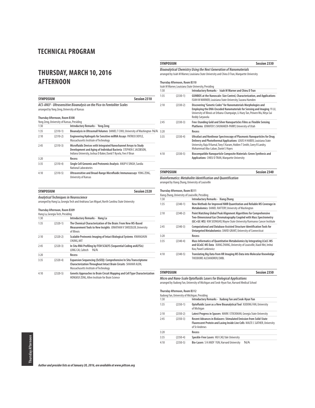### **THURSDAY, MARCH 10, 2016 AFTERNOON**

| <b>SYMPOSIUM</b><br><b>Session 2310</b> |                                             |                                                                                                                                                                                                         |  |
|-----------------------------------------|---------------------------------------------|---------------------------------------------------------------------------------------------------------------------------------------------------------------------------------------------------------|--|
|                                         | arranged by Yong Zeng, University of Kansas | ACS-ANLY - Ultrasensitive Bioanalysis on the Pico-to Femtoliter Scales                                                                                                                                  |  |
|                                         | Thursday Afternoon, Room B308               |                                                                                                                                                                                                         |  |
|                                         | Yong Zeng, University of Kansas, Presiding  |                                                                                                                                                                                                         |  |
| 1:30                                    |                                             | <b>Introductory Remarks - Yong Zeng</b>                                                                                                                                                                 |  |
| 1:35                                    | $(2310-1)$                                  | Bioanalysis in Ultrasmall Volumes DANIEL T CHIU, University of Washington N/A                                                                                                                           |  |
| 2:10                                    | $(2310-2)$                                  | Engineering Hydrogels for Sensitive miRNA Assays PATRICK DOYLE,<br>Massachusetts Institute of Technology                                                                                                |  |
| 2:45                                    | $(2310-3)$                                  | Microfluidic Devices with Integrated Nanochannel Arrays to Study<br>Development and Aging of Individual Bacteria STEPHEN C JACOBSON,<br>Indiana University, Joshua D Baker, David T Kysela, Yves V Brun |  |
| 3:20                                    |                                             | Recess                                                                                                                                                                                                  |  |
| 3:35                                    | $(2310-4)$                                  | Single Cell Genomic and Proteomic Analysis ANUP K SINGH, Sandia<br><b>National Laboratories</b>                                                                                                         |  |
| 4:10                                    | $(2310-5)$                                  | Ultrasensitive and Broad-Range Microfluidic Immunoassays YONG ZENG,<br>University of Kansas                                                                                                             |  |

| <b>SYMPOSIUM</b>                                                                           | Session 2320 |
|--------------------------------------------------------------------------------------------|--------------|
| <b>Analytical Techniques in Neuroscience</b>                                               |              |
| arranged by Hang Lu, Georgia Tech and Andriana San Miguel, North Carolina State University |              |

#### **Thursday Afternoon, Room B309**

| Hang Lu, Georgia Tech, Presiding |            |                                                                                                                                                                                     |  |  |
|----------------------------------|------------|-------------------------------------------------------------------------------------------------------------------------------------------------------------------------------------|--|--|
| 1:30                             |            | Introductory Remarks - Hang Lu                                                                                                                                                      |  |  |
| 1:35                             | $(2320-1)$ | The Chemical Characterization of the Brain: From New MS-Based<br>Measurement Tools to New Insights JONATHAN V SWEEDLER, University<br>of Illinois                                   |  |  |
| 2:10                             | $(2320-2)$ | Scalable Proteomic Imaging of Intact Biological Systems KWANGHUN<br>CHUNG, MIT                                                                                                      |  |  |
| 2:45                             | $(2320-3)$ | In Situ RNA Profiling by FISH SCALYS (Sequential Coding anALYSis)<br>LONG CAI, Caltech<br>N/A                                                                                       |  |  |
| 3:20                             |            | Recess                                                                                                                                                                              |  |  |
| 3:35                             | $(2320-4)$ | <b>Expansion Sequencing (ExSEQ): Comprehensive In Situ Transcriptome</b><br>Characterization Throughout Intact Brain Circuits SHAHAR ALON,<br>Massachusetts Institute of Technology |  |  |
| 4:10                             | $(2320-5)$ | Genetic Approaches to Brain Circuit Mapping and Cell Type Characterization<br><b>HONGKUI ZENG. Allen Institute for Brain Science</b>                                                |  |  |

### arranged by Isiah M Warner, Louisiana State University and Chieu D Tran, Marquette University **Thursday Afternoon, Room B310** Isiah M Warner, Louisiana State University, Presiding 1:30 **Introductory Remarks - Isiah M Warner and Chieu D Tran**  1:35 (2330-1) **GUMBOS at the Nanoscale: Size Control, Characterization, and Applications** ISIAH M WARNER, Louisiana State University, Suzana Hamden 2:10 (2330-2) **Discovering "Genetic Codes" for Nanomaterials Morphologies and Employing the DNA-Encoded Nanomaterials for Sensing and Imaging** YI LU, University of Illinois at Urbana-Champaign, Li Huey Tan, Peiwen Wu, Nitya Sai

**Bioanalytical Chemistry Using the Next Generation of Nanomaterials**

|      |            | Reddy Satyavolu                                                                                                                                                                                                                                                    |
|------|------------|--------------------------------------------------------------------------------------------------------------------------------------------------------------------------------------------------------------------------------------------------------------------|
| 2:45 | $(2330-3)$ | Free-Standing Gold and Silver Nanoparticles Films as Flexible Sensing<br>Platforms JENNIFER S SHUMAKER-PARRY, University of Utah                                                                                                                                   |
| 3:20 |            | Recess                                                                                                                                                                                                                                                             |
| 3:35 | $(2330-4)$ | Ultrafast and Nonlinear Spectroscopy of Plasmonic Nanoparticles for Drug<br>Delivery and Photothermal Applications LOUIS H HABER, Louisiana State<br>University, Raju R Kumal, Tony E Karam, Holden T Smith, Corey R Landry,<br>Mohammad Abu-Laban, Daniel J Hayes |
| 4:10 | $(2330-5)$ | Biocompatible Nanoparticle Composite Materials: Green Synthesis and<br><b>Applications CHIEU D TRAN. Marquette University</b>                                                                                                                                      |

**SYMPOSIUM Session 2330**

| SYMPOSIUM                                                    | <b>Session 2340</b> |
|--------------------------------------------------------------|---------------------|
| Bioinformatics: Metabolite Identification and Ouantification |                     |

arranged by Xiang Zhang, University of Louisville

#### **Thursday Afternoon, Room B311**

| Xiang Zhang, University of Louisville, Presiding |            |                                                                                                                                                                                                                    |  |
|--------------------------------------------------|------------|--------------------------------------------------------------------------------------------------------------------------------------------------------------------------------------------------------------------|--|
| 1:30                                             |            | Introductory Remarks - Xiang Zhang                                                                                                                                                                                 |  |
| 1:35                                             | $(2340-1)$ | New Methods for Improved NMR Quantitation and Reliable MS Coverage in<br>Metabolomics DANIEL RAFTERY, University of Washington                                                                                     |  |
| 2:10                                             | $(2340-2)$ | Point Matching Global Peak Alignment Algorithms for Comprehensive<br>Two-Dimensional Gas Chromatography Coupled with Mass Spectrometry<br>(GC×GC-MS) KIM SEONGHO, Wayne State University/Karmanos Cancer Institute |  |
| 2:45                                             | $(2340-3)$ | <b>Computational and Database Assisted Structure Identification Tools for</b><br>Untargeted Metabolomics DAVID GRANT, University of Connecticut                                                                    |  |
| 3:20                                             |            | Recess                                                                                                                                                                                                             |  |
| 3:35                                             | $(2340-4)$ | Mass Informatics of Quantitative Metabolomics by Integrating LCxLC-MS<br>and GCxGC-MS Data XIANG ZHANG. University of Louisville, Xiaoli Wei, Imhoi<br>Koo, Pawel Lorkiewicz                                       |  |
| 4:10                                             | $(2340-5)$ | Translating Big Data from HR Imaging MS Data into Molecular Knowledge<br>THEODORE ALEXANDROV. EMBL                                                                                                                 |  |

| <b>SYMPOSIUM</b>                                                                      | Session 2350 |
|---------------------------------------------------------------------------------------|--------------|
| Micro and Nano-Scale Optofluidic Lasers for Biological Applications                   |              |
| Jeropad bu Vudang Ean Hinjyarity of Michigan and Sook Huun Vun Harvard Modical School |              |

arranged by Xudong Fan, University of Michigan and Seok-Hyun Yun, Harvard Medical School

### **Thursday Afternoon, Room B312**

|      |            | Xudong Fan, University of Michigan, Presiding                                                                                                                             |
|------|------------|---------------------------------------------------------------------------------------------------------------------------------------------------------------------------|
| 1:30 |            | Introductory Remarks - Xudong Fan and Seok-Hyun Yun                                                                                                                       |
| 1:35 | $(2350-1)$ | Optofluidic Laser as a New Bioanalytical Tool XUDONG FAN, University<br>of Michigan                                                                                       |
| 2:10 | $(2350-2)$ | Latest Progress in Spasers MARK I STOCKMAN, Georgia State University                                                                                                      |
| 2:45 | $(2350-3)$ | <b>Recent Advances in Biolasers: Stimulated Emission from Solid-State</b><br>Fluorescent Protein and Lasing Inside Live Cells MALTE C GATHER, University<br>of St Andrews |
| 3:20 |            | Recess                                                                                                                                                                    |
| 3:35 | $(2350-4)$ | Speckle-Free Lasers HUI CAO, Yale University                                                                                                                              |
| 4:10 | $(2350-5)$ | N/A<br>Bio-Lasers S H ANDY YUN, Harvard University                                                                                                                        |

**Thursday Afternoon** Thursday Afternoon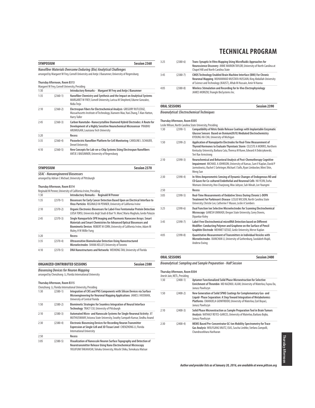| <b>SYMPOSIUM</b> |                                                                          | <b>Session 2360</b>                                                                                                                                                                                                                                |
|------------------|--------------------------------------------------------------------------|----------------------------------------------------------------------------------------------------------------------------------------------------------------------------------------------------------------------------------------------------|
|                  |                                                                          | Nanofiber Materials Overcome Enduring (Bio) Analytical Challenges<br>arranged by Margaret W Frey, Cornell University and Antie J Baeumner, University of Regensburg                                                                                |
|                  | Thursday Afternoon, Room B313                                            | Margaret W Frey, Cornell University, Presiding                                                                                                                                                                                                     |
| 1:30             |                                                                          | Introductory Remarks - Margaret W Frey and Antje J Baeumner                                                                                                                                                                                        |
| 1:35             | $(2360-1)$                                                               | Nanofiber Chemistry and Synthesis and the Impact on Analytical Systems<br>MARGARET W FREY, Cornell University, Larissa M Shepherd, Edurne Gonzalez,<br>Nidia Trejo                                                                                 |
| 2:10             | $(2360-2)$                                                               | Electrospun Fibers for Electrochemical Analysis GREGORY RUTLEDGE,<br>Massachusetts Institute of Technology, Xianwen Mao, Yuxi Zhang, T Alan Hatton,<br><b>Harry Tuller</b>                                                                         |
| 2:45             | $(2360-3)$                                                               | Carbon Nanotube-Nanocrystalline Diamond Hybrid Electrodes: A Route for<br>Development of a Highly Sensitive Neurochemical Microsensor PRABHU<br>ARUMUGAM, Louisiana Tech University                                                                |
| 3:20             |                                                                          | <b>Recess</b>                                                                                                                                                                                                                                      |
| 3:35             | $(2360-4)$                                                               | Piezoelectric Nanofiber Platform for Cell Monitoring CAROLINE L SCHAUER,<br><b>Drexel University</b>                                                                                                                                               |
| 4:10             | $(2360-5)$                                                               | New Concepts for Lab-on-a-Chip Systems Using Electrospun Nanofibers<br>ANTJE J BAEUMNER, University of Regensburg                                                                                                                                  |
| <b>SYMPOSIUM</b> |                                                                          | Session 2370                                                                                                                                                                                                                                       |
|                  | <b>SEAC - Nanoengineered Biosensors</b><br>Thursday Afternoon, Room B314 | arranged by Adrian C Michael, University of Pittsburgh<br>Reginald M Penner, University of California Irvine, Presiding                                                                                                                            |
| 1:30             |                                                                          | <b>Introductory Remarks - Reginald M Penner</b>                                                                                                                                                                                                    |
| 1:35             | $(2370-1)$                                                               | Biosensors for Early Cancer Detection Based Upon an Electrical Interface to<br>Virus Particles REGINALD M PENNER, University of California Irvine                                                                                                  |
| 2:10             | $(2370-2)$                                                               | Organic Electronics Biosensors for Label-Free Femtomolar Protein Detection<br>LUISA TORSI, Università degli Studi di Bari"A. Moro", Maria Magliulo, Gerdo Palazzo                                                                                  |
| 2:45             | $(2370-3)$                                                               | Single Nanoparticle SPR Imaging and Plasmonic Nanocone Arrays: Smart<br>Materials and Smart Chemistries for Advanced Optical Biosensors and<br>Biomimetic Devices ROBERT M CORN, University of California Irvine, Adam M<br>Maley, H W Millie Fung |
| 3:20             |                                                                          | Recess                                                                                                                                                                                                                                             |
| 3:35             | $(2370-4)$                                                               | <b>Ultrasensitive Biomolecular Detection Using Nanostructured</b><br>Microelectrodes SHANA KELLEY, University of Toronto                                                                                                                           |
| 4:10             | $(2370-5)$                                                               | DNA Nanostructures and Networks WEIHONG TAN, University of Florida                                                                                                                                                                                 |

| ORGANIZED CONTRIBUTED SESSIONS | <b>Session 2380</b> |
|--------------------------------|---------------------|
|                                |                     |

**Biosensing Devices for Neuron Mapping** arranged by Chenzhong Li, Florida International University

#### **Thursday Afternoon, Room B315**

|      |            | Chenzhong Li, Florida International University, Presiding                                                                                                                                                        |
|------|------------|------------------------------------------------------------------------------------------------------------------------------------------------------------------------------------------------------------------|
| 1:30 | $(2380-1)$ | Integration of CNS and PNS Components with Silicon Devices via Surface<br>Microengineering for Neuronal Mapping Applications JAMES J HICKMAN,<br>University of Central Florida                                   |
| 1:50 | $(2380-2)$ | Biomimetic Strategies for Seamless Integration of Neural Interface<br>Technology TRACY CUI, University of Pittsburgh                                                                                             |
| 2:10 | $(2380-3)$ | Automated Micro- and Nanoscale Systems for Single Neuronal Activity JIT<br>MUTHUSWAMY, Arizona State University, Swathy Sampath Kumar, Sindhu Anand                                                              |
| 2:30 | $(2380-4)$ | <b>Electronic Biosensing Devices for Recording Neuron Transmitter</b><br>Expression at Single Cell and 3D Tissue Level CHENZHONG LI, Florida<br><b>International University</b>                                  |
| 2:50 |            | Recess                                                                                                                                                                                                           |
| 3:05 | $(2380-5)$ | Visualization of Nanoscale Neuron Surface Topography and Detection of<br>Neurotransmitter Release Using Nano Electrochemical Microscopy<br>YASUFUMI TAKAHASHI, Tohoku University, Hitoshi Shiku, Tomokazu Matsue |

| 3:25 | $(2380-6)$   | Trans-Synaptic In Vitro Mapping Using Microfluidic Approaches for<br>Neuroscience Discovery ANNE MARION TAYLOR, University of North Carolina at<br>Chapel Hill and North Carolina State                             |
|------|--------------|---------------------------------------------------------------------------------------------------------------------------------------------------------------------------------------------------------------------|
| 3:45 | $(2380 - 7)$ | <b>CMOS Technology Enabled Brain Machine Interface (BMI) For Chronic</b><br>Neuronal Mapping MUHAMMAD MUSTAFA HUSSAIN, King Abdullah University<br>of Science and Technology (KAUST), Aftab M Hussain, Amir N Hanna |
| 4:05 | $(2380-8)$   | Wireless Stimulation and Recording for In-Vivo Electrophysiology<br>JAMES MORIZIO, Triangle BioSystems Inc.                                                                                                         |

### **ORAL SESSIONS Session 2390**

### **Bioanalytical: Electrochemical Techniques**

### **Thursday Afternoon, Room B305**

|      | Leslie Wilson, North Carolina State University, Presiding |                                                                                                                                                                                                                                                   |  |  |  |
|------|-----------------------------------------------------------|---------------------------------------------------------------------------------------------------------------------------------------------------------------------------------------------------------------------------------------------------|--|--|--|
| 1:30 | $(2390-1)$                                                | Compatibility of Nitric Oxide Release Coatings with Implantable Enzymatic<br>Glucose Sensors Based on Osmium(III/II) Mediated Electrochemistry<br>KYOUNG HA CHA, University of Michigan                                                           |  |  |  |
| 1:50 | $(2390-2)$                                                | Application of Nanopipette Electrodes for Real-Time Measurement of<br>Thyroid Hormones to Evaluate Thyrotoxic Storm CELESTE A MORRIS, Northern<br>Kentucky University, Barbara Cata, Theresa M Ruwe, Edward A Dobrzykowski,<br>Teri Rae Armstrong |  |  |  |
| 2:10 | $(2390-3)$                                                | Neurochemical and Behavioral Analysis of Post-Chemotherapy Cognitive<br>Impairment MICHAEL A JOHNSON, University of Kansas, Sam V Kaplan, David P<br>Jarmolowicz, Rachel C Gehringer, Michael J Sofis, Ryan Limbocker, Mimi Shin,<br>Meng Sun     |  |  |  |
| 2:30 | $(2390-4)$                                                | In-Vitro Amperometric Sensing of Dynamic Changes of Endogenous NO and<br>CO Gases for Co-cultured Endothelial and Neuronal Cells HAYEJIN. Ewha<br>Womans University, Heo Chaejeong, Woo Juhyun, Suh Minah, Lee Youngmi                            |  |  |  |
| 2:50 |                                                           | Recess                                                                                                                                                                                                                                            |  |  |  |
| 3:05 | $(2390-5)$                                                | Real-Time Measurements of Oxidative Stress During Chronic L-DOPA<br>Treatment For Parkinson's Disease LESLIE WILSON, North Carolina State<br>University, Christie Lee, Catherine F Mason, Leslie A Sombers                                        |  |  |  |
| 3:25 | $(2390-6)$                                                | Dual Function Ion Selective Microelectrodes for Scanning Electrochemical<br>Microscopy GANESH UMMADI, Oregon State University, Corey Downs,<br>Dipankar Kolev                                                                                     |  |  |  |
| 3:45 | $(2390 - 7)$                                              | Label-Free Flectrochemical microRNA Detection based on Different<br>Modifier: Conducting Polymer and Graphene on the Surface of Pencil<br>Graphite Electrode MEHMET 0ZS0Z, Gediz University, Merve Kaplan                                         |  |  |  |
| 4:05 | $(2390-8)$                                                | <b>Ouantitative Measurement of Transmitters in Individual Vesicles with</b><br>Microelectrodes XIANCHAN LI, University of Gothenburg, Soodabeh Majdi,<br>Andrew Ewing                                                                             |  |  |  |

### **ORAL SESSIONS Session 2400**

**Bioanalytical: Sampling and Sample Preparation - Half Session**

### **Thursday Afternoon, Room B304**

### Jinesh Jain, NETL, Presiding

| 1:30 | $(2400-1)$ | Aptamer Functionalized Solid Phase Microextraction for Selective<br>Enrichment of Thrombin MD NAZMUL ALAM, University of Waterloo, Fuyou Du,<br>Janusz Pawliszyn                                                                  |
|------|------------|-----------------------------------------------------------------------------------------------------------------------------------------------------------------------------------------------------------------------------------|
| 1:50 | $(2400-2)$ | New Generation of Solid SPME Coatings for Complementary Gas- and<br>Liquid-Phase Separation: A Step Toward Integration of Metabolomics<br>Platforms EMANUELA GIONFRIDDO, University of Waterloo, Ezel Boyaci,<br>Janusz Pawliszyn |
| 2:10 | $(2400-3)$ | Solid Phase Microextraction as Sample Preparation Tool in Brain Tumors<br>Analysis NATHALY REYES-GARCES, University of Waterloo, Barbara Bojko,<br>Janusz Pawliszyn                                                               |
| 2:30 | $(2400-4)$ | MEMS Based Pre-Concentrator GC-Ion Mobility Spectrometry for Trace<br>Gas Analysis WOLFGANG VAUTZ, ISAS, Sascha Liedtke, Stefano Zampolli,<br>Chandrasekhara Hariharan                                                            |